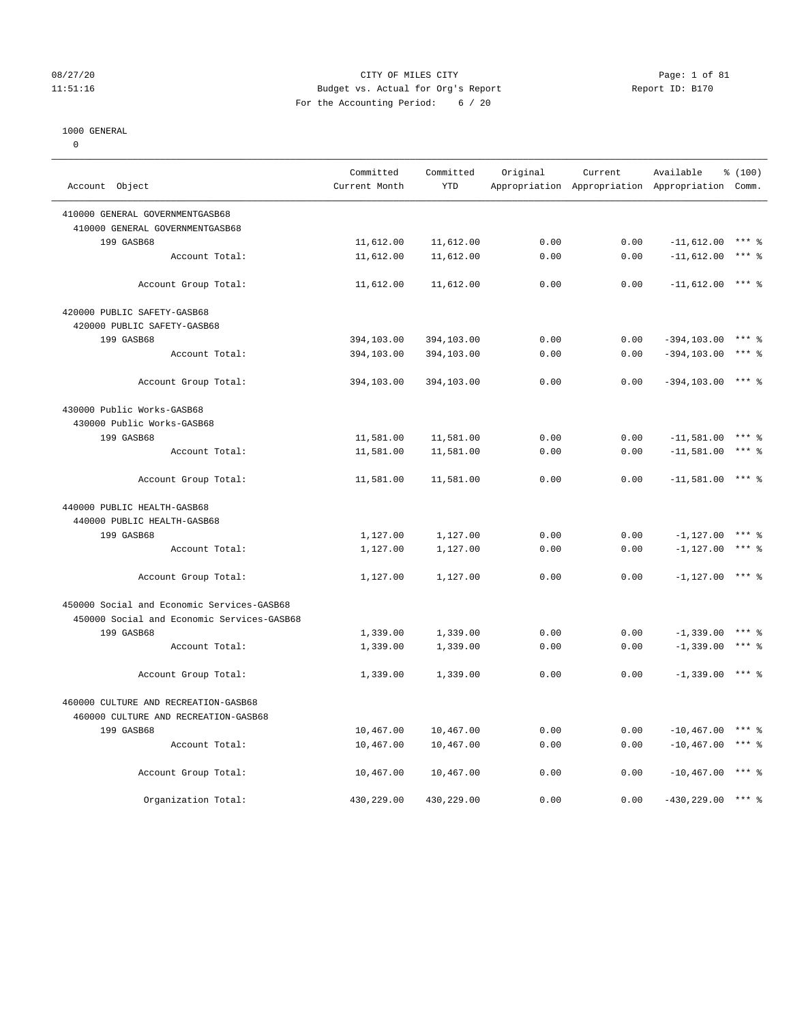## 08/27/20 Page: 1 of 81 11:51:16 Budget vs. Actual for Org's Report Report ID: B170 For the Accounting Period: 6 / 20

————————————————————————————————————————————————————————————————————————————————————————————————————————————————————————————————————

#### 1000 GENERAL

0

 Committed Committed Original Current Available % (100) Account Object **Current Month** YTD Appropriation Appropriation Appropriation Comm. ———————————————————————————————————————————————————————————————————————————————————————————————————————————————————————————————————— 410000 GENERAL GOVERNMENTGASB68 410000 GENERAL GOVERNMENTGASB68 199 GASB68 11,612.00 11,612.00 0.00 0.00 -11,612.00 \*\*\* % Account Total:  $11,612.00$   $11,612.00$   $0.00$   $0.00$   $-11,612.00$  \*\*\* % Account Group Total:  $11,612.00$   $11,612.00$   $0.00$  0.00  $-11,612.00$  \*\*\*  $\frac{1}{8}$  420000 PUBLIC SAFETY-GASB68 420000 PUBLIC SAFETY-GASB68 199 GASB68 394,103.00 394,103.00 0.00 0.00 -394,103.00 \*\*\* % Account Total: 394,103.00 394,103.00 0.00 0.00 -394,103.00 \*\*\* % Account Group Total: 394,103.00 394,103.00 0.00 0.00 -394,103.00 \*\*\* % 430000 Public Works-GASB68 430000 Public Works-GASB68 199 GASB68 11,581.00 11,581.00 0.00 0.00 -11,581.00 \*\*\* % Account Total: 11,581.00 11,581.00 0.00 0.00 -11,581.00 \*\*\* \* Account Group Total: 11,581.00 11,581.00 0.00 0.00 -11,581.00 \*\*\* % 440000 PUBLIC HEALTH-GASB68 440000 PUBLIC HEALTH-GASB68 199 GASB68 1,127.00 1,127.00 0.00 0.00 -1,127.00 \*\*\* % Account Total: 1,127.00 1,127.00 0.00 0.00 -1,127.00 \*\*\* % Account Group Total:  $1,127.00$   $1,127.00$   $0.00$   $0.00$   $-1,127.00$   $\longrightarrow$   $\rightarrow$   $\rightarrow$   $\rightarrow$   $\rightarrow$   $\rightarrow$   $\rightarrow$  450000 Social and Economic Services-GASB68 450000 Social and Economic Services-GASB68 199 GASB68 1,339.00 1,339.00 0.00 0.00 -1,339.00 \*\*\* % Account Total: 1,339.00 1,339.00 0.00 0.00 -1,339.00 \*\*\* % Account Group Total:  $1,339.00$   $1,339.00$   $0.00$   $0.00$   $-1,339.00$   $\rightarrow \ast \ast \ast$  460000 CULTURE AND RECREATION-GASB68 460000 CULTURE AND RECREATION-GASB68 199 GASB68 10,467.00 10,467.00 0.00 0.00 -10,467.00 \*\*\* % Account Total: 10,467.00 10,467.00 0.00 0.00 -10,467.00 \*\*\* % Account Group Total: 10,467.00 10,467.00 0.00 0.00 -10,467.00 \*\*\* \$ Organization Total: 430,229.00 430,229.00 0.00 0.00 -430,229.00 \*\*\* %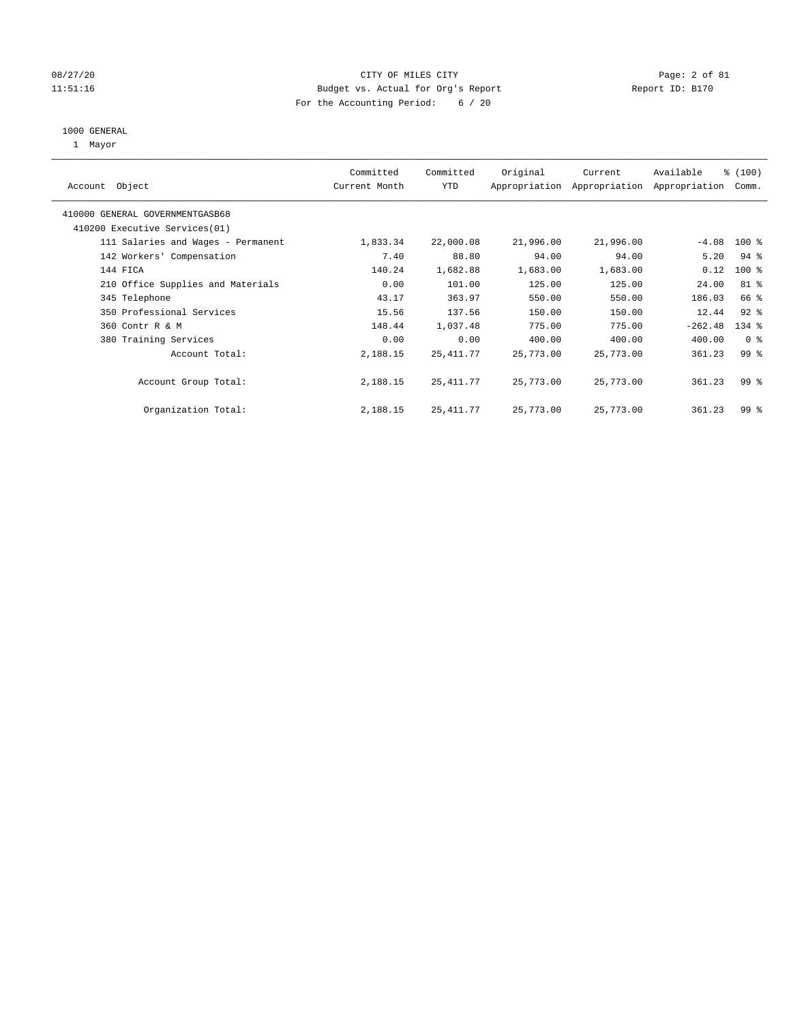# 08/27/20 Page: 2 of 81 11:51:16 Budget vs. Actual for Org's Report Report ID: B170 For the Accounting Period: 6 / 20

### 1000 GENERAL

1 Mayor

| Object<br>Account                  | Committed<br>Current Month | Committed<br><b>YTD</b> | Original  | Current<br>Appropriation Appropriation | Available<br>Appropriation | % (100)<br>Comm. |
|------------------------------------|----------------------------|-------------------------|-----------|----------------------------------------|----------------------------|------------------|
| 410000 GENERAL GOVERNMENTGASB68    |                            |                         |           |                                        |                            |                  |
| 410200 Executive Services (01)     |                            |                         |           |                                        |                            |                  |
| 111 Salaries and Wages - Permanent | 1,833.34                   | 22,000.08               | 21,996.00 | 21,996.00                              | $-4.08$                    | $100*$           |
| 142 Workers' Compensation          | 7.40                       | 88.80                   | 94.00     | 94.00                                  | 5.20                       | $94$ %           |
| 144 FICA                           | 140.24                     | 1,682.88                | 1,683.00  | 1,683.00                               | 0.12                       | $100*$           |
| 210 Office Supplies and Materials  | 0.00                       | 101.00                  | 125.00    | 125.00                                 | 24.00                      | 81 %             |
| 345 Telephone                      | 43.17                      | 363.97                  | 550.00    | 550.00                                 | 186.03                     | 66 %             |
| 350 Professional Services          | 15.56                      | 137.56                  | 150.00    | 150.00                                 | 12.44                      | $92$ $%$         |
| 360 Contr R & M                    | 148.44                     | 1,037.48                | 775.00    | 775.00                                 | $-262.48$                  | $134$ $%$        |
| 380 Training Services              | 0.00                       | 0.00                    | 400.00    | 400.00                                 | 400.00                     | 0 <sup>8</sup>   |
| Account Total:                     | 2,188.15                   | 25, 411.77              | 25,773.00 | 25,773.00                              | 361.23                     | 99 <sub>8</sub>  |
| Account Group Total:               | 2,188.15                   | 25, 411.77              | 25,773.00 | 25,773.00                              | 361.23                     | 99 <sup>8</sup>  |
| Organization Total:                | 2,188.15                   | 25, 411.77              | 25,773.00 | 25,773.00                              | 361.23                     | 99 <sup>8</sup>  |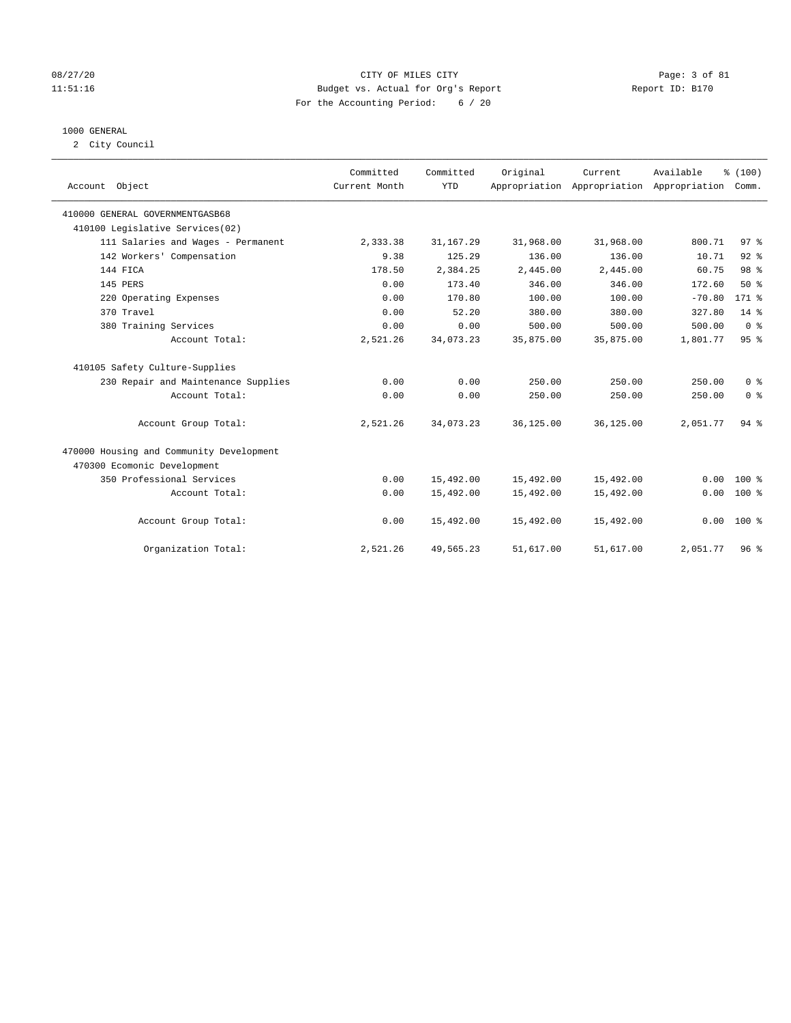# 08/27/20 Page: 3 of 81 11:51:16 Budget vs. Actual for Org's Report Changer Report ID: B170 For the Accounting Period: 6 / 20

# 1000 GENERAL

2 City Council

| Account Object                           | Committed<br>Current Month | Committed<br><b>YTD</b> | Original  | Current<br>Appropriation Appropriation Appropriation | Available | % (100)<br>Comm. |
|------------------------------------------|----------------------------|-------------------------|-----------|------------------------------------------------------|-----------|------------------|
| 410000 GENERAL GOVERNMENTGASB68          |                            |                         |           |                                                      |           |                  |
| 410100 Legislative Services(02)          |                            |                         |           |                                                      |           |                  |
| 111 Salaries and Wages - Permanent       | 2,333.38                   | 31, 167.29              | 31,968.00 | 31,968.00                                            | 800.71    | 97%              |
| 142 Workers' Compensation                | 9.38                       | 125.29                  | 136.00    | 136.00                                               | 10.71     | $92$ $%$         |
| 144 FICA                                 | 178.50                     | 2,384.25                | 2,445.00  | 2,445.00                                             | 60.75     | 98 %             |
| 145 PERS                                 | 0.00                       | 173.40                  | 346.00    | 346.00                                               | 172.60    | $50*$            |
| 220 Operating Expenses                   | 0.00                       | 170.80                  | 100.00    | 100.00                                               | $-70.80$  | $171$ %          |
| 370 Travel                               | 0.00                       | 52.20                   | 380.00    | 380.00                                               | 327.80    | $14*$            |
| 380 Training Services                    | 0.00                       | 0.00                    | 500.00    | 500.00                                               | 500.00    | 0 <sup>8</sup>   |
| Account Total:                           | 2,521.26                   | 34,073.23               | 35,875.00 | 35,875.00                                            | 1,801.77  | 95%              |
| 410105 Safety Culture-Supplies           |                            |                         |           |                                                      |           |                  |
| 230 Repair and Maintenance Supplies      | 0.00                       | 0.00                    | 250.00    | 250.00                                               | 250.00    | 0 <sup>8</sup>   |
| Account Total:                           | 0.00                       | 0.00                    | 250.00    | 250.00                                               | 250.00    | 0 <sup>8</sup>   |
| Account Group Total:                     | 2,521.26                   | 34,073.23               | 36,125.00 | 36,125.00                                            | 2,051.77  | 94%              |
| 470000 Housing and Community Development |                            |                         |           |                                                      |           |                  |
| 470300 Ecomonic Development              |                            |                         |           |                                                      |           |                  |
| 350 Professional Services                | 0.00                       | 15,492.00               | 15,492.00 | 15,492.00                                            | 0.00      | $100*$           |
| Account Total:                           | 0.00                       | 15,492.00               | 15,492.00 | 15,492.00                                            | 0.00      | $100*$           |
| Account Group Total:                     | 0.00                       | 15,492.00               | 15,492.00 | 15,492.00                                            | 0.00      | $100*$           |
| Organization Total:                      | 2,521.26                   | 49,565.23               | 51,617.00 | 51,617.00                                            | 2,051.77  | 96 <sup>8</sup>  |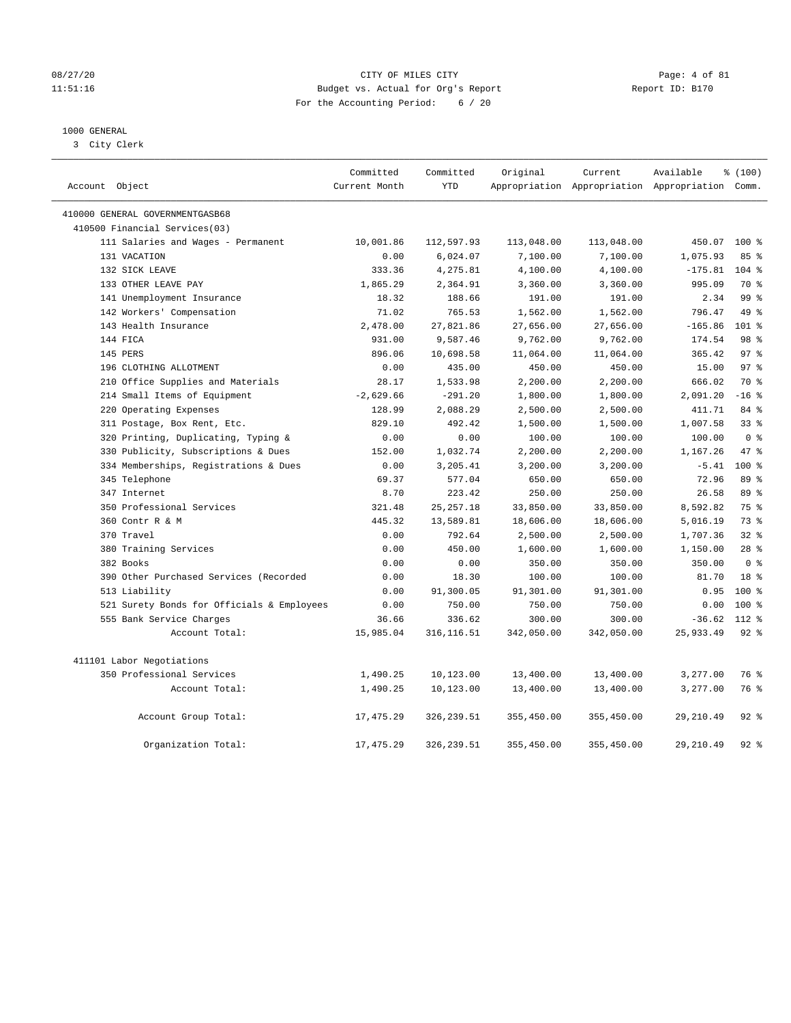# 08/27/20 Page: 4 of 81 11:51:16 Budget vs. Actual for Org's Report Report ID: B170 For the Accounting Period: 6 / 20

# 1000 GENERAL

3 City Clerk

| Account Object                             | Committed<br>Current Month | Committed<br><b>YTD</b> | Original   | Current    | Available<br>Appropriation Appropriation Appropriation Comm. | % (100)         |
|--------------------------------------------|----------------------------|-------------------------|------------|------------|--------------------------------------------------------------|-----------------|
| 410000 GENERAL GOVERNMENTGASB68            |                            |                         |            |            |                                                              |                 |
| 410500 Financial Services(03)              |                            |                         |            |            |                                                              |                 |
| 111 Salaries and Wages - Permanent         | 10,001.86                  | 112,597.93              | 113,048.00 | 113,048.00 | 450.07                                                       | $100*$          |
| 131 VACATION                               | 0.00                       | 6,024.07                | 7,100.00   | 7,100.00   | 1,075.93                                                     | 85%             |
| 132 SICK LEAVE                             | 333.36                     | 4,275.81                | 4,100.00   | 4,100.00   | $-175.81$                                                    | $104$ %         |
| 133 OTHER LEAVE PAY                        | 1,865.29                   | 2,364.91                | 3,360.00   | 3,360.00   | 995.09                                                       | 70 %            |
| 141 Unemployment Insurance                 | 18.32                      | 188.66                  | 191.00     | 191.00     | 2.34                                                         | 99 <sup>8</sup> |
| 142 Workers' Compensation                  | 71.02                      | 765.53                  | 1,562.00   | 1,562.00   | 796.47                                                       | 49 %            |
| 143 Health Insurance                       | 2,478.00                   | 27,821.86               | 27,656.00  | 27,656.00  | $-165.86$                                                    | 101 %           |
| 144 FICA                                   | 931.00                     | 9,587.46                | 9,762.00   | 9,762.00   | 174.54                                                       | 98 %            |
| 145 PERS                                   | 896.06                     | 10,698.58               | 11,064.00  | 11,064.00  | 365.42                                                       | 97 <sup>°</sup> |
| 196 CLOTHING ALLOTMENT                     | 0.00                       | 435.00                  | 450.00     | 450.00     | 15.00                                                        | 97 <sub>8</sub> |
| 210 Office Supplies and Materials          | 28.17                      | 1,533.98                | 2,200.00   | 2,200.00   | 666.02                                                       | 70 %            |
| 214 Small Items of Equipment               | $-2,629.66$                | $-291.20$               | 1,800.00   | 1,800.00   | 2,091.20                                                     | $-16$ %         |
| 220 Operating Expenses                     | 128.99                     | 2,088.29                | 2,500.00   | 2,500.00   | 411.71                                                       | 84 %            |
| 311 Postage, Box Rent, Etc.                | 829.10                     | 492.42                  | 1,500.00   | 1,500.00   | 1,007.58                                                     | 33%             |
| 320 Printing, Duplicating, Typing &        | 0.00                       | 0.00                    | 100.00     | 100.00     | 100.00                                                       | 0 <sup>8</sup>  |
| 330 Publicity, Subscriptions & Dues        | 152.00                     | 1,032.74                | 2,200.00   | 2,200.00   | 1,167.26                                                     | 47.8            |
| 334 Memberships, Registrations & Dues      | 0.00                       | 3,205.41                | 3,200.00   | 3,200.00   | $-5.41$                                                      | 100%            |
| 345 Telephone                              | 69.37                      | 577.04                  | 650.00     | 650.00     | 72.96                                                        | 89 %            |
| 347 Internet                               | 8.70                       | 223.42                  | 250.00     | 250.00     | 26.58                                                        | 89 %            |
| 350 Professional Services                  | 321.48                     | 25, 257.18              | 33,850.00  | 33,850.00  | 8,592.82                                                     | 75 %            |
| 360 Contr R & M                            | 445.32                     | 13,589.81               | 18,606.00  | 18,606.00  | 5,016.19                                                     | 73 %            |
| 370 Travel                                 | 0.00                       | 792.64                  | 2,500.00   | 2,500.00   | 1,707.36                                                     | 328             |
| 380 Training Services                      | 0.00                       | 450.00                  | 1,600.00   | 1,600.00   | 1,150.00                                                     | 28 <sup>8</sup> |
| 382 Books                                  | 0.00                       | 0.00                    | 350.00     | 350.00     | 350.00                                                       | 0 <sup>8</sup>  |
| 390 Other Purchased Services (Recorded     | 0.00                       | 18.30                   | 100.00     | 100.00     | 81.70                                                        | 18 %            |
| 513 Liability                              | 0.00                       | 91,300.05               | 91,301.00  | 91,301.00  | 0.95                                                         | $100*$          |
| 521 Surety Bonds for Officials & Employees | 0.00                       | 750.00                  | 750.00     | 750.00     | 0.00                                                         | $100*$          |
| 555 Bank Service Charges                   | 36.66                      | 336.62                  | 300.00     | 300.00     | $-36.62$                                                     | 112 %           |
| Account Total:                             | 15,985.04                  | 316, 116.51             | 342,050.00 | 342,050.00 | 25,933.49                                                    | 92%             |
| 411101 Labor Negotiations                  |                            |                         |            |            |                                                              |                 |
| 350 Professional Services                  | 1,490.25                   | 10,123.00               | 13,400.00  | 13,400.00  | 3,277.00                                                     | 76 %            |
| Account Total:                             | 1,490.25                   | 10,123.00               | 13,400.00  | 13,400.00  | 3,277.00                                                     | 76 %            |
| Account Group Total:                       | 17,475.29                  | 326,239.51              | 355,450.00 | 355,450.00 | 29,210.49                                                    | $92$ $%$        |
| Organization Total:                        | 17, 475.29                 | 326, 239.51             | 355,450.00 | 355,450.00 | 29, 210.49                                                   | $92$ $%$        |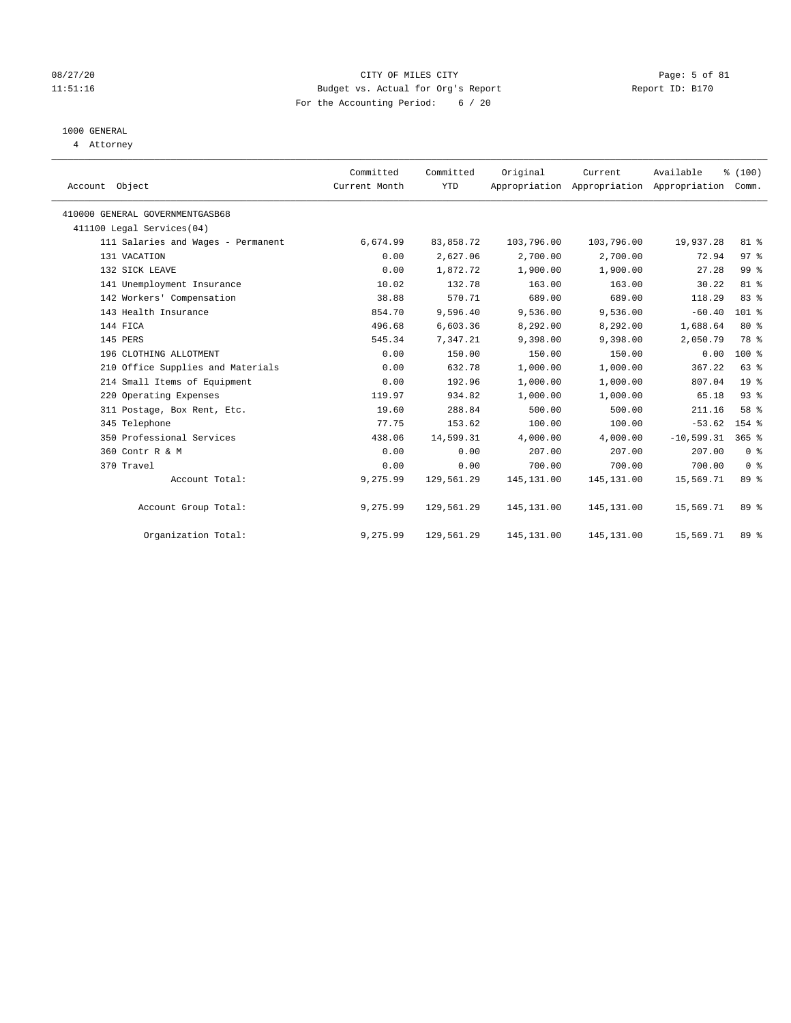# 08/27/20 Page: 5 of 81 11:51:16 Budget vs. Actual for Org's Report Report ID: B170 For the Accounting Period: 6 / 20

# 1000 GENERAL

4 Attorney

| Account Object                     | Committed<br>Current Month | Committed<br><b>YTD</b> | Original    | Current<br>Appropriation Appropriation Appropriation | Available    | % (100)<br>Comm. |  |
|------------------------------------|----------------------------|-------------------------|-------------|------------------------------------------------------|--------------|------------------|--|
| 410000 GENERAL GOVERNMENTGASB68    |                            |                         |             |                                                      |              |                  |  |
| 411100 Legal Services(04)          |                            |                         |             |                                                      |              |                  |  |
| 111 Salaries and Wages - Permanent | 6,674.99                   | 83,858.72               | 103,796.00  | 103,796.00                                           | 19,937.28    | 81 %             |  |
| 131 VACATION                       | 0.00                       | 2,627.06                | 2,700.00    | 2,700.00                                             | 72.94        | 97%              |  |
| 132 SICK LEAVE                     | 0.00                       | 1,872.72                | 1,900.00    | 1,900.00                                             | 27.28        | 99 %             |  |
| 141 Unemployment Insurance         | 10.02                      | 132.78                  | 163.00      | 163.00                                               | 30.22        | 81 %             |  |
| 142 Workers' Compensation          | 38.88                      | 570.71                  | 689.00      | 689.00                                               | 118.29       | 83%              |  |
| 143 Health Insurance               | 854.70                     | 9,596.40                | 9,536.00    | 9,536.00                                             | $-60.40$     | $101$ %          |  |
| 144 FICA                           | 496.68                     | 6,603.36                | 8,292.00    | 8,292.00                                             | 1,688.64     | 80%              |  |
| 145 PERS                           | 545.34                     | 7,347.21                | 9,398.00    | 9,398.00                                             | 2,050.79     | 78 %             |  |
| 196 CLOTHING ALLOTMENT             | 0.00                       | 150.00                  | 150.00      | 150.00                                               | 0.00         | 100 %            |  |
| 210 Office Supplies and Materials  | 0.00                       | 632.78                  | 1,000.00    | 1,000.00                                             | 367.22       | 63 %             |  |
| 214 Small Items of Equipment       | 0.00                       | 192.96                  | 1,000.00    | 1,000.00                                             | 807.04       | 19 <sup>8</sup>  |  |
| 220 Operating Expenses             | 119.97                     | 934.82                  | 1,000.00    | 1,000.00                                             | 65.18        | 93%              |  |
| 311 Postage, Box Rent, Etc.        | 19.60                      | 288.84                  | 500.00      | 500.00                                               | 211.16       | 58 %             |  |
| 345 Telephone                      | 77.75                      | 153.62                  | 100.00      | 100.00                                               | $-53.62$     | 154 %            |  |
| 350 Professional Services          | 438.06                     | 14,599.31               | 4,000.00    | 4,000.00                                             | $-10,599.31$ | $365$ %          |  |
| 360 Contr R & M                    | 0.00                       | 0.00                    | 207.00      | 207.00                                               | 207.00       | 0 <sup>8</sup>   |  |
| 370 Travel                         | 0.00                       | 0.00                    | 700.00      | 700.00                                               | 700.00       | 0 <sup>8</sup>   |  |
| Account Total:                     | 9,275.99                   | 129,561.29              | 145, 131.00 | 145, 131.00                                          | 15,569.71    | 89 %             |  |
| Account Group Total:               | 9,275.99                   | 129,561.29              | 145, 131.00 | 145, 131.00                                          | 15,569.71    | 89 %             |  |
| Organization Total:                | 9,275.99                   | 129,561.29              | 145,131.00  | 145,131.00                                           | 15,569.71    | 89 %             |  |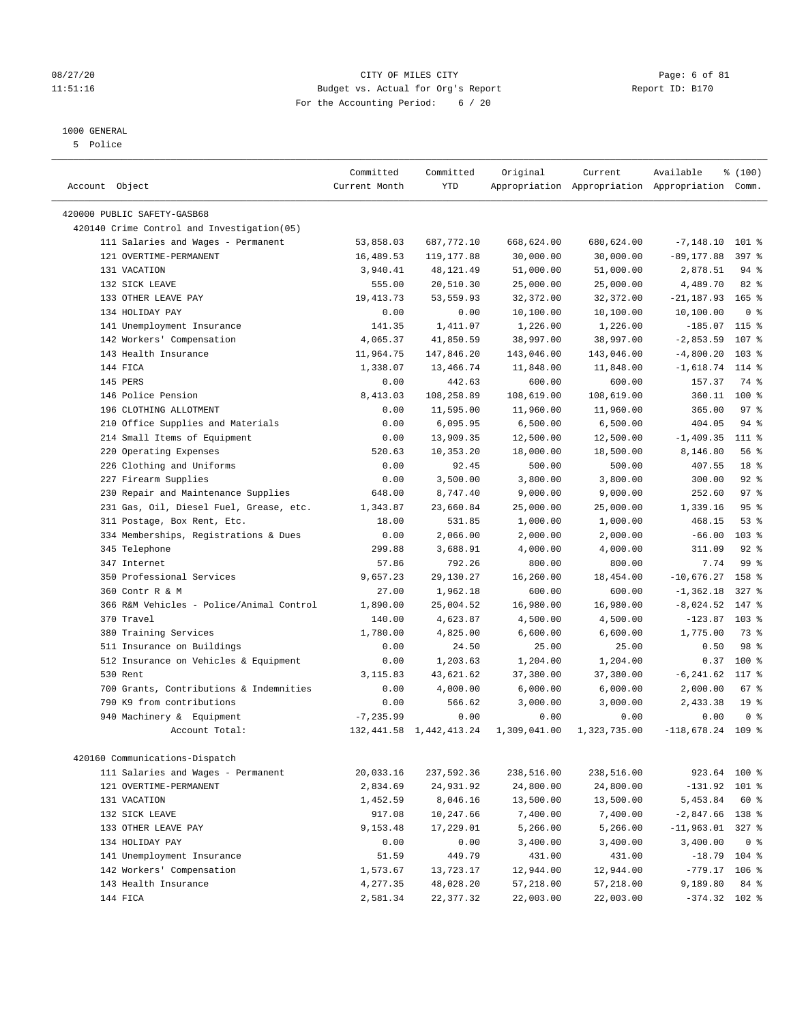# 08/27/20 Page: 6 of 81 11:51:16 Budget vs. Actual for Org's Report Report ID: B170 For the Accounting Period: 6 / 20

————————————————————————————————————————————————————————————————————————————————————————————————————————————————————————————————————

# 1000 GENERAL

5 Police

|                                            | Committed     | Committed                  | Original     | Current      | Available                                       | \$(100)          |  |
|--------------------------------------------|---------------|----------------------------|--------------|--------------|-------------------------------------------------|------------------|--|
| Account Object                             | Current Month | <b>YTD</b>                 |              |              | Appropriation Appropriation Appropriation Comm. |                  |  |
| 420000 PUBLIC SAFETY-GASB68                |               |                            |              |              |                                                 |                  |  |
| 420140 Crime Control and Investigation(05) |               |                            |              |              |                                                 |                  |  |
| 111 Salaries and Wages - Permanent         | 53,858.03     | 687,772.10                 | 668,624.00   | 680,624.00   | $-7, 148.10$                                    | $101$ %          |  |
| 121 OVERTIME-PERMANENT                     | 16,489.53     | 119, 177.88                | 30,000.00    | 30,000.00    | $-89, 177.88$                                   | 397 %            |  |
| 131 VACATION                               | 3,940.41      | 48, 121.49                 | 51,000.00    | 51,000.00    | 2,878.51                                        | 94 %             |  |
| 132 SICK LEAVE                             | 555.00        | 20,510.30                  | 25,000.00    | 25,000.00    | 4,489.70                                        | $82$ $%$         |  |
| 133 OTHER LEAVE PAY                        | 19, 413.73    | 53,559.93                  | 32, 372.00   | 32,372.00    | $-21, 187.93$ 165 %                             |                  |  |
| 134 HOLIDAY PAY                            | 0.00          | 0.00                       | 10,100.00    | 10,100.00    | 10,100.00                                       | 0 <sup>8</sup>   |  |
| 141 Unemployment Insurance                 | 141.35        | 1,411.07                   | 1,226.00     | 1,226.00     | $-185.07$ 115 %                                 |                  |  |
| 142 Workers' Compensation                  | 4,065.37      | 41,850.59                  | 38,997.00    | 38,997.00    | $-2,853.59$                                     | 107 %            |  |
| 143 Health Insurance                       | 11,964.75     | 147,846.20                 | 143,046.00   | 143,046.00   | $-4,800.20$                                     | $103$ %          |  |
| 144 FICA                                   | 1,338.07      | 13,466.74                  | 11,848.00    | 11,848.00    | $-1,618.74$                                     | 114 %            |  |
| 145 PERS                                   | 0.00          | 442.63                     | 600.00       | 600.00       | 157.37                                          | 74 %             |  |
| 146 Police Pension                         | 8,413.03      | 108,258.89                 | 108,619.00   | 108,619.00   | 360.11                                          | 100 %            |  |
| 196 CLOTHING ALLOTMENT                     | 0.00          | 11,595.00                  | 11,960.00    | 11,960.00    | 365.00                                          | 97%              |  |
| 210 Office Supplies and Materials          | 0.00          | 6,095.95                   | 6,500.00     | 6,500.00     | 404.05                                          | $94$ %           |  |
| 214 Small Items of Equipment               | 0.00          | 13,909.35                  | 12,500.00    | 12,500.00    | $-1,409.35$                                     | 111 %            |  |
| 220 Operating Expenses                     | 520.63        | 10,353.20                  | 18,000.00    | 18,500.00    | 8,146.80                                        | 56%              |  |
| 226 Clothing and Uniforms                  | 0.00          | 92.45                      | 500.00       | 500.00       | 407.55                                          | 18 %             |  |
| 227 Firearm Supplies                       | 0.00          | 3,500.00                   | 3,800.00     | 3,800.00     | 300.00                                          | $92$ %           |  |
| 230 Repair and Maintenance Supplies        | 648.00        | 8,747.40                   | 9,000.00     | 9,000.00     | 252.60                                          | 97%              |  |
| 231 Gas, Oil, Diesel Fuel, Grease, etc.    | 1,343.87      | 23,660.84                  | 25,000.00    | 25,000.00    | 1,339.16                                        | 95%              |  |
| 311 Postage, Box Rent, Etc.                | 18.00         | 531.85                     | 1,000.00     | 1,000.00     | 468.15                                          | 53%              |  |
| 334 Memberships, Registrations & Dues      | 0.00          | 2,066.00                   | 2,000.00     | 2,000.00     | $-66.00$                                        | 103 <sub>8</sub> |  |
| 345 Telephone                              | 299.88        | 3,688.91                   | 4,000.00     | 4,000.00     | 311.09                                          | $92$ %           |  |
| 347 Internet                               | 57.86         | 792.26                     | 800.00       | 800.00       | 7.74                                            | 99%              |  |
| 350 Professional Services                  | 9,657.23      | 29,130.27                  | 16,260.00    | 18,454.00    | $-10,676.27$                                    | 158 %            |  |
| 360 Contr R & M                            | 27.00         | 1,962.18                   | 600.00       | 600.00       | $-1, 362.18$                                    | $327$ $%$        |  |
| 366 R&M Vehicles - Police/Animal Control   | 1,890.00      | 25,004.52                  | 16,980.00    | 16,980.00    | $-8,024.52$                                     | 147 %            |  |
| 370 Travel                                 | 140.00        | 4,623.87                   | 4,500.00     | 4,500.00     | $-123.87$                                       | 103 <sub>8</sub> |  |
| 380 Training Services                      | 1,780.00      | 4,825.00                   | 6,600.00     | 6,600.00     | 1,775.00                                        | 73 %             |  |
| 511 Insurance on Buildings                 | 0.00          | 24.50                      | 25.00        | 25.00        | 0.50                                            | 98 %             |  |
| 512 Insurance on Vehicles & Equipment      | 0.00          | 1,203.63                   | 1,204.00     | 1,204.00     | 0.37                                            | 100 %            |  |
| 530 Rent                                   | 3,115.83      | 43,621.62                  | 37,380.00    | 37,380.00    | $-6, 241.62$                                    | 117.8            |  |
| 700 Grants, Contributions & Indemnities    | 0.00          | 4,000.00                   | 6,000.00     | 6,000.00     | 2,000.00                                        | 67%              |  |
| 790 K9 from contributions                  | 0.00          | 566.62                     | 3,000.00     | 3,000.00     | 2,433.38                                        | 19 <sup>°</sup>  |  |
| 940 Machinery & Equipment                  | $-7, 235.99$  | 0.00                       | 0.00         | 0.00         | 0.00                                            | 0 <sup>8</sup>   |  |
| Account Total:                             |               | 132, 441.58 1, 442, 413.24 | 1,309,041.00 | 1,323,735.00 | $-118,678.24$ 109 %                             |                  |  |
|                                            |               |                            |              |              |                                                 |                  |  |
| 420160 Communications-Dispatch             |               |                            |              |              |                                                 |                  |  |
| 111 Salaries and Wages - Permanent         | 20,033.16     | 237,592.36                 | 238,516.00   | 238,516.00   | 923.64 100 %                                    |                  |  |
| 121 OVERTIME-PERMANENT                     | 2,834.69      | 24,931.92                  | 24,800.00    | 24,800.00    | $-131.92$ 101 %                                 |                  |  |
| 131 VACATION                               | 1,452.59      | 8,046.16                   | 13,500.00    | 13,500.00    | 5,453.84                                        | 60 %             |  |
| 132 SICK LEAVE                             | 917.08        | 10,247.66                  | 7,400.00     | 7,400.00     | $-2,847.66$ 138 %                               |                  |  |
| 133 OTHER LEAVE PAY                        | 9,153.48      | 17,229.01                  | 5,266.00     | 5,266.00     | $-11,963.01$ 327 %                              |                  |  |
| 134 HOLIDAY PAY                            | 0.00          | 0.00                       | 3,400.00     | 3,400.00     | 3,400.00                                        | 0 <sup>8</sup>   |  |
| 141 Unemployment Insurance                 | 51.59         | 449.79                     | 431.00       | 431.00       | $-18.79$ 104 %                                  |                  |  |
| 142 Workers' Compensation                  | 1,573.67      | 13,723.17                  | 12,944.00    | 12,944.00    | $-779.17$                                       | $106$ %          |  |
| 143 Health Insurance                       | 4,277.35      | 48,028.20                  | 57,218.00    | 57,218.00    | 9,189.80                                        | 84 %             |  |
| 144 FICA                                   | 2,581.34      | 22,377.32                  | 22,003.00    | 22,003.00    | $-374.32$ 102 %                                 |                  |  |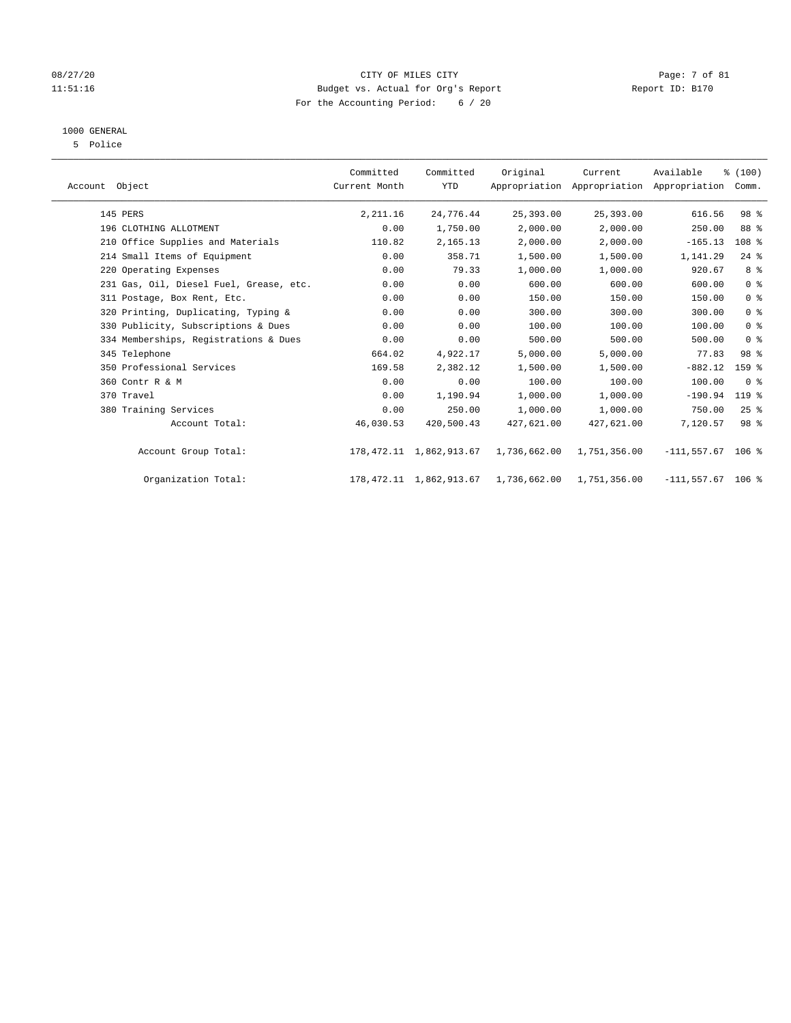# 08/27/20 Page: 7 of 81 11:51:16 Budget vs. Actual for Org's Report Report ID: B170 For the Accounting Period: 6 / 20

# 1000 GENERAL

5 Police

| Account Object                          | Committed<br>Current Month | Committed<br><b>YTD</b>    | Original     | Current<br>Appropriation Appropriation Appropriation | Available            | % (100)<br>Comm. |  |
|-----------------------------------------|----------------------------|----------------------------|--------------|------------------------------------------------------|----------------------|------------------|--|
| 145 PERS                                | 2,211.16                   | 24,776.44                  | 25,393.00    | 25,393.00                                            | 616.56               | 98 %             |  |
| 196 CLOTHING ALLOTMENT                  | 0.00                       | 1,750.00                   | 2,000.00     | 2,000.00                                             | 250.00               | 88 %             |  |
| 210 Office Supplies and Materials       | 110.82                     | 2,165.13                   | 2,000.00     | 2,000.00                                             | $-165.13$            | 108 %            |  |
| 214 Small Items of Equipment            | 0.00                       | 358.71                     | 1,500.00     | 1,500.00                                             | 1,141.29             | $24$ %           |  |
| 220 Operating Expenses                  | 0.00                       | 79.33                      | 1,000.00     | 1,000.00                                             | 920.67               | 8 %              |  |
| 231 Gas, Oil, Diesel Fuel, Grease, etc. | 0.00                       | 0.00                       | 600.00       | 600.00                                               | 600.00               | 0 <sup>8</sup>   |  |
| 311 Postage, Box Rent, Etc.             | 0.00                       | 0.00                       | 150.00       | 150.00                                               | 150.00               | 0 <sup>8</sup>   |  |
| 320 Printing, Duplicating, Typing &     | 0.00                       | 0.00                       | 300.00       | 300.00                                               | 300.00               | 0 <sup>8</sup>   |  |
| 330 Publicity, Subscriptions & Dues     | 0.00                       | 0.00                       | 100.00       | 100.00                                               | 100.00               | 0 <sup>8</sup>   |  |
| 334 Memberships, Registrations & Dues   | 0.00                       | 0.00                       | 500.00       | 500.00                                               | 500.00               | 0 <sup>8</sup>   |  |
| 345 Telephone                           | 664.02                     | 4,922.17                   | 5,000.00     | 5,000.00                                             | 77.83                | 98 %             |  |
| 350 Professional Services               | 169.58                     | 2,382.12                   | 1,500.00     | 1,500.00                                             | $-882.12$            | 159 %            |  |
| 360 Contr R & M                         | 0.00                       | 0.00                       | 100.00       | 100.00                                               | 100.00               | 0 <sup>8</sup>   |  |
| 370 Travel                              | 0.00                       | 1,190.94                   | 1,000.00     | 1,000.00                                             | $-190.94$            | 119 %            |  |
| 380 Training Services                   | 0.00                       | 250.00                     | 1,000.00     | 1,000.00                                             | 750.00               | $25$ %           |  |
| Account Total:                          | 46,030.53                  | 420,500.43                 | 427,621.00   | 427,621.00                                           | 7,120.57             | 98 %             |  |
| Account Group Total:                    |                            | 178, 472.11 1, 862, 913.67 | 1,736,662.00 | 1,751,356.00                                         | $-111, 557.67$ 106 % |                  |  |
| Organization Total:                     |                            | 178, 472.11 1, 862, 913.67 | 1,736,662.00 | 1,751,356.00                                         | $-111, 557.67$ 106 % |                  |  |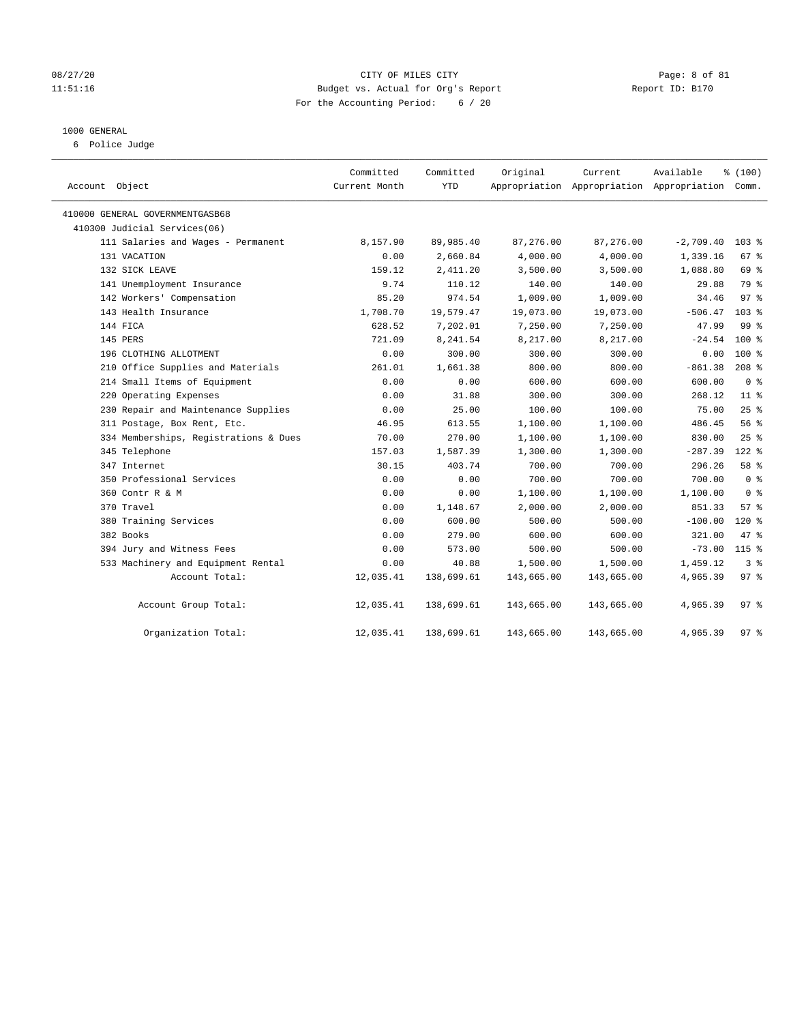# 08/27/20 Page: 8 of 81 11:51:16 Budget vs. Actual for Org's Report Report ID: B170 For the Accounting Period: 6 / 20

# 1000 GENERAL

6 Police Judge

| Account Object                        | Committed<br>Current Month | Committed<br><b>YTD</b> | Original   | Current    | Available<br>Appropriation Appropriation Appropriation Comm. | % (100)          |  |
|---------------------------------------|----------------------------|-------------------------|------------|------------|--------------------------------------------------------------|------------------|--|
| 410000 GENERAL GOVERNMENTGASB68       |                            |                         |            |            |                                                              |                  |  |
| 410300 Judicial Services(06)          |                            |                         |            |            |                                                              |                  |  |
| 111 Salaries and Wages - Permanent    | 8,157.90                   | 89,985.40               | 87,276.00  | 87,276.00  | $-2,709.40$                                                  | $103$ $%$        |  |
| 131 VACATION                          | 0.00                       | 2,660.84                | 4,000.00   | 4,000.00   | 1,339.16                                                     | 67%              |  |
| 132 SICK LEAVE                        | 159.12                     | 2,411.20                | 3,500.00   | 3,500.00   | 1,088.80                                                     | 69 %             |  |
| 141 Unemployment Insurance            | 9.74                       | 110.12                  | 140.00     | 140.00     | 29.88                                                        | 79 %             |  |
| 142 Workers' Compensation             | 85.20                      | 974.54                  | 1,009.00   | 1,009.00   | 34.46                                                        | 97 <sub>8</sub>  |  |
| 143 Health Insurance                  | 1,708.70                   | 19,579.47               | 19,073.00  | 19,073.00  | $-506.47$                                                    | 103 <sub>8</sub> |  |
| 144 FICA                              | 628.52                     | 7,202.01                | 7,250.00   | 7,250.00   | 47.99                                                        | 99 <sub>8</sub>  |  |
| 145 PERS                              | 721.09                     | 8,241.54                | 8,217.00   | 8,217.00   | $-24.54$                                                     | 100 %            |  |
| 196 CLOTHING ALLOTMENT                | 0.00                       | 300.00                  | 300.00     | 300.00     | 0.00                                                         | $100*$           |  |
| 210 Office Supplies and Materials     | 261.01                     | 1,661.38                | 800.00     | 800.00     | $-861.38$                                                    | $208$ %          |  |
| 214 Small Items of Equipment          | 0.00                       | 0.00                    | 600.00     | 600.00     | 600.00                                                       | 0 <sup>8</sup>   |  |
| 220 Operating Expenses                | 0.00                       | 31.88                   | 300.00     | 300.00     | 268.12                                                       | $11*$            |  |
| 230 Repair and Maintenance Supplies   | 0.00                       | 25.00                   | 100.00     | 100.00     | 75.00                                                        | 25%              |  |
| 311 Postage, Box Rent, Etc.           | 46.95                      | 613.55                  | 1,100.00   | 1,100.00   | 486.45                                                       | 56%              |  |
| 334 Memberships, Registrations & Dues | 70.00                      | 270.00                  | 1,100.00   | 1,100.00   | 830.00                                                       | 25%              |  |
| 345 Telephone                         | 157.03                     | 1,587.39                | 1,300.00   | 1,300.00   | $-287.39$                                                    | $122$ %          |  |
| 347 Internet                          | 30.15                      | 403.74                  | 700.00     | 700.00     | 296.26                                                       | 58 %             |  |
| 350 Professional Services             | 0.00                       | 0.00                    | 700.00     | 700.00     | 700.00                                                       | 0 <sup>8</sup>   |  |
| 360 Contr R & M                       | 0.00                       | 0.00                    | 1,100.00   | 1,100.00   | 1,100.00                                                     | 0 <sup>8</sup>   |  |
| 370 Travel                            | 0.00                       | 1,148.67                | 2,000.00   | 2,000.00   | 851.33                                                       | 57%              |  |
| 380 Training Services                 | 0.00                       | 600.00                  | 500.00     | 500.00     | $-100.00$                                                    | $120*$           |  |
| 382 Books                             | 0.00                       | 279.00                  | 600.00     | 600.00     | 321.00                                                       | 47 %             |  |
| 394 Jury and Witness Fees             | 0.00                       | 573.00                  | 500.00     | 500.00     | $-73.00$                                                     | $115$ %          |  |
| 533 Machinery and Equipment Rental    | 0.00                       | 40.88                   | 1,500.00   | 1,500.00   | 1,459.12                                                     | 3 <sup>8</sup>   |  |
| Account Total:                        | 12,035.41                  | 138,699.61              | 143,665.00 | 143,665.00 | 4,965.39                                                     | 97 <sub>8</sub>  |  |
| Account Group Total:                  | 12,035.41                  | 138,699.61              | 143,665.00 | 143,665.00 | 4,965.39                                                     | 97%              |  |
| Organization Total:                   | 12,035.41                  | 138,699.61              | 143,665.00 | 143,665.00 | 4,965.39                                                     | 97 <sub>8</sub>  |  |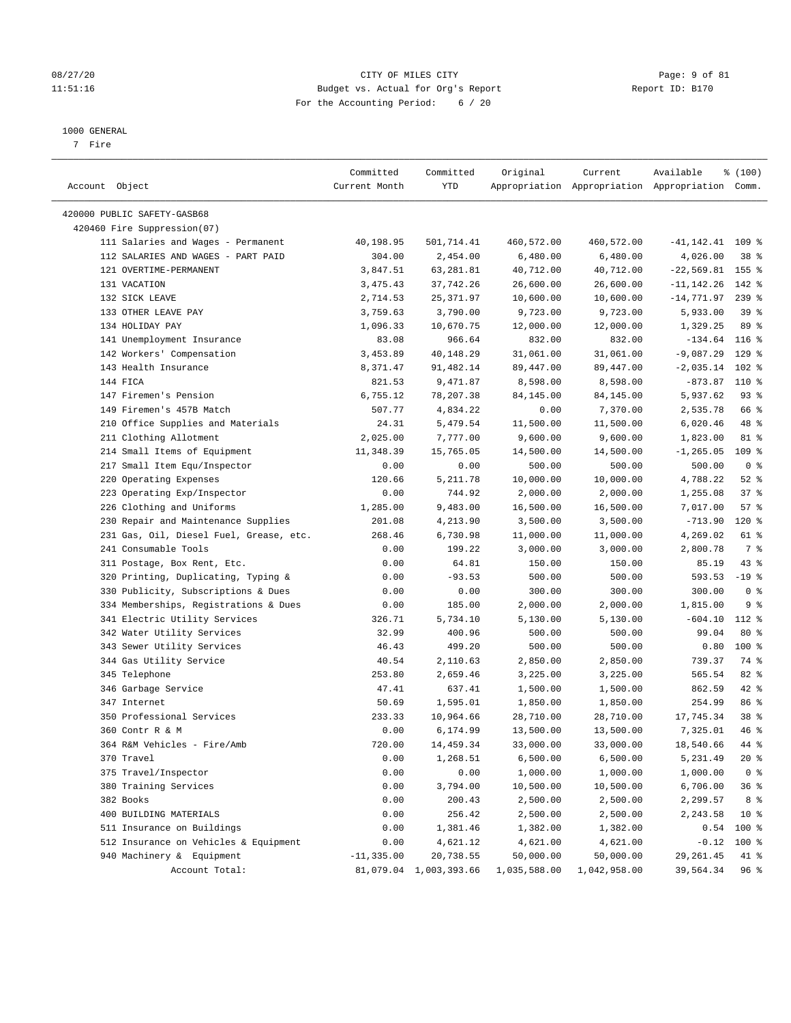# 08/27/20 Page: 9 of 81 11:51:16 Budget vs. Actual for Org's Report Report ID: B170 For the Accounting Period: 6 / 20

————————————————————————————————————————————————————————————————————————————————————————————————————————————————————————————————————

#### 1000 GENERAL

7 Fire

|                                         | Committed     | Committed              | Original     | Current      | Available                                       | % (100)         |  |
|-----------------------------------------|---------------|------------------------|--------------|--------------|-------------------------------------------------|-----------------|--|
| Account Object                          | Current Month | YTD                    |              |              | Appropriation Appropriation Appropriation Comm. |                 |  |
|                                         |               |                        |              |              |                                                 |                 |  |
| 420000 PUBLIC SAFETY-GASB68             |               |                        |              |              |                                                 |                 |  |
| 420460 Fire Suppression(07)             |               |                        |              |              |                                                 |                 |  |
| 111 Salaries and Wages - Permanent      | 40,198.95     | 501,714.41             | 460,572.00   | 460,572.00   | $-41, 142.41$ 109 %                             |                 |  |
| 112 SALARIES AND WAGES - PART PAID      | 304.00        | 2,454.00               | 6,480.00     | 6,480.00     | 4,026.00                                        | 38 <sup>8</sup> |  |
| 121 OVERTIME-PERMANENT                  | 3,847.51      | 63,281.81              | 40,712.00    | 40,712.00    | $-22,569.81$ 155 %                              |                 |  |
| 131 VACATION                            | 3,475.43      | 37,742.26              | 26,600.00    | 26,600.00    | $-11, 142.26$                                   | 142 %           |  |
| 132 SICK LEAVE                          | 2,714.53      | 25,371.97              | 10,600.00    | 10,600.00    | -14,771.97                                      | $239$ $%$       |  |
| 133 OTHER LEAVE PAY                     | 3,759.63      | 3,790.00               | 9,723.00     | 9,723.00     | 5,933.00                                        | 39 <sup>°</sup> |  |
| 134 HOLIDAY PAY                         | 1,096.33      | 10,670.75              | 12,000.00    | 12,000.00    | 1,329.25                                        | 89 %            |  |
| 141 Unemployment Insurance              | 83.08         | 966.64                 | 832.00       | 832.00       | $-134.64$ 116 %                                 |                 |  |
| 142 Workers' Compensation               | 3,453.89      | 40,148.29              | 31,061.00    | 31,061.00    | $-9,087.29$                                     | $129$ %         |  |
| 143 Health Insurance                    | 8,371.47      | 91,482.14              | 89,447.00    | 89,447.00    | $-2,035.14$                                     | $102$ %         |  |
| 144 FICA                                | 821.53        | 9,471.87               | 8,598.00     | 8,598.00     | $-873.87$                                       | 110 %           |  |
| 147 Firemen's Pension                   | 6,755.12      | 78,207.38              | 84,145.00    | 84,145.00    | 5,937.62                                        | $93$ $%$        |  |
| 149 Firemen's 457B Match                | 507.77        | 4,834.22               | 0.00         | 7,370.00     | 2,535.78                                        | 66 %            |  |
| 210 Office Supplies and Materials       | 24.31         | 5,479.54               | 11,500.00    | 11,500.00    | 6,020.46                                        | 48 %            |  |
| 211 Clothing Allotment                  | 2,025.00      | 7,777.00               | 9,600.00     | 9,600.00     | 1,823.00                                        | 81 %            |  |
| 214 Small Items of Equipment            | 11,348.39     | 15,765.05              | 14,500.00    | 14,500.00    | $-1, 265.05$ 109 %                              |                 |  |
| 217 Small Item Equ/Inspector            | 0.00          | 0.00                   | 500.00       | 500.00       | 500.00                                          | 0 <sup>8</sup>  |  |
| 220 Operating Expenses                  | 120.66        | 5,211.78               | 10,000.00    | 10,000.00    | 4,788.22                                        | $52$ $%$        |  |
| 223 Operating Exp/Inspector             | 0.00          | 744.92                 | 2,000.00     | 2,000.00     | 1,255.08                                        | 37%             |  |
| 226 Clothing and Uniforms               | 1,285.00      | 9,483.00               | 16,500.00    | 16,500.00    | 7,017.00                                        | 57%             |  |
| 230 Repair and Maintenance Supplies     | 201.08        | 4,213.90               | 3,500.00     | 3,500.00     | $-713.90$                                       | $120$ %         |  |
| 231 Gas, Oil, Diesel Fuel, Grease, etc. | 268.46        | 6,730.98               | 11,000.00    | 11,000.00    | 4,269.02                                        | 61 %            |  |
| 241 Consumable Tools                    | 0.00          | 199.22                 | 3,000.00     | 3,000.00     | 2,800.78                                        | 7 %             |  |
| 311 Postage, Box Rent, Etc.             | 0.00          | 64.81                  | 150.00       | 150.00       | 85.19                                           | $43$ %          |  |
| 320 Printing, Duplicating, Typing &     | 0.00          | $-93.53$               | 500.00       | 500.00       | 593.53                                          | $-19$ %         |  |
| 330 Publicity, Subscriptions & Dues     | 0.00          | 0.00                   | 300.00       | 300.00       | 300.00                                          | 0 <sup>8</sup>  |  |
| 334 Memberships, Registrations & Dues   | 0.00          | 185.00                 | 2,000.00     | 2,000.00     | 1,815.00                                        | 9%              |  |
| 341 Electric Utility Services           | 326.71        | 5,734.10               | 5,130.00     | 5,130.00     | $-604.10$                                       | 112 %           |  |
| 342 Water Utility Services              | 32.99         | 400.96                 | 500.00       | 500.00       | 99.04                                           | $80*$           |  |
| 343 Sewer Utility Services              | 46.43         | 499.20                 | 500.00       | 500.00       | 0.80                                            | $100*$          |  |
| 344 Gas Utility Service                 | 40.54         | 2,110.63               | 2,850.00     | 2,850.00     | 739.37                                          | 74 %            |  |
| 345 Telephone                           | 253.80        | 2,659.46               | 3,225.00     | 3,225.00     | 565.54                                          | $82$ $%$        |  |
| 346 Garbage Service                     | 47.41         | 637.41                 | 1,500.00     | 1,500.00     | 862.59                                          | 42 %            |  |
| 347 Internet                            | 50.69         | 1,595.01               | 1,850.00     | 1,850.00     | 254.99                                          | 86 %            |  |
| 350 Professional Services               | 233.33        | 10,964.66              | 28,710.00    | 28,710.00    | 17,745.34                                       | 38 <sup>8</sup> |  |
| 360 Contr R & M                         | 0.00          | 6,174.99               | 13,500.00    | 13,500.00    | 7,325.01                                        | 46 %            |  |
| 364 R&M Vehicles - Fire/Amb             | 720.00        | 14,459.34              | 33,000.00    | 33,000.00    | 18,540.66                                       | 44 %            |  |
| 370 Travel                              | 0.00          | 1,268.51               | 6,500.00     | 6,500.00     | 5,231.49                                        | $20*$           |  |
| 375 Travel/Inspector                    | 0.00          | 0.00                   | 1,000.00     | 1,000.00     | 1,000.00                                        | 0 <sup>8</sup>  |  |
| 380 Training Services                   | 0.00          | 3,794.00               | 10,500.00    | 10,500.00    | 6,706.00                                        | 36%             |  |
| 382 Books                               | 0.00          | 200.43                 | 2,500.00     | 2,500.00     | 2,299.57                                        | 8 %             |  |
| 400 BUILDING MATERIALS                  | 0.00          | 256.42                 | 2,500.00     | 2,500.00     | 2,243.58                                        | $10*$           |  |
| 511 Insurance on Buildings              | 0.00          | 1,381.46               | 1,382.00     | 1,382.00     | 0.54                                            | 100 %           |  |
| 512 Insurance on Vehicles & Equipment   | 0.00          | 4,621.12               | 4,621.00     | 4,621.00     | $-0.12$                                         | 100 %           |  |
| 940 Machinery & Equipment               | $-11, 335.00$ | 20,738.55              | 50,000.00    | 50,000.00    | 29, 261.45                                      | 41 %            |  |
| Account Total:                          |               | 81,079.04 1,003,393.66 | 1,035,588.00 | 1,042,958.00 | 39,564.34                                       | 96%             |  |
|                                         |               |                        |              |              |                                                 |                 |  |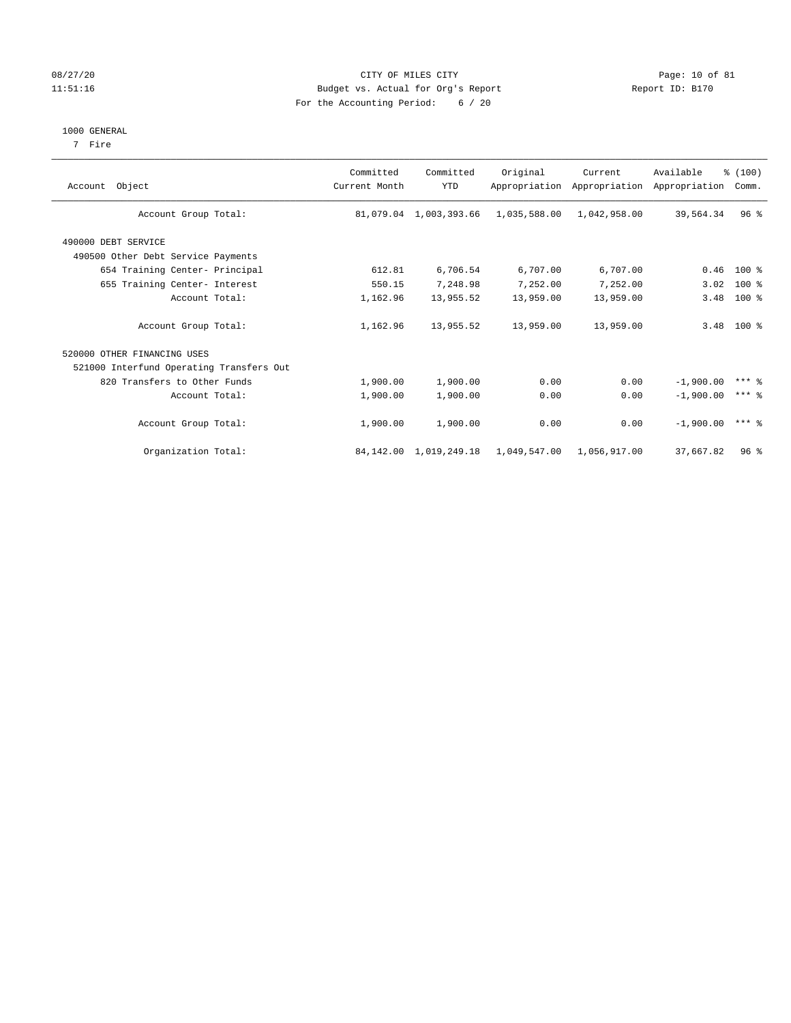# 08/27/20 Page: 10 of 81 11:51:16 Budget vs. Actual for Org's Report Changer Report ID: B170 For the Accounting Period: 6 / 20

## 1000 GENERAL

7 Fire

| Account Object                           | Committed<br>Current Month | Committed<br>YTD            | Original     | Current<br>Appropriation Appropriation | Available<br>Appropriation | % (100)<br>Comm. |  |
|------------------------------------------|----------------------------|-----------------------------|--------------|----------------------------------------|----------------------------|------------------|--|
| Account Group Total:                     |                            | 81,079.04 1,003,393.66      | 1,035,588.00 | 1,042,958.00                           | 39,564.34                  | $96$ %           |  |
| 490000 DEBT SERVICE                      |                            |                             |              |                                        |                            |                  |  |
| 490500 Other Debt Service Payments       |                            |                             |              |                                        |                            |                  |  |
| 654 Training Center- Principal           | 612.81                     | 6,706.54                    | 6,707.00     | 6,707.00                               |                            | $0.46$ 100 %     |  |
| 655 Training Center- Interest            | 550.15                     | 7,248.98                    | 7,252.00     | 7,252.00                               | 3.02                       | $100*$           |  |
| Account Total:                           | 1,162.96                   | 13,955.52                   | 13,959.00    | 13,959.00                              | 3.48                       | $100*$           |  |
| Account Group Total:                     | 1,162.96                   | 13,955.52                   | 13,959.00    | 13,959.00                              |                            | $3.48$ 100 %     |  |
| 520000 OTHER FINANCING USES              |                            |                             |              |                                        |                            |                  |  |
| 521000 Interfund Operating Transfers Out |                            |                             |              |                                        |                            |                  |  |
| 820 Transfers to Other Funds             | 1,900.00                   | 1,900.00                    | 0.00         | 0.00                                   | $-1,900.00$                | $***$ 2          |  |
| Account Total:                           | 1,900.00                   | 1,900.00                    | 0.00         | 0.00                                   | $-1,900,00$                | $***$ 2          |  |
| Account Group Total:                     | 1,900.00                   | 1,900.00                    | 0.00         | 0.00                                   | $-1,900,00$                | $***$ 2          |  |
| Organization Total:                      |                            | 84, 142, 00 1, 019, 249, 18 | 1,049,547.00 | 1,056,917.00                           | 37,667.82                  | $96$ %           |  |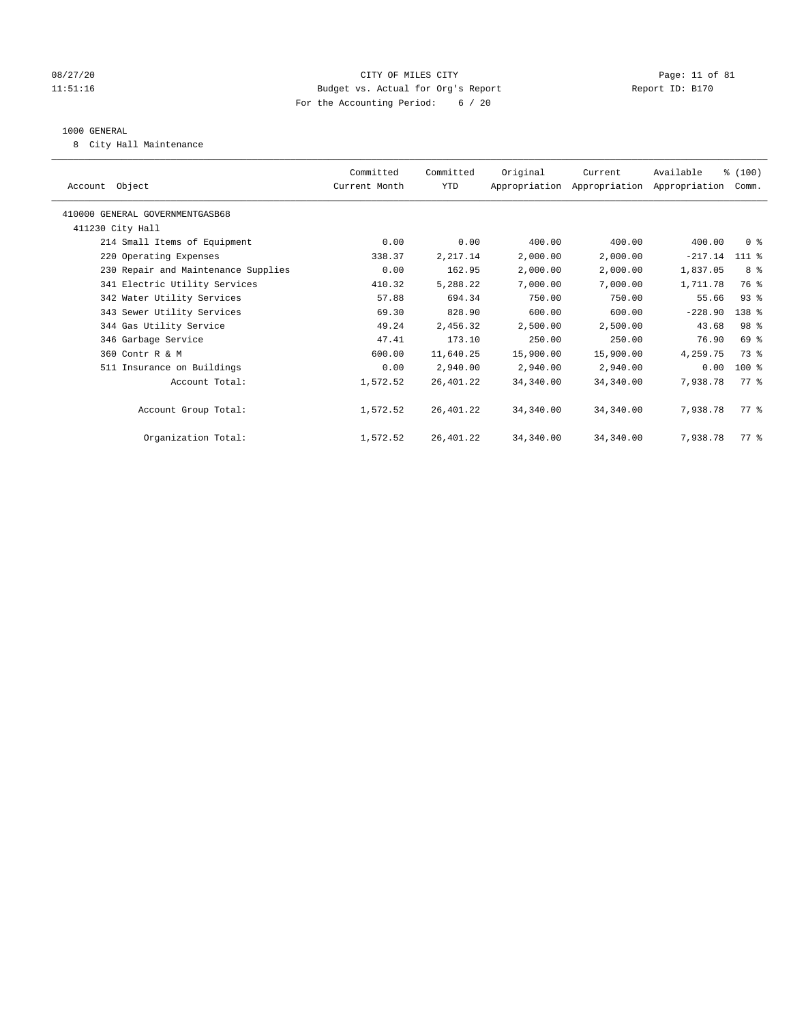# 08/27/20 Page: 11 of 81 11:51:16 Budget vs. Actual for Org's Report Report ID: B170 For the Accounting Period: 6 / 20

## 1000 GENERAL

8 City Hall Maintenance

| Account Object                      | Committed<br>Current Month | Committed<br>YTD | Original  | Current<br>Appropriation Appropriation Appropriation | Available | % (100)<br>Comm. |  |
|-------------------------------------|----------------------------|------------------|-----------|------------------------------------------------------|-----------|------------------|--|
| 410000 GENERAL GOVERNMENTGASB68     |                            |                  |           |                                                      |           |                  |  |
| 411230 City Hall                    |                            |                  |           |                                                      |           |                  |  |
| 214 Small Items of Equipment        | 0.00                       | 0.00             | 400.00    | 400.00                                               | 400.00    | 0 <sup>8</sup>   |  |
| 220 Operating Expenses              | 338.37                     | 2,217.14         | 2,000.00  | 2,000.00                                             | $-217.14$ | $111$ %          |  |
| 230 Repair and Maintenance Supplies | 0.00                       | 162.95           | 2,000.00  | 2,000.00                                             | 1,837.05  | 8 %              |  |
| 341 Electric Utility Services       | 410.32                     | 5,288.22         | 7,000.00  | 7,000.00                                             | 1,711.78  | 76 %             |  |
| 342 Water Utility Services          | 57.88                      | 694.34           | 750.00    | 750.00                                               | 55.66     | $93$ $%$         |  |
| 343 Sewer Utility Services          | 69.30                      | 828.90           | 600.00    | 600.00                                               | $-228.90$ | 138 %            |  |
| 344 Gas Utility Service             | 49.24                      | 2,456.32         | 2,500.00  | 2,500.00                                             | 43.68     | 98 %             |  |
| 346 Garbage Service                 | 47.41                      | 173.10           | 250.00    | 250.00                                               | 76.90     | 69 %             |  |
| 360 Contr R & M                     | 600.00                     | 11,640.25        | 15,900.00 | 15,900.00                                            | 4,259.75  | 73 %             |  |
| 511 Insurance on Buildings          | 0.00                       | 2,940.00         | 2,940.00  | 2,940.00                                             | 0.00      | $100$ %          |  |
| Account Total:                      | 1,572.52                   | 26,401.22        | 34,340.00 | 34,340.00                                            | 7,938.78  | $77*$            |  |
|                                     |                            |                  |           |                                                      |           |                  |  |
| Account Group Total:                | 1,572.52                   | 26,401.22        | 34,340.00 | 34,340.00                                            | 7,938.78  | $77*$            |  |
|                                     |                            |                  |           |                                                      |           |                  |  |
| Organization Total:                 | 1,572.52                   | 26,401.22        | 34,340.00 | 34,340.00                                            | 7,938.78  | $77*$            |  |
|                                     |                            |                  |           |                                                      |           |                  |  |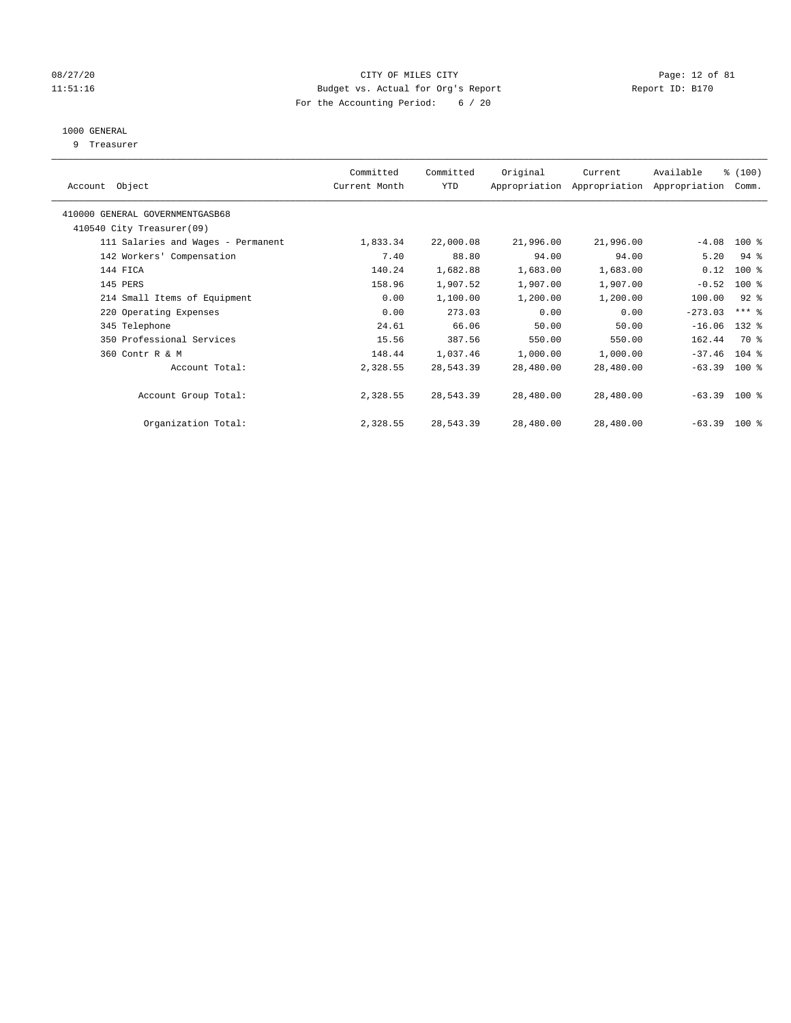# 08/27/20 Page: 12 of 81 11:51:16 Budget vs. Actual for Org's Report Report ID: B170 For the Accounting Period: 6 / 20

# 1000 GENERAL

9 Treasurer

| Object<br>Account                  | Committed<br>Current Month | Committed<br>YTD | Original  | Current<br>Appropriation Appropriation | Available<br>Appropriation | % (100)<br>Comm.    |  |
|------------------------------------|----------------------------|------------------|-----------|----------------------------------------|----------------------------|---------------------|--|
| 410000 GENERAL GOVERNMENTGASB68    |                            |                  |           |                                        |                            |                     |  |
| 410540 City Treasurer(09)          |                            |                  |           |                                        |                            |                     |  |
| 111 Salaries and Wages - Permanent | 1,833.34                   | 22,000.08        | 21,996.00 | 21,996.00                              | $-4.08$                    | $100*$              |  |
| 142 Workers' Compensation          | 7.40                       | 88.80            | 94.00     | 94.00                                  | 5.20                       | $94$ %              |  |
| 144 FICA                           | 140.24                     | 1,682.88         | 1,683.00  | 1,683.00                               | 0.12                       | $100$ %             |  |
| 145 PERS                           | 158.96                     | 1,907.52         | 1,907.00  | 1,907.00                               | $-0.52$                    | $100$ %             |  |
| 214 Small Items of Equipment       | 0.00                       | 1,100.00         | 1,200.00  | 1,200.00                               | 100.00                     | $92$ $%$            |  |
| 220 Operating Expenses             | 0.00                       | 273.03           | 0.00      | 0.00                                   | $-273.03$                  | $***$ $\frac{6}{9}$ |  |
| 345 Telephone                      | 24.61                      | 66.06            | 50.00     | 50.00                                  | $-16.06$                   | 132 %               |  |
| 350 Professional Services          | 15.56                      | 387.56           | 550.00    | 550.00                                 | 162.44                     | 70 %                |  |
| 360 Contr R & M                    | 148.44                     | 1,037.46         | 1,000.00  | 1,000.00                               | $-37.46$                   | $104$ %             |  |
| Account Total:                     | 2,328.55                   | 28,543.39        | 28,480.00 | 28,480.00                              | $-63.39$ 100 %             |                     |  |
| Account Group Total:               | 2,328.55                   | 28,543.39        | 28,480.00 | 28,480.00                              | $-63.39$ 100 %             |                     |  |
| Organization Total:                | 2,328.55                   | 28,543.39        | 28,480.00 | 28,480.00                              | $-63.39$ 100 %             |                     |  |
|                                    |                            |                  |           |                                        |                            |                     |  |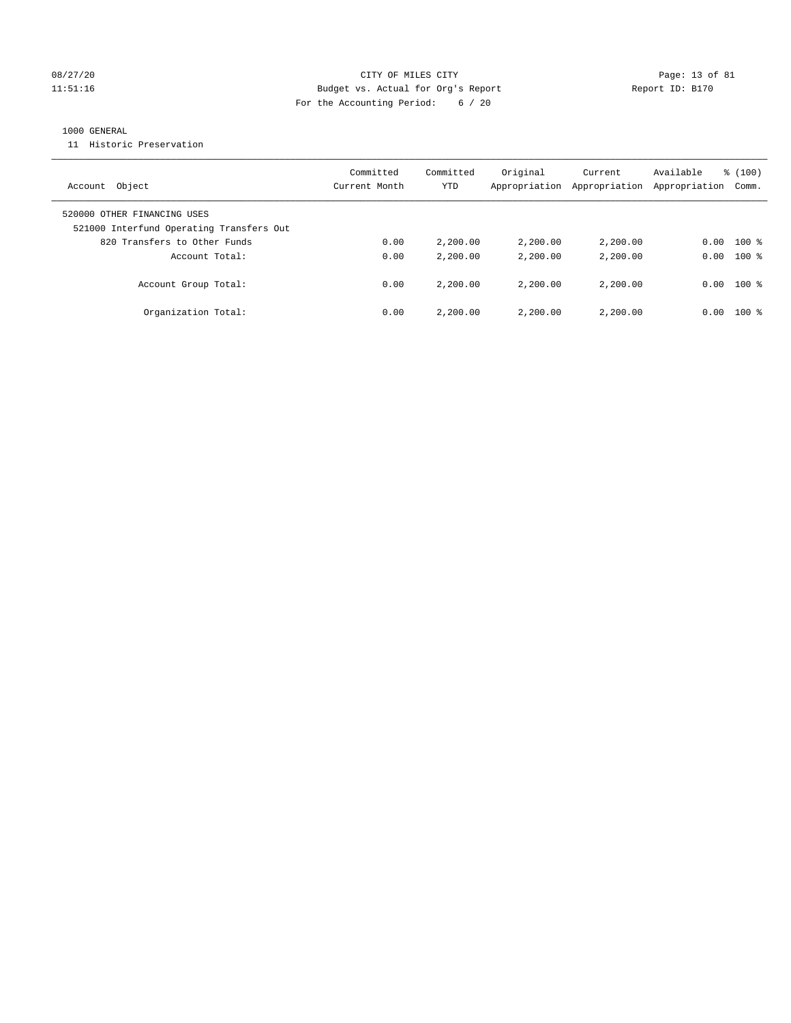# 08/27/20 Page: 13 of 81 11:51:16 Budget vs. Actual for Org's Report Report ID: B170 For the Accounting Period: 6 / 20

# 1000 GENERAL

11 Historic Preservation

| Object<br>Account                                                       | Committed<br>Current Month | Committed<br>YTD | Original<br>Appropriation | Current<br>Appropriation | Available<br>Appropriation | % (100)<br>Comm. |
|-------------------------------------------------------------------------|----------------------------|------------------|---------------------------|--------------------------|----------------------------|------------------|
| 520000 OTHER FINANCING USES<br>521000 Interfund Operating Transfers Out |                            |                  |                           |                          |                            |                  |
| 820 Transfers to Other Funds                                            | 0.00                       | 2,200.00         | 2,200.00                  | 2,200.00                 | 0.00                       | $100$ %          |
| Account Total:                                                          | 0.00                       | 2,200.00         | 2,200.00                  | 2,200.00                 | 0.00                       | $100*$           |
| Account Group Total:                                                    | 0.00                       | 2,200.00         | 2,200.00                  | 2,200,00                 | 0.00                       | $100*$           |
| Organization Total:                                                     | 0.00                       | 2,200.00         | 2,200.00                  | 2,200,00                 | 0.00                       | $100*$           |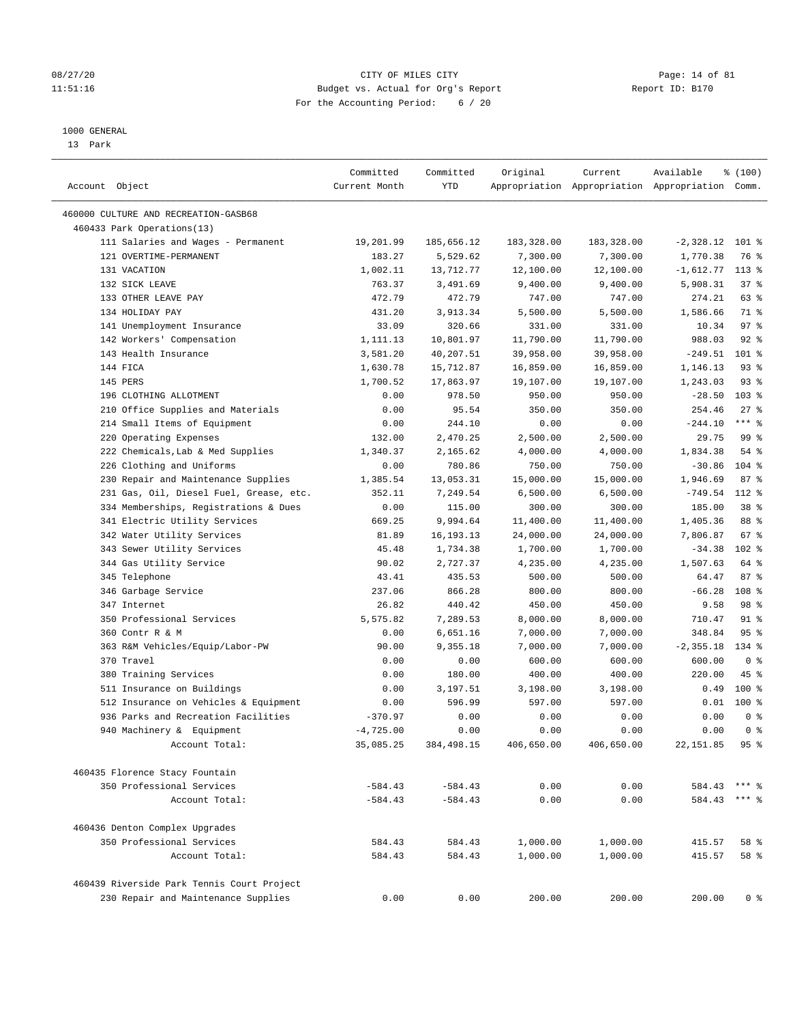# 08/27/20 Page: 14 of 81 11:51:16 Budget vs. Actual for Org's Report Report ID: B170 For the Accounting Period: 6 / 20

————————————————————————————————————————————————————————————————————————————————————————————————————————————————————————————————————

#### 1000 GENERAL

13 Park

|                                                                                   | Committed                | Committed          | Original           | Current            | Available                                       | % (100)               |
|-----------------------------------------------------------------------------------|--------------------------|--------------------|--------------------|--------------------|-------------------------------------------------|-----------------------|
| Account Object                                                                    | Current Month            | YTD                |                    |                    | Appropriation Appropriation Appropriation Comm. |                       |
| 460000 CULTURE AND RECREATION-GASB68                                              |                          |                    |                    |                    |                                                 |                       |
| 460433 Park Operations(13)                                                        |                          |                    |                    |                    |                                                 |                       |
| 111 Salaries and Wages - Permanent                                                | 19,201.99                | 185,656.12         | 183,328.00         | 183,328.00         | $-2,328.12$ 101 %                               |                       |
| 121 OVERTIME-PERMANENT                                                            | 183.27                   | 5,529.62           | 7,300.00           | 7,300.00           | 1,770.38                                        | 76 %                  |
| 131 VACATION                                                                      | 1,002.11                 | 13,712.77          | 12,100.00          | 12,100.00          | $-1,612.77$                                     | $113*$                |
| 132 SICK LEAVE                                                                    | 763.37                   | 3,491.69           | 9,400.00           | 9,400.00           | 5,908.31                                        | 37%                   |
| 133 OTHER LEAVE PAY                                                               | 472.79                   | 472.79             | 747.00             | 747.00             | 274.21                                          | 63 %                  |
| 134 HOLIDAY PAY                                                                   | 431.20                   | 3,913.34           | 5,500.00           | 5,500.00           | 1,586.66                                        | 71 %                  |
| 141 Unemployment Insurance                                                        | 33.09                    | 320.66             | 331.00             | 331.00             | 10.34                                           | 97%                   |
| 142 Workers' Compensation                                                         | 1,111.13                 | 10,801.97          | 11,790.00          | 11,790.00          | 988.03                                          | $92$ $%$              |
| 143 Health Insurance                                                              | 3,581.20                 | 40,207.51          | 39,958.00          | 39,958.00          | $-249.51$                                       | $101$ %               |
| 144 FICA                                                                          | 1,630.78                 | 15,712.87          | 16,859.00          | 16,859.00          | 1,146.13                                        | $93$ $%$              |
| 145 PERS                                                                          | 1,700.52                 | 17,863.97          | 19,107.00          | 19,107.00          | 1,243.03                                        | $93$ $%$              |
| 196 CLOTHING ALLOTMENT                                                            | 0.00                     | 978.50             | 950.00             | 950.00             | $-28.50$                                        | $103$ %               |
| 210 Office Supplies and Materials                                                 | 0.00                     | 95.54              | 350.00             | 350.00             | 254.46                                          | $27$ %                |
| 214 Small Items of Equipment                                                      | 0.00                     | 244.10             | 0.00               | 0.00               | $-244.10$                                       | $***$ $%$             |
| 220 Operating Expenses                                                            | 132.00                   | 2,470.25           | 2,500.00           | 2,500.00           | 29.75                                           | 99%                   |
| 222 Chemicals, Lab & Med Supplies                                                 | 1,340.37                 | 2,165.62           | 4,000.00           | 4,000.00           | 1,834.38                                        | 54 %                  |
| 226 Clothing and Uniforms                                                         | 0.00                     | 780.86             | 750.00             | 750.00             | $-30.86$                                        | $104$ %               |
| 230 Repair and Maintenance Supplies                                               | 1,385.54                 | 13,053.31          | 15,000.00          | 15,000.00          | 1,946.69                                        | 87%                   |
| 231 Gas, Oil, Diesel Fuel, Grease, etc.                                           | 352.11                   | 7,249.54           | 6,500.00           | 6,500.00           | $-749.54$                                       | 112 %                 |
| 334 Memberships, Registrations & Dues                                             | 0.00                     | 115.00             | 300.00             | 300.00             | 185.00                                          | 38 <sup>8</sup>       |
| 341 Electric Utility Services                                                     | 669.25                   | 9,994.64           | 11,400.00          | 11,400.00          | 1,405.36                                        | 88 %                  |
| 342 Water Utility Services                                                        | 81.89                    | 16, 193. 13        | 24,000.00          | 24,000.00          | 7,806.87                                        | 67%                   |
| 343 Sewer Utility Services                                                        | 45.48                    | 1,734.38           | 1,700.00           | 1,700.00           | $-34.38$                                        | $102$ %               |
| 344 Gas Utility Service                                                           | 90.02                    | 2,727.37           | 4,235.00           | 4,235.00           | 1,507.63                                        | 64 %                  |
| 345 Telephone                                                                     | 43.41                    | 435.53             | 500.00             | 500.00             | 64.47                                           | 87%                   |
|                                                                                   |                          | 866.28             |                    |                    | $-66.28$                                        | 108 %                 |
| 346 Garbage Service<br>347 Internet                                               | 237.06<br>26.82          | 440.42             | 800.00<br>450.00   | 800.00<br>450.00   | 9.58                                            | 98 %                  |
|                                                                                   |                          |                    |                    |                    |                                                 |                       |
| 350 Professional Services                                                         | 5,575.82                 | 7,289.53           | 8,000.00           | 8,000.00           | 710.47                                          | $91$ %                |
| 360 Contr R & M                                                                   | 0.00                     | 6,651.16           | 7,000.00           | 7,000.00           | 348.84                                          | 95%                   |
| 363 R&M Vehicles/Equip/Labor-PW                                                   | 90.00                    | 9,355.18           | 7,000.00           | 7,000.00           | $-2, 355.18$                                    | 134 %                 |
| 370 Travel                                                                        | 0.00                     | 0.00               | 600.00             | 600.00             | 600.00                                          | 0 <sup>8</sup>        |
| 380 Training Services                                                             | 0.00                     | 180.00             | 400.00             | 400.00             | 220.00                                          | $45$ %                |
| 511 Insurance on Buildings                                                        | 0.00                     | 3,197.51           | 3,198.00           | 3,198.00           | 0.49                                            | $100*$                |
| 512 Insurance on Vehicles & Equipment                                             | 0.00                     | 596.99             | 597.00             | 597.00             | 0.01                                            | $100*$                |
| 936 Parks and Recreation Facilities                                               | $-370.97$                | 0.00               | 0.00               | 0.00               | 0.00                                            | 0 <sup>8</sup>        |
| 940 Machinery & Equipment<br>Account Total:                                       | $-4,725.00$<br>35,085.25 | 0.00<br>384,498.15 | 0.00<br>406,650.00 | 0.00<br>406,650.00 | 0.00<br>22, 151.85                              | 0 <sup>8</sup><br>95% |
|                                                                                   |                          |                    |                    |                    |                                                 |                       |
| 460435 Florence Stacy Fountain                                                    |                          |                    |                    |                    |                                                 |                       |
| 350 Professional Services                                                         | $-584.43$                | $-584.43$          | 0.00               | 0.00               | 584.43                                          | $***$ 2               |
| Account Total:                                                                    | $-584.43$                | $-584.43$          | 0.00               | 0.00               | 584.43                                          | $***$ $%$             |
| 460436 Denton Complex Upgrades                                                    |                          |                    |                    |                    |                                                 |                       |
| 350 Professional Services                                                         | 584.43                   | 584.43             | 1,000.00           | 1,000.00           | 415.57                                          | 58 %                  |
| Account Total:                                                                    | 584.43                   | 584.43             | 1,000.00           | 1,000.00           | 415.57                                          | 58 %                  |
|                                                                                   |                          |                    |                    |                    |                                                 |                       |
| 460439 Riverside Park Tennis Court Project<br>230 Repair and Maintenance Supplies | 0.00                     | 0.00               | 200.00             | 200.00             | 200.00                                          | 0 <sup>8</sup>        |
|                                                                                   |                          |                    |                    |                    |                                                 |                       |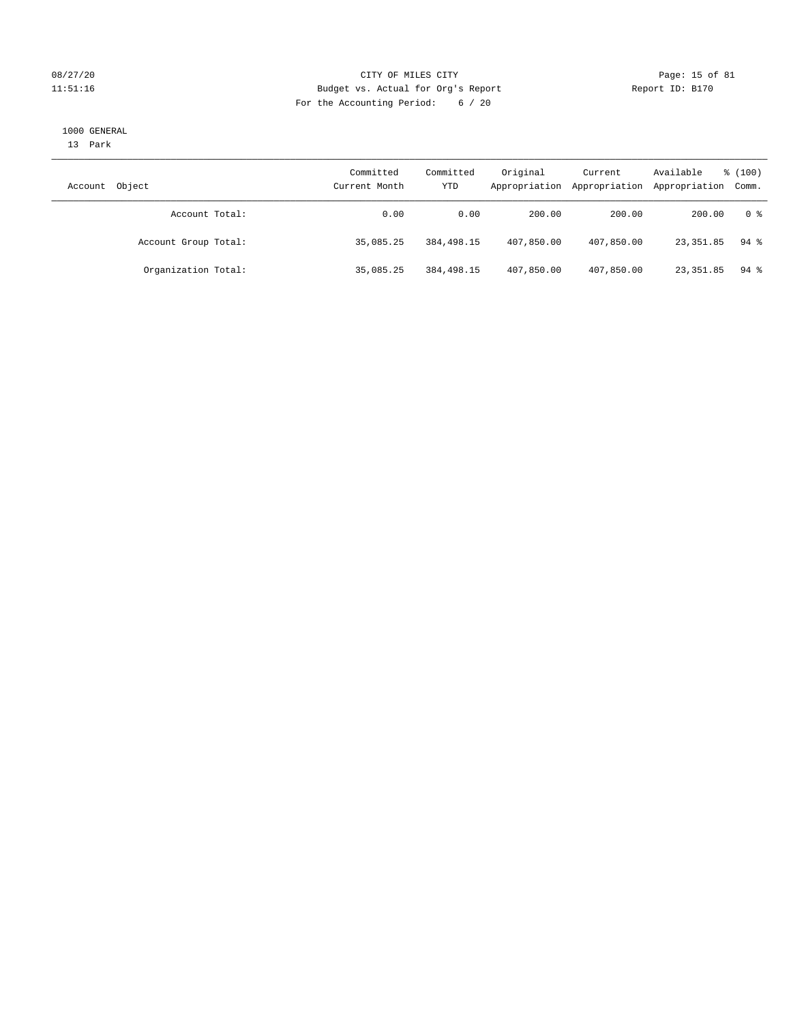# 08/27/20 Page: 15 of 81 11:51:16 Budget vs. Actual for Org's Report Changer Report ID: B170 For the Accounting Period: 6 / 20

#### 1000 GENERAL

13 Park

| Object<br>Account    | Committed<br>Current Month | Committed<br>YTD | Original<br>Appropriation | Current<br>Appropriation | Available<br>Appropriation Comm. | % (100)            |
|----------------------|----------------------------|------------------|---------------------------|--------------------------|----------------------------------|--------------------|
| Account Total:       | 0.00                       | 0.00             | 200.00                    | 200.00                   | 200.00                           | 0 %                |
| Account Group Total: | 35,085.25                  | 384,498.15       | 407,850.00                | 407,850.00               | 23,351.85                        | $94$ %             |
| Organization Total:  | 35,085.25                  | 384,498.15       | 407,850.00                | 407,850.00               | 23,351.85                        | $94$ $\frac{6}{3}$ |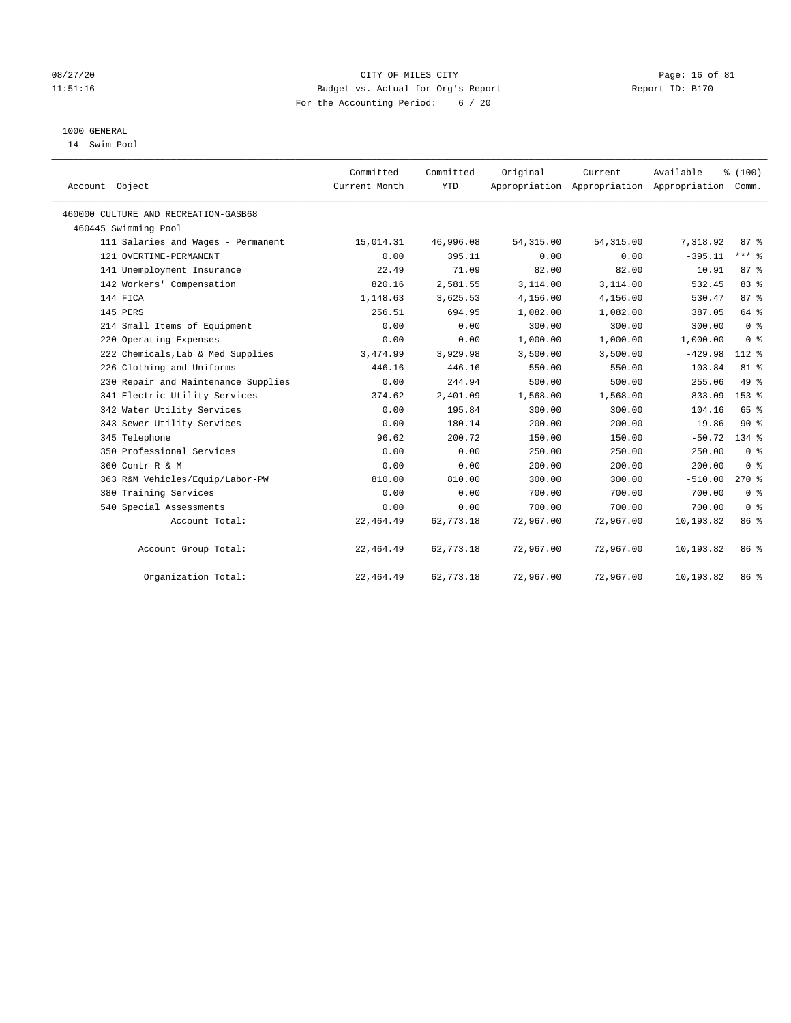# 08/27/20 Page: 16 of 81 11:51:16 Budget vs. Actual for Org's Report Report ID: B170 For the Accounting Period: 6 / 20

# 1000 GENERAL

14 Swim Pool

| Account Object                       | Committed<br>Current Month | Committed<br><b>YTD</b> | Original   | Current<br>Appropriation Appropriation Appropriation | Available | % (100)<br>Comm. |
|--------------------------------------|----------------------------|-------------------------|------------|------------------------------------------------------|-----------|------------------|
| 460000 CULTURE AND RECREATION-GASB68 |                            |                         |            |                                                      |           |                  |
| 460445 Swimming Pool                 |                            |                         |            |                                                      |           |                  |
| 111 Salaries and Wages - Permanent   | 15,014.31                  | 46,996.08               | 54, 315.00 | 54, 315.00                                           | 7,318.92  | $87 - 8$         |
| 121 OVERTIME-PERMANENT               | 0.00                       | 395.11                  | 0.00       | 0.00                                                 | $-395.11$ | $***$ $-$        |
| 141 Unemployment Insurance           | 22.49                      | 71.09                   | 82.00      | 82.00                                                | 10.91     | 87%              |
| 142 Workers' Compensation            | 820.16                     | 2,581.55                | 3,114.00   | 3,114.00                                             | 532.45    | 83%              |
| 144 FICA                             | 1,148.63                   | 3,625.53                | 4,156.00   | 4,156.00                                             | 530.47    | 87 <sup>°</sup>  |
| 145 PERS                             | 256.51                     | 694.95                  | 1,082.00   | 1,082.00                                             | 387.05    | 64 %             |
| 214 Small Items of Equipment         | 0.00                       | 0.00                    | 300.00     | 300.00                                               | 300.00    | 0 <sup>8</sup>   |
| 220 Operating Expenses               | 0.00                       | 0.00                    | 1,000.00   | 1,000.00                                             | 1,000.00  | 0 <sup>8</sup>   |
| 222 Chemicals, Lab & Med Supplies    | 3,474.99                   | 3,929.98                | 3,500.00   | 3,500.00                                             | $-429.98$ | $112*$           |
| 226 Clothing and Uniforms            | 446.16                     | 446.16                  | 550.00     | 550.00                                               | 103.84    | 81 %             |
| 230 Repair and Maintenance Supplies  | 0.00                       | 244.94                  | 500.00     | 500.00                                               | 255.06    | 49 %             |
| 341 Electric Utility Services        | 374.62                     | 2,401.09                | 1,568.00   | 1,568.00                                             | $-833.09$ | 153 %            |
| 342 Water Utility Services           | 0.00                       | 195.84                  | 300.00     | 300.00                                               | 104.16    | 65 %             |
| 343 Sewer Utility Services           | 0.00                       | 180.14                  | 200.00     | 200.00                                               | 19.86     | $90*$            |
| 345 Telephone                        | 96.62                      | 200.72                  | 150.00     | 150.00                                               | $-50.72$  | $134$ $%$        |
| 350 Professional Services            | 0.00                       | 0.00                    | 250.00     | 250.00                                               | 250.00    | 0 <sup>8</sup>   |
| 360 Contr R & M                      | 0.00                       | 0.00                    | 200.00     | 200.00                                               | 200.00    | 0 <sup>8</sup>   |
| 363 R&M Vehicles/Equip/Labor-PW      | 810.00                     | 810.00                  | 300.00     | 300.00                                               | $-510.00$ | $270*$           |
| 380 Training Services                | 0.00                       | 0.00                    | 700.00     | 700.00                                               | 700.00    | 0 <sup>8</sup>   |
| 540 Special Assessments              | 0.00                       | 0.00                    | 700.00     | 700.00                                               | 700.00    | 0 <sup>8</sup>   |
| Account Total:                       | 22, 464.49                 | 62,773.18               | 72,967.00  | 72,967.00                                            | 10,193.82 | 86 %             |
| Account Group Total:                 | 22, 464.49                 | 62,773.18               | 72,967.00  | 72,967.00                                            | 10,193.82 | 86 %             |
| Organization Total:                  | 22, 464.49                 | 62,773.18               | 72,967.00  | 72,967.00                                            | 10,193.82 | 86 %             |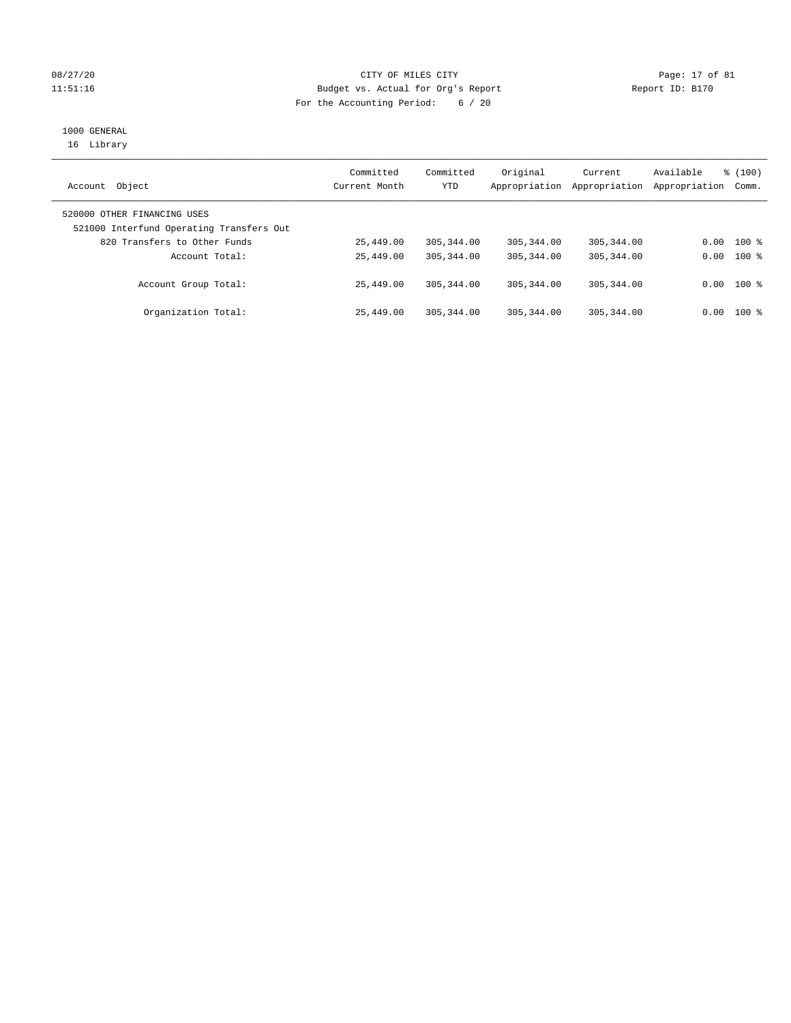# 08/27/20 Page: 17 of 81 11:51:16 Budget vs. Actual for Org's Report Report ID: B170 For the Accounting Period: 6 / 20

# 1000 GENERAL

16 Library

| Object<br>Account                                                       | Committed<br>Current Month | Committed<br>YTD | Original<br>Appropriation | Current<br>Appropriation | Available<br>Appropriation | % (100)<br>Comm. |
|-------------------------------------------------------------------------|----------------------------|------------------|---------------------------|--------------------------|----------------------------|------------------|
| 520000 OTHER FINANCING USES<br>521000 Interfund Operating Transfers Out |                            |                  |                           |                          |                            |                  |
| 820 Transfers to Other Funds                                            | 25,449.00                  | 305, 344, 00     | 305, 344, 00              | 305, 344, 00             | 0.00                       | $100*$           |
| Account Total:                                                          | 25,449.00                  | 305, 344, 00     | 305, 344, 00              | 305, 344, 00             | 0.00                       | $100$ %          |
| Account Group Total:                                                    | 25,449.00                  | 305, 344, 00     | 305, 344, 00              | 305, 344, 00             | 0.00                       | $100*$           |
| Organization Total:                                                     | 25,449.00                  | 305, 344, 00     | 305, 344, 00              | 305, 344, 00             | 0.00                       | $100*$           |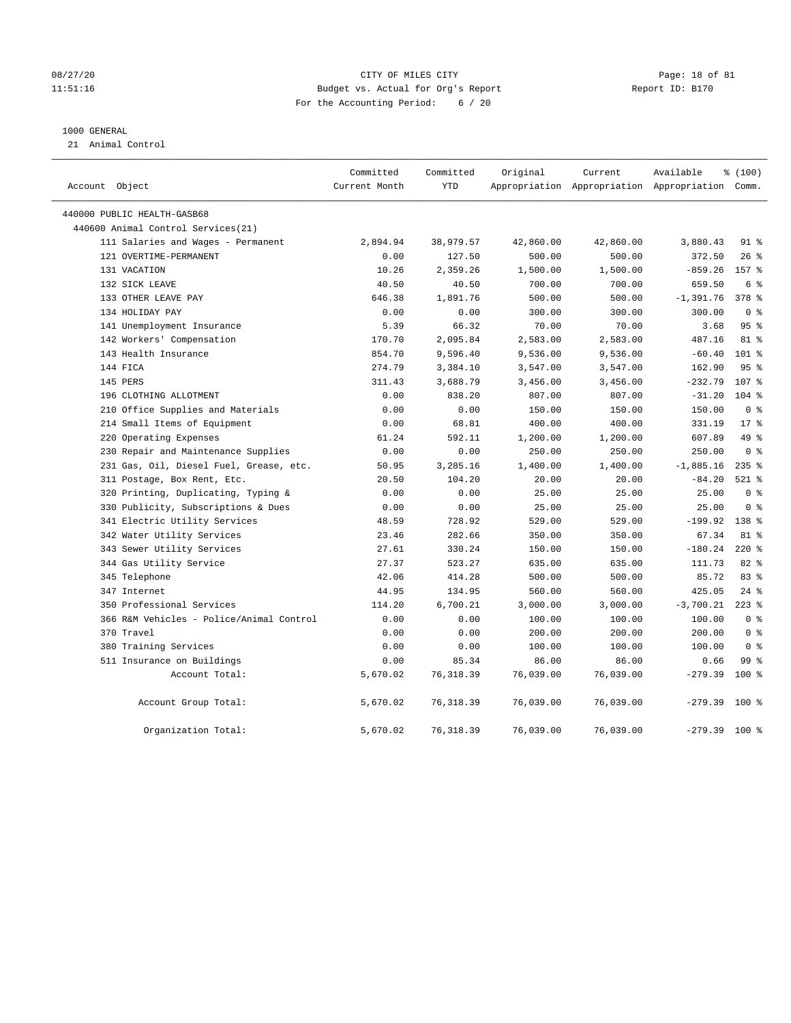# 08/27/20 Page: 18 of 81 11:51:16 Budget vs. Actual for Org's Report Report ID: B170 For the Accounting Period: 6 / 20

## 1000 GENERAL

21 Animal Control

| Account Object                           | Committed<br>Current Month | Committed<br>YTD | Original  | Current   | Available<br>Appropriation Appropriation Appropriation Comm. | % (100)        |  |
|------------------------------------------|----------------------------|------------------|-----------|-----------|--------------------------------------------------------------|----------------|--|
| 440000 PUBLIC HEALTH-GASB68              |                            |                  |           |           |                                                              |                |  |
| 440600 Animal Control Services(21)       |                            |                  |           |           |                                                              |                |  |
| 111 Salaries and Wages - Permanent       | 2,894.94                   | 38,979.57        | 42,860.00 | 42,860.00 | 3,880.43                                                     | 91 %           |  |
| 121 OVERTIME-PERMANENT                   | 0.00                       | 127.50           | 500.00    | 500.00    | 372.50                                                       | $26$ %         |  |
| 131 VACATION                             | 10.26                      | 2,359.26         | 1,500.00  | 1,500.00  | $-859.26$                                                    | 157 %          |  |
| 132 SICK LEAVE                           | 40.50                      | 40.50            | 700.00    | 700.00    | 659.50                                                       | 6 %            |  |
| 133 OTHER LEAVE PAY                      | 646.38                     | 1,891.76         | 500.00    | 500.00    | $-1,391.76$                                                  | 378 %          |  |
| 134 HOLIDAY PAY                          | 0.00                       | 0.00             | 300.00    | 300.00    | 300.00                                                       | 0 <sup>8</sup> |  |
| 141 Unemployment Insurance               | 5.39                       | 66.32            | 70.00     | 70.00     | 3.68                                                         | 95%            |  |
| 142 Workers' Compensation                | 170.70                     | 2,095.84         | 2,583.00  | 2,583.00  | 487.16                                                       | 81 %           |  |
| 143 Health Insurance                     | 854.70                     | 9,596.40         | 9,536.00  | 9,536.00  | $-60.40$                                                     | $101$ %        |  |
| 144 FICA                                 | 274.79                     | 3,384.10         | 3,547.00  | 3,547.00  | 162.90                                                       | 95%            |  |
| 145 PERS                                 | 311.43                     | 3,688.79         | 3,456.00  | 3,456.00  | $-232.79$                                                    | 107 %          |  |
| 196 CLOTHING ALLOTMENT                   | 0.00                       | 838.20           | 807.00    | 807.00    | $-31.20$                                                     | $104$ %        |  |
| 210 Office Supplies and Materials        | 0.00                       | 0.00             | 150.00    | 150.00    | 150.00                                                       | 0 <sup>8</sup> |  |
| 214 Small Items of Equipment             | 0.00                       | 68.81            | 400.00    | 400.00    | 331.19                                                       | $17*$          |  |
| 220 Operating Expenses                   | 61.24                      | 592.11           | 1,200.00  | 1,200.00  | 607.89                                                       | 49 %           |  |
| 230 Repair and Maintenance Supplies      | 0.00                       | 0.00             | 250.00    | 250.00    | 250.00                                                       | 0 <sup>8</sup> |  |
| 231 Gas, Oil, Diesel Fuel, Grease, etc.  | 50.95                      | 3,285.16         | 1,400.00  | 1,400.00  | $-1,885.16$                                                  | $235$ %        |  |
| 311 Postage, Box Rent, Etc.              | 20.50                      | 104.20           | 20.00     | 20.00     | $-84.20$                                                     | $521$ %        |  |
| 320 Printing, Duplicating, Typing &      | 0.00                       | 0.00             | 25.00     | 25.00     | 25.00                                                        | 0 <sup>8</sup> |  |
| 330 Publicity, Subscriptions & Dues      | 0.00                       | 0.00             | 25.00     | 25.00     | 25.00                                                        | 0 <sup>8</sup> |  |
| 341 Electric Utility Services            | 48.59                      | 728.92           | 529.00    | 529.00    | $-199.92$                                                    | 138 %          |  |
| 342 Water Utility Services               | 23.46                      | 282.66           | 350.00    | 350.00    | 67.34                                                        | 81 %           |  |
| 343 Sewer Utility Services               | 27.61                      | 330.24           | 150.00    | 150.00    | $-180.24$                                                    | $220$ %        |  |
| 344 Gas Utility Service                  | 27.37                      | 523.27           | 635.00    | 635.00    | 111.73                                                       | 82 %           |  |
| 345 Telephone                            | 42.06                      | 414.28           | 500.00    | 500.00    | 85.72                                                        | 83 %           |  |
| 347 Internet                             | 44.95                      | 134.95           | 560.00    | 560.00    | 425.05                                                       | 24%            |  |
| 350 Professional Services                | 114.20                     | 6,700.21         | 3,000.00  | 3,000.00  | $-3,700.21$                                                  | $223$ %        |  |
| 366 R&M Vehicles - Police/Animal Control | 0.00                       | 0.00             | 100.00    | 100.00    | 100.00                                                       | 0 <sup>8</sup> |  |
| 370 Travel                               | 0.00                       | 0.00             | 200.00    | 200.00    | 200.00                                                       | 0 <sup>8</sup> |  |
| 380 Training Services                    | 0.00                       | 0.00             | 100.00    | 100.00    | 100.00                                                       | 0 <sup>8</sup> |  |
| 511 Insurance on Buildings               | 0.00                       | 85.34            | 86.00     | 86.00     | 0.66                                                         | 99 %           |  |
| Account Total:                           | 5,670.02                   | 76, 318.39       | 76,039.00 | 76,039.00 | $-279.39$                                                    | 100%           |  |
| Account Group Total:                     | 5,670.02                   | 76,318.39        | 76,039.00 | 76,039.00 | $-279.39$                                                    | $100*$         |  |
| Organization Total:                      | 5,670.02                   | 76, 318.39       | 76,039.00 | 76,039.00 | $-279.39$                                                    | 100 %          |  |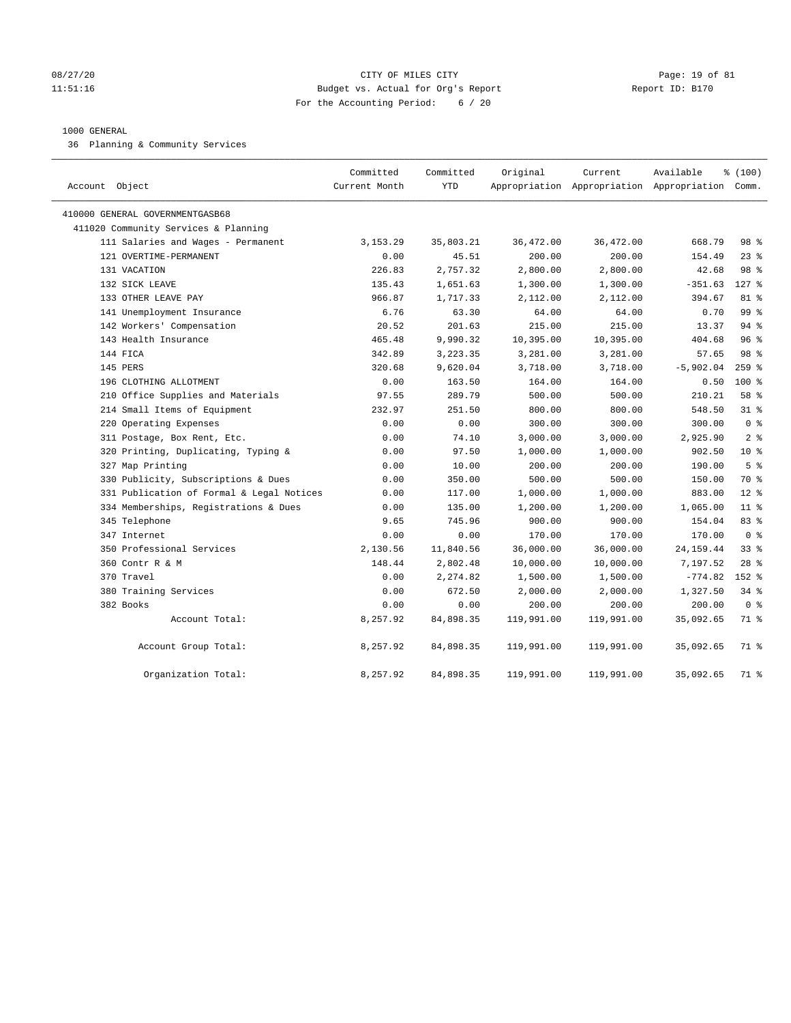# 08/27/20 Page: 19 of 81 11:51:16 Budget vs. Actual for Org's Report Report ID: B170 For the Accounting Period: 6 / 20

## 1000 GENERAL

36 Planning & Community Services

| Account Object                            | Committed<br>Current Month | Committed<br><b>YTD</b> | Original   | Current    | Available<br>Appropriation Appropriation Appropriation Comm. | % (100)         |
|-------------------------------------------|----------------------------|-------------------------|------------|------------|--------------------------------------------------------------|-----------------|
| 410000 GENERAL GOVERNMENTGASB68           |                            |                         |            |            |                                                              |                 |
| 411020 Community Services & Planning      |                            |                         |            |            |                                                              |                 |
| 111 Salaries and Wages - Permanent        | 3, 153. 29                 | 35,803.21               | 36,472.00  | 36,472.00  | 668.79                                                       | 98 %            |
| 121 OVERTIME-PERMANENT                    | 0.00                       | 45.51                   | 200.00     | 200.00     | 154.49                                                       | $23$ %          |
| 131 VACATION                              | 226.83                     | 2,757.32                | 2,800.00   | 2,800.00   | 42.68                                                        | 98 %            |
| 132 SICK LEAVE                            | 135.43                     | 1,651.63                | 1,300.00   | 1,300.00   | $-351.63$                                                    | $127$ %         |
| 133 OTHER LEAVE PAY                       | 966.87                     | 1,717.33                | 2,112.00   | 2,112.00   | 394.67                                                       | $81 - 8$        |
| 141 Unemployment Insurance                | 6.76                       | 63.30                   | 64.00      | 64.00      | 0.70                                                         | 99 %            |
| 142 Workers' Compensation                 | 20.52                      | 201.63                  | 215.00     | 215.00     | 13.37                                                        | 94%             |
| 143 Health Insurance                      | 465.48                     | 9,990.32                | 10,395.00  | 10,395.00  | 404.68                                                       | 96%             |
| 144 FICA                                  | 342.89                     | 3,223.35                | 3,281.00   | 3,281.00   | 57.65                                                        | 98 <sup>8</sup> |
| 145 PERS                                  | 320.68                     | 9,620.04                | 3,718.00   | 3,718.00   | $-5,902.04$                                                  | $259$ $%$       |
| 196 CLOTHING ALLOTMENT                    | 0.00                       | 163.50                  | 164.00     | 164.00     | 0.50                                                         | $100*$          |
| 210 Office Supplies and Materials         | 97.55                      | 289.79                  | 500.00     | 500.00     | 210.21                                                       | 58 %            |
| 214 Small Items of Equipment              | 232.97                     | 251.50                  | 800.00     | 800.00     | 548.50                                                       | $31$ %          |
| 220 Operating Expenses                    | 0.00                       | 0.00                    | 300.00     | 300.00     | 300.00                                                       | 0 <sup>8</sup>  |
| 311 Postage, Box Rent, Etc.               | 0.00                       | 74.10                   | 3,000.00   | 3,000.00   | 2,925.90                                                     | 2 <sup>°</sup>  |
| 320 Printing, Duplicating, Typing &       | 0.00                       | 97.50                   | 1,000.00   | 1,000.00   | 902.50                                                       | $10*$           |
| 327 Map Printing                          | 0.00                       | 10.00                   | 200.00     | 200.00     | 190.00                                                       | 5 <sup>°</sup>  |
| 330 Publicity, Subscriptions & Dues       | 0.00                       | 350.00                  | 500.00     | 500.00     | 150.00                                                       | 70 %            |
| 331 Publication of Formal & Legal Notices | 0.00                       | 117.00                  | 1,000.00   | 1,000.00   | 883.00                                                       | $12*$           |
| 334 Memberships, Registrations & Dues     | 0.00                       | 135.00                  | 1,200.00   | 1,200.00   | 1,065.00                                                     | 11 <sup>8</sup> |
| 345 Telephone                             | 9.65                       | 745.96                  | 900.00     | 900.00     | 154.04                                                       | 83%             |
| 347 Internet                              | 0.00                       | 0.00                    | 170.00     | 170.00     | 170.00                                                       | 0 <sup>8</sup>  |
| 350 Professional Services                 | 2,130.56                   | 11,840.56               | 36,000.00  | 36,000.00  | 24, 159. 44                                                  | 338             |
| 360 Contr R & M                           | 148.44                     | 2,802.48                | 10,000.00  | 10,000.00  | 7,197.52                                                     | $28$ $%$        |
| 370 Travel                                | 0.00                       | 2,274.82                | 1,500.00   | 1,500.00   | $-774.82$                                                    | $152$ %         |
| 380 Training Services                     | 0.00                       | 672.50                  | 2,000.00   | 2,000.00   | 1,327.50                                                     | $34$ $%$        |
| 382 Books                                 | 0.00                       | 0.00                    | 200.00     | 200.00     | 200.00                                                       | 0 <sup>8</sup>  |
| Account Total:                            | 8,257.92                   | 84,898.35               | 119,991.00 | 119,991.00 | 35,092.65                                                    | 71 %            |
| Account Group Total:                      | 8,257.92                   | 84,898.35               | 119,991.00 | 119,991.00 | 35,092.65                                                    | 71 %            |
| Organization Total:                       | 8,257.92                   | 84,898.35               | 119,991.00 | 119,991.00 | 35,092.65                                                    | 71 %            |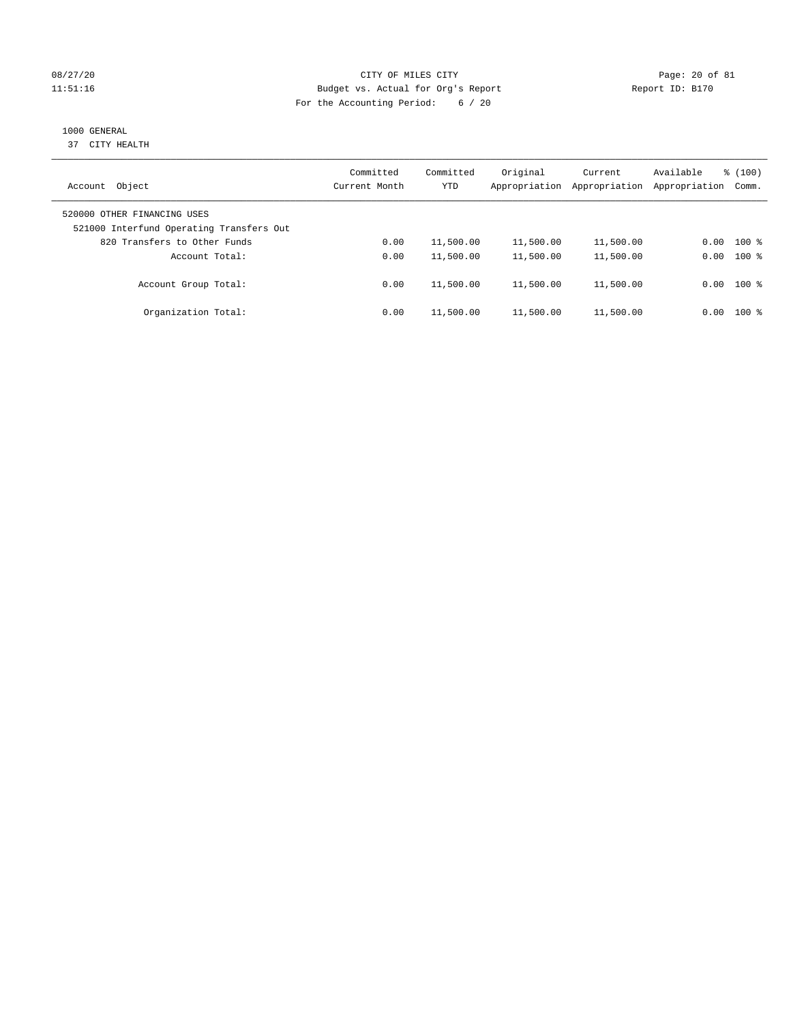# 08/27/20 Page: 20 of 81 11:51:16 Budget vs. Actual for Org's Report Report ID: B170 For the Accounting Period: 6 / 20

# 1000 GENERAL

37 CITY HEALTH

| Object<br>Account                                                       | Committed<br>Current Month | Committed<br>YTD | Original<br>Appropriation | Current<br>Appropriation | Available<br>Appropriation | % (100)<br>Comm. |
|-------------------------------------------------------------------------|----------------------------|------------------|---------------------------|--------------------------|----------------------------|------------------|
| 520000 OTHER FINANCING USES<br>521000 Interfund Operating Transfers Out |                            |                  |                           |                          |                            |                  |
| 820 Transfers to Other Funds                                            | 0.00                       | 11,500.00        | 11,500.00                 | 11,500.00                | 0.00                       | $100*$           |
| Account Total:                                                          | 0.00                       | 11,500.00        | 11,500.00                 | 11,500.00                | 0.00                       | $100$ %          |
| Account Group Total:                                                    | 0.00                       | 11,500.00        | 11,500.00                 | 11,500.00                |                            | $0.00$ 100 %     |
| Organization Total:                                                     | 0.00                       | 11,500.00        | 11,500.00                 | 11,500.00                | 0.00                       | $100$ %          |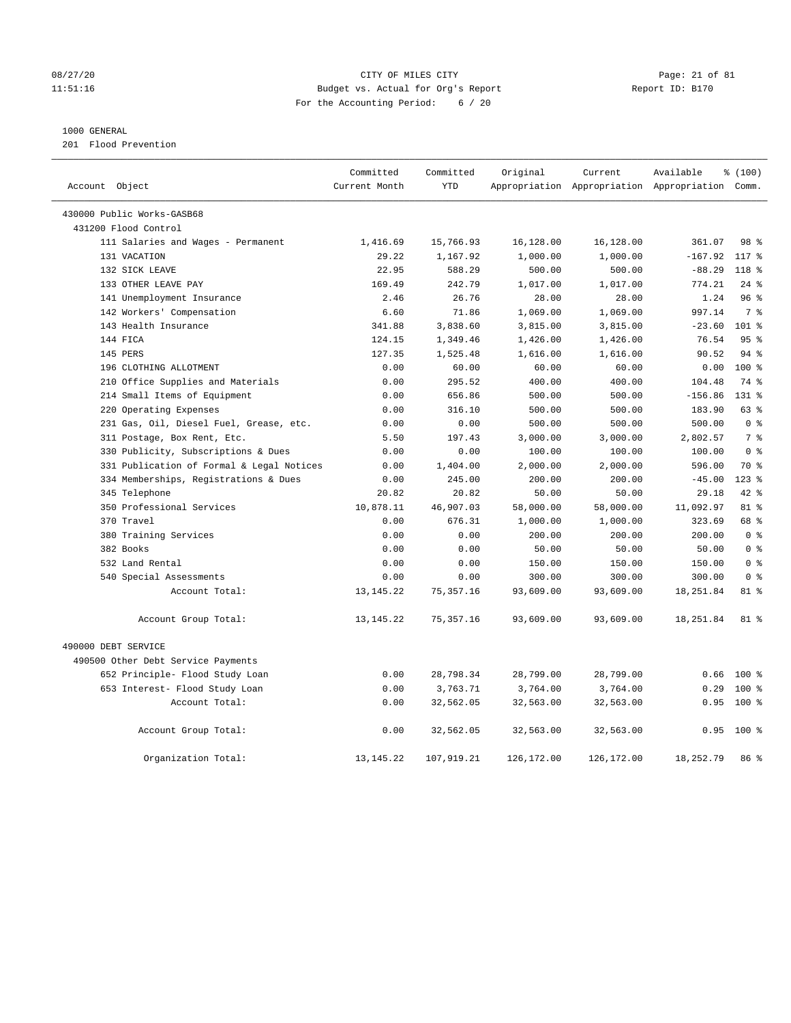# 08/27/20 Page: 21 of 81 11:51:16 Budget vs. Actual for Org's Report Report ID: B170 For the Accounting Period: 6 / 20

# 1000 GENERAL

201 Flood Prevention

| Account Object                            | Committed<br>Current Month | Committed<br><b>YTD</b> | Original   | Current    | Available<br>Appropriation Appropriation Appropriation Comm. | % (100)          |  |
|-------------------------------------------|----------------------------|-------------------------|------------|------------|--------------------------------------------------------------|------------------|--|
|                                           |                            |                         |            |            |                                                              |                  |  |
| 430000 Public Works-GASB68                |                            |                         |            |            |                                                              |                  |  |
| 431200 Flood Control                      |                            |                         |            |            |                                                              |                  |  |
| 111 Salaries and Wages - Permanent        | 1,416.69                   | 15,766.93               | 16,128.00  | 16,128.00  | 361.07                                                       | 98 %             |  |
| 131 VACATION                              | 29.22                      | 1,167.92                | 1,000.00   | 1,000.00   | $-167.92$                                                    | 117 %            |  |
| 132 SICK LEAVE                            | 22.95                      | 588.29                  | 500.00     | 500.00     | $-88.29$                                                     | $118*$           |  |
| 133 OTHER LEAVE PAY                       | 169.49                     | 242.79                  | 1,017.00   | 1,017.00   | 774.21                                                       | $24$ %           |  |
| 141 Unemployment Insurance                | 2.46                       | 26.76                   | 28.00      | 28.00      | 1.24                                                         | 96%              |  |
| 142 Workers' Compensation                 | 6.60                       | 71.86                   | 1,069.00   | 1,069.00   | 997.14                                                       | 7 <sup>°</sup>   |  |
| 143 Health Insurance                      | 341.88                     | 3,838.60                | 3,815.00   | 3,815.00   | $-23.60$                                                     | 101 <sub>8</sub> |  |
| 144 FICA                                  | 124.15                     | 1,349.46                | 1,426.00   | 1,426.00   | 76.54                                                        | 95 <sup>8</sup>  |  |
| 145 PERS                                  | 127.35                     | 1,525.48                | 1,616.00   | 1,616.00   | 90.52                                                        | $94$ $%$         |  |
| 196 CLOTHING ALLOTMENT                    | 0.00                       | 60.00                   | 60.00      | 60.00      | 0.00                                                         | $100*$           |  |
| 210 Office Supplies and Materials         | 0.00                       | 295.52                  | 400.00     | 400.00     | 104.48                                                       | 74 %             |  |
| 214 Small Items of Equipment              | 0.00                       | 656.86                  | 500.00     | 500.00     | $-156.86$                                                    | $131*$           |  |
| 220 Operating Expenses                    | 0.00                       | 316.10                  | 500.00     | 500.00     | 183.90                                                       | 63 %             |  |
| 231 Gas, Oil, Diesel Fuel, Grease, etc.   | 0.00                       | 0.00                    | 500.00     | 500.00     | 500.00                                                       | 0 <sup>8</sup>   |  |
| 311 Postage, Box Rent, Etc.               | 5.50                       | 197.43                  | 3,000.00   | 3,000.00   | 2,802.57                                                     | 7 <sup>°</sup>   |  |
| 330 Publicity, Subscriptions & Dues       | 0.00                       | 0.00                    | 100.00     | 100.00     | 100.00                                                       | 0 <sup>8</sup>   |  |
| 331 Publication of Formal & Legal Notices | 0.00                       | 1,404.00                | 2,000.00   | 2,000.00   | 596.00                                                       | 70 %             |  |
| 334 Memberships, Registrations & Dues     | 0.00                       | 245.00                  | 200.00     | 200.00     | $-45.00$                                                     | $123*$           |  |
| 345 Telephone                             | 20.82                      | 20.82                   | 50.00      | 50.00      | 29.18                                                        | $42$ $%$         |  |
| 350 Professional Services                 | 10,878.11                  | 46,907.03               | 58,000.00  | 58,000.00  | 11,092.97                                                    | 81 %             |  |
| 370 Travel                                | 0.00                       | 676.31                  | 1,000.00   | 1,000.00   | 323.69                                                       | 68 %             |  |
| 380 Training Services                     | 0.00                       | 0.00                    | 200.00     | 200.00     | 200.00                                                       | 0 <sup>8</sup>   |  |
| 382 Books                                 | 0.00                       | 0.00                    | 50.00      | 50.00      | 50.00                                                        | 0 <sup>8</sup>   |  |
| 532 Land Rental                           | 0.00                       | 0.00                    | 150.00     | 150.00     | 150.00                                                       | 0 <sup>8</sup>   |  |
| 540 Special Assessments                   | 0.00                       | 0.00                    | 300.00     | 300.00     | 300.00                                                       | 0 <sup>8</sup>   |  |
| Account Total:                            | 13, 145. 22                | 75, 357.16              | 93,609.00  | 93,609.00  | 18, 251.84                                                   | 81 %             |  |
| Account Group Total:                      | 13, 145. 22                | 75,357.16               | 93,609.00  | 93,609.00  | 18,251.84                                                    | 81 %             |  |
| 490000 DEBT SERVICE                       |                            |                         |            |            |                                                              |                  |  |
| 490500 Other Debt Service Payments        |                            |                         |            |            |                                                              |                  |  |
| 652 Principle- Flood Study Loan           | 0.00                       | 28,798.34               | 28,799.00  | 28,799.00  | 0.66                                                         | $100$ %          |  |
| 653 Interest- Flood Study Loan            | 0.00                       | 3,763.71                | 3,764.00   | 3,764.00   | 0.29                                                         | 100 %            |  |
| Account Total:                            | 0.00                       | 32,562.05               | 32,563.00  | 32,563.00  | 0.95                                                         | 100 %            |  |
| Account Group Total:                      | 0.00                       | 32,562.05               | 32,563.00  | 32,563.00  | 0.95                                                         | 100 %            |  |
| Organization Total:                       | 13, 145. 22                | 107,919.21              | 126,172.00 | 126,172.00 | 18,252.79                                                    | 86 %             |  |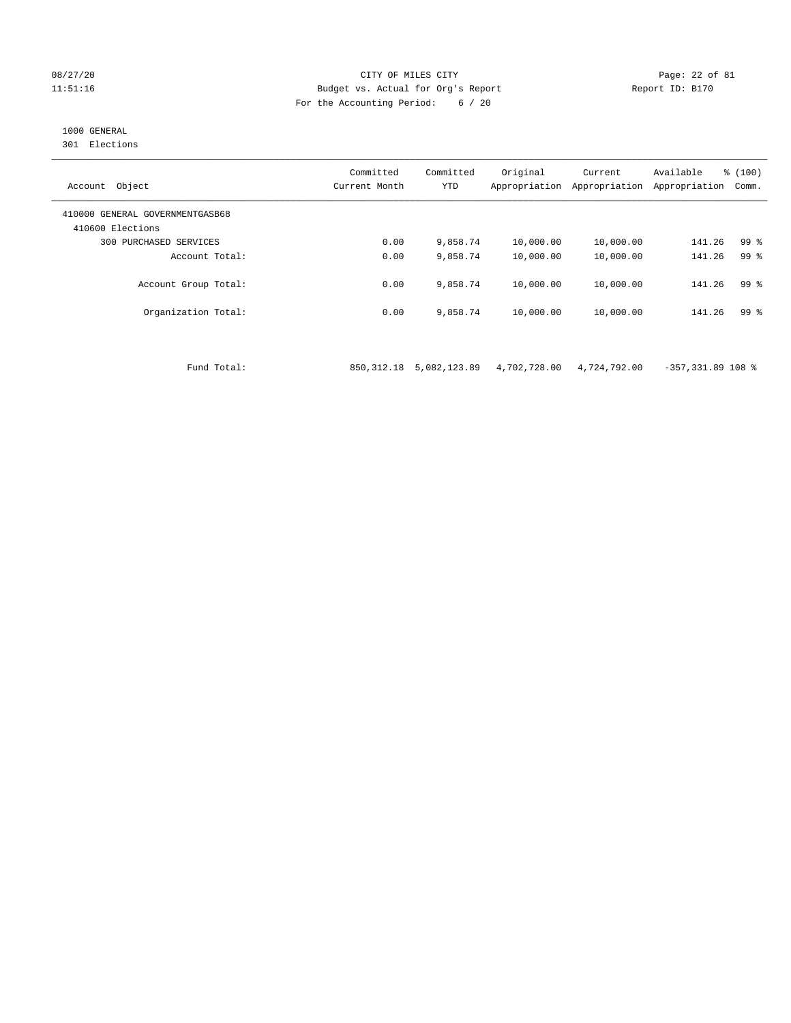## 08/27/20 Page: 22 of 81 11:51:16 Budget vs. Actual for Org's Report Report ID: B170 For the Accounting Period: 6 / 20

# 1000 GENERAL

301 Elections

| Object<br>Account                                   | Committed<br>Current Month | Committed<br>YTD | Original<br>Appropriation | Current<br>Appropriation | Available<br>Appropriation | % (100)<br>Comm. |
|-----------------------------------------------------|----------------------------|------------------|---------------------------|--------------------------|----------------------------|------------------|
| 410000 GENERAL GOVERNMENTGASB68<br>410600 Elections |                            |                  |                           |                          |                            |                  |
| PURCHASED SERVICES<br>300                           | 0.00                       | 9,858.74         | 10,000.00                 | 10,000.00                | 141.26                     | 99 %             |
| Account Total:                                      | 0.00                       | 9,858.74         | 10,000.00                 | 10,000.00                | 141.26                     | 99 %             |
| Account Group Total:                                | 0.00                       | 9,858.74         | 10,000.00                 | 10,000.00                | 141.26                     | 99 %             |
| Organization Total:                                 | 0.00                       | 9,858.74         | 10,000.00                 | 10,000.00                | 141.26                     | 99 <sup>8</sup>  |

Fund Total: 850,312.18 5,082,123.89 4,702,728.00 4,724,792.00 -357,331.89 108 %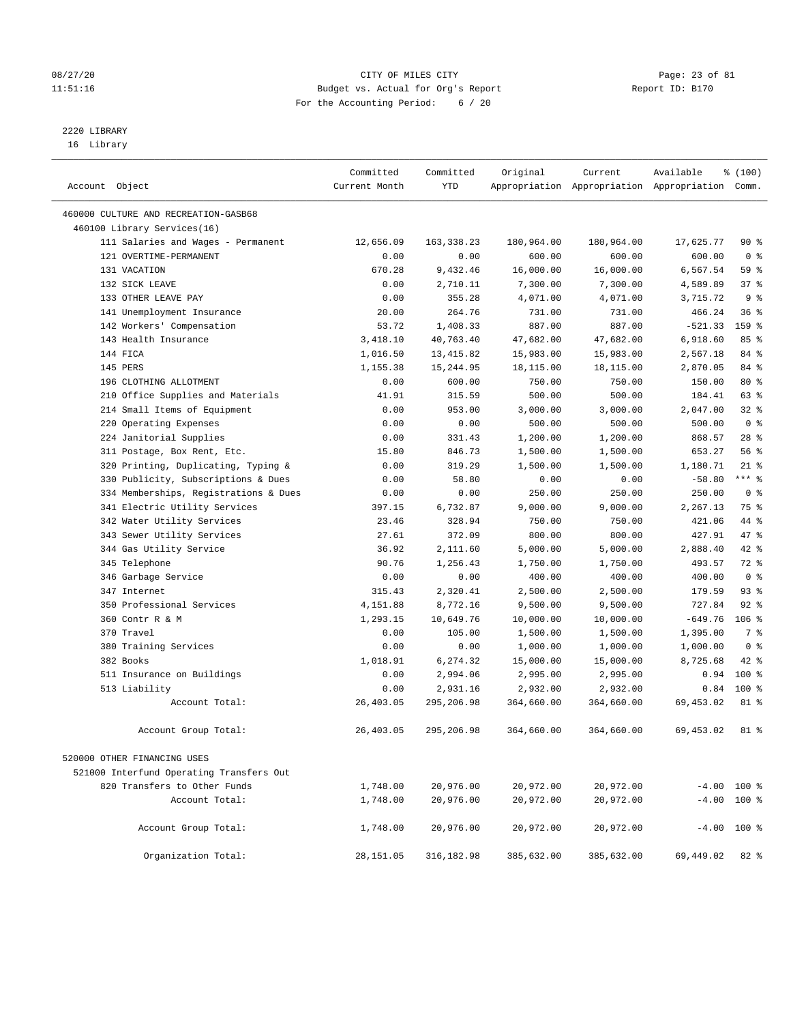# 08/27/20 Page: 23 of 81 11:51:16 Budget vs. Actual for Org's Report Report ID: B170 For the Accounting Period: 6 / 20

————————————————————————————————————————————————————————————————————————————————————————————————————————————————————————————————————

# 2220 LIBRARY

16 Library

|                |                                          | Committed     | Committed   | Original   | Current    | Available                                       | \$(100)        |  |
|----------------|------------------------------------------|---------------|-------------|------------|------------|-------------------------------------------------|----------------|--|
| Account Object |                                          | Current Month | <b>YTD</b>  |            |            | Appropriation Appropriation Appropriation Comm. |                |  |
|                | 460000 CULTURE AND RECREATION-GASB68     |               |             |            |            |                                                 |                |  |
|                | 460100 Library Services(16)              |               |             |            |            |                                                 |                |  |
|                | 111 Salaries and Wages - Permanent       | 12,656.09     | 163, 338.23 | 180,964.00 | 180,964.00 | 17,625.77                                       | 90%            |  |
|                | 121 OVERTIME-PERMANENT                   | 0.00          | 0.00        | 600.00     | 600.00     | 600.00                                          | 0 <sup>8</sup> |  |
|                | 131 VACATION                             | 670.28        | 9,432.46    | 16,000.00  | 16,000.00  | 6,567.54                                        | 59 %           |  |
|                | 132 SICK LEAVE                           | 0.00          | 2,710.11    | 7,300.00   | 7,300.00   | 4,589.89                                        | 37%            |  |
|                | 133 OTHER LEAVE PAY                      | 0.00          | 355.28      | 4,071.00   | 4,071.00   | 3,715.72                                        | 9 <sup>°</sup> |  |
|                | 141 Unemployment Insurance               | 20.00         | 264.76      | 731.00     | 731.00     | 466.24                                          | 36%            |  |
|                | 142 Workers' Compensation                | 53.72         | 1,408.33    | 887.00     | 887.00     | $-521.33$                                       | 159 %          |  |
|                | 143 Health Insurance                     | 3,418.10      | 40,763.40   | 47,682.00  | 47,682.00  | 6,918.60                                        | 85%            |  |
|                | 144 FICA                                 | 1,016.50      | 13, 415.82  | 15,983.00  | 15,983.00  | 2,567.18                                        | 84 %           |  |
|                | 145 PERS                                 | 1,155.38      | 15,244.95   | 18,115.00  | 18,115.00  | 2,870.05                                        | 84 %           |  |
|                | 196 CLOTHING ALLOTMENT                   | 0.00          | 600.00      | 750.00     | 750.00     | 150.00                                          | 80 %           |  |
|                | 210 Office Supplies and Materials        | 41.91         | 315.59      | 500.00     | 500.00     | 184.41                                          | 63 %           |  |
|                | 214 Small Items of Equipment             | 0.00          | 953.00      | 3,000.00   | 3,000.00   | 2,047.00                                        | 32%            |  |
|                | 220 Operating Expenses                   | 0.00          | 0.00        | 500.00     | 500.00     | 500.00                                          | 0 <sup>8</sup> |  |
|                | 224 Janitorial Supplies                  | 0.00          | 331.43      | 1,200.00   | 1,200.00   | 868.57                                          | $28$ %         |  |
|                | 311 Postage, Box Rent, Etc.              | 15.80         | 846.73      | 1,500.00   | 1,500.00   | 653.27                                          | 56%            |  |
|                | 320 Printing, Duplicating, Typing &      | 0.00          | 319.29      | 1,500.00   | 1,500.00   | 1,180.71                                        | $21$ %         |  |
|                | 330 Publicity, Subscriptions & Dues      | 0.00          | 58.80       | 0.00       | 0.00       | $-58.80$                                        | $***$ $_{8}$   |  |
|                | 334 Memberships, Registrations & Dues    | 0.00          | 0.00        | 250.00     | 250.00     | 250.00                                          | 0 <sup>8</sup> |  |
|                | 341 Electric Utility Services            | 397.15        | 6,732.87    | 9,000.00   | 9,000.00   | 2,267.13                                        | 75 %           |  |
|                | 342 Water Utility Services               | 23.46         | 328.94      | 750.00     | 750.00     | 421.06                                          | 44 %           |  |
|                | 343 Sewer Utility Services               | 27.61         | 372.09      | 800.00     | 800.00     | 427.91                                          | 47 %           |  |
|                | 344 Gas Utility Service                  | 36.92         | 2,111.60    | 5,000.00   | 5,000.00   | 2,888.40                                        | 42 %           |  |
|                | 345 Telephone                            | 90.76         | 1,256.43    | 1,750.00   | 1,750.00   | 493.57                                          | 72 %           |  |
|                | 346 Garbage Service                      | 0.00          | 0.00        | 400.00     | 400.00     | 400.00                                          | 0 <sup>8</sup> |  |
|                | 347 Internet                             | 315.43        | 2,320.41    | 2,500.00   | 2,500.00   | 179.59                                          | 93%            |  |
|                | 350 Professional Services                | 4,151.88      | 8,772.16    | 9,500.00   | 9,500.00   | 727.84                                          | $92$ %         |  |
|                | 360 Contr R & M                          | 1,293.15      | 10,649.76   | 10,000.00  | 10,000.00  | $-649.76$                                       | $106$ %        |  |
|                | 370 Travel                               | 0.00          | 105.00      | 1,500.00   | 1,500.00   | 1,395.00                                        | 7 %            |  |
|                | 380 Training Services                    | 0.00          | 0.00        | 1,000.00   | 1,000.00   | 1,000.00                                        | 0 <sup>8</sup> |  |
|                | 382 Books                                | 1,018.91      | 6,274.32    | 15,000.00  | 15,000.00  | 8,725.68                                        | $42$ %         |  |
|                | 511 Insurance on Buildings               | 0.00          | 2,994.06    | 2,995.00   | 2,995.00   | 0.94                                            | $100*$         |  |
|                | 513 Liability                            | 0.00          | 2,931.16    | 2,932.00   | 2,932.00   | 0.84                                            | 100%           |  |
|                | Account Total:                           | 26,403.05     | 295,206.98  | 364,660.00 | 364,660.00 | 69,453.02                                       | 81 %           |  |
|                | Account Group Total:                     | 26,403.05     | 295,206.98  | 364,660.00 | 364,660.00 | 69,453.02                                       | 81 %           |  |
|                | 520000 OTHER FINANCING USES              |               |             |            |            |                                                 |                |  |
|                | 521000 Interfund Operating Transfers Out |               |             |            |            |                                                 |                |  |
|                | 820 Transfers to Other Funds             | 1,748.00      | 20,976.00   | 20,972.00  | 20,972.00  | $-4.00$ 100 %                                   |                |  |
|                | Account Total:                           | 1,748.00      | 20,976.00   | 20,972.00  | 20,972.00  | $-4.00$ 100 %                                   |                |  |
|                |                                          |               |             |            |            |                                                 |                |  |
|                | Account Group Total:                     | 1,748.00      | 20,976.00   | 20,972.00  | 20,972.00  | $-4.00$ 100 %                                   |                |  |
|                | Organization Total:                      | 28,151.05     | 316,182.98  | 385,632.00 | 385,632.00 | 69,449.02                                       | 82 %           |  |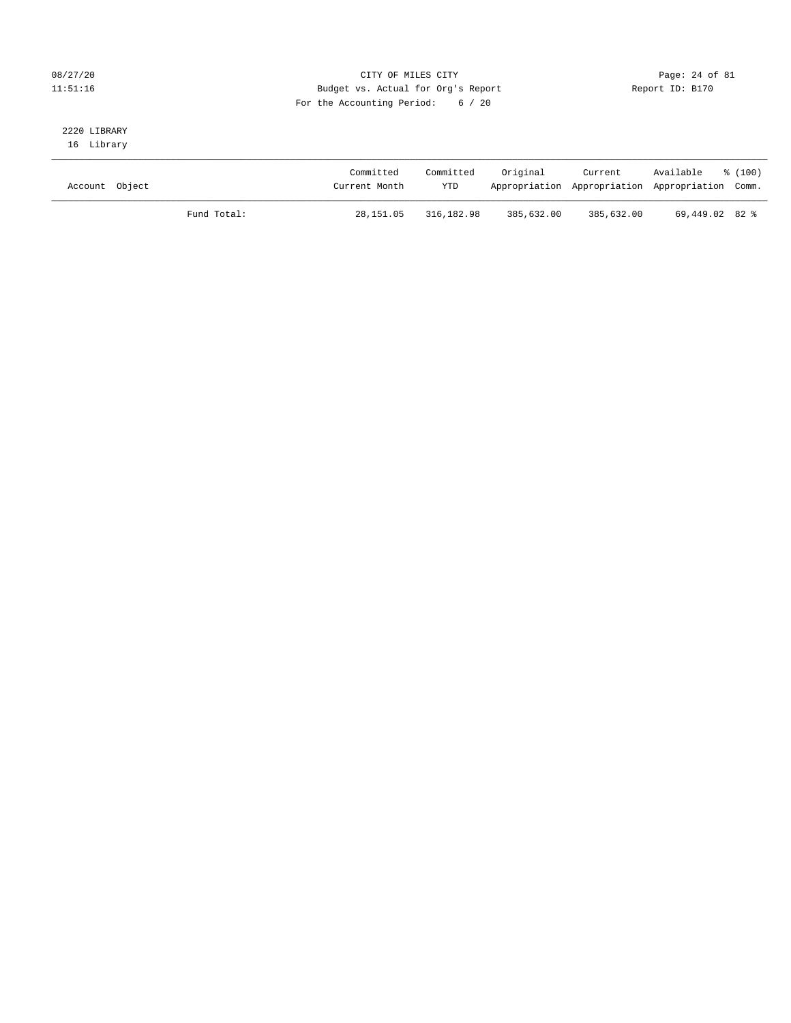# 08/27/20 Page: 24 of 81 11:51:16 Budget vs. Actual for Org's Report Report ID: B170 For the Accounting Period: 6 / 20

# 2220 LIBRARY

16 Library

| Account Object |             | Committed<br>Current Month | Committed<br><b>YTD</b> | Original   | Current    | Available<br>Appropriation Appropriation Appropriation Comm. | ៖ (100) |
|----------------|-------------|----------------------------|-------------------------|------------|------------|--------------------------------------------------------------|---------|
|                | Fund Total: | 28,151.05                  | 316,182.98              | 385,632.00 | 385,632.00 | 69,449.02 82 %                                               |         |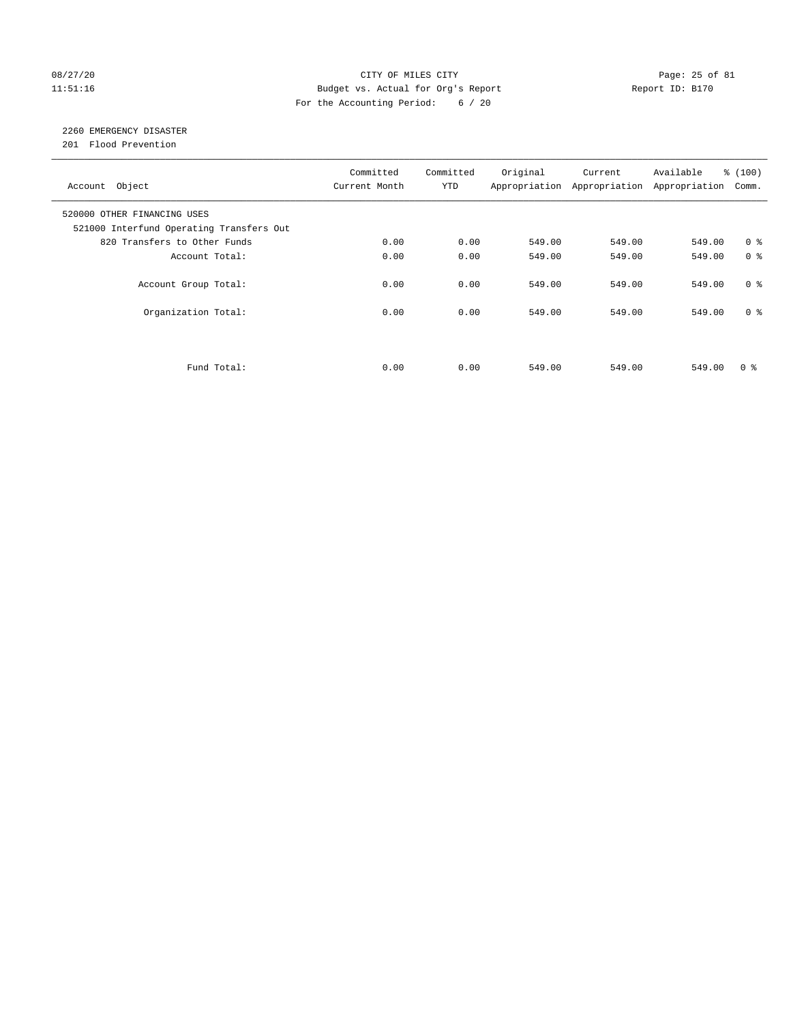# 08/27/20 Page: 25 of 81 11:51:16 Budget vs. Actual for Org's Report Changer Report ID: B170 For the Accounting Period: 6 / 20

# 2260 EMERGENCY DISASTER

201 Flood Prevention

| Account Object                                                          | Committed<br>Current Month | Committed<br><b>YTD</b> | Original | Current<br>Appropriation Appropriation | Available<br>Appropriation | % (100)<br>Comm. |
|-------------------------------------------------------------------------|----------------------------|-------------------------|----------|----------------------------------------|----------------------------|------------------|
| 520000 OTHER FINANCING USES<br>521000 Interfund Operating Transfers Out |                            |                         |          |                                        |                            |                  |
| 820 Transfers to Other Funds                                            | 0.00                       | 0.00                    | 549.00   | 549.00                                 | 549.00                     | 0 <sup>8</sup>   |
| Account Total:                                                          | 0.00                       | 0.00                    | 549.00   | 549.00                                 | 549.00                     | 0 <sup>8</sup>   |
| Account Group Total:                                                    | 0.00                       | 0.00                    | 549.00   | 549.00                                 | 549.00                     | 0 <sup>8</sup>   |
| Organization Total:                                                     | 0.00                       | 0.00                    | 549.00   | 549.00                                 | 549.00                     | 0 <sup>8</sup>   |
|                                                                         |                            |                         |          |                                        |                            |                  |
| Fund Total:                                                             | 0.00                       | 0.00                    | 549.00   | 549.00                                 | 549.00                     | 0 %              |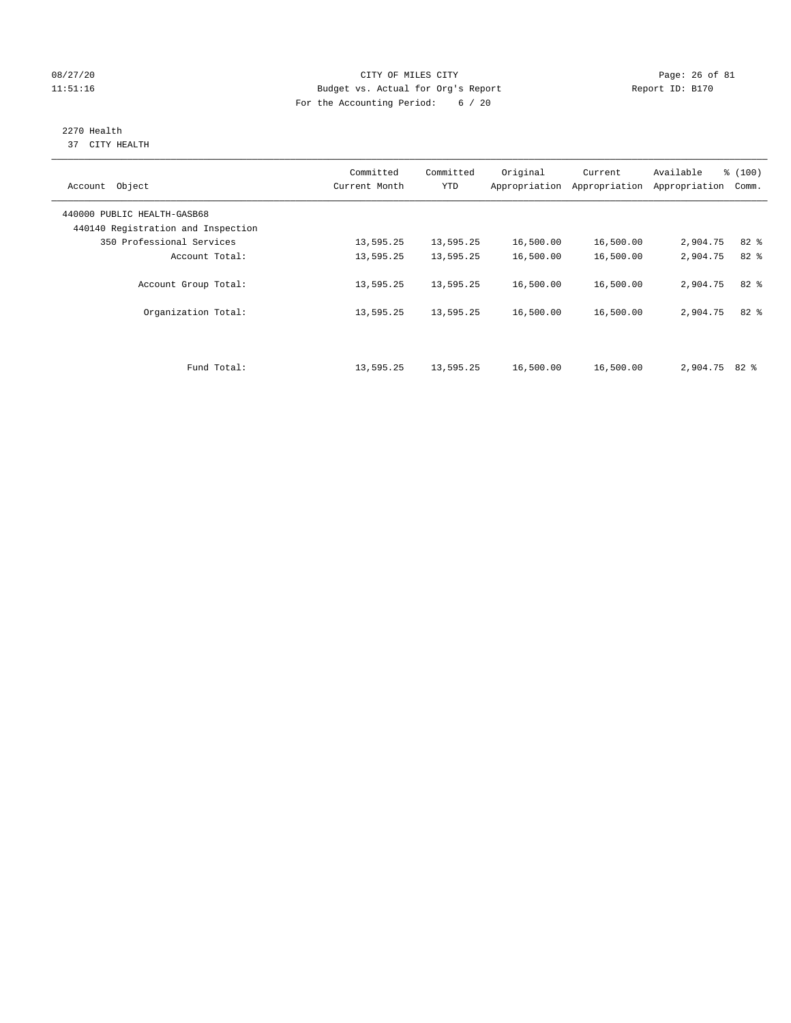# 08/27/20 Page: 26 of 81 11:51:16 Budget vs. Actual for Org's Report Changer Report ID: B170 For the Accounting Period: 6 / 20

## 2270 Health 37 CITY HEALTH

| Object<br>Account                  | Committed<br>Current Month | Committed<br><b>YTD</b> | Original<br>Appropriation | Current<br>Appropriation | Available<br>Appropriation | % (100)<br>Comm. |
|------------------------------------|----------------------------|-------------------------|---------------------------|--------------------------|----------------------------|------------------|
| 440000 PUBLIC HEALTH-GASB68        |                            |                         |                           |                          |                            |                  |
| 440140 Registration and Inspection |                            |                         |                           |                          |                            |                  |
| 350 Professional Services          | 13,595.25                  | 13,595.25               | 16,500.00                 | 16,500.00                | 2,904.75                   | $82$ $%$         |
| Account Total:                     | 13,595.25                  | 13,595.25               | 16,500.00                 | 16,500.00                | 2,904.75                   | 82 %             |
| Account Group Total:               | 13,595.25                  | 13,595.25               | 16,500.00                 | 16,500.00                | 2,904.75                   | $82*$            |
| Organization Total:                | 13,595.25                  | 13,595.25               | 16,500.00                 | 16,500.00                | 2,904.75                   | $82*$            |
|                                    |                            |                         |                           |                          |                            |                  |
| Fund Total:                        | 13,595.25                  | 13,595.25               | 16,500.00                 | 16,500.00                | $2,904.75$ 82 %            |                  |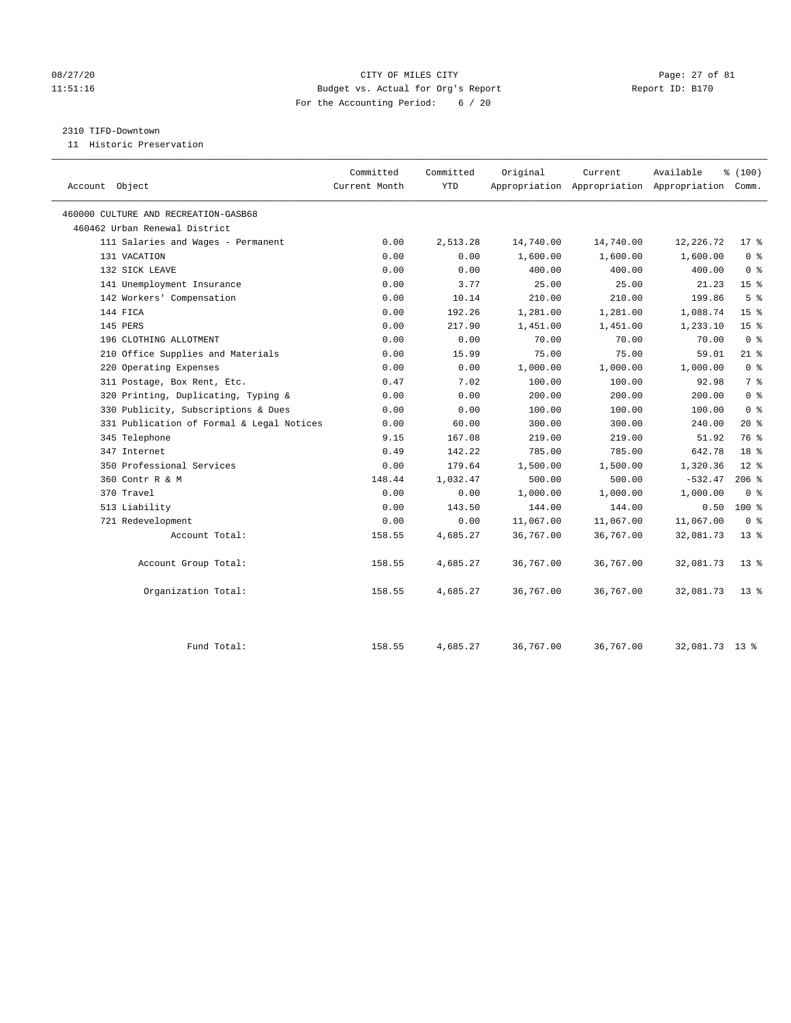# 08/27/20 Page: 27 of 81 11:51:16 Budget vs. Actual for Org's Report Report ID: B170 For the Accounting Period: 6 / 20

## 2310 TIFD-Downtown

11 Historic Preservation

| Account Object                            | Committed<br>Current Month | Committed<br><b>YTD</b> | Original  | Current   | Available<br>Appropriation Appropriation Appropriation Comm. | % (100)         |
|-------------------------------------------|----------------------------|-------------------------|-----------|-----------|--------------------------------------------------------------|-----------------|
| 460000 CULTURE AND RECREATION-GASB68      |                            |                         |           |           |                                                              |                 |
| 460462 Urban Renewal District             |                            |                         |           |           |                                                              |                 |
| 111 Salaries and Wages - Permanent        | 0.00                       | 2,513.28                | 14,740.00 | 14,740.00 | 12,226.72                                                    | $17*$           |
| 131 VACATION                              | 0.00                       | 0.00                    | 1,600.00  | 1,600.00  | 1,600.00                                                     | 0 <sup>8</sup>  |
| 132 SICK LEAVE                            | 0.00                       | 0.00                    | 400.00    | 400.00    | 400.00                                                       | 0 <sup>8</sup>  |
| 141 Unemployment Insurance                | 0.00                       | 3.77                    | 25.00     | 25.00     | 21.23                                                        | 15 <sup>°</sup> |
| 142 Workers' Compensation                 | 0.00                       | 10.14                   | 210.00    | 210.00    | 199.86                                                       | 5 <sup>8</sup>  |
| 144 FICA                                  | 0.00                       | 192.26                  | 1,281.00  | 1,281.00  | 1,088.74                                                     | 15 <sup>8</sup> |
| 145 PERS                                  | 0.00                       | 217.90                  | 1,451.00  | 1,451.00  | 1,233.10                                                     | 15 <sup>°</sup> |
| 196 CLOTHING ALLOTMENT                    | 0.00                       | 0.00                    | 70.00     | 70.00     | 70.00                                                        | 0 <sup>8</sup>  |
| 210 Office Supplies and Materials         | 0.00                       | 15.99                   | 75.00     | 75.00     | 59.01                                                        | $21$ %          |
| 220 Operating Expenses                    | 0.00                       | 0.00                    | 1,000.00  | 1,000.00  | 1,000.00                                                     | 0 <sup>8</sup>  |
| 311 Postage, Box Rent, Etc.               | 0.47                       | 7.02                    | 100.00    | 100.00    | 92.98                                                        | 7 <sup>8</sup>  |
| 320 Printing, Duplicating, Typing &       | 0.00                       | 0.00                    | 200.00    | 200.00    | 200.00                                                       | 0 <sup>8</sup>  |
| 330 Publicity, Subscriptions & Dues       | 0.00                       | 0.00                    | 100.00    | 100.00    | 100.00                                                       | 0 <sup>8</sup>  |
| 331 Publication of Formal & Legal Notices | 0.00                       | 60.00                   | 300.00    | 300.00    | 240.00                                                       | $20*$           |
| 345 Telephone                             | 9.15                       | 167.08                  | 219.00    | 219.00    | 51.92                                                        | 76 %            |
| 347 Internet                              | 0.49                       | 142.22                  | 785.00    | 785.00    | 642.78                                                       | 18 <sup>8</sup> |
| 350 Professional Services                 | 0.00                       | 179.64                  | 1,500.00  | 1,500.00  | 1,320.36                                                     | $12*$           |
| 360 Contr R & M                           | 148.44                     | 1,032.47                | 500.00    | 500.00    | $-532.47$                                                    | $206$ %         |
| 370 Travel                                | 0.00                       | 0.00                    | 1,000.00  | 1,000.00  | 1,000.00                                                     | 0 <sup>8</sup>  |
| 513 Liability                             | 0.00                       | 143.50                  | 144.00    | 144.00    | 0.50                                                         | 100%            |
| 721 Redevelopment                         | 0.00                       | 0.00                    | 11,067.00 | 11,067.00 | 11,067.00                                                    | 0 <sup>8</sup>  |
| Account Total:                            | 158.55                     | 4,685.27                | 36,767.00 | 36,767.00 | 32,081.73                                                    | $13*$           |
| Account Group Total:                      | 158.55                     | 4,685.27                | 36,767.00 | 36,767.00 | 32,081.73                                                    | $13*$           |
| Organization Total:                       | 158.55                     | 4,685.27                | 36,767.00 | 36,767.00 | 32,081.73                                                    | $13*$           |
| Fund Total:                               | 158.55                     | 4,685.27                | 36,767.00 | 36,767.00 | 32,081.73 13 %                                               |                 |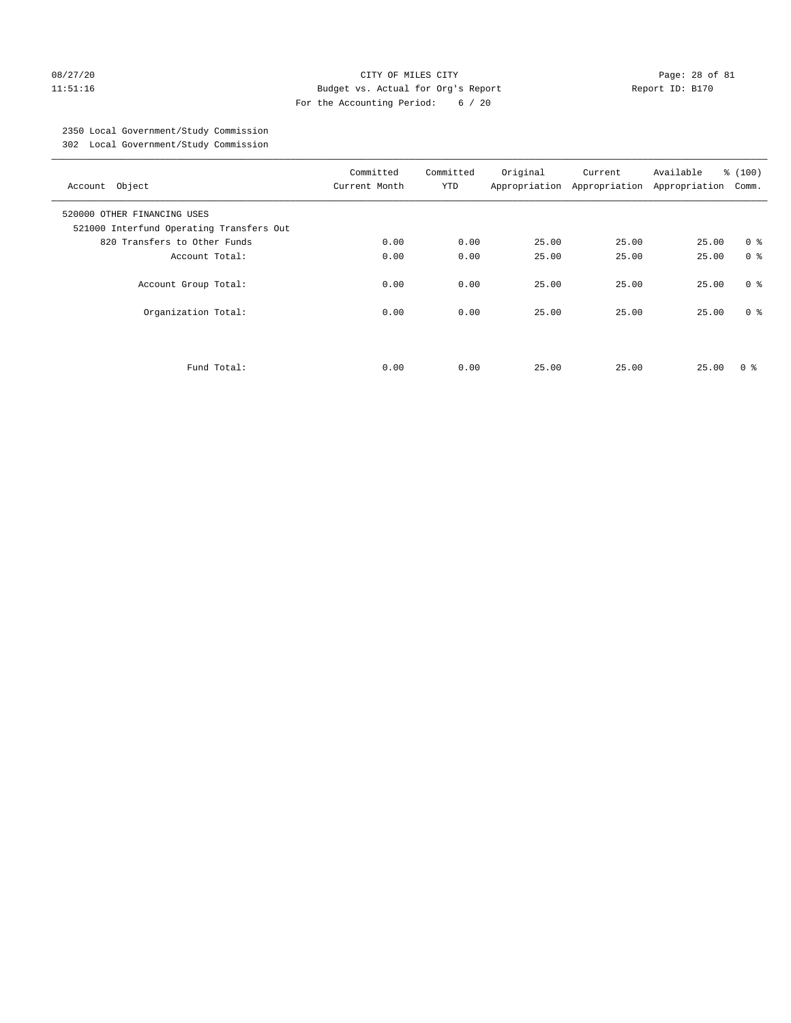# 08/27/20 Page: 28 of 81 11:51:16 Budget vs. Actual for Org's Report Report ID: B170 For the Accounting Period: 6 / 20

# 2350 Local Government/Study Commission

302 Local Government/Study Commission

| Account Object                                                          | Committed<br>Current Month | Committed<br><b>YTD</b> | Original | Current<br>Appropriation Appropriation | Available<br>Appropriation | % (100)<br>Comm. |
|-------------------------------------------------------------------------|----------------------------|-------------------------|----------|----------------------------------------|----------------------------|------------------|
| 520000 OTHER FINANCING USES<br>521000 Interfund Operating Transfers Out |                            |                         |          |                                        |                            |                  |
| 820 Transfers to Other Funds                                            | 0.00                       | 0.00                    | 25.00    | 25.00                                  | 25.00                      | 0 <sup>8</sup>   |
| Account Total:                                                          | 0.00                       | 0.00                    | 25.00    | 25.00                                  | 25.00                      | 0 <sup>8</sup>   |
| Account Group Total:                                                    | 0.00                       | 0.00                    | 25.00    | 25.00                                  | 25.00                      | 0 <sup>8</sup>   |
| Organization Total:                                                     | 0.00                       | 0.00                    | 25.00    | 25.00                                  | 25.00                      | 0 <sup>8</sup>   |
|                                                                         |                            |                         |          |                                        |                            |                  |
| Fund Total:                                                             | 0.00                       | 0.00                    | 25.00    | 25.00                                  | 25.00                      | 0 ៖              |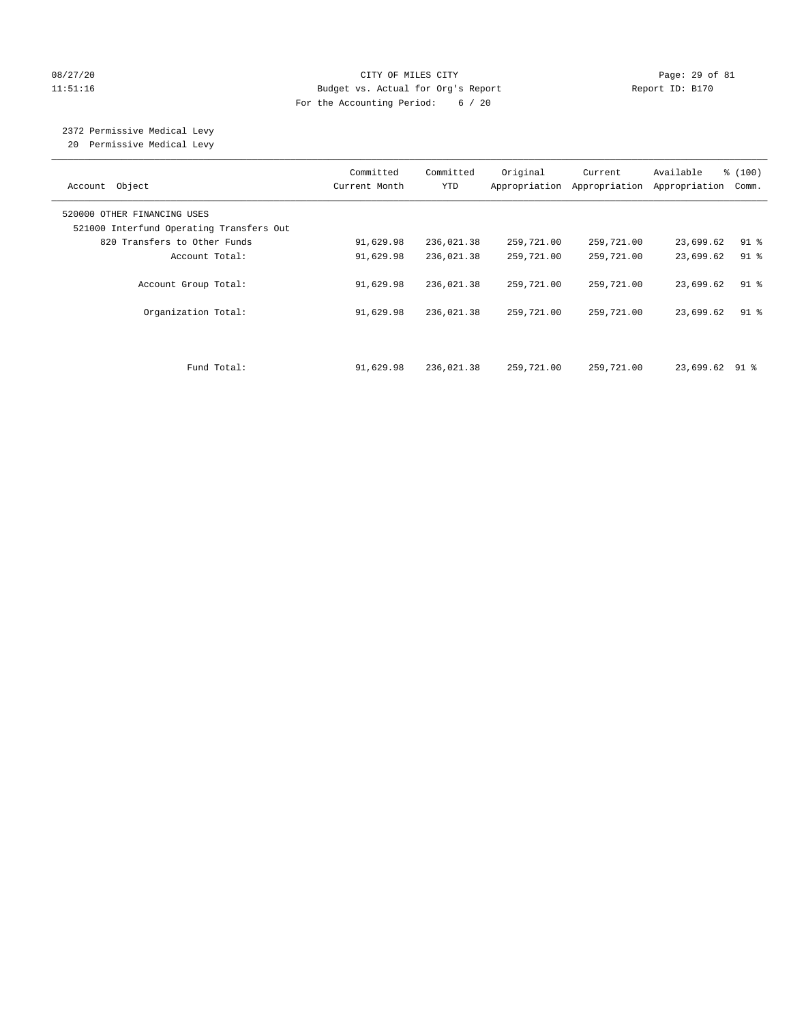# 08/27/20 Page: 29 of 81 11:51:16 Budget vs. Actual for Org's Report Report ID: B170 For the Accounting Period: 6 / 20

# 2372 Permissive Medical Levy

20 Permissive Medical Levy

| Account Object                                                          | Committed<br>Current Month | Committed<br><b>YTD</b> | Original<br>Appropriation | Current<br>Appropriation | Available<br>Appropriation | % (100)<br>Comm. |
|-------------------------------------------------------------------------|----------------------------|-------------------------|---------------------------|--------------------------|----------------------------|------------------|
| 520000 OTHER FINANCING USES<br>521000 Interfund Operating Transfers Out |                            |                         |                           |                          |                            |                  |
| 820 Transfers to Other Funds                                            | 91,629.98                  | 236,021.38              | 259,721.00                | 259,721.00               | 23,699.62                  | $91$ %           |
| Account Total:                                                          | 91,629.98                  | 236,021.38              | 259,721.00                | 259,721.00               | 23,699.62                  | $91$ $8$         |
| Account Group Total:                                                    | 91,629.98                  | 236,021.38              | 259,721.00                | 259,721.00               | 23,699.62                  | $91$ %           |
| Organization Total:                                                     | 91,629.98                  | 236,021.38              | 259,721.00                | 259,721.00               | 23,699.62                  | $91$ %           |
| Fund Total:                                                             | 91,629.98                  | 236,021.38              | 259,721.00                | 259,721.00               | 23,699.62 91 %             |                  |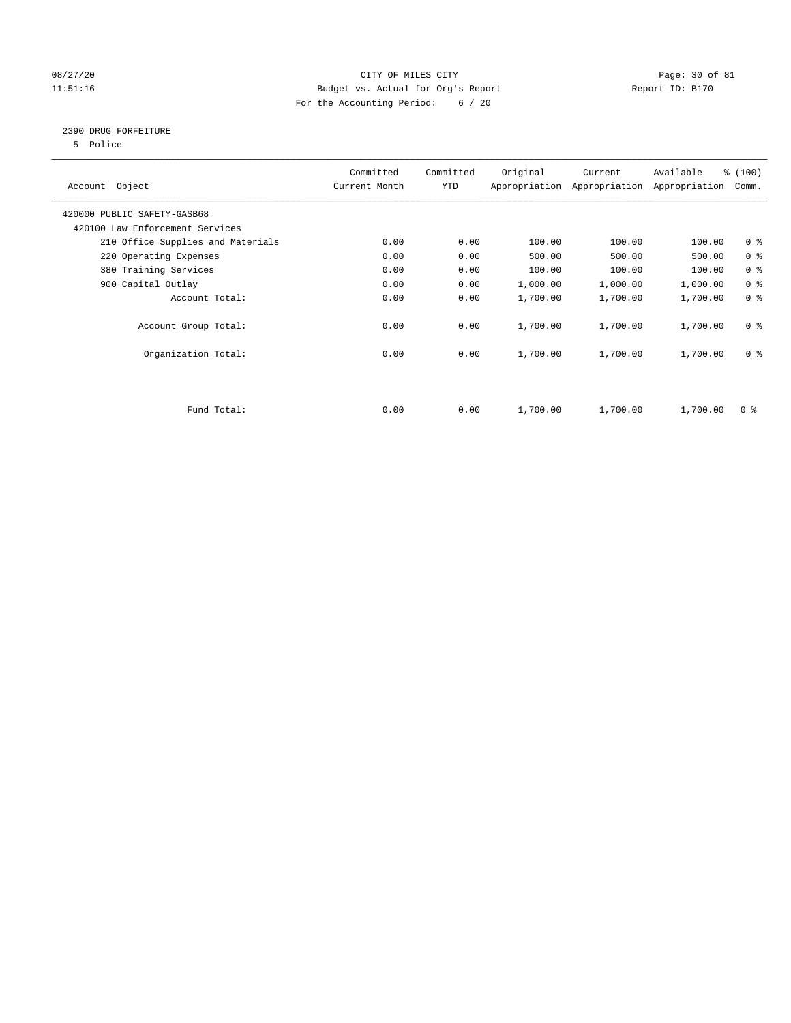# 08/27/20 Page: 30 of 81 11:51:16 Budget vs. Actual for Org's Report Changer Report ID: B170 For the Accounting Period: 6 / 20

# 2390 DRUG FORFEITURE

5 Police

| Account Object                    | Committed<br>Current Month | Committed<br>YTD | Original | Current<br>Appropriation Appropriation | Available<br>Appropriation | % (100)<br>Comm. |
|-----------------------------------|----------------------------|------------------|----------|----------------------------------------|----------------------------|------------------|
| 420000 PUBLIC SAFETY-GASB68       |                            |                  |          |                                        |                            |                  |
| 420100 Law Enforcement Services   |                            |                  |          |                                        |                            |                  |
| 210 Office Supplies and Materials | 0.00                       | 0.00             | 100.00   | 100.00                                 | 100.00                     | 0 <sub>8</sub>   |
| 220 Operating Expenses            | 0.00                       | 0.00             | 500.00   | 500.00                                 | 500.00                     | 0 <sup>8</sup>   |
| 380 Training Services             | 0.00                       | 0.00             | 100.00   | 100.00                                 | 100.00                     | 0 <sup>8</sup>   |
| 900 Capital Outlay                | 0.00                       | 0.00             | 1,000.00 | 1,000.00                               | 1,000.00                   | 0 <sup>8</sup>   |
| Account Total:                    | 0.00                       | 0.00             | 1,700.00 | 1,700.00                               | 1,700.00                   | 0 <sup>8</sup>   |
| Account Group Total:              | 0.00                       | 0.00             | 1,700.00 | 1,700.00                               | 1,700.00                   | 0 <sup>8</sup>   |
| Organization Total:               | 0.00                       | 0.00             | 1,700.00 | 1,700.00                               | 1,700.00                   | 0 <sup>8</sup>   |
|                                   |                            |                  |          |                                        |                            |                  |
| Fund Total:                       | 0.00                       | 0.00             | 1,700.00 | 1,700.00                               | 1,700.00                   | 0 %              |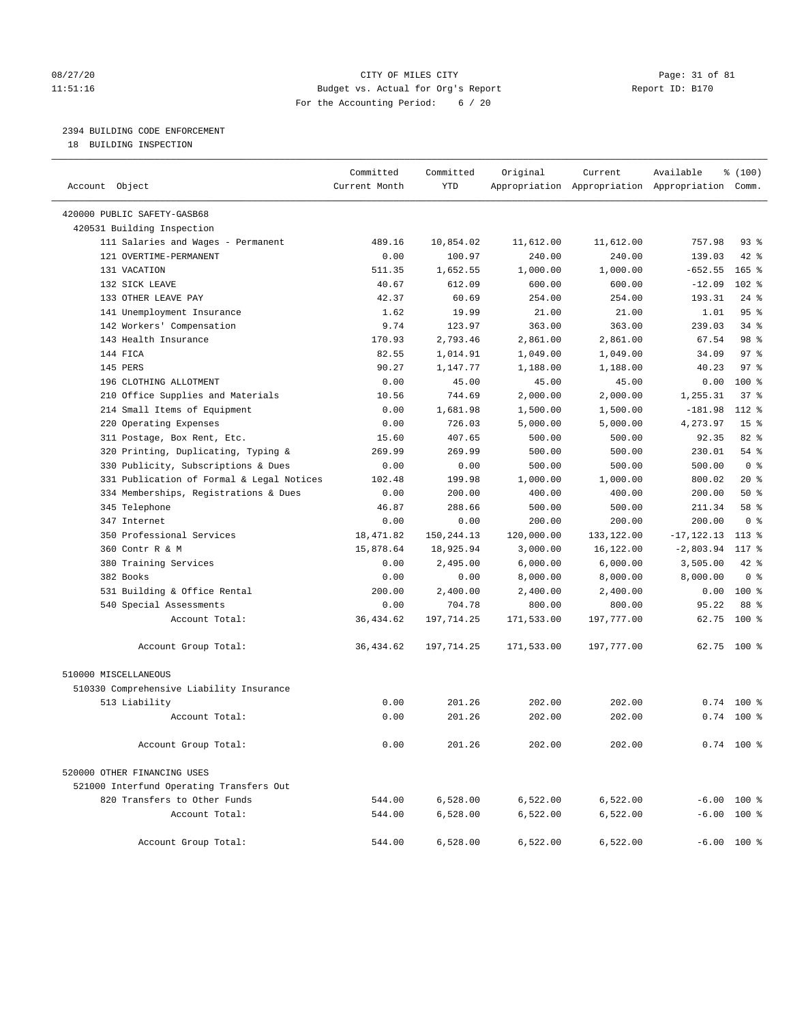# 08/27/20 Page: 31 of 81 11:51:16 Budget vs. Actual for Org's Report Report ID: B170 For the Accounting Period: 6 / 20

# 2394 BUILDING CODE ENFORCEMENT

18 BUILDING INSPECTION

| Account Object                            | Committed<br>Current Month | Committed<br><b>YTD</b> | Original   | Current    | Available<br>Appropriation Appropriation Appropriation Comm. | % (100)         |  |
|-------------------------------------------|----------------------------|-------------------------|------------|------------|--------------------------------------------------------------|-----------------|--|
| 420000 PUBLIC SAFETY-GASB68               |                            |                         |            |            |                                                              |                 |  |
| 420531 Building Inspection                |                            |                         |            |            |                                                              |                 |  |
| 111 Salaries and Wages - Permanent        | 489.16                     | 10,854.02               | 11,612.00  | 11,612.00  | 757.98                                                       | $93$ $%$        |  |
| 121 OVERTIME-PERMANENT                    | 0.00                       | 100.97                  | 240.00     | 240.00     | 139.03                                                       | 42 %            |  |
| 131 VACATION                              | 511.35                     | 1,652.55                | 1,000.00   | 1,000.00   | $-652.55$                                                    | $165$ %         |  |
| 132 SICK LEAVE                            | 40.67                      | 612.09                  | 600.00     | 600.00     | $-12.09$                                                     | $102$ %         |  |
| 133 OTHER LEAVE PAY                       | 42.37                      | 60.69                   | 254.00     | 254.00     | 193.31                                                       | $24$ %          |  |
| 141 Unemployment Insurance                | 1.62                       | 19.99                   | 21.00      | 21.00      | 1.01                                                         | 95%             |  |
| 142 Workers' Compensation                 | 9.74                       | 123.97                  | 363.00     | 363.00     | 239.03                                                       | 34%             |  |
| 143 Health Insurance                      | 170.93                     | 2,793.46                | 2,861.00   | 2,861.00   | 67.54                                                        | 98 %            |  |
| 144 FICA                                  | 82.55                      | 1,014.91                | 1,049.00   | 1,049.00   | 34.09                                                        | 97 <sup>8</sup> |  |
| 145 PERS                                  | 90.27                      | 1,147.77                | 1,188.00   | 1,188.00   | 40.23                                                        | 97 <sub>8</sub> |  |
| 196 CLOTHING ALLOTMENT                    | 0.00                       | 45.00                   | 45.00      | 45.00      | 0.00                                                         | 100%            |  |
| 210 Office Supplies and Materials         | 10.56                      | 744.69                  | 2,000.00   | 2,000.00   | 1,255.31                                                     | 37%             |  |
| 214 Small Items of Equipment              | 0.00                       | 1,681.98                | 1,500.00   | 1,500.00   | $-181.98$                                                    | 112 %           |  |
| 220 Operating Expenses                    | 0.00                       | 726.03                  | 5,000.00   | 5,000.00   | 4,273.97                                                     | 15 <sup>8</sup> |  |
| 311 Postage, Box Rent, Etc.               | 15.60                      | 407.65                  | 500.00     | 500.00     | 92.35                                                        | 82%             |  |
| 320 Printing, Duplicating, Typing &       | 269.99                     | 269.99                  | 500.00     | 500.00     | 230.01                                                       | 54 %            |  |
| 330 Publicity, Subscriptions & Dues       | 0.00                       | 0.00                    | 500.00     | 500.00     | 500.00                                                       | 0 <sup>8</sup>  |  |
| 331 Publication of Formal & Legal Notices | 102.48                     | 199.98                  | 1,000.00   | 1,000.00   | 800.02                                                       | $20*$           |  |
| 334 Memberships, Registrations & Dues     | 0.00                       | 200.00                  | 400.00     | 400.00     | 200.00                                                       | 50%             |  |
| 345 Telephone                             | 46.87                      | 288.66                  | 500.00     | 500.00     | 211.34                                                       | 58 %            |  |
| 347 Internet                              | 0.00                       | 0.00                    | 200.00     | 200.00     | 200.00                                                       | 0 <sup>8</sup>  |  |
| 350 Professional Services                 | 18,471.82                  | 150,244.13              | 120,000.00 | 133,122.00 | $-17, 122.13$                                                | $113*$          |  |
| 360 Contr R & M                           | 15,878.64                  | 18,925.94               | 3,000.00   | 16,122.00  | $-2,803.94$                                                  | 117 %           |  |
| 380 Training Services                     | 0.00                       | 2,495.00                | 6,000.00   | 6,000.00   | 3,505.00                                                     | 42 %            |  |
| 382 Books                                 | 0.00                       | 0.00                    | 8,000.00   | 8,000.00   | 8,000.00                                                     | 0 <sup>8</sup>  |  |
| 531 Building & Office Rental              | 200.00                     | 2,400.00                | 2,400.00   | 2,400.00   | 0.00                                                         | 100%            |  |
| 540 Special Assessments                   | 0.00                       | 704.78                  | 800.00     | 800.00     | 95.22                                                        | 88 %            |  |
| Account Total:                            | 36, 434.62                 | 197,714.25              | 171,533.00 | 197,777.00 | 62.75                                                        | 100%            |  |
| Account Group Total:                      | 36, 434.62                 | 197,714.25              | 171,533.00 | 197,777.00 | 62.75 100 %                                                  |                 |  |
| 510000 MISCELLANEOUS                      |                            |                         |            |            |                                                              |                 |  |
| 510330 Comprehensive Liability Insurance  |                            |                         |            |            |                                                              |                 |  |
| 513 Liability                             | 0.00                       | 201.26                  | 202.00     | 202.00     | 0.74                                                         | $100*$          |  |
| Account Total:                            | 0.00                       | 201.26                  | 202.00     | 202.00     |                                                              | $0.74$ 100 %    |  |
| Account Group Total:                      | 0.00                       | 201.26                  | 202.00     | 202.00     |                                                              | $0.74$ 100 %    |  |
| 520000 OTHER FINANCING USES               |                            |                         |            |            |                                                              |                 |  |
| 521000 Interfund Operating Transfers Out  |                            |                         |            |            |                                                              |                 |  |
| 820 Transfers to Other Funds              | 544.00                     | 6,528.00                | 6,522.00   | 6,522.00   | $-6.00$ 100 %                                                |                 |  |
| Account Total:                            | 544.00                     | 6,528.00                | 6,522.00   | 6,522.00   | $-6.00$ 100 %                                                |                 |  |
| Account Group Total:                      | 544.00                     | 6,528.00                | 6,522.00   | 6,522.00   | $-6.00$ 100 %                                                |                 |  |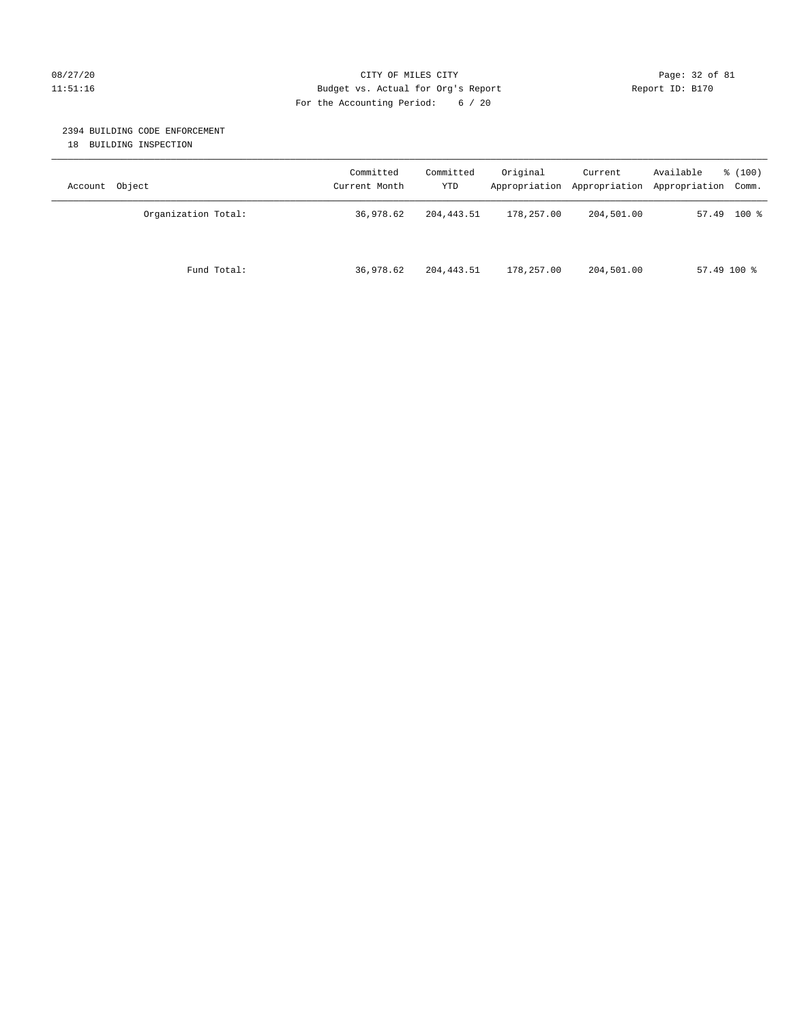# 08/27/20 Page: 32 of 81 11:51:16 Budget vs. Actual for Org's Report Report ID: B170 For the Accounting Period: 6 / 20

# 2394 BUILDING CODE ENFORCEMENT

18 BUILDING INSPECTION

| Account Object      | Committed<br>Current Month | Committed<br>YTD | Original   | Current<br>Appropriation Appropriation | Available<br>% (100)<br>Appropriation Comm. |
|---------------------|----------------------------|------------------|------------|----------------------------------------|---------------------------------------------|
| Organization Total: | 36,978.62                  | 204, 443.51      | 178,257.00 | 204,501.00                             | $57.49$ 100 %                               |
| Fund Total:         | 36,978.62                  | 204, 443.51      | 178,257.00 | 204,501.00                             | $57.49100$ %                                |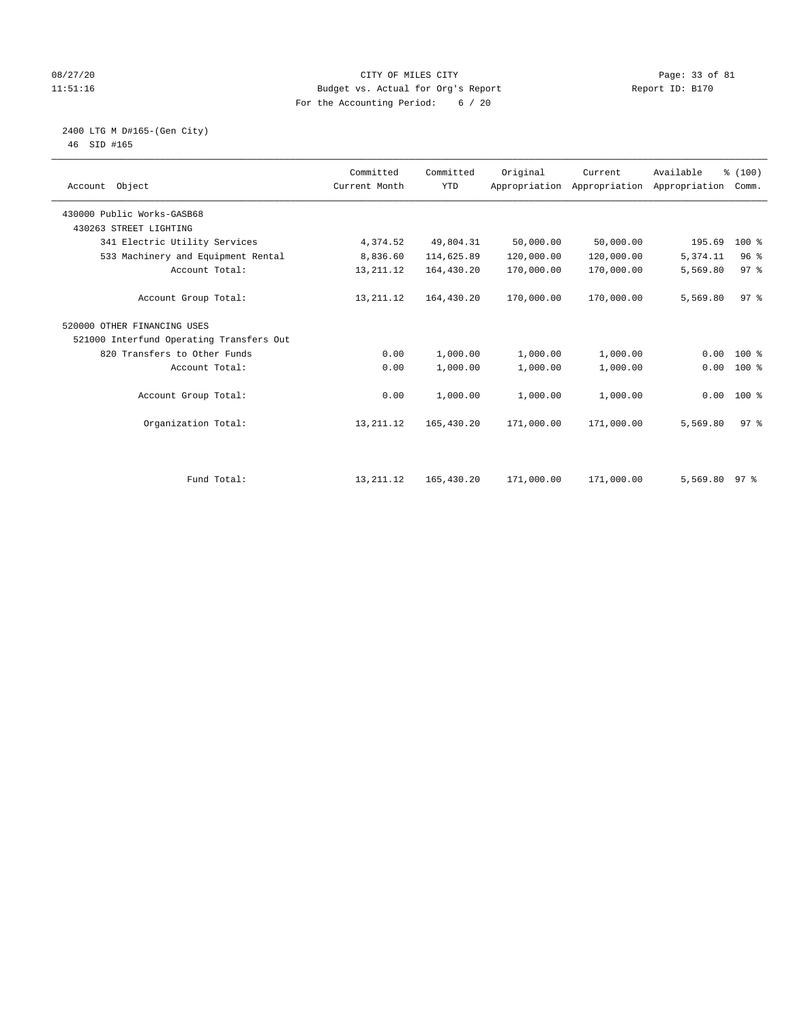# 08/27/20 Page: 33 of 81 11:51:16 Budget vs. Actual for Org's Report Report ID: B170 For the Accounting Period: 6 / 20

## 2400 LTG M D#165-(Gen City) 46 SID #165

| Account Object                           | Committed<br>Current Month | Committed<br><b>YTD</b> | Original   | Current<br>Appropriation Appropriation | Available<br>Appropriation | % (100)<br>Comm. |  |
|------------------------------------------|----------------------------|-------------------------|------------|----------------------------------------|----------------------------|------------------|--|
| 430000 Public Works-GASB68               |                            |                         |            |                                        |                            |                  |  |
| 430263 STREET LIGHTING                   |                            |                         |            |                                        |                            |                  |  |
| 341 Electric Utility Services            | 4,374.52                   | 49,804.31               | 50,000.00  | 50,000.00                              | 195.69                     | $100*$           |  |
| 533 Machinery and Equipment Rental       | 8,836.60                   | 114,625.89              | 120,000.00 | 120,000.00                             | 5,374.11                   | 96%              |  |
| Account Total:                           | 13, 211. 12                | 164,430.20              | 170,000.00 | 170,000.00                             | 5,569.80                   | 97 <sup>°</sup>  |  |
| Account Group Total:                     | 13, 211. 12                | 164,430.20              | 170,000.00 | 170,000.00                             | 5,569.80                   | 97 <sup>8</sup>  |  |
| 520000 OTHER FINANCING USES              |                            |                         |            |                                        |                            |                  |  |
| 521000 Interfund Operating Transfers Out |                            |                         |            |                                        |                            |                  |  |
| 820 Transfers to Other Funds             | 0.00                       | 1,000.00                | 1,000.00   | 1,000.00                               | 0.00                       | $100*$           |  |
| Account Total:                           | 0.00                       | 1,000.00                | 1,000.00   | 1,000.00                               | 0.00                       | $100*$           |  |
| Account Group Total:                     | 0.00                       | 1,000.00                | 1,000.00   | 1,000.00                               | 0.00                       | 100 %            |  |
| Organization Total:                      | 13, 211. 12                | 165,430.20              | 171,000.00 | 171,000.00                             | 5,569.80                   | 97 <sup>8</sup>  |  |
| Fund Total:                              | 13, 211. 12                | 165,430.20              | 171,000.00 | 171,000.00                             |                            |                  |  |
|                                          |                            |                         |            |                                        | 5,569.80 97 %              |                  |  |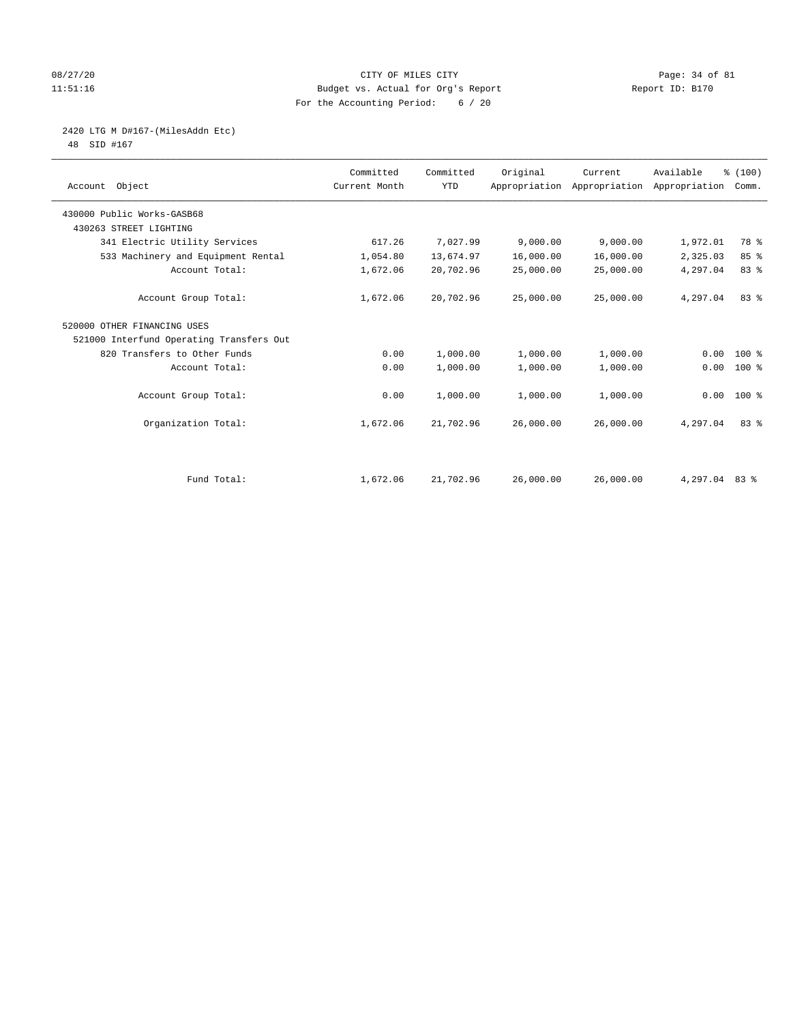# 08/27/20 Page: 34 of 81 11:51:16 Budget vs. Actual for Org's Report Report ID: B170 For the Accounting Period: 6 / 20

# 2420 LTG M D#167-(MilesAddn Etc)

48 SID #167

| Account Object                           | Committed<br>Current Month | Committed<br><b>YTD</b> | Original  | Current<br>Appropriation Appropriation | Available<br>Appropriation | % (100)<br>Comm. |  |
|------------------------------------------|----------------------------|-------------------------|-----------|----------------------------------------|----------------------------|------------------|--|
| 430000 Public Works-GASB68               |                            |                         |           |                                        |                            |                  |  |
| 430263 STREET LIGHTING                   |                            |                         |           |                                        |                            |                  |  |
| 341 Electric Utility Services            | 617.26                     | 7,027.99                | 9,000.00  | 9,000.00                               | 1,972.01                   | 78 %             |  |
| 533 Machinery and Equipment Rental       | 1,054.80                   | 13,674.97               | 16,000.00 | 16,000.00                              | 2,325.03                   | 85%              |  |
| Account Total:                           | 1,672.06                   | 20,702.96               | 25,000.00 | 25,000.00                              | 4,297.04                   | 83 %             |  |
| Account Group Total:                     | 1,672.06                   | 20,702.96               | 25,000.00 | 25,000.00                              | 4,297.04                   | 83%              |  |
| 520000 OTHER FINANCING USES              |                            |                         |           |                                        |                            |                  |  |
| 521000 Interfund Operating Transfers Out |                            |                         |           |                                        |                            |                  |  |
| 820 Transfers to Other Funds             | 0.00                       | 1,000.00                | 1,000.00  | 1,000.00                               | 0.00                       | 100 %            |  |
| Account Total:                           | 0.00                       | 1,000.00                | 1,000.00  | 1,000.00                               | 0.00                       | 100 %            |  |
| Account Group Total:                     | 0.00                       | 1,000.00                | 1,000.00  | 1,000.00                               |                            | $0.00 100$ %     |  |
| Organization Total:                      | 1,672.06                   | 21,702.96               | 26,000.00 | 26,000.00                              | 4,297.04                   | 83%              |  |
|                                          |                            |                         |           |                                        |                            |                  |  |
| Fund Total:                              | 1,672.06                   | 21,702.96               | 26,000.00 | 26,000.00                              | 4,297.04 83 %              |                  |  |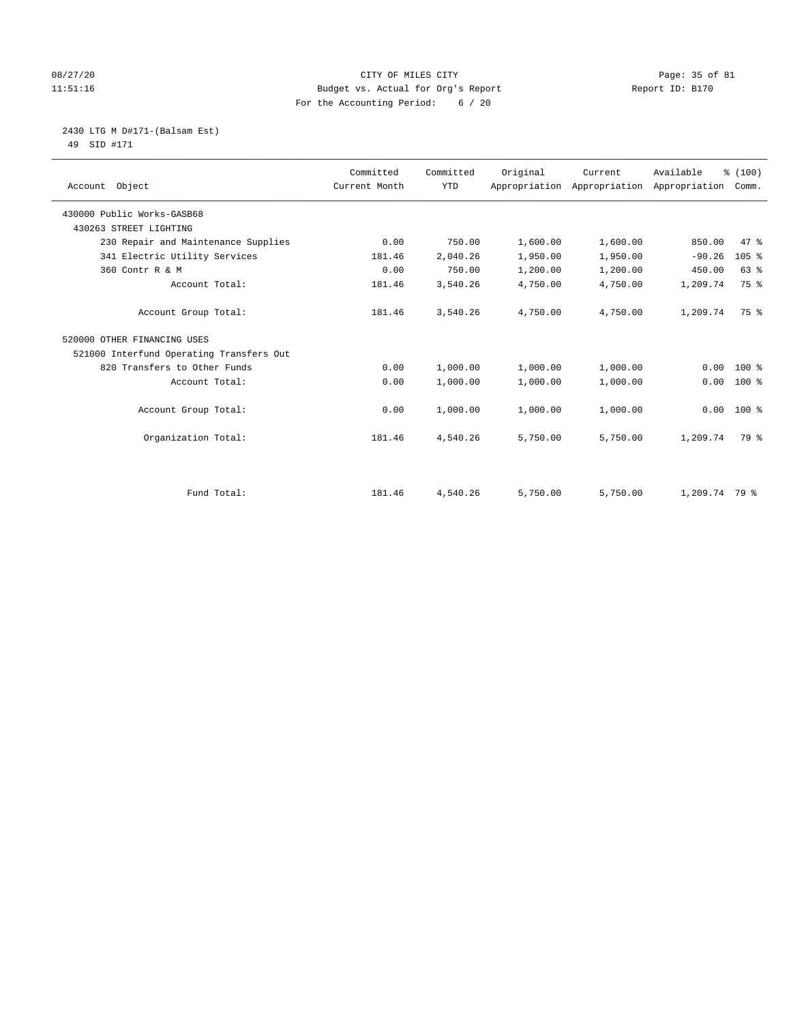# 08/27/20 Page: 35 of 81 11:51:16 Budget vs. Actual for Org's Report Report ID: B170 For the Accounting Period: 6 / 20

 2430 LTG M D#171-(Balsam Est) 49 SID #171

| Account Object                           | Committed<br>Current Month | Committed<br><b>YTD</b> | Original | Current  | Available<br>Appropriation Appropriation Appropriation Comm. | % (100) |
|------------------------------------------|----------------------------|-------------------------|----------|----------|--------------------------------------------------------------|---------|
| 430000 Public Works-GASB68               |                            |                         |          |          |                                                              |         |
| 430263 STREET LIGHTING                   |                            |                         |          |          |                                                              |         |
| 230 Repair and Maintenance Supplies      | 0.00                       | 750.00                  | 1,600.00 | 1,600.00 | 850.00                                                       | 47 %    |
| 341 Electric Utility Services            | 181.46                     | 2,040.26                | 1,950.00 | 1,950.00 | $-90.26$                                                     | $105$ % |
| 360 Contr R & M                          | 0.00                       | 750.00                  | 1,200.00 | 1,200.00 | 450.00                                                       | 63%     |
| Account Total:                           | 181.46                     | 3,540.26                | 4,750.00 | 4,750.00 | 1,209.74                                                     | 75 %    |
| Account Group Total:                     | 181.46                     | 3,540.26                | 4,750.00 | 4,750.00 | 1,209.74                                                     | 75 %    |
| 520000 OTHER FINANCING USES              |                            |                         |          |          |                                                              |         |
| 521000 Interfund Operating Transfers Out |                            |                         |          |          |                                                              |         |
| 820 Transfers to Other Funds             | 0.00                       | 1,000.00                | 1,000.00 | 1,000.00 | 0.00                                                         | $100*$  |
| Account Total:                           | 0.00                       | 1,000.00                | 1,000.00 | 1,000.00 | 0.00                                                         | $100*$  |
| Account Group Total:                     | 0.00                       | 1,000.00                | 1,000.00 | 1,000.00 | 0.00                                                         | $100*$  |
| Organization Total:                      | 181.46                     | 4,540.26                | 5,750.00 | 5,750.00 | 1,209.74                                                     | 79 %    |
|                                          |                            |                         |          |          |                                                              |         |
| Fund Total:                              | 181.46                     | 4,540.26                | 5,750.00 | 5,750.00 | 1,209.74 79 %                                                |         |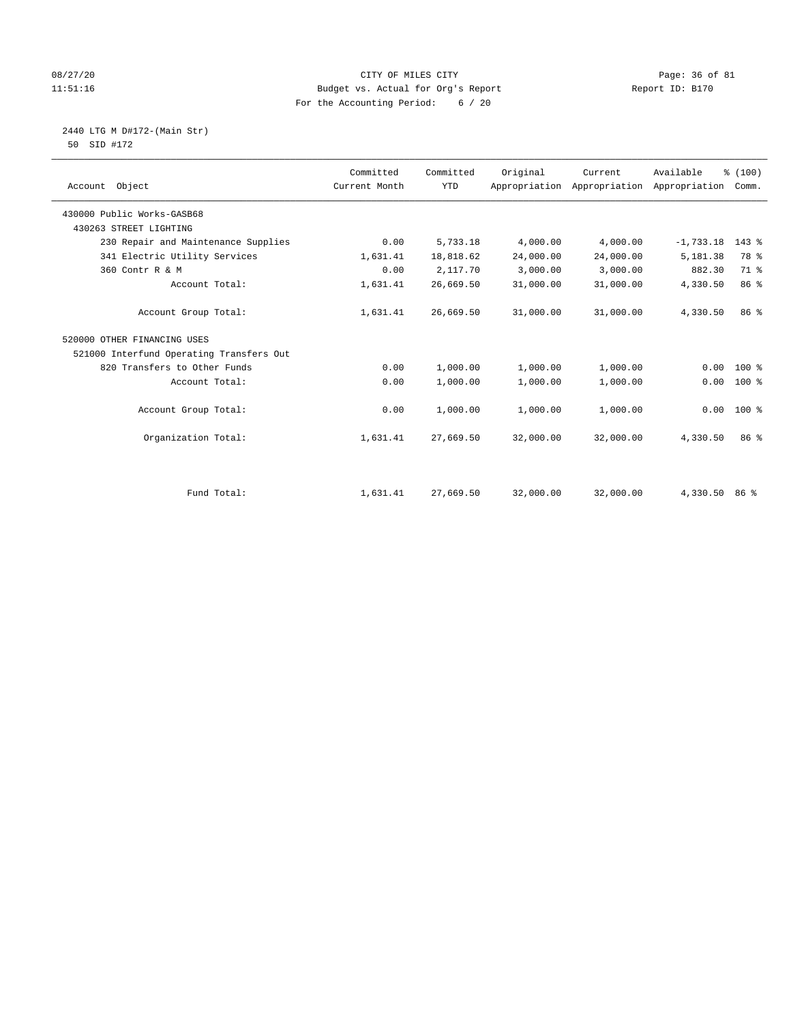# 08/27/20 Page: 36 of 81 11:51:16 Budget vs. Actual for Org's Report Report ID: B170 For the Accounting Period: 6 / 20

 2440 LTG M D#172-(Main Str) 50 SID #172

| Account Object                           | Committed<br>Current Month | Committed<br><b>YTD</b> | Original  | Current<br>Appropriation Appropriation | Available<br>Appropriation | % (100)<br>Comm. |
|------------------------------------------|----------------------------|-------------------------|-----------|----------------------------------------|----------------------------|------------------|
| 430000 Public Works-GASB68               |                            |                         |           |                                        |                            |                  |
| 430263 STREET LIGHTING                   |                            |                         |           |                                        |                            |                  |
| 230 Repair and Maintenance Supplies      | 0.00                       | 5,733.18                | 4,000.00  | 4,000.00                               | $-1,733.18$                | $143$ %          |
| 341 Electric Utility Services            | 1,631.41                   | 18,818.62               | 24,000.00 | 24,000.00                              | 5,181.38                   | 78 %             |
| 360 Contr R & M                          | 0.00                       | 2,117.70                | 3,000.00  | 3,000.00                               | 882.30                     | 71 %             |
| Account Total:                           | 1,631.41                   | 26,669.50               | 31,000.00 | 31,000.00                              | 4,330.50                   | 86 %             |
| Account Group Total:                     | 1,631.41                   | 26,669.50               | 31,000.00 | 31,000.00                              | 4,330.50                   | 86 %             |
| 520000 OTHER FINANCING USES              |                            |                         |           |                                        |                            |                  |
| 521000 Interfund Operating Transfers Out |                            |                         |           |                                        |                            |                  |
| 820 Transfers to Other Funds             | 0.00                       | 1,000.00                | 1,000.00  | 1,000.00                               | 0.00                       | $100*$           |
| Account Total:                           | 0.00                       | 1,000.00                | 1,000.00  | 1,000.00                               | 0.00                       | 100 %            |
| Account Group Total:                     | 0.00                       | 1,000.00                | 1,000.00  | 1,000.00                               | 0.00                       | 100 %            |
| Organization Total:                      | 1,631.41                   | 27,669.50               | 32,000.00 | 32,000.00                              | 4,330.50                   | 86 %             |
|                                          |                            |                         |           |                                        |                            |                  |
| Fund Total:                              | 1,631.41                   | 27,669.50               | 32,000.00 | 32,000.00                              | 4,330.50 86 %              |                  |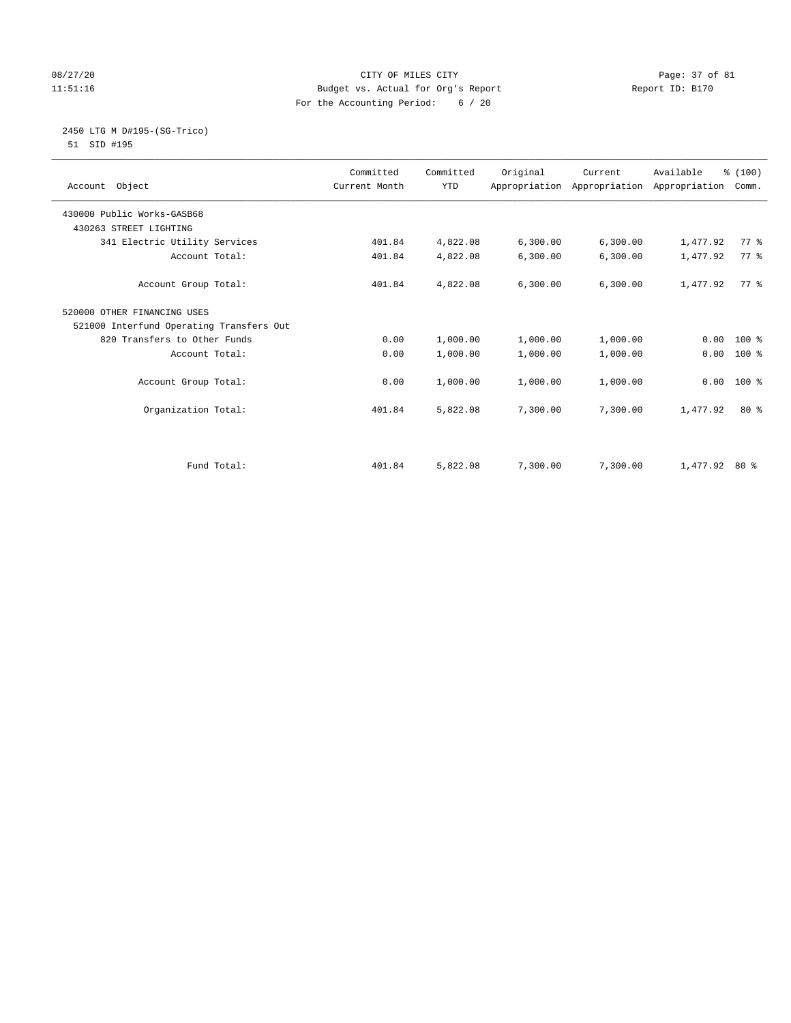# 08/27/20 Page: 37 of 81 11:51:16 Budget vs. Actual for Org's Report Report ID: B170 For the Accounting Period: 6 / 20

#### 2450 LTG M D#195-(SG-Trico) 51 SID #195

|                                          | Committed     | Committed  | Original | Current   | Available                                 | % (100) |  |
|------------------------------------------|---------------|------------|----------|-----------|-------------------------------------------|---------|--|
| Account Object                           | Current Month | <b>YTD</b> |          |           | Appropriation Appropriation Appropriation | Comm.   |  |
|                                          |               |            |          |           |                                           |         |  |
| 430000 Public Works-GASB68               |               |            |          |           |                                           |         |  |
| 430263 STREET LIGHTING                   |               |            |          |           |                                           |         |  |
| 341 Electric Utility Services            | 401.84        | 4,822.08   | 6,300.00 | 6,300.00  | 1,477.92                                  | 77.8    |  |
| Account Total:                           | 401.84        | 4,822.08   | 6,300.00 | 6, 300.00 | 1,477.92                                  | 77.8    |  |
| Account Group Total:                     | 401.84        | 4,822.08   | 6,300.00 | 6, 300.00 | 1,477.92                                  | 77 %    |  |
| 520000 OTHER FINANCING USES              |               |            |          |           |                                           |         |  |
| 521000 Interfund Operating Transfers Out |               |            |          |           |                                           |         |  |
| 820 Transfers to Other Funds             | 0.00          | 1,000.00   | 1,000.00 | 1,000.00  | 0.00                                      | $100*$  |  |
| Account Total:                           | 0.00          | 1,000.00   | 1,000.00 | 1,000.00  | 0.00                                      | $100*$  |  |
|                                          |               |            |          |           |                                           |         |  |
| Account Group Total:                     | 0.00          | 1,000.00   | 1,000.00 | 1,000.00  | 0.00                                      | $100*$  |  |
| Organization Total:                      | 401.84        | 5,822.08   | 7,300.00 | 7,300.00  | 1,477.92                                  | $80*$   |  |
|                                          |               |            |          |           |                                           |         |  |
|                                          |               |            |          |           |                                           |         |  |
| Fund Total:                              | 401.84        | 5,822.08   | 7,300.00 | 7,300.00  | $1,477.92$ 80 %                           |         |  |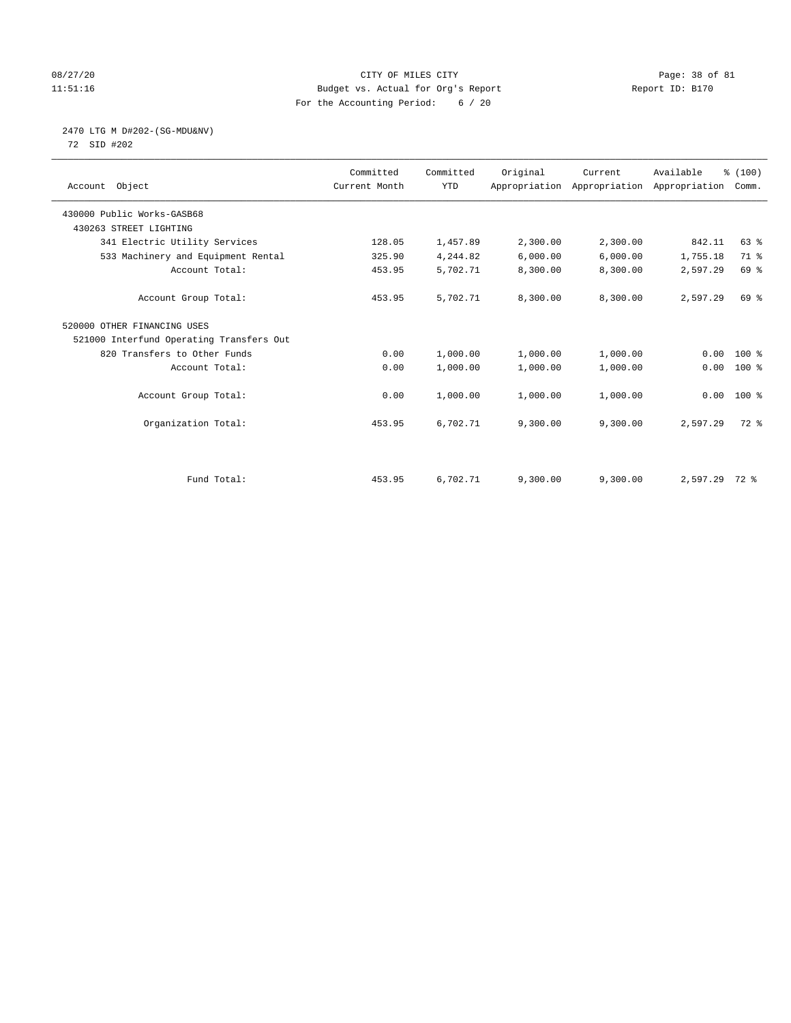# 08/27/20 Page: 38 of 81 11:51:16 Budget vs. Actual for Org's Report Report ID: B170 For the Accounting Period: 6 / 20

# 2470 LTG M D#202-(SG-MDU&NV)

72 SID #202

| Account Object                           | Committed<br>Current Month | Committed<br><b>YTD</b> | Original | Current<br>Appropriation Appropriation Appropriation | Available     | % (100)<br>Comm. |  |
|------------------------------------------|----------------------------|-------------------------|----------|------------------------------------------------------|---------------|------------------|--|
| 430000 Public Works-GASB68               |                            |                         |          |                                                      |               |                  |  |
| 430263 STREET LIGHTING                   |                            |                         |          |                                                      |               |                  |  |
| 341 Electric Utility Services            | 128.05                     | 1,457.89                | 2,300.00 | 2,300.00                                             | 842.11        | $63$ $%$         |  |
| 533 Machinery and Equipment Rental       | 325.90                     | 4,244.82                | 6,000.00 | 6,000.00                                             | 1,755.18      | 71 %             |  |
| Account Total:                           | 453.95                     | 5,702.71                | 8,300.00 | 8,300.00                                             | 2,597.29      | 69 %             |  |
| Account Group Total:                     | 453.95                     | 5,702.71                | 8,300.00 | 8,300.00                                             | 2,597.29      | 69 %             |  |
| 520000 OTHER FINANCING USES              |                            |                         |          |                                                      |               |                  |  |
| 521000 Interfund Operating Transfers Out |                            |                         |          |                                                      |               |                  |  |
| 820 Transfers to Other Funds             | 0.00                       | 1,000.00                | 1,000.00 | 1,000.00                                             | 0.00          | 100 %            |  |
| Account Total:                           | 0.00                       | 1,000.00                | 1,000.00 | 1,000.00                                             | 0.00          | $100$ %          |  |
| Account Group Total:                     | 0.00                       | 1,000.00                | 1,000.00 | 1,000.00                                             | 0.00          | $100*$           |  |
| Organization Total:                      | 453.95                     | 6,702.71                | 9,300.00 | 9,300.00                                             | 2,597.29      | 72 %             |  |
|                                          |                            |                         |          |                                                      |               |                  |  |
| Fund Total:                              | 453.95                     | 6,702.71                | 9,300.00 | 9,300.00                                             | 2,597.29 72 % |                  |  |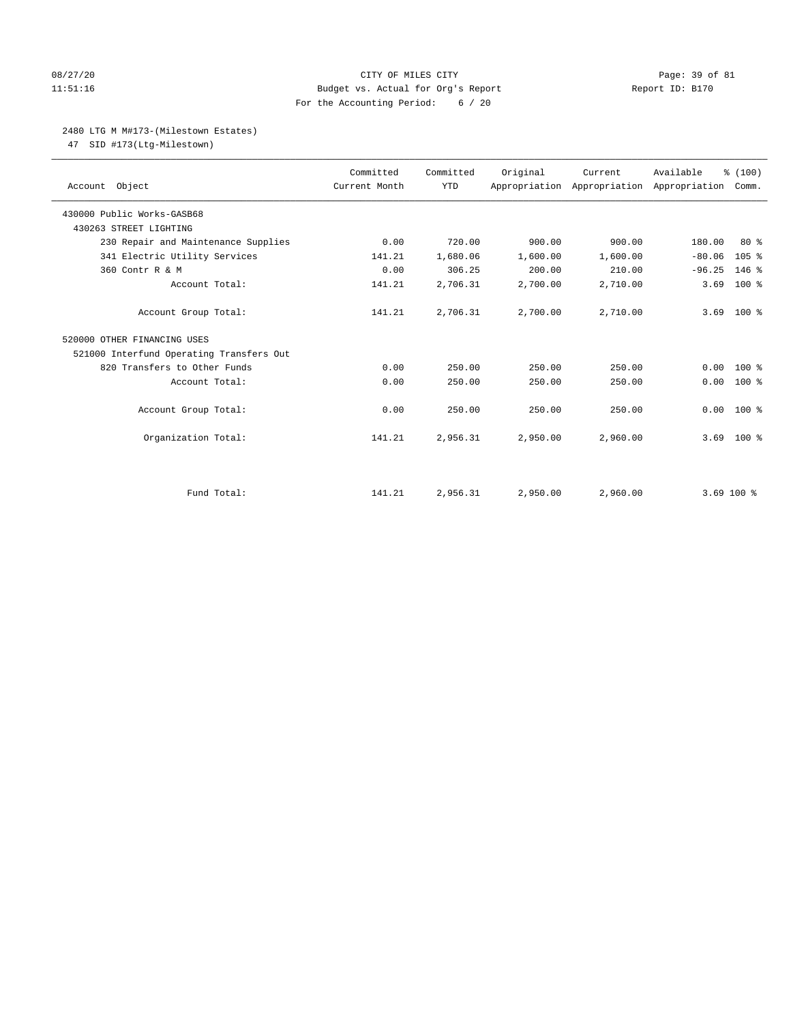# 08/27/20 Page: 39 of 81 11:51:16 Budget vs. Actual for Org's Report Report ID: B170 For the Accounting Period: 6 / 20

### 2480 LTG M M#173-(Milestown Estates)

47 SID #173(Ltg-Milestown)

| Account Object                           | Committed<br>Current Month | Committed<br><b>YTD</b> | Original | Current  | Available<br>Appropriation Appropriation Appropriation | % (100)<br>Comm. |
|------------------------------------------|----------------------------|-------------------------|----------|----------|--------------------------------------------------------|------------------|
| 430000 Public Works-GASB68               |                            |                         |          |          |                                                        |                  |
| 430263 STREET LIGHTING                   |                            |                         |          |          |                                                        |                  |
| 230 Repair and Maintenance Supplies      | 0.00                       | 720.00                  | 900.00   | 900.00   | 180.00                                                 | 80%              |
| 341 Electric Utility Services            | 141.21                     | 1,680.06                | 1,600.00 | 1,600.00 | $-80.06$                                               | 105 %            |
| 360 Contr R & M                          | 0.00                       | 306.25                  | 200.00   | 210.00   | $-96.25$                                               | $146$ %          |
| Account Total:                           | 141.21                     | 2,706.31                | 2,700.00 | 2,710.00 | 3.69                                                   | $100$ %          |
| Account Group Total:                     | 141.21                     | 2,706.31                | 2,700.00 | 2,710.00 | 3.69                                                   | $100*$           |
| 520000 OTHER FINANCING USES              |                            |                         |          |          |                                                        |                  |
| 521000 Interfund Operating Transfers Out |                            |                         |          |          |                                                        |                  |
| 820 Transfers to Other Funds             | 0.00                       | 250.00                  | 250.00   | 250.00   | 0.00                                                   | $100*$           |
| Account Total:                           | 0.00                       | 250.00                  | 250.00   | 250.00   | 0.00                                                   | 100 %            |
| Account Group Total:                     | 0.00                       | 250.00                  | 250.00   | 250.00   | 0.00                                                   | 100 %            |
| Organization Total:                      | 141.21                     | 2,956.31                | 2,950.00 | 2,960.00 | 3.69                                                   | $100*$           |
|                                          |                            |                         |          |          |                                                        |                  |
| Fund Total:                              | 141.21                     | 2,956.31                | 2,950.00 | 2,960.00 | $3.69$ 100 %                                           |                  |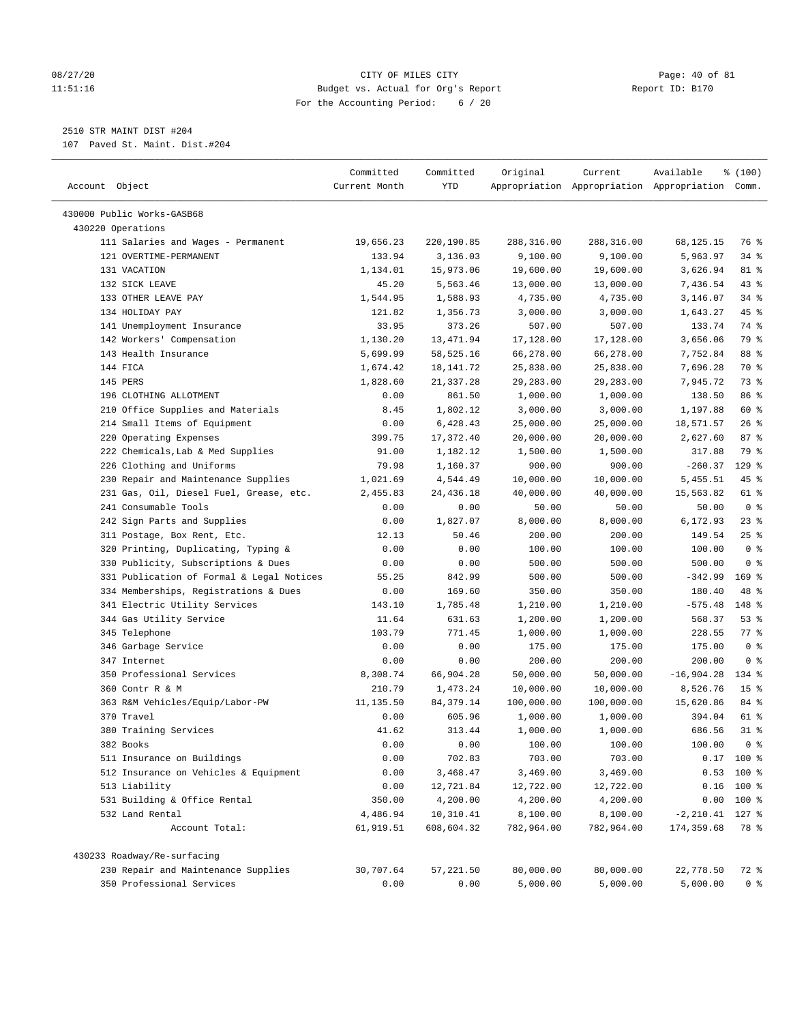#### 08/27/20 Page: 40 of 81 11:51:16 Budget vs. Actual for Org's Report Report ID: B170 For the Accounting Period: 6 / 20

————————————————————————————————————————————————————————————————————————————————————————————————————————————————————————————————————

# 2510 STR MAINT DIST #204

107 Paved St. Maint. Dist.#204

|                                                              | Committed           | Committed              | Original               | Current                | Available                                       | % (100)         |  |
|--------------------------------------------------------------|---------------------|------------------------|------------------------|------------------------|-------------------------------------------------|-----------------|--|
| Account Object                                               | Current Month       | YTD                    |                        |                        | Appropriation Appropriation Appropriation Comm. |                 |  |
|                                                              |                     |                        |                        |                        |                                                 |                 |  |
| 430000 Public Works-GASB68                                   |                     |                        |                        |                        |                                                 |                 |  |
| 430220 Operations                                            |                     |                        |                        |                        |                                                 | 76 %            |  |
| 111 Salaries and Wages - Permanent<br>121 OVERTIME-PERMANENT | 19,656.23<br>133.94 | 220,190.85<br>3,136.03 | 288,316.00<br>9,100.00 | 288,316.00<br>9,100.00 | 68,125.15<br>5,963.97                           | $34$ $%$        |  |
| 131 VACATION                                                 | 1,134.01            | 15,973.06              | 19,600.00              | 19,600.00              | 3,626.94                                        | 81 %            |  |
| 132 SICK LEAVE                                               | 45.20               | 5,563.46               | 13,000.00              | 13,000.00              | 7,436.54                                        | 43 %            |  |
| 133 OTHER LEAVE PAY                                          | 1,544.95            | 1,588.93               | 4,735.00               | 4,735.00               | 3,146.07                                        | $34$ %          |  |
| 134 HOLIDAY PAY                                              | 121.82              | 1,356.73               | 3,000.00               | 3,000.00               | 1,643.27                                        | 45 %            |  |
| 141 Unemployment Insurance                                   | 33.95               | 373.26                 | 507.00                 | 507.00                 | 133.74                                          | 74 %            |  |
| 142 Workers' Compensation                                    | 1,130.20            | 13,471.94              | 17,128.00              | 17,128.00              | 3,656.06                                        | 79 %            |  |
| 143 Health Insurance                                         | 5,699.99            | 58,525.16              | 66,278.00              | 66,278.00              | 7,752.84                                        | 88 %            |  |
| 144 FICA                                                     | 1,674.42            | 18,141.72              | 25,838.00              | 25,838.00              | 7,696.28                                        | 70 %            |  |
| 145 PERS                                                     | 1,828.60            | 21,337.28              | 29,283.00              | 29,283.00              | 7,945.72                                        | 73 %            |  |
| 196 CLOTHING ALLOTMENT                                       | 0.00                | 861.50                 | 1,000.00               | 1,000.00               | 138.50                                          | 86 %            |  |
| 210 Office Supplies and Materials                            | 8.45                | 1,802.12               | 3,000.00               | 3,000.00               | 1,197.88                                        | 60 %            |  |
| 214 Small Items of Equipment                                 | 0.00                | 6,428.43               | 25,000.00              | 25,000.00              | 18,571.57                                       | $26$ %          |  |
| 220 Operating Expenses                                       | 399.75              | 17,372.40              | 20,000.00              | 20,000.00              | 2,627.60                                        | 87%             |  |
| 222 Chemicals, Lab & Med Supplies                            | 91.00               | 1,182.12               | 1,500.00               | 1,500.00               | 317.88                                          | 79 %            |  |
| 226 Clothing and Uniforms                                    | 79.98               | 1,160.37               | 900.00                 | 900.00                 | $-260.37$                                       | $129$ %         |  |
| 230 Repair and Maintenance Supplies                          | 1,021.69            | 4,544.49               | 10,000.00              | 10,000.00              | 5,455.51                                        | 45 %            |  |
| 231 Gas, Oil, Diesel Fuel, Grease, etc.                      | 2,455.83            | 24,436.18              | 40,000.00              | 40,000.00              | 15,563.82                                       | 61 %            |  |
| 241 Consumable Tools                                         | 0.00                | 0.00                   | 50.00                  | 50.00                  | 50.00                                           | 0 <sup>8</sup>  |  |
| 242 Sign Parts and Supplies                                  | 0.00                | 1,827.07               | 8,000.00               | 8,000.00               | 6,172.93                                        | $23$ $%$        |  |
| 311 Postage, Box Rent, Etc.                                  | 12.13               | 50.46                  | 200.00                 | 200.00                 | 149.54                                          | $25$ %          |  |
| 320 Printing, Duplicating, Typing &                          | 0.00                | 0.00                   | 100.00                 | 100.00                 | 100.00                                          | 0 <sup>8</sup>  |  |
| 330 Publicity, Subscriptions & Dues                          | 0.00                | 0.00                   | 500.00                 | 500.00                 | 500.00                                          | 0 <sup>8</sup>  |  |
| 331 Publication of Formal & Legal Notices                    | 55.25               | 842.99                 | 500.00                 | 500.00                 | $-342.99$                                       | $169$ %         |  |
| 334 Memberships, Registrations & Dues                        | 0.00                | 169.60                 | 350.00                 | 350.00                 | 180.40                                          | 48 %            |  |
| 341 Electric Utility Services                                | 143.10              | 1,785.48               | 1,210.00               | 1,210.00               | $-575.48$                                       | 148 %           |  |
| 344 Gas Utility Service                                      | 11.64               | 631.63                 | 1,200.00               | 1,200.00               | 568.37                                          | 53%             |  |
| 345 Telephone                                                | 103.79              | 771.45                 | 1,000.00               | 1,000.00               | 228.55                                          | 77.8            |  |
| 346 Garbage Service                                          | 0.00                | 0.00                   | 175.00                 | 175.00                 | 175.00                                          | 0 <sup>8</sup>  |  |
| 347 Internet                                                 | 0.00                | 0.00                   | 200.00                 | 200.00                 | 200.00                                          | 0 <sup>8</sup>  |  |
| 350 Professional Services                                    | 8,308.74            | 66,904.28              | 50,000.00              | 50,000.00              | $-16,904.28$                                    | 134 %           |  |
| 360 Contr R & M                                              | 210.79              | 1,473.24               | 10,000.00              | 10,000.00              | 8,526.76                                        | 15 <sup>°</sup> |  |
| 363 R&M Vehicles/Equip/Labor-PW                              | 11,135.50           | 84, 379. 14            | 100,000.00             | 100,000.00             | 15,620.86                                       | 84 %            |  |
| 370 Travel                                                   | 0.00                | 605.96                 | 1,000.00               | 1,000.00               | 394.04                                          | 61 %            |  |
| 380 Training Services                                        | 41.62               | 313.44                 | 1,000.00               | 1,000.00               | 686.56                                          | $31$ %          |  |
| 382 Books                                                    | 0.00                | 0.00                   | 100.00                 | 100.00                 | 100.00                                          | 0 <sup>8</sup>  |  |
| 511 Insurance on Buildings                                   | 0.00                | 702.83                 | 703.00                 | 703.00                 |                                                 | $0.17$ 100 %    |  |
| 512 Insurance on Vehicles & Equipment                        | 0.00                | 3,468.47               | 3,469.00               | 3,469.00               |                                                 | $0.53$ 100 %    |  |
| 513 Liability                                                | 0.00                | 12,721.84              | 12,722.00              | 12,722.00              |                                                 | $0.16$ 100 %    |  |
| 531 Building & Office Rental                                 | 350.00              | 4,200.00               | 4,200.00               | 4,200.00               |                                                 | $0.00 100$ %    |  |
| 532 Land Rental                                              | 4,486.94            | 10,310.41              | 8,100.00               | 8,100.00               | $-2, 210.41$ 127 %                              |                 |  |
| Account Total:                                               | 61,919.51           | 608,604.32             | 782,964.00             | 782,964.00             | 174,359.68                                      | 78 %            |  |
| 430233 Roadway/Re-surfacing                                  |                     |                        |                        |                        |                                                 |                 |  |
| 230 Repair and Maintenance Supplies                          | 30,707.64           | 57,221.50              | 80,000.00              | 80,000.00              | 22,778.50                                       | 72 %            |  |
| 350 Professional Services                                    | 0.00                | 0.00                   | 5,000.00               | 5,000.00               | 5,000.00                                        | 0 <sup>8</sup>  |  |
|                                                              |                     |                        |                        |                        |                                                 |                 |  |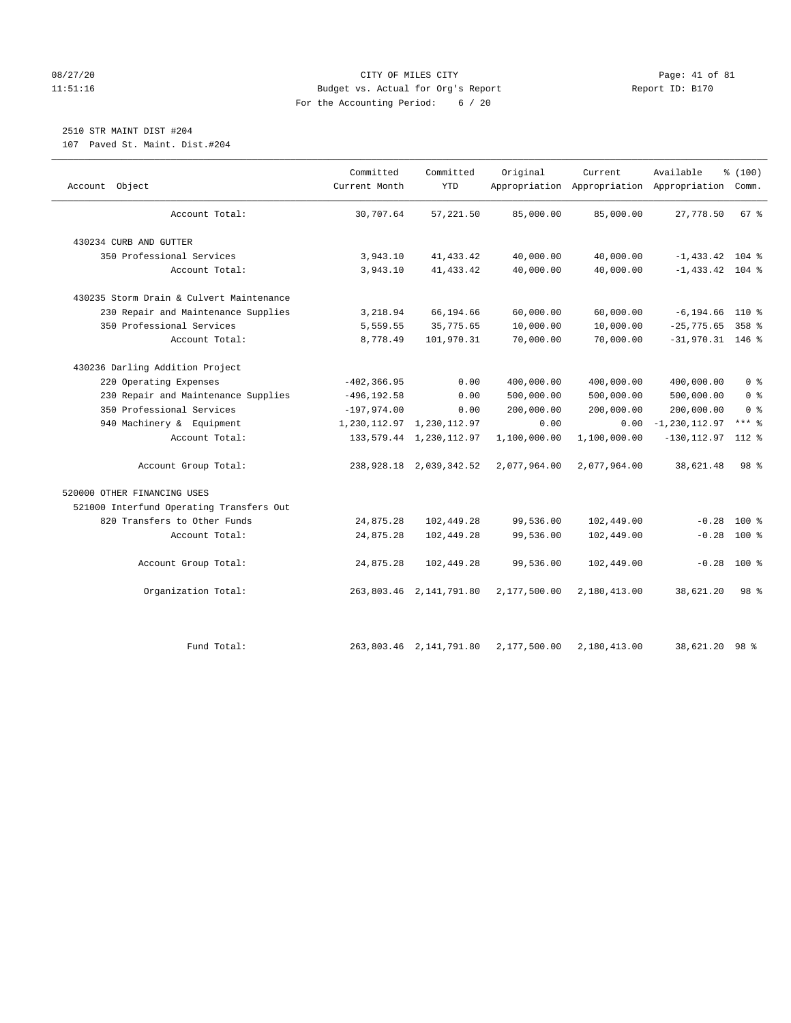# 08/27/20 Page: 41 of 81 11:51:16 Budget vs. Actual for Org's Report Report ID: B170 For the Accounting Period: 6 / 20

# 2510 STR MAINT DIST #204

107 Paved St. Maint. Dist.#204

| Account Object                           | Committed<br>Current Month | Committed<br><b>YTD</b>       | Original     | Current<br>Appropriation Appropriation Appropriation | Available          | % (100)<br>Comm. |  |
|------------------------------------------|----------------------------|-------------------------------|--------------|------------------------------------------------------|--------------------|------------------|--|
| Account Total:                           | 30,707.64                  | 57, 221, 50                   | 85,000.00    | 85,000.00                                            | 27,778.50          | $67$ $%$         |  |
| 430234 CURB AND GUTTER                   |                            |                               |              |                                                      |                    |                  |  |
| 350 Professional Services                | 3,943.10                   | 41, 433.42                    | 40,000.00    | 40,000.00                                            | $-1,433.42$ 104 %  |                  |  |
| Account Total:                           | 3,943.10                   | 41, 433.42                    | 40,000.00    | 40,000.00                                            | $-1,433.42$ 104 %  |                  |  |
| 430235 Storm Drain & Culvert Maintenance |                            |                               |              |                                                      |                    |                  |  |
| 230 Repair and Maintenance Supplies      | 3,218.94                   | 66,194.66                     | 60,000.00    | 60,000.00                                            | $-6, 194.66$ 110 % |                  |  |
| 350 Professional Services                | 5,559.55                   | 35,775.65                     | 10,000.00    | 10,000.00                                            | $-25,775.65$       | 358 %            |  |
| Account Total:                           | 8,778.49                   | 101,970.31                    | 70,000.00    | 70,000.00                                            | $-31,970.31$ 146 % |                  |  |
| 430236 Darling Addition Project          |                            |                               |              |                                                      |                    |                  |  |
| 220 Operating Expenses                   | $-402, 366.95$             | 0.00                          | 400,000.00   | 400,000.00                                           | 400,000.00         | 0 <sup>8</sup>   |  |
| 230 Repair and Maintenance Supplies      | $-496, 192.58$             | 0.00                          | 500,000.00   | 500,000.00                                           | 500,000.00         | 0 <sup>8</sup>   |  |
| 350 Professional Services                | $-197,974.00$              | 0.00                          | 200,000.00   | 200,000.00                                           | 200,000.00         | 0 <sup>8</sup>   |  |
| 940 Machinery & Equipment                |                            | 1, 230, 112.97 1, 230, 112.97 | 0.00         | 0.00                                                 | $-1, 230, 112.97$  | $***$ 2          |  |
| Account Total:                           |                            | 133, 579. 44 1, 230, 112. 97  | 1,100,000.00 | 1,100,000.00                                         | $-130, 112.97$     | $112*$           |  |
| Account Group Total:                     |                            | 238, 928.18 2, 039, 342.52    | 2,077,964.00 | 2,077,964.00                                         | 38,621.48          | 98 %             |  |
| 520000 OTHER FINANCING USES              |                            |                               |              |                                                      |                    |                  |  |
| 521000 Interfund Operating Transfers Out |                            |                               |              |                                                      |                    |                  |  |
| 820 Transfers to Other Funds             | 24,875.28                  | 102,449.28                    | 99,536.00    | 102,449.00                                           | $-0.28$            | $100*$           |  |
| Account Total:                           | 24,875.28                  | 102,449.28                    | 99,536.00    | 102,449.00                                           | $-0.28$            | $100*$           |  |
| Account Group Total:                     | 24,875.28                  | 102,449.28                    | 99,536.00    | 102,449.00                                           | $-0.28$            | $100*$           |  |
| Organization Total:                      |                            | 263,803.46 2,141,791.80       | 2,177,500.00 | 2,180,413.00                                         | 38,621.20          | 98 <sup>8</sup>  |  |
| Fund Total:                              |                            | 263,803.46 2,141,791.80       | 2,177,500.00 | 2,180,413.00                                         | 38,621.20 98 %     |                  |  |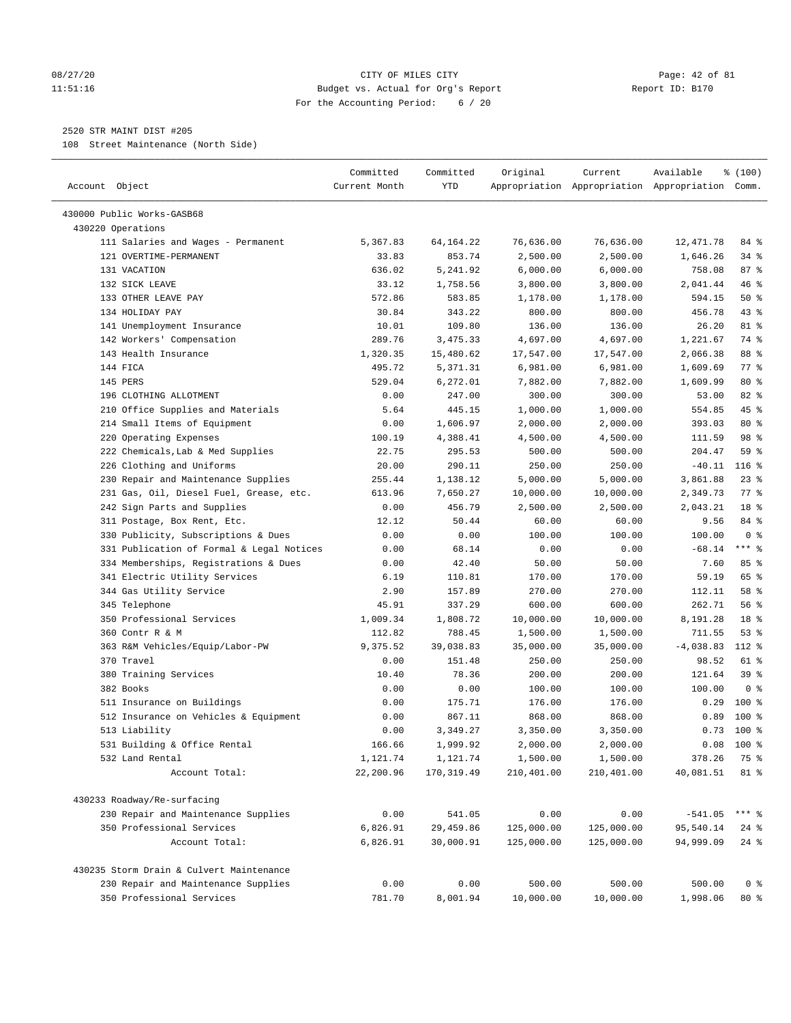### 08/27/20 Page: 42 of 81 11:51:16 Budget vs. Actual for Org's Report Report ID: B170 For the Accounting Period: 6 / 20

————————————————————————————————————————————————————————————————————————————————————————————————————————————————————————————————————

# 2520 STR MAINT DIST #205

108 Street Maintenance (North Side)

| Account Object                                                     | Committed<br>Current Month | Committed<br>YTD       | Original                 | Current    | Available<br>Appropriation Appropriation Appropriation Comm. | \$(100)            |  |
|--------------------------------------------------------------------|----------------------------|------------------------|--------------------------|------------|--------------------------------------------------------------|--------------------|--|
| 430000 Public Works-GASB68                                         |                            |                        |                          |            |                                                              |                    |  |
| 430220 Operations                                                  |                            |                        |                          |            |                                                              |                    |  |
| 111 Salaries and Wages - Permanent                                 | 5,367.83                   | 64, 164. 22            | 76,636.00                | 76,636.00  | 12,471.78                                                    | 84 %               |  |
| 121 OVERTIME-PERMANENT                                             | 33.83                      | 853.74                 | 2,500.00                 | 2,500.00   | 1,646.26                                                     | $34$ $%$           |  |
| 131 VACATION                                                       | 636.02                     | 5,241.92               | 6,000.00                 | 6,000.00   | 758.08                                                       | 87%                |  |
| 132 SICK LEAVE                                                     | 33.12                      | 1,758.56               | 3,800.00                 | 3,800.00   | 2,041.44                                                     | 46 %               |  |
| 133 OTHER LEAVE PAY                                                | 572.86                     | 583.85                 | 1,178.00                 | 1,178.00   | 594.15                                                       | 50%                |  |
| 134 HOLIDAY PAY                                                    | 30.84                      | 343.22                 | 800.00                   | 800.00     | 456.78                                                       | 43 %               |  |
| 141 Unemployment Insurance                                         | 10.01                      | 109.80                 | 136.00                   | 136.00     | 26.20                                                        | 81 %               |  |
| 142 Workers' Compensation                                          | 289.76                     | 3,475.33               | 4,697.00                 | 4,697.00   | 1,221.67                                                     | 74 %               |  |
| 143 Health Insurance                                               | 1,320.35                   | 15,480.62              | 17,547.00                | 17,547.00  | 2,066.38                                                     | 88 %               |  |
| 144 FICA                                                           | 495.72                     | 5,371.31               | 6,981.00                 | 6,981.00   | 1,609.69                                                     | $77$ $\frac{6}{9}$ |  |
| 145 PERS                                                           | 529.04                     | 6,272.01               | 7,882.00                 | 7,882.00   | 1,609.99                                                     | 80 %               |  |
| 196 CLOTHING ALLOTMENT                                             | 0.00                       | 247.00                 | 300.00                   | 300.00     | 53.00                                                        | $82$ $%$           |  |
| 210 Office Supplies and Materials                                  | 5.64                       | 445.15                 | 1,000.00                 | 1,000.00   | 554.85                                                       | 45 %               |  |
| 214 Small Items of Equipment                                       | 0.00                       | 1,606.97               | 2,000.00                 | 2,000.00   | 393.03                                                       | 80 %               |  |
| 220 Operating Expenses                                             | 100.19                     | 4,388.41               | 4,500.00                 | 4,500.00   | 111.59                                                       | 98 %               |  |
| 222 Chemicals, Lab & Med Supplies                                  | 22.75                      | 295.53                 | 500.00                   | 500.00     | 204.47                                                       | 59 %               |  |
| 226 Clothing and Uniforms                                          | 20.00                      | 290.11                 | 250.00                   | 250.00     | $-40.11$                                                     | $116$ %            |  |
| 230 Repair and Maintenance Supplies                                | 255.44                     | 1,138.12               | 5,000.00                 | 5,000.00   | 3,861.88                                                     | $23$ %             |  |
| 231 Gas, Oil, Diesel Fuel, Grease, etc.                            | 613.96                     | 7,650.27               | 10,000.00                | 10,000.00  | 2,349.73                                                     | 77 %               |  |
| 242 Sign Parts and Supplies                                        | 0.00                       | 456.79                 | 2,500.00                 | 2,500.00   | 2,043.21                                                     | 18 %               |  |
| 311 Postage, Box Rent, Etc.                                        | 12.12                      | 50.44                  | 60.00                    | 60.00      | 9.56                                                         | 84 %               |  |
| 330 Publicity, Subscriptions & Dues                                | 0.00                       | 0.00                   | 100.00                   | 100.00     | 100.00                                                       | 0 <sup>8</sup>     |  |
| 331 Publication of Formal & Legal Notices                          | 0.00                       | 68.14                  | 0.00                     | 0.00       | $-68.14$                                                     | $***$ 8            |  |
| 334 Memberships, Registrations & Dues                              | 0.00                       | 42.40                  | 50.00                    | 50.00      | 7.60                                                         | 85%                |  |
| 341 Electric Utility Services                                      | 6.19                       | 110.81                 | 170.00                   | 170.00     | 59.19                                                        | 65 %               |  |
| 344 Gas Utility Service                                            | 2.90                       | 157.89                 | 270.00                   | 270.00     | 112.11                                                       | 58 %               |  |
| 345 Telephone                                                      | 45.91                      | 337.29                 | 600.00                   | 600.00     | 262.71                                                       | 56%                |  |
| 350 Professional Services                                          | 1,009.34                   | 1,808.72               | 10,000.00                | 10,000.00  | 8,191.28                                                     | 18 <sup>°</sup>    |  |
| 360 Contr R & M                                                    | 112.82                     | 788.45                 | 1,500.00                 | 1,500.00   | 711.55                                                       | 53%                |  |
| 363 R&M Vehicles/Equip/Labor-PW                                    | 9,375.52                   | 39,038.83              | 35,000.00                | 35,000.00  | $-4,038.83$                                                  | 112 %              |  |
| 370 Travel                                                         | 0.00                       | 151.48                 | 250.00                   | 250.00     | 98.52                                                        | 61 %               |  |
| 380 Training Services                                              | 10.40                      | 78.36                  | 200.00                   | 200.00     | 121.64                                                       | 39%                |  |
| 382 Books                                                          | 0.00                       | 0.00                   | 100.00                   | 100.00     | 100.00                                                       | 0 <sup>8</sup>     |  |
| 511 Insurance on Buildings                                         | 0.00                       | 175.71                 | 176.00                   | 176.00     | 0.29                                                         | $100*$             |  |
| 512 Insurance on Vehicles & Equipment                              | 0.00                       | 867.11                 | 868.00                   | 868.00     | 0.89                                                         | $100*$             |  |
| 513 Liability                                                      | 0.00                       | 3,349.27               | 3,350.00                 | 3,350.00   | 0.73                                                         | $100$ %            |  |
| 531 Building & Office Rental                                       | 166.66                     | 1,999.92               | 2,000.00                 | 2,000.00   | 0.08                                                         | $100*$             |  |
| 532 Land Rental                                                    | 1,121.74                   | 1,121.74               | 1,500.00                 | 1,500.00   | 378.26                                                       | 75 %               |  |
| Account Total:                                                     | 22,200.96                  | 170, 319.49            | 210,401.00               | 210,401.00 | 40,081.51                                                    | 81 %               |  |
|                                                                    |                            |                        |                          |            |                                                              |                    |  |
| 430233 Roadway/Re-surfacing<br>230 Repair and Maintenance Supplies | 0.00                       | 541.05                 | 0.00                     | 0.00       | $-541.05$                                                    | *** 응              |  |
| 350 Professional Services                                          |                            |                        |                          | 125,000.00 |                                                              | $24$ %             |  |
| Account Total:                                                     | 6,826.91<br>6,826.91       | 29,459.86<br>30,000.91 | 125,000.00<br>125,000.00 | 125,000.00 | 95,540.14<br>94,999.09                                       | $24$ %             |  |
| 430235 Storm Drain & Culvert Maintenance                           |                            |                        |                          |            |                                                              |                    |  |
| 230 Repair and Maintenance Supplies                                | 0.00                       | 0.00                   | 500.00                   | 500.00     | 500.00                                                       | 0 <sup>8</sup>     |  |
| 350 Professional Services                                          | 781.70                     | 8,001.94               | 10,000.00                | 10,000.00  | 1,998.06                                                     | $80*$              |  |
|                                                                    |                            |                        |                          |            |                                                              |                    |  |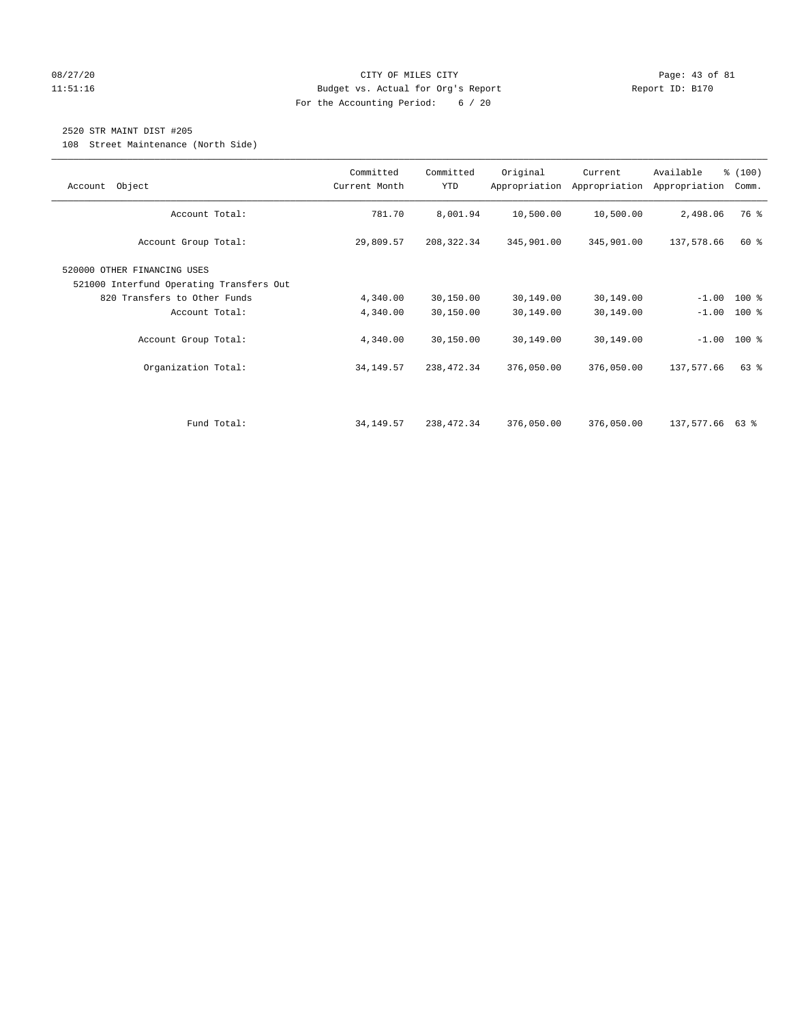# 08/27/20 Page: 43 of 81 11:51:16 Budget vs. Actual for Org's Report Report ID: B170 For the Accounting Period: 6 / 20

# 2520 STR MAINT DIST #205

108 Street Maintenance (North Side)

| Object<br>Account                                                       | Committed<br>Current Month | Committed<br>YTD | Original   | Current<br>Appropriation Appropriation | Available<br>Appropriation | % (100)<br>Comm. |
|-------------------------------------------------------------------------|----------------------------|------------------|------------|----------------------------------------|----------------------------|------------------|
| Account Total:                                                          | 781.70                     | 8,001.94         | 10,500.00  | 10,500.00                              | 2,498.06                   | 76 %             |
| Account Group Total:                                                    | 29,809.57                  | 208, 322.34      | 345,901.00 | 345,901.00                             | 137,578.66                 | 60 %             |
| 520000 OTHER FINANCING USES<br>521000 Interfund Operating Transfers Out |                            |                  |            |                                        |                            |                  |
| 820 Transfers to Other Funds                                            | 4,340.00                   | 30,150.00        | 30,149.00  | 30,149.00                              |                            | $-1.00$ 100 %    |
| Account Total:                                                          | 4,340.00                   | 30,150.00        | 30,149.00  | 30,149.00                              | $-1.00$                    | $100$ %          |
| Account Group Total:                                                    | 4,340.00                   | 30,150.00        | 30,149.00  | 30,149.00                              |                            | $-1.00$ 100 %    |
| Organization Total:                                                     | 34, 149. 57                | 238,472.34       | 376,050.00 | 376,050.00                             | 137,577.66                 | 63 %             |
|                                                                         |                            |                  |            |                                        |                            |                  |
| Fund Total:                                                             | 34,149.57                  | 238,472.34       | 376,050.00 | 376,050.00                             | 137,577.66 63 %            |                  |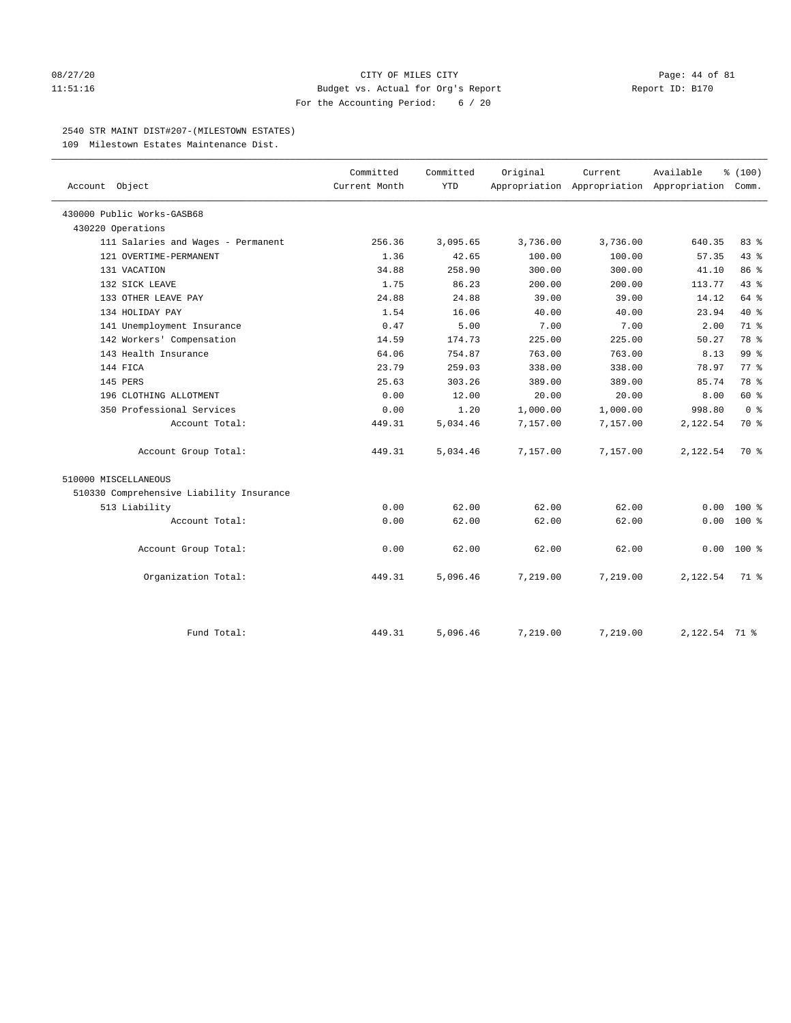## 08/27/20 Page: 44 of 81 11:51:16 Budget vs. Actual for Org's Report Report ID: B170 For the Accounting Period: 6 / 20

#### 2540 STR MAINT DIST#207-(MILESTOWN ESTATES)

109 Milestown Estates Maintenance Dist.

| Account Object                           | Committed<br>Current Month | Committed<br><b>YTD</b> | Original | Current<br>Appropriation Appropriation Appropriation Comm. | Available     | % (100)         |
|------------------------------------------|----------------------------|-------------------------|----------|------------------------------------------------------------|---------------|-----------------|
| 430000 Public Works-GASB68               |                            |                         |          |                                                            |               |                 |
| 430220 Operations                        |                            |                         |          |                                                            |               |                 |
| 111 Salaries and Wages - Permanent       | 256.36                     | 3,095.65                | 3,736.00 | 3,736.00                                                   | 640.35        | 83%             |
| 121 OVERTIME-PERMANENT                   | 1.36                       | 42.65                   | 100.00   | 100.00                                                     | 57.35         | 43 %            |
| 131 VACATION                             | 34.88                      | 258.90                  | 300.00   | 300.00                                                     | 41.10         | 86 %            |
| 132 SICK LEAVE                           | 1.75                       | 86.23                   | 200.00   | 200.00                                                     | 113.77        | 43.8            |
| 133 OTHER LEAVE PAY                      | 24.88                      | 24.88                   | 39.00    | 39.00                                                      | 14.12         | 64 %            |
| 134 HOLIDAY PAY                          | 1.54                       | 16.06                   | 40.00    | 40.00                                                      | 23.94         | 40 %            |
| 141 Unemployment Insurance               | 0.47                       | 5.00                    | 7.00     | 7.00                                                       | 2.00          | 71 %            |
| 142 Workers' Compensation                | 14.59                      | 174.73                  | 225.00   | 225.00                                                     | 50.27         | 78 %            |
| 143 Health Insurance                     | 64.06                      | 754.87                  | 763.00   | 763.00                                                     | 8.13          | 99 <sub>8</sub> |
| 144 FICA                                 | 23.79                      | 259.03                  | 338.00   | 338.00                                                     | 78.97         | $77*$           |
| 145 PERS                                 | 25.63                      | 303.26                  | 389.00   | 389.00                                                     | 85.74         | 78 %            |
| 196 CLOTHING ALLOTMENT                   | 0.00                       | 12.00                   | 20.00    | 20.00                                                      | 8.00          | 60 %            |
| 350 Professional Services                | 0.00                       | 1.20                    | 1,000.00 | 1,000.00                                                   | 998.80        | 0 <sup>8</sup>  |
| Account Total:                           | 449.31                     | 5,034.46                | 7,157.00 | 7,157.00                                                   | 2,122.54      | 70 %            |
| Account Group Total:                     | 449.31                     | 5,034.46                | 7,157.00 | 7,157.00                                                   | 2,122.54      | 70 %            |
| 510000 MISCELLANEOUS                     |                            |                         |          |                                                            |               |                 |
| 510330 Comprehensive Liability Insurance |                            |                         |          |                                                            |               |                 |
| 513 Liability                            | 0.00                       | 62.00                   | 62.00    | 62.00                                                      | 0.00          | $100*$          |
| Account Total:                           | 0.00                       | 62.00                   | 62.00    | 62.00                                                      | 0.00          | $100*$          |
| Account Group Total:                     | 0.00                       | 62.00                   | 62.00    | 62.00                                                      | 0.00          | $100*$          |
| Organization Total:                      | 449.31                     | 5,096.46                | 7,219.00 | 7,219.00                                                   | 2,122.54      | 71 %            |
| Fund Total:                              | 449.31                     | 5,096.46                | 7,219.00 | 7,219.00                                                   | 2,122.54 71 % |                 |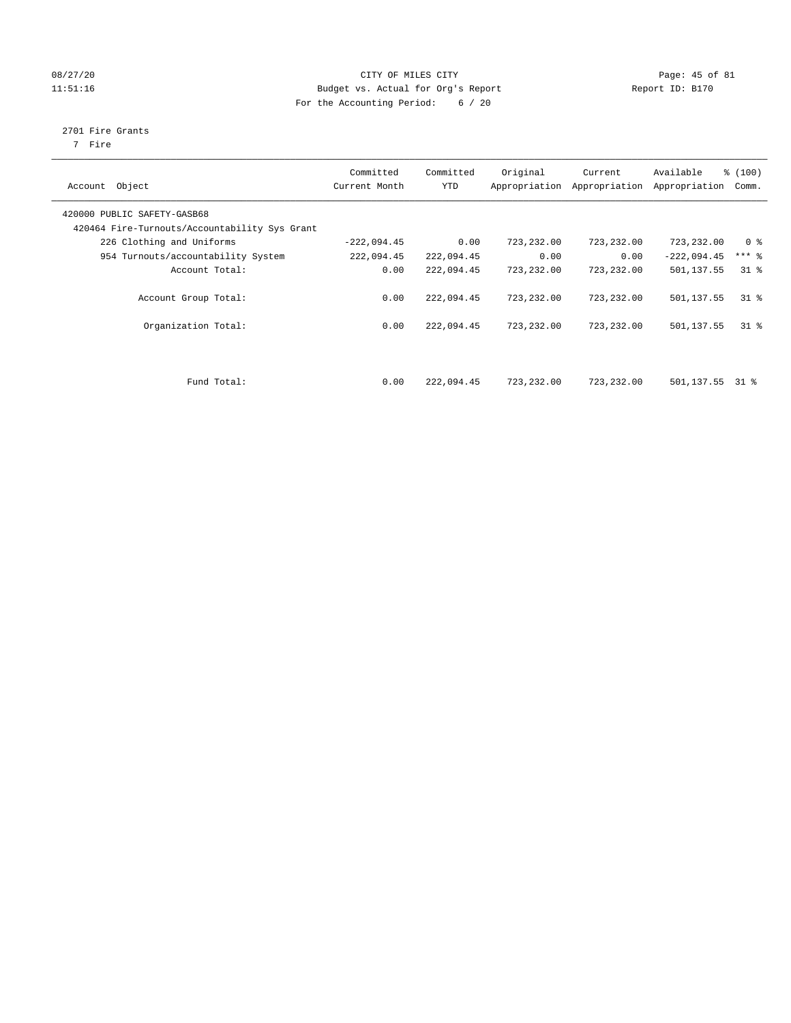# 08/27/20 Page: 45 of 81 11:51:16 Budget vs. Actual for Org's Report Report ID: B170 For the Accounting Period: 6 / 20

# 2701 Fire Grants

7 Fire

| Account Object                                | Committed<br>Current Month | Committed<br><b>YTD</b> | Original     | Current<br>Appropriation Appropriation | Available<br>Appropriation | % (100)<br>Comm. |
|-----------------------------------------------|----------------------------|-------------------------|--------------|----------------------------------------|----------------------------|------------------|
| 420000 PUBLIC SAFETY-GASB68                   |                            |                         |              |                                        |                            |                  |
| 420464 Fire-Turnouts/Accountability Sys Grant |                            |                         |              |                                        |                            |                  |
| 226 Clothing and Uniforms                     | $-222,094.45$              | 0.00                    | 723,232.00   | 723,232.00                             | 723,232.00                 | 0 <sup>8</sup>   |
| 954 Turnouts/accountability System            | 222,094.45                 | 222,094.45              | 0.00         | 0.00                                   | $-222,094.45$              | $***$ %          |
| Account Total:                                | 0.00                       | 222,094.45              | 723,232.00   | 723,232.00                             | 501,137.55                 | 318              |
| Account Group Total:                          | 0.00                       | 222,094.45              | 723, 232, 00 | 723,232.00                             | 501,137.55                 | $31*$            |
| Organization Total:                           | 0.00                       | 222,094.45              | 723,232.00   | 723,232.00                             | 501,137.55                 | 318              |
|                                               |                            |                         |              |                                        |                            |                  |
| Fund Total:                                   | 0.00                       | 222,094.45              | 723,232.00   | 723,232.00                             | 501,137.55                 | 31 %             |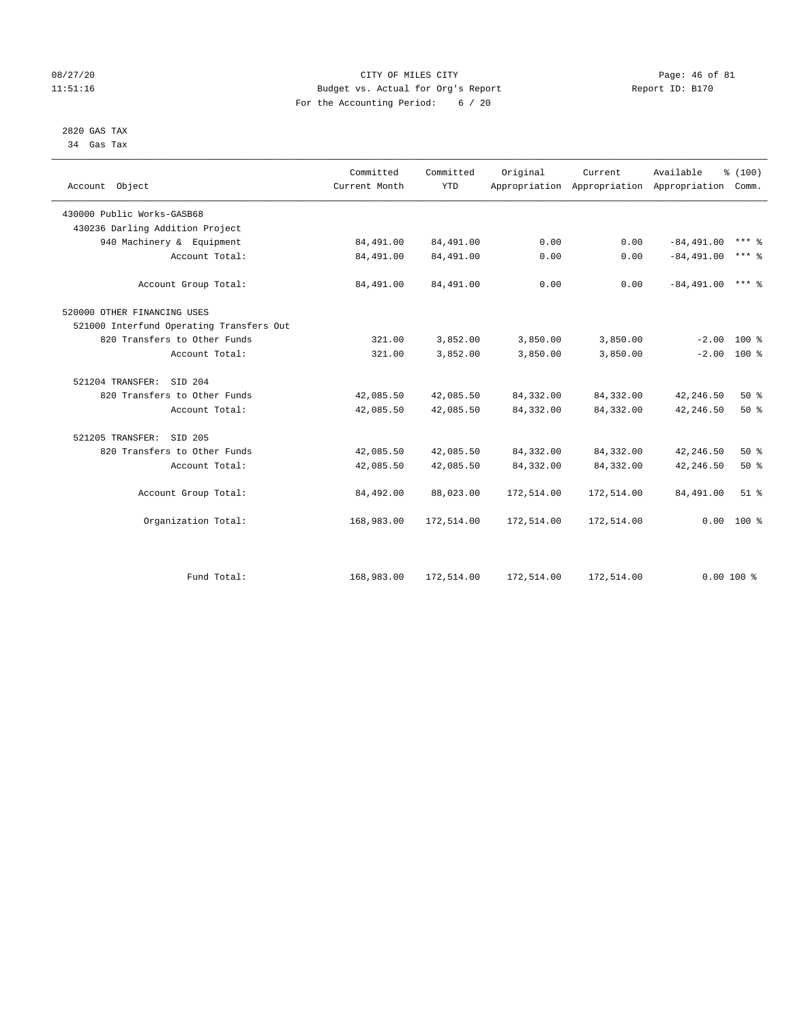# 08/27/20 Page: 46 of 81 11:51:16 Budget vs. Actual for Org's Report Report ID: B170 For the Accounting Period: 6 / 20

#### 2820 GAS TAX 34 Gas Tax

| Account Object                           | Committed<br>Current Month | Committed<br><b>YTD</b> | Original   | Current    | Available<br>Appropriation Appropriation Appropriation | % (100)<br>Comm.    |
|------------------------------------------|----------------------------|-------------------------|------------|------------|--------------------------------------------------------|---------------------|
| 430000 Public Works-GASB68               |                            |                         |            |            |                                                        |                     |
| 430236 Darling Addition Project          |                            |                         |            |            |                                                        |                     |
| 940 Machinery & Equipment                | 84,491.00                  | 84,491.00               | 0.00       | 0.00       | $-84, 491.00$                                          | $***$ $\frac{6}{5}$ |
| Account Total:                           | 84,491.00                  | 84,491.00               | 0.00       | 0.00       | $-84.491.00$                                           | $***$ 8             |
| Account Group Total:                     | 84,491.00                  | 84,491.00               | 0.00       | 0.00       | $-84.491.00$                                           | $***$ 2             |
| 520000 OTHER FINANCING USES              |                            |                         |            |            |                                                        |                     |
| 521000 Interfund Operating Transfers Out |                            |                         |            |            |                                                        |                     |
| 820 Transfers to Other Funds             | 321.00                     | 3,852.00                | 3,850.00   | 3,850.00   | $-2.00$                                                | $100*$              |
| Account Total:                           | 321.00                     | 3,852.00                | 3,850.00   | 3,850.00   |                                                        | $-2.00$ 100 %       |
| 521204 TRANSFER:<br>SID 204              |                            |                         |            |            |                                                        |                     |
| 820 Transfers to Other Funds             | 42,085.50                  | 42,085.50               | 84, 332.00 | 84,332.00  | 42,246.50                                              | 50%                 |
| Account Total:                           | 42,085.50                  | 42,085.50               | 84, 332.00 | 84,332.00  | 42,246.50                                              | 50%                 |
| 521205 TRANSFER:<br>SID 205              |                            |                         |            |            |                                                        |                     |
| 820 Transfers to Other Funds             | 42,085.50                  | 42,085.50               | 84, 332.00 | 84,332.00  | 42,246.50                                              | 50%                 |
| Account Total:                           | 42,085.50                  | 42,085.50               | 84, 332.00 | 84,332.00  | 42,246.50                                              | 50%                 |
| Account Group Total:                     | 84,492.00                  | 88,023.00               | 172,514.00 | 172,514.00 | 84,491.00                                              | $51$ %              |
| Organization Total:                      | 168,983.00                 | 172,514.00              | 172,514.00 | 172,514.00 |                                                        | $0.00 100$ %        |
|                                          |                            |                         |            |            |                                                        |                     |
| Fund Total:                              | 168,983.00                 | 172,514.00              | 172,514.00 | 172,514.00 |                                                        | $0.00100$ %         |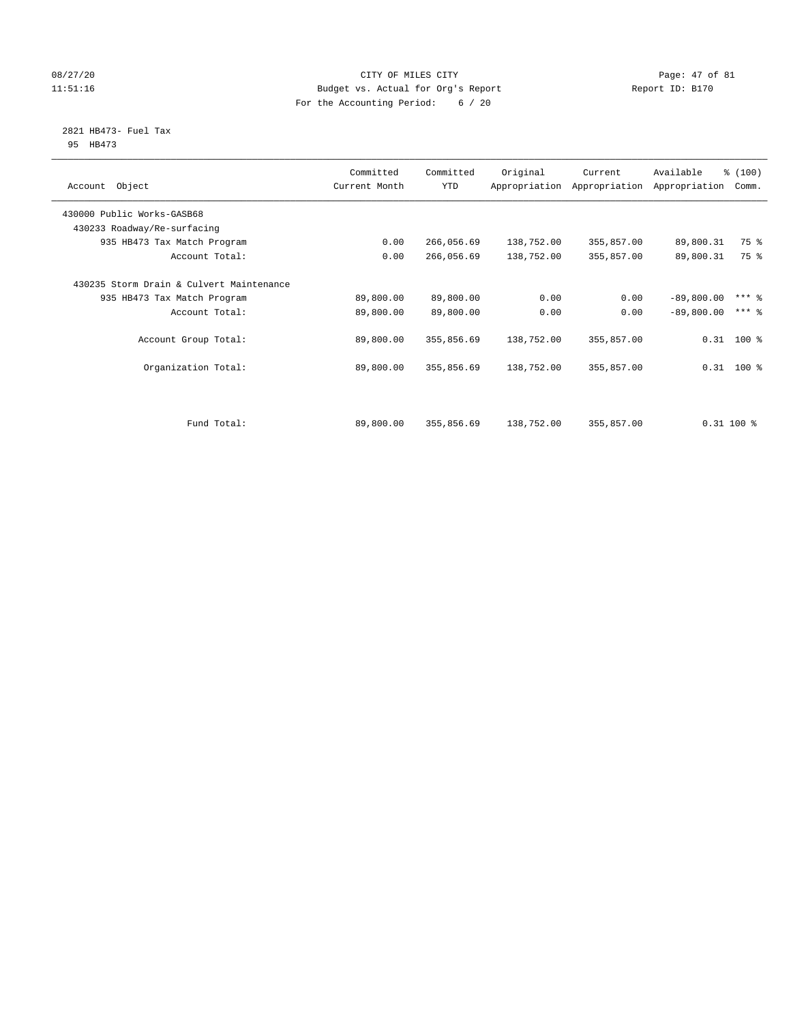# 08/27/20 Page: 47 of 81 11:51:16 Budget vs. Actual for Org's Report Report ID: B170 For the Accounting Period: 6 / 20

#### 2821 HB473- Fuel Tax 95 HB473

| Object<br>Account                        | Committed<br>Current Month | Committed<br>YTD | Original   | Current<br>Appropriation Appropriation | Available<br>Appropriation | % (100)<br>Comm. |
|------------------------------------------|----------------------------|------------------|------------|----------------------------------------|----------------------------|------------------|
| 430000 Public Works-GASB68               |                            |                  |            |                                        |                            |                  |
| 430233 Roadway/Re-surfacing              |                            |                  |            |                                        |                            |                  |
| 935 HB473 Tax Match Program              | 0.00                       | 266,056.69       | 138,752.00 | 355,857.00                             | 89,800.31                  | 75 %             |
| Account Total:                           | 0.00                       | 266,056.69       | 138,752.00 | 355,857.00                             | 89,800.31                  | 75 %             |
| 430235 Storm Drain & Culvert Maintenance |                            |                  |            |                                        |                            |                  |
| 935 HB473 Tax Match Program              | 89,800.00                  | 89,800.00        | 0.00       | 0.00                                   | $-89,800.00$               | $***$ 2          |
| Account Total:                           | 89,800.00                  | 89,800.00        | 0.00       | 0.00                                   | $-89,800.00$               | $***$ 2          |
| Account Group Total:                     | 89,800.00                  | 355,856.69       | 138,752.00 | 355,857.00                             | $0.31$ 100 %               |                  |
| Organization Total:                      | 89,800.00                  | 355,856.69       | 138,752.00 | 355,857.00                             | $0.31$ 100 %               |                  |
|                                          |                            |                  |            |                                        |                            |                  |
| Fund Total:                              | 89,800.00                  | 355,856.69       | 138,752.00 | 355,857.00                             | $0.31$ 100 %               |                  |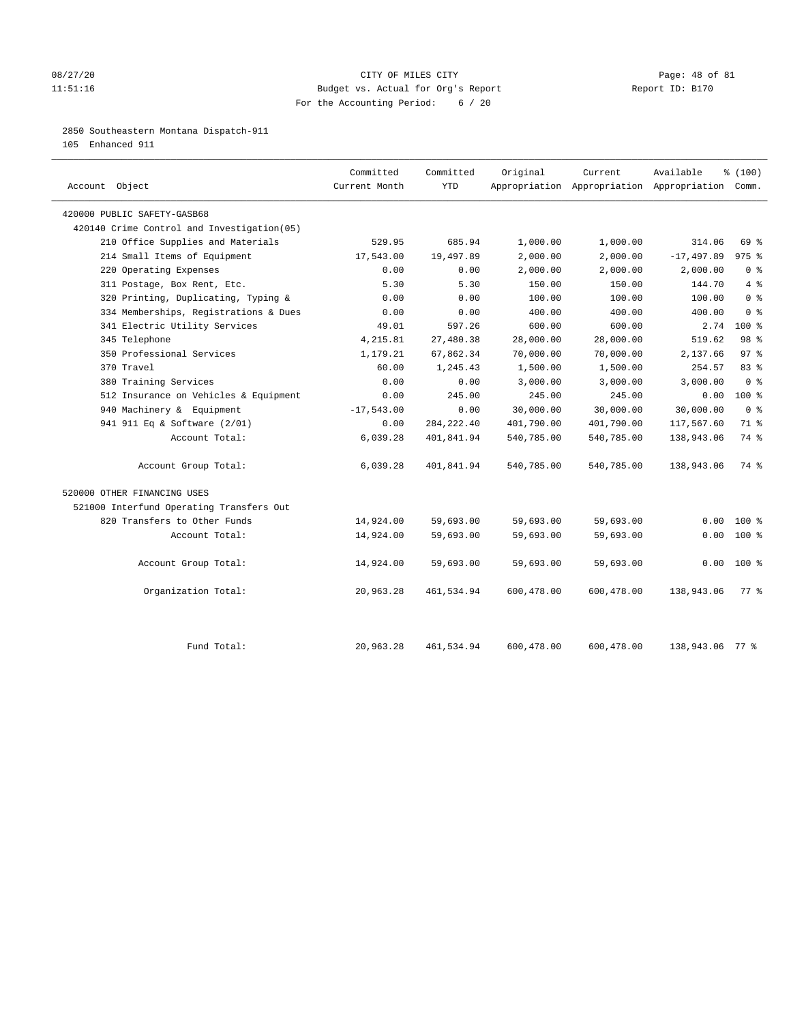### 08/27/20 Page: 48 of 81 11:51:16 Budget vs. Actual for Org's Report Report ID: B170 For the Accounting Period: 6 / 20

# 2850 Southeastern Montana Dispatch-911

105 Enhanced 911

| Account Object                             | Committed<br>Current Month | Committed<br><b>YTD</b> | Original   | Current    | Available<br>Appropriation Appropriation Appropriation Comm. | % (100)         |
|--------------------------------------------|----------------------------|-------------------------|------------|------------|--------------------------------------------------------------|-----------------|
| 420000 PUBLIC SAFETY-GASB68                |                            |                         |            |            |                                                              |                 |
| 420140 Crime Control and Investigation(05) |                            |                         |            |            |                                                              |                 |
| 210 Office Supplies and Materials          | 529.95                     | 685.94                  | 1,000.00   | 1,000.00   | 314.06                                                       | 69 %            |
| 214 Small Items of Equipment               | 17,543.00                  | 19,497.89               | 2,000.00   | 2,000.00   | $-17, 497.89$                                                | $975$ $%$       |
| 220 Operating Expenses                     | 0.00                       | 0.00                    | 2,000.00   | 2,000.00   | 2,000.00                                                     | 0 <sup>8</sup>  |
| 311 Postage, Box Rent, Etc.                | 5.30                       | 5.30                    | 150.00     | 150.00     | 144.70                                                       | 4%              |
| 320 Printing, Duplicating, Typing &        | 0.00                       | 0.00                    | 100.00     | 100.00     | 100.00                                                       | 0 <sup>8</sup>  |
| 334 Memberships, Registrations & Dues      | 0.00                       | 0.00                    | 400.00     | 400.00     | 400.00                                                       | 0 <sup>8</sup>  |
| 341 Electric Utility Services              | 49.01                      | 597.26                  | 600.00     | 600.00     | 2.74                                                         | $100*$          |
| 345 Telephone                              | 4,215.81                   | 27,480.38               | 28,000.00  | 28,000.00  | 519.62                                                       | 98 %            |
| 350 Professional Services                  | 1,179.21                   | 67,862.34               | 70,000.00  | 70,000.00  | 2,137.66                                                     | 97 <sub>8</sub> |
| 370 Travel                                 | 60.00                      | 1,245.43                | 1,500.00   | 1,500.00   | 254.57                                                       | 83%             |
| 380 Training Services                      | 0.00                       | 0.00                    | 3,000.00   | 3,000.00   | 3,000.00                                                     | 0 <sup>8</sup>  |
| 512 Insurance on Vehicles & Equipment      | 0.00                       | 245.00                  | 245.00     | 245.00     | 0.00                                                         | $100*$          |
| 940 Machinery & Equipment                  | $-17,543.00$               | 0.00                    | 30,000.00  | 30,000.00  | 30,000.00                                                    | 0 <sup>8</sup>  |
| 941 911 Eq & Software (2/01)               | 0.00                       | 284, 222.40             | 401,790.00 | 401,790.00 | 117,567.60                                                   | 71 %            |
| Account Total:                             | 6,039.28                   | 401,841.94              | 540,785.00 | 540,785.00 | 138,943.06                                                   | 74 %            |
| Account Group Total:                       | 6,039.28                   | 401,841.94              | 540,785.00 | 540,785.00 | 138,943.06                                                   | 74 %            |
| 520000 OTHER FINANCING USES                |                            |                         |            |            |                                                              |                 |
| 521000 Interfund Operating Transfers Out   |                            |                         |            |            |                                                              |                 |
| 820 Transfers to Other Funds               | 14,924.00                  | 59,693.00               | 59,693.00  | 59,693.00  | 0.00                                                         | 100 %           |
| Account Total:                             | 14,924.00                  | 59,693.00               | 59,693.00  | 59,693.00  | 0.00                                                         | $100*$          |
| Account Group Total:                       | 14,924.00                  | 59,693.00               | 59,693.00  | 59,693.00  | 0.00                                                         | $100*$          |
| Organization Total:                        | 20,963.28                  | 461,534.94              | 600,478.00 | 600,478.00 | 138,943.06                                                   | 77.8            |
| Fund Total:                                | 20,963.28                  | 461,534.94              | 600,478.00 | 600,478.00 | 138,943.06 77 %                                              |                 |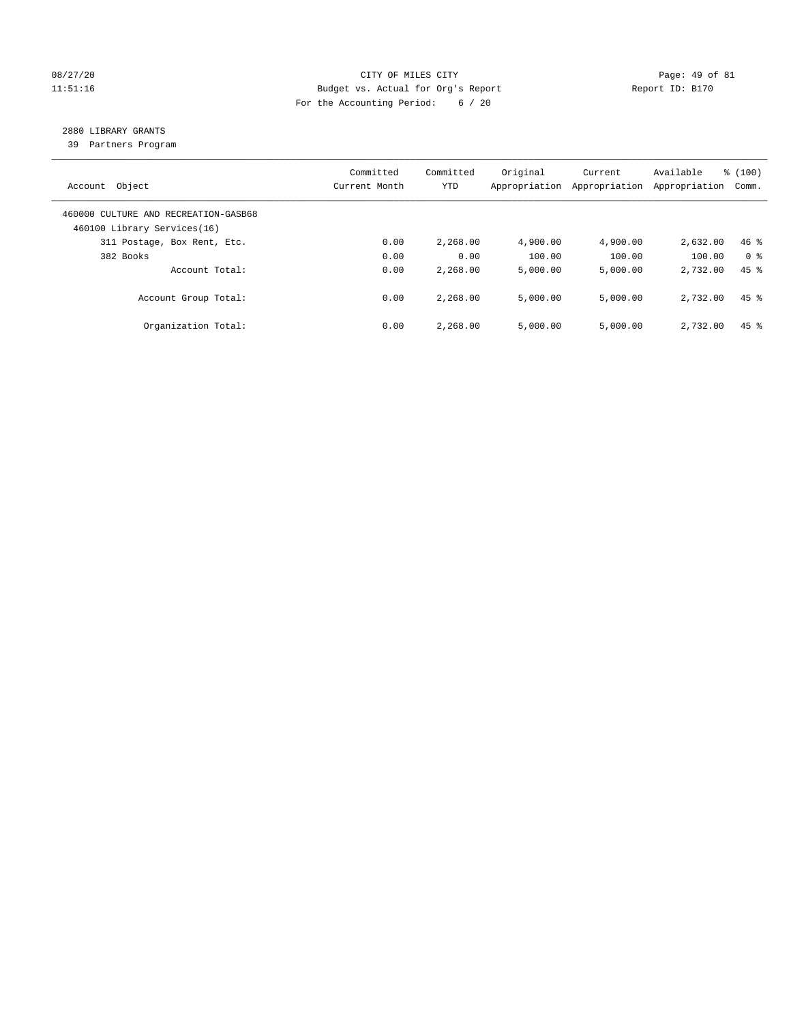# 08/27/20 Page: 49 of 81 11:51:16 Budget vs. Actual for Org's Report Changer Report ID: B170 For the Accounting Period: 6 / 20

# 2880 LIBRARY GRANTS

39 Partners Program

| Object<br>Account                                                   | Committed<br>Current Month | Committed<br>YTD | Original<br>Appropriation | Current<br>Appropriation | Available<br>Appropriation | % (100)<br>Comm.   |
|---------------------------------------------------------------------|----------------------------|------------------|---------------------------|--------------------------|----------------------------|--------------------|
| 460000 CULTURE AND RECREATION-GASB68<br>460100 Library Services(16) |                            |                  |                           |                          |                            |                    |
| 311 Postage, Box Rent, Etc.                                         | 0.00                       | 2,268.00         | 4,900.00                  | 4,900.00                 | 2,632.00                   | $46$ %             |
| 382 Books                                                           | 0.00                       | 0.00             | 100.00                    | 100.00                   | 100.00                     | 0 <sup>8</sup>     |
| Account Total:                                                      | 0.00                       | 2,268.00         | 5,000.00                  | 5,000.00                 | 2,732.00                   | $45$ $%$           |
| Account Group Total:                                                | 0.00                       | 2,268.00         | 5,000.00                  | 5,000.00                 | 2,732.00                   | $45$ %             |
| Organization Total:                                                 | 0.00                       | 2,268.00         | 5,000.00                  | 5,000.00                 | 2,732.00                   | $45$ $\frac{6}{3}$ |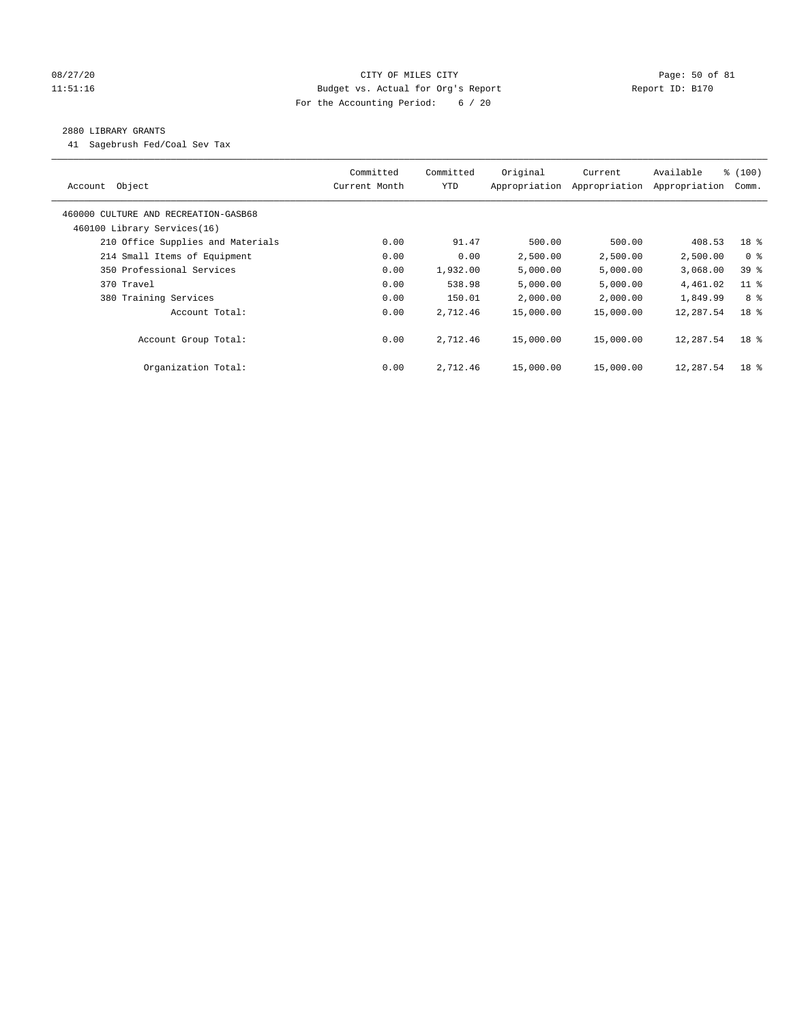# 08/27/20 Page: 50 of 81 11:51:16 Budget vs. Actual for Org's Report Report ID: B170 For the Accounting Period: 6 / 20

#### 2880 LIBRARY GRANTS

41 Sagebrush Fed/Coal Sev Tax

| Account Object                       | Committed<br>Current Month | Committed<br><b>YTD</b> | Original<br>Appropriation | Current<br>Appropriation | Available<br>Appropriation | % (100)<br>Comm. |
|--------------------------------------|----------------------------|-------------------------|---------------------------|--------------------------|----------------------------|------------------|
| 460000 CULTURE AND RECREATION-GASB68 |                            |                         |                           |                          |                            |                  |
| 460100 Library Services(16)          |                            |                         |                           |                          |                            |                  |
| 210 Office Supplies and Materials    | 0.00                       | 91.47                   | 500.00                    | 500.00                   | 408.53                     | 18 %             |
| 214 Small Items of Equipment         | 0.00                       | 0.00                    | 2,500.00                  | 2,500.00                 | 2,500.00                   | 0 <sup>8</sup>   |
| 350 Professional Services            | 0.00                       | 1,932.00                | 5,000.00                  | 5,000.00                 | 3,068.00                   | 39 %             |
| 370 Travel                           | 0.00                       | 538.98                  | 5,000.00                  | 5,000.00                 | 4,461.02                   | $11$ %           |
| 380 Training Services                | 0.00                       | 150.01                  | 2,000.00                  | 2,000.00                 | 1,849.99                   | 8 %              |
| Account Total:                       | 0.00                       | 2,712.46                | 15,000.00                 | 15,000.00                | 12,287.54                  | 18 <sup>8</sup>  |
| Account Group Total:                 | 0.00                       | 2,712.46                | 15,000.00                 | 15,000.00                | 12,287.54                  | 18 <sup>8</sup>  |
| Organization Total:                  | 0.00                       | 2,712.46                | 15,000.00                 | 15,000.00                | 12,287.54                  | 18 <sup>8</sup>  |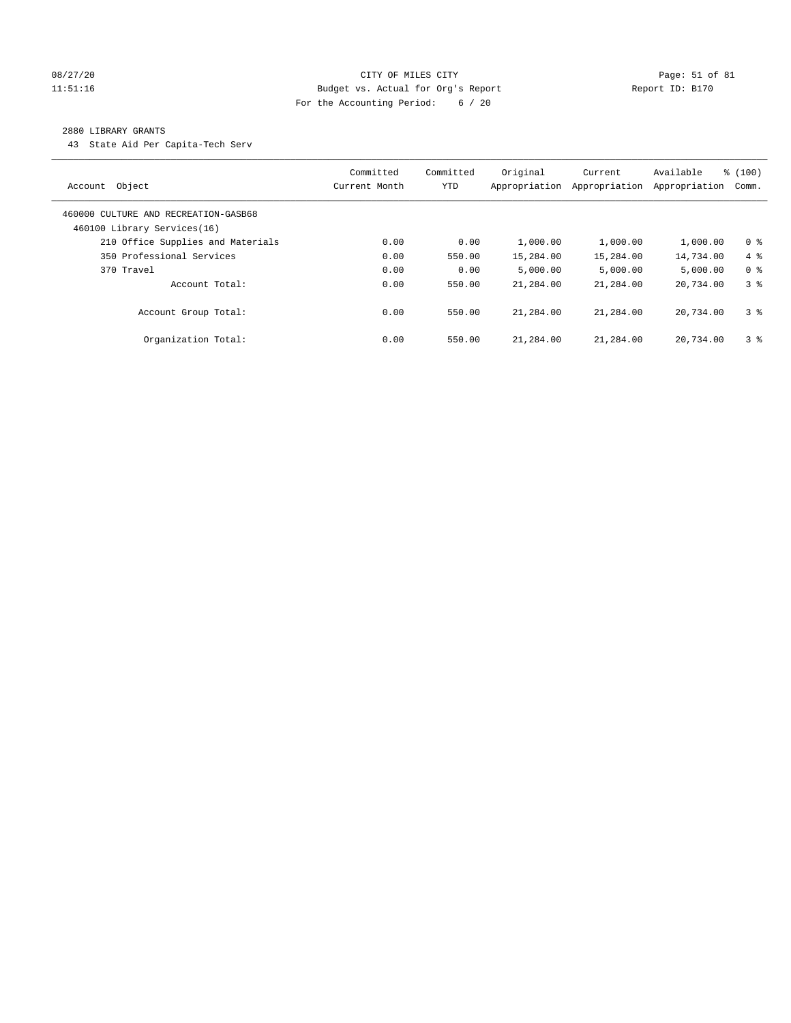# 08/27/20 Page: 51 of 81 11:51:16 Budget vs. Actual for Org's Report Report ID: B170 For the Accounting Period: 6 / 20

#### 2880 LIBRARY GRANTS

43 State Aid Per Capita-Tech Serv

| Object<br>Account                                                   | Committed<br>Current Month | Committed<br>YTD | Original<br>Appropriation | Current<br>Appropriation | Available<br>Appropriation | % (100)<br>Comm. |
|---------------------------------------------------------------------|----------------------------|------------------|---------------------------|--------------------------|----------------------------|------------------|
| 460000 CULTURE AND RECREATION-GASB68<br>460100 Library Services(16) |                            |                  |                           |                          |                            |                  |
| 210 Office Supplies and Materials                                   | 0.00                       | 0.00             | 1,000.00                  | 1,000.00                 | 1,000.00                   | 0 <sup>8</sup>   |
| 350 Professional Services                                           | 0.00                       | 550.00           | 15,284.00                 | 15,284.00                | 14,734.00                  | $4\degree$       |
| 370 Travel                                                          | 0.00                       | 0.00             | 5.000.00                  | 5,000.00                 | 5,000.00                   | 0 <sup>8</sup>   |
| Account Total:                                                      | 0.00                       | 550.00           | 21,284.00                 | 21,284.00                | 20,734.00                  | 38               |
| Account Group Total:                                                | 0.00                       | 550.00           | 21,284.00                 | 21,284.00                | 20,734.00                  | 3 <sup>8</sup>   |
| Organization Total:                                                 | 0.00                       | 550.00           | 21,284.00                 | 21,284.00                | 20,734.00                  | 3 <sup>8</sup>   |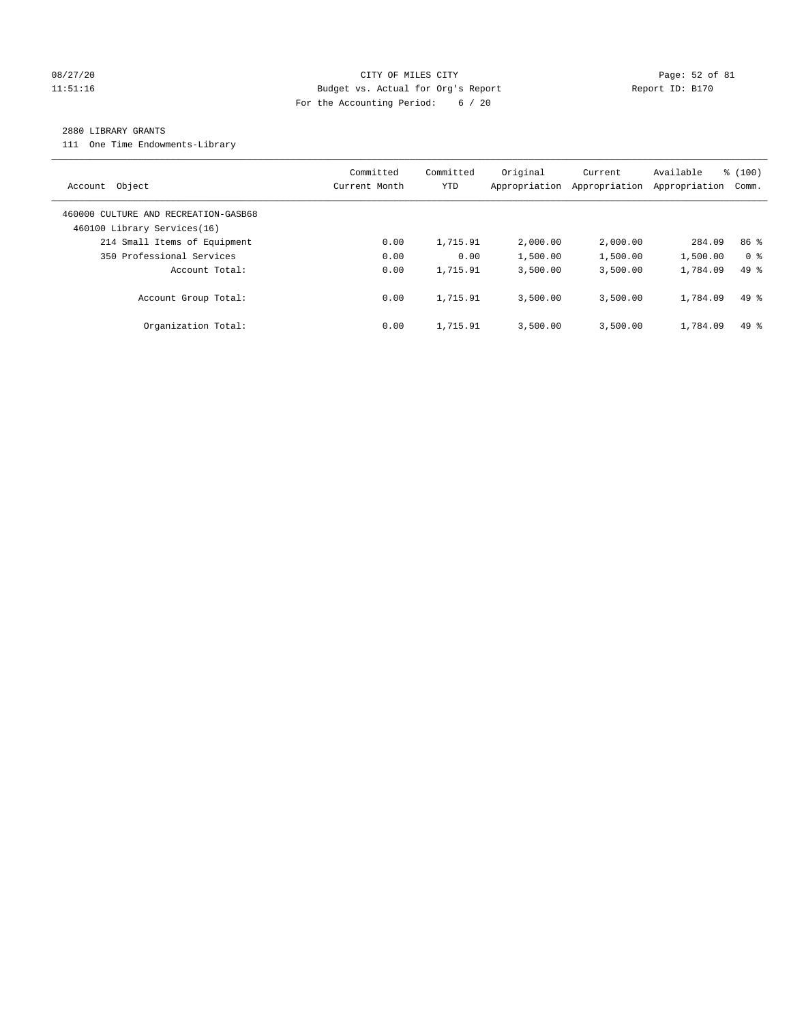# 08/27/20 Page: 52 of 81 11:51:16 Budget vs. Actual for Org's Report Report ID: B170 For the Accounting Period: 6 / 20

#### 2880 LIBRARY GRANTS

111 One Time Endowments-Library

| Object<br>Account                                                   | Committed<br>Current Month | Committed<br>YTD | Original<br>Appropriation | Current<br>Appropriation | Available<br>Appropriation | % (100)<br>Comm. |
|---------------------------------------------------------------------|----------------------------|------------------|---------------------------|--------------------------|----------------------------|------------------|
| 460000 CULTURE AND RECREATION-GASB68<br>460100 Library Services(16) |                            |                  |                           |                          |                            |                  |
| 214 Small Items of Equipment                                        | 0.00                       | 1,715.91         | 2,000.00                  | 2,000.00                 | 284.09                     | 86 <sup>8</sup>  |
| 350 Professional Services                                           | 0.00                       | 0.00             | 1,500.00                  | 1,500.00                 | 1,500.00                   | 0 <sup>8</sup>   |
| Account Total:                                                      | 0.00                       | 1,715.91         | 3,500.00                  | 3,500.00                 | 1,784.09                   | $49*$            |
| Account Group Total:                                                | 0.00                       | 1,715.91         | 3,500.00                  | 3,500.00                 | 1,784.09                   | $49*$            |
| Organization Total:                                                 | 0.00                       | 1,715.91         | 3,500.00                  | 3,500.00                 | 1,784.09                   | $49*$            |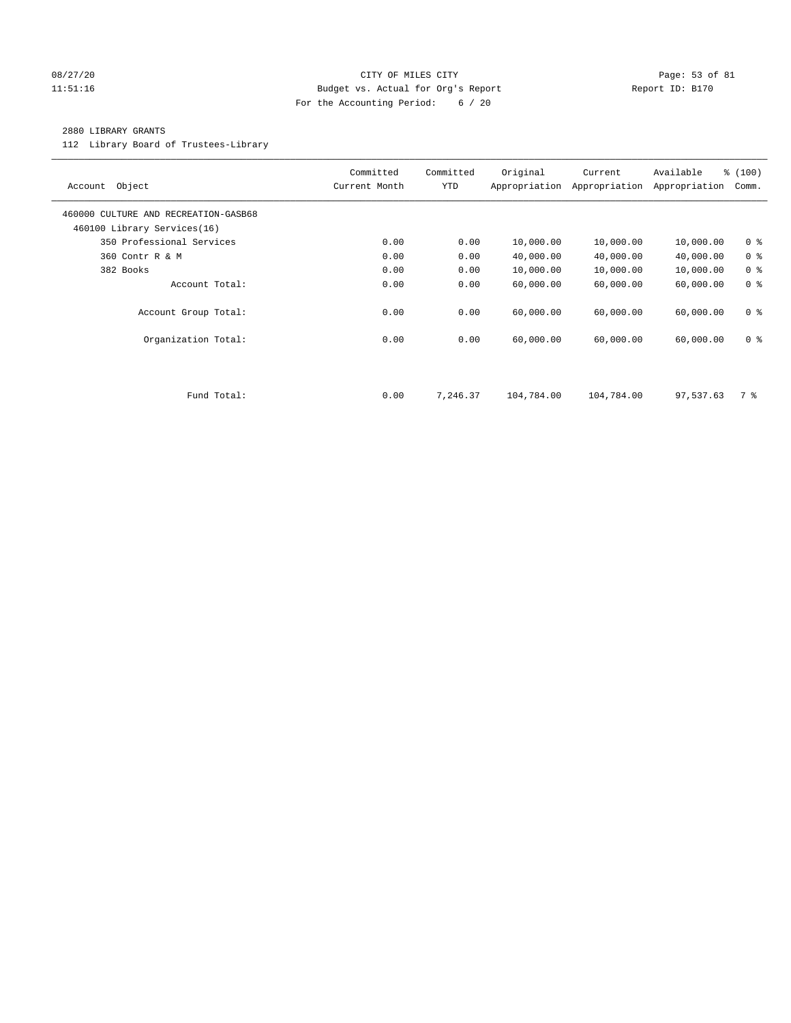# 08/27/20 Page: 53 of 81 11:51:16 Budget vs. Actual for Org's Report Report ID: B170 For the Accounting Period: 6 / 20

#### 2880 LIBRARY GRANTS

112 Library Board of Trustees-Library

| Object<br>Account                                                   | Committed<br>Current Month | Committed<br><b>YTD</b> | Original<br>Appropriation | Current<br>Appropriation | Available<br>Appropriation | % (100)<br>Comm. |
|---------------------------------------------------------------------|----------------------------|-------------------------|---------------------------|--------------------------|----------------------------|------------------|
| 460000 CULTURE AND RECREATION-GASB68<br>460100 Library Services(16) |                            |                         |                           |                          |                            |                  |
| 350 Professional Services                                           | 0.00                       | 0.00                    | 10,000.00                 | 10,000.00                | 10,000.00                  | 0 <sup>8</sup>   |
| 360 Contr R & M                                                     | 0.00                       | 0.00                    | 40,000.00                 | 40,000.00                | 40,000.00                  | 0 <sup>8</sup>   |
| 382 Books                                                           | 0.00                       | 0.00                    | 10,000.00                 | 10,000.00                | 10,000.00                  | 0 <sup>8</sup>   |
| Account Total:                                                      | 0.00                       | 0.00                    | 60,000.00                 | 60,000.00                | 60,000.00                  | 0 <sup>8</sup>   |
| Account Group Total:                                                | 0.00                       | 0.00                    | 60,000.00                 | 60,000.00                | 60,000.00                  | 0 <sup>8</sup>   |
| Organization Total:                                                 | 0.00                       | 0.00                    | 60,000.00                 | 60,000.00                | 60,000.00                  | 0 <sup>8</sup>   |
|                                                                     |                            |                         |                           |                          |                            |                  |
| Fund Total:                                                         | 0.00                       | 7,246.37                | 104,784.00                | 104,784.00               | 97,537.63                  | 7 %              |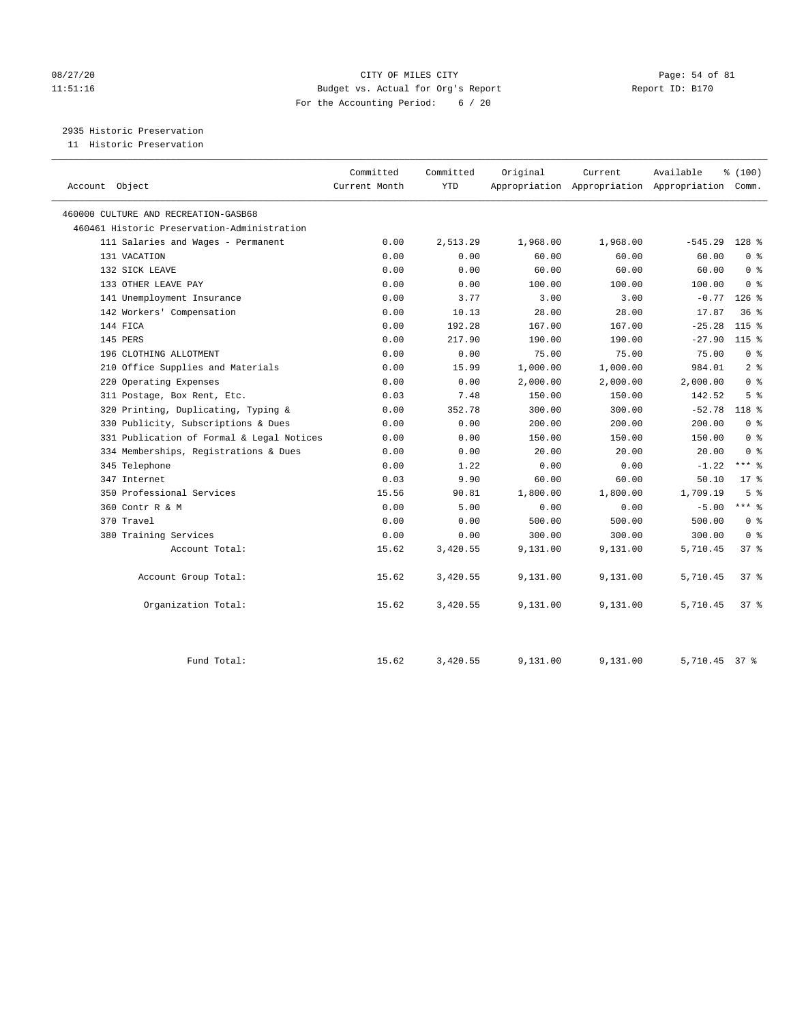# 08/27/20 Page: 54 of 81 11:51:16 Budget vs. Actual for Org's Report Report ID: B170 For the Accounting Period: 6 / 20

2935 Historic Preservation

11 Historic Preservation

| Account Object                              | Committed<br>Current Month | Committed<br><b>YTD</b> | Original | Current  | Available<br>Appropriation Appropriation Appropriation Comm. | % (100)        |
|---------------------------------------------|----------------------------|-------------------------|----------|----------|--------------------------------------------------------------|----------------|
| 460000 CULTURE AND RECREATION-GASB68        |                            |                         |          |          |                                                              |                |
| 460461 Historic Preservation-Administration |                            |                         |          |          |                                                              |                |
| 111 Salaries and Wages - Permanent          | 0.00                       | 2,513.29                | 1,968.00 | 1,968.00 | $-545.29$                                                    | 128 %          |
| 131 VACATION                                | 0.00                       | 0.00                    | 60.00    | 60.00    | 60.00                                                        | 0 <sup>8</sup> |
| 132 SICK LEAVE                              | 0.00                       | 0.00                    | 60.00    | 60.00    | 60.00                                                        | 0 <sup>8</sup> |
| 133 OTHER LEAVE PAY                         | 0.00                       | 0.00                    | 100.00   | 100.00   | 100.00                                                       | 0 <sup>8</sup> |
| 141 Unemployment Insurance                  | 0.00                       | 3.77                    | 3.00     | 3.00     | $-0.77$                                                      | $126$ %        |
| 142 Workers' Compensation                   | 0.00                       | 10.13                   | 28.00    | 28.00    | 17.87                                                        | 36%            |
| 144 FICA                                    | 0.00                       | 192.28                  | 167.00   | 167.00   | $-25.28$                                                     | $115$ %        |
| 145 PERS                                    | 0.00                       | 217.90                  | 190.00   | 190.00   | $-27.90$                                                     | 115 %          |
| 196 CLOTHING ALLOTMENT                      | 0.00                       | 0.00                    | 75.00    | 75.00    | 75.00                                                        | 0 <sup>8</sup> |
| 210 Office Supplies and Materials           | 0.00                       | 15.99                   | 1,000.00 | 1,000.00 | 984.01                                                       | 2 <sup>8</sup> |
| 220 Operating Expenses                      | 0.00                       | 0.00                    | 2,000.00 | 2,000.00 | 2,000.00                                                     | 0 <sup>8</sup> |
| 311 Postage, Box Rent, Etc.                 | 0.03                       | 7.48                    | 150.00   | 150.00   | 142.52                                                       | 5 <sup>8</sup> |
| 320 Printing, Duplicating, Typing &         | 0.00                       | 352.78                  | 300.00   | 300.00   | $-52.78$                                                     | 118 %          |
| 330 Publicity, Subscriptions & Dues         | 0.00                       | 0.00                    | 200.00   | 200.00   | 200.00                                                       | 0 <sup>8</sup> |
| 331 Publication of Formal & Legal Notices   | 0.00                       | 0.00                    | 150.00   | 150.00   | 150.00                                                       | 0 <sup>8</sup> |
| 334 Memberships, Registrations & Dues       | 0.00                       | 0.00                    | 20.00    | 20.00    | 20.00                                                        | 0 <sup>8</sup> |
| 345 Telephone                               | 0.00                       | 1.22                    | 0.00     | 0.00     | $-1.22$                                                      | *** 응          |
| 347 Internet                                | 0.03                       | 9.90                    | 60.00    | 60.00    | 50.10                                                        | $17*$          |
| 350 Professional Services                   | 15.56                      | 90.81                   | 1,800.00 | 1,800.00 | 1,709.19                                                     | 5 <sup>8</sup> |
| 360 Contr R & M                             | 0.00                       | 5.00                    | 0.00     | 0.00     | $-5.00$                                                      | $***$ 8        |
| 370 Travel                                  | 0.00                       | 0.00                    | 500.00   | 500.00   | 500.00                                                       | 0 <sup>8</sup> |
| 380 Training Services                       | 0.00                       | 0.00                    | 300.00   | 300.00   | 300.00                                                       | 0 <sup>8</sup> |
| Account Total:                              | 15.62                      | 3,420.55                | 9,131.00 | 9,131.00 | 5,710.45                                                     | 378            |
| Account Group Total:                        | 15.62                      | 3,420.55                | 9,131.00 | 9,131.00 | 5,710.45                                                     | 37%            |
| Organization Total:                         | 15.62                      | 3,420.55                | 9,131.00 | 9,131.00 | 5,710.45                                                     | 37%            |
| Fund Total:                                 | 15.62                      | 3,420.55                | 9,131.00 | 9,131.00 | 5,710.45 37 %                                                |                |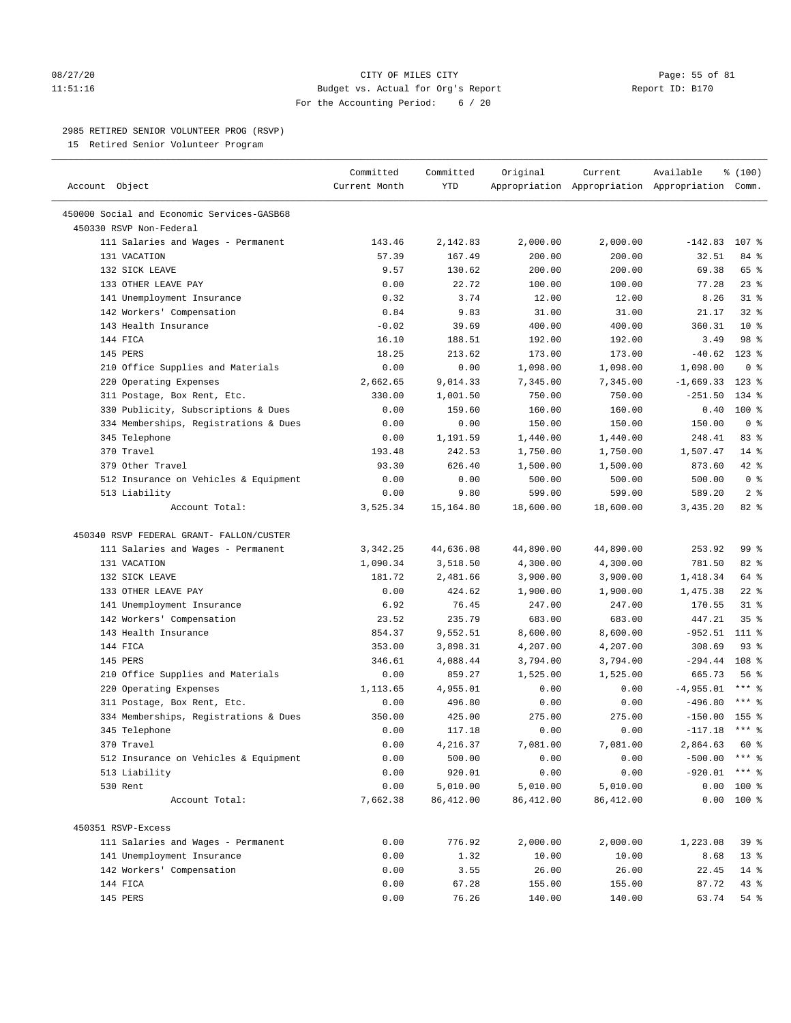### 08/27/20 Page: 55 of 81 11:51:16 Budget vs. Actual for Org's Report Report ID: B170 For the Accounting Period: 6 / 20

————————————————————————————————————————————————————————————————————————————————————————————————————————————————————————————————————

# 2985 RETIRED SENIOR VOLUNTEER PROG (RSVP)

15 Retired Senior Volunteer Program

|                                            | Committed     | Committed  | Original           | Current    | Available                                       | % (100)         |
|--------------------------------------------|---------------|------------|--------------------|------------|-------------------------------------------------|-----------------|
| Account Object                             | Current Month | <b>YTD</b> |                    |            | Appropriation Appropriation Appropriation Comm. |                 |
| 450000 Social and Economic Services-GASB68 |               |            |                    |            |                                                 |                 |
| 450330 RSVP Non-Federal                    |               |            |                    |            |                                                 |                 |
| 111 Salaries and Wages - Permanent         | 143.46        | 2,142.83   | 2,000.00           | 2,000.00   | $-142.83$ 107 %                                 |                 |
| 131 VACATION                               | 57.39         | 167.49     | 200.00             | 200.00     | 32.51                                           | 84 %            |
| 132 SICK LEAVE                             | 9.57          | 130.62     | 200.00             | 200.00     | 69.38                                           | 65 %            |
| 133 OTHER LEAVE PAY                        | 0.00          | 22.72      | 100.00             | 100.00     | 77.28                                           | $23$ $%$        |
| 141 Unemployment Insurance                 | 0.32          | 3.74       | 12.00              | 12.00      | 8.26                                            | $31$ %          |
| 142 Workers' Compensation                  | 0.84          | 9.83       | 31.00              | 31.00      | 21.17                                           | 32%             |
| 143 Health Insurance                       | $-0.02$       | 39.69      | 400.00             | 400.00     | 360.31                                          | $10*$           |
| 144 FICA                                   | 16.10         | 188.51     | 192.00             | 192.00     | 3.49                                            | 98 %            |
| 145 PERS                                   | 18.25         | 213.62     | 173.00             | 173.00     | $-40.62$                                        | $123$ %         |
| 210 Office Supplies and Materials          | 0.00          | 0.00       | 1,098.00           | 1,098.00   | 1,098.00                                        | 0 <sup>8</sup>  |
| 220 Operating Expenses                     | 2,662.65      | 9,014.33   | 7,345.00           | 7,345.00   | $-1,669.33$                                     | $123$ %         |
| 311 Postage, Box Rent, Etc.                | 330.00        | 1,001.50   | 750.00             | 750.00     | $-251.50$                                       | 134 %           |
| 330 Publicity, Subscriptions & Dues        | 0.00          | 159.60     | 160.00             | 160.00     | 0.40                                            | $100$ %         |
| 334 Memberships, Registrations & Dues      | 0.00          | 0.00       | 150.00             | 150.00     | 150.00                                          | 0 <sup>8</sup>  |
| 345 Telephone                              | 0.00          | 1,191.59   | 1,440.00           | 1,440.00   | 248.41                                          | 83%             |
| 370 Travel                                 | 193.48        | 242.53     | 1,750.00           | 1,750.00   | 1,507.47                                        | 14 %            |
| 379 Other Travel                           | 93.30         | 626.40     |                    | 1,500.00   | 873.60                                          | $42$ %          |
|                                            | 0.00          | 0.00       | 1,500.00<br>500.00 | 500.00     | 500.00                                          | 0 <sup>8</sup>  |
| 512 Insurance on Vehicles & Equipment      |               |            |                    |            | 589.20                                          | 2 <sup>8</sup>  |
| 513 Liability                              | 0.00          | 9.80       | 599.00             | 599.00     |                                                 |                 |
| Account Total:                             | 3,525.34      | 15,164.80  | 18,600.00          | 18,600.00  | 3,435.20                                        | 82 %            |
| 450340 RSVP FEDERAL GRANT- FALLON/CUSTER   |               |            |                    |            |                                                 |                 |
| 111 Salaries and Wages - Permanent         | 3,342.25      | 44,636.08  | 44,890.00          | 44,890.00  | 253.92                                          | 99 %            |
| 131 VACATION                               | 1,090.34      | 3,518.50   | 4,300.00           | 4,300.00   | 781.50                                          | $82$ $%$        |
| 132 SICK LEAVE                             | 181.72        | 2,481.66   | 3,900.00           | 3,900.00   | 1,418.34                                        | 64 %            |
| 133 OTHER LEAVE PAY                        | 0.00          | 424.62     | 1,900.00           | 1,900.00   | 1,475.38                                        | $22$ %          |
| 141 Unemployment Insurance                 | 6.92          | 76.45      | 247.00             | 247.00     | 170.55                                          | $31$ $%$        |
| 142 Workers' Compensation                  | 23.52         | 235.79     | 683.00             | 683.00     | 447.21                                          | 35 <sup>8</sup> |
| 143 Health Insurance                       | 854.37        | 9,552.51   |                    | 8,600.00   | $-952.51$                                       | 111 %           |
| 144 FICA                                   |               |            | 8,600.00           |            |                                                 | $93$ $%$        |
|                                            | 353.00        | 3,898.31   | 4,207.00           | 4,207.00   | 308.69                                          |                 |
| 145 PERS                                   | 346.61        | 4,088.44   | 3,794.00           | 3,794.00   | $-294.44$ 108 %                                 |                 |
| 210 Office Supplies and Materials          | 0.00          | 859.27     | 1,525.00           | 1,525.00   | 665.73                                          | 56%             |
| 220 Operating Expenses                     | 1,113.65      | 4,955.01   | 0.00               | 0.00       | $-4,955.01$                                     | $***$ $%$       |
| 311 Postage, Box Rent, Etc.                | 0.00          | 496.80     | 0.00               | 0.00       | $-496.80$                                       | *** 응           |
| 334 Memberships, Registrations & Dues      | 350.00        | 425.00     | 275.00             | 275.00     | $-150.00$                                       | 155 %           |
| 345 Telephone                              | 0.00          | 117.18     | 0.00               | 0.00       | $-117.18$                                       | $***$ 8         |
| 370 Travel                                 | 0.00          | 4,216.37   | 7,081.00           | 7,081.00   | 2,864.63                                        | 60 %            |
| 512 Insurance on Vehicles & Equipment      | 0.00          | 500.00     | 0.00               | 0.00       | $-500.00$ *** %                                 |                 |
| 513 Liability                              | 0.00          | 920.01     | 0.00               | 0.00       | $-920.01$ *** \$                                |                 |
| 530 Rent                                   | 0.00          | 5,010.00   | 5,010.00           | 5,010.00   |                                                 | $0.00$ 100 %    |
| Account Total:                             | 7,662.38      | 86, 412.00 | 86, 412.00         | 86, 412.00 |                                                 | $0.00$ 100 %    |
| 450351 RSVP-Excess                         |               |            |                    |            |                                                 |                 |
| 111 Salaries and Wages - Permanent         | 0.00          | 776.92     | 2,000.00           | 2,000.00   | 1,223.08                                        | 39 %            |
| 141 Unemployment Insurance                 | 0.00          | 1.32       | 10.00              | 10.00      | 8.68                                            | 13 <sup>°</sup> |
| 142 Workers' Compensation                  | 0.00          | 3.55       | 26.00              | 26.00      | 22.45                                           | $14*$           |
| 144 FICA                                   | 0.00          | 67.28      | 155.00             | 155.00     | 87.72                                           | 43 %            |
| 145 PERS                                   | 0.00          | 76.26      | 140.00             | 140.00     | 63.74                                           | 54 %            |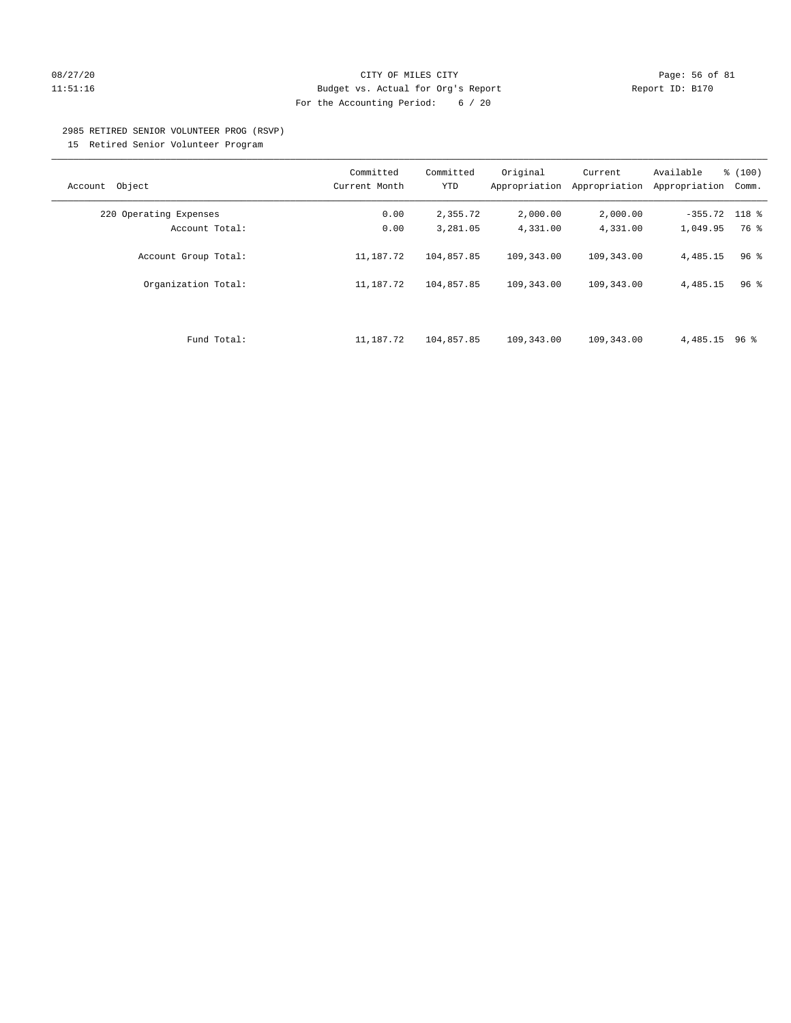## 08/27/20 Page: 56 of 81 11:51:16 Budget vs. Actual for Org's Report Report ID: B170 For the Accounting Period: 6 / 20

#### 2985 RETIRED SENIOR VOLUNTEER PROG (RSVP)

15 Retired Senior Volunteer Program

|                        | Committed     | Committed  | Original      | Current       | Available       | % (100)         |
|------------------------|---------------|------------|---------------|---------------|-----------------|-----------------|
| Object<br>Account      | Current Month | <b>YTD</b> | Appropriation | Appropriation | Appropriation   | Comm.           |
| 220 Operating Expenses | 0.00          | 2,355.72   | 2,000.00      | 2,000.00      | $-355.72$ 118 % |                 |
| Account Total:         | 0.00          | 3,281.05   | 4,331.00      | 4,331.00      | 1,049.95        | 76 %            |
| Account Group Total:   | 11,187.72     | 104,857.85 | 109,343.00    | 109,343.00    | 4,485.15        | 96 <sup>°</sup> |
| Organization Total:    | 11,187.72     | 104,857.85 | 109,343.00    | 109,343.00    | 4,485.15        | 96%             |
| Fund Total:            | 11,187.72     | 104,857.85 | 109,343.00    | 109,343.00    | $4,485.15$ 96 % |                 |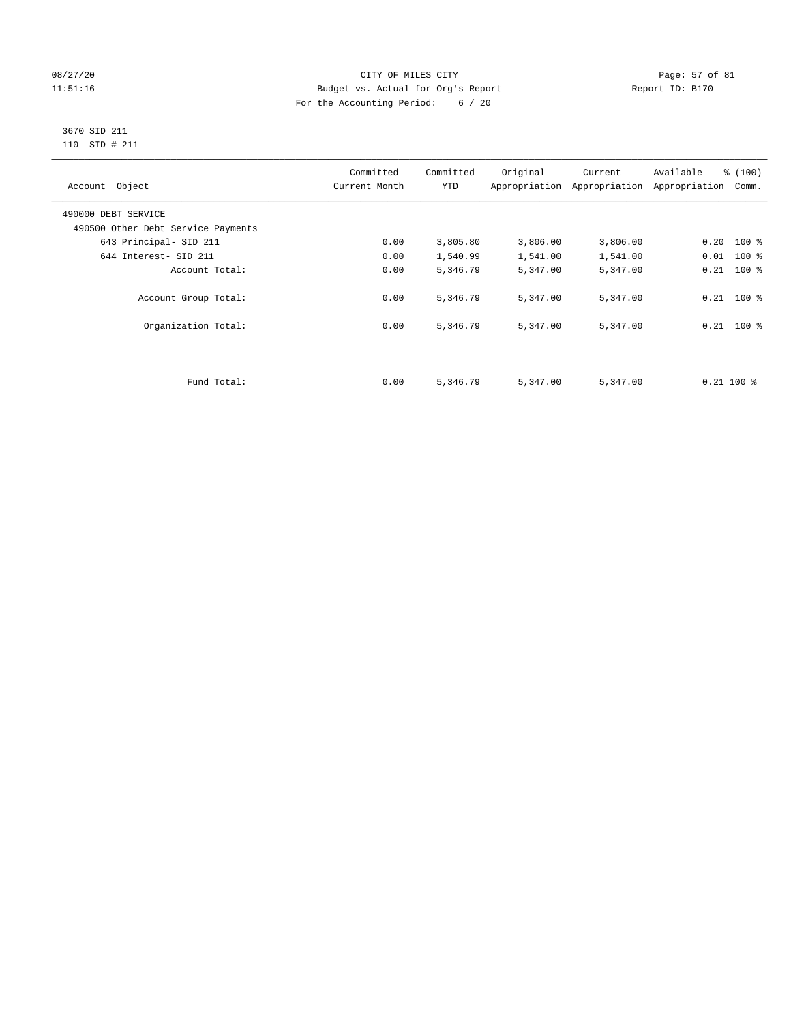# 08/27/20 Page: 57 of 81 11:51:16 Budget vs. Actual for Org's Report Changer Report ID: B170 For the Accounting Period: 6 / 20

#### 3670 SID 211 110 SID # 211

| Account Object                     | Committed<br>Current Month | Committed<br><b>YTD</b> | Original | Current<br>Appropriation Appropriation | % (100)<br>Available<br>Appropriation<br>Comm. |  |
|------------------------------------|----------------------------|-------------------------|----------|----------------------------------------|------------------------------------------------|--|
| 490000 DEBT SERVICE                |                            |                         |          |                                        |                                                |  |
| 490500 Other Debt Service Payments |                            |                         |          |                                        |                                                |  |
| 643 Principal- SID 211             | 0.00                       | 3,805.80                | 3,806.00 | 3,806.00                               | $0.20$ 100 %                                   |  |
| 644 Interest- SID 211              | 0.00                       | 1,540.99                | 1,541.00 | 1,541.00                               | $0.01$ 100 %                                   |  |
| Account Total:                     | 0.00                       | 5,346.79                | 5,347.00 | 5,347.00                               | $0.21$ 100 %                                   |  |
| Account Group Total:               | 0.00                       | 5,346.79                | 5,347.00 | 5,347.00                               | $0.21$ 100 %                                   |  |
| Organization Total:                | 0.00                       | 5,346.79                | 5,347.00 | 5,347.00                               | $0.21$ 100 %                                   |  |
|                                    |                            |                         |          |                                        |                                                |  |
| Fund Total:                        | 0.00                       | 5,346.79                | 5,347.00 | 5,347.00                               | $0.21$ 100 %                                   |  |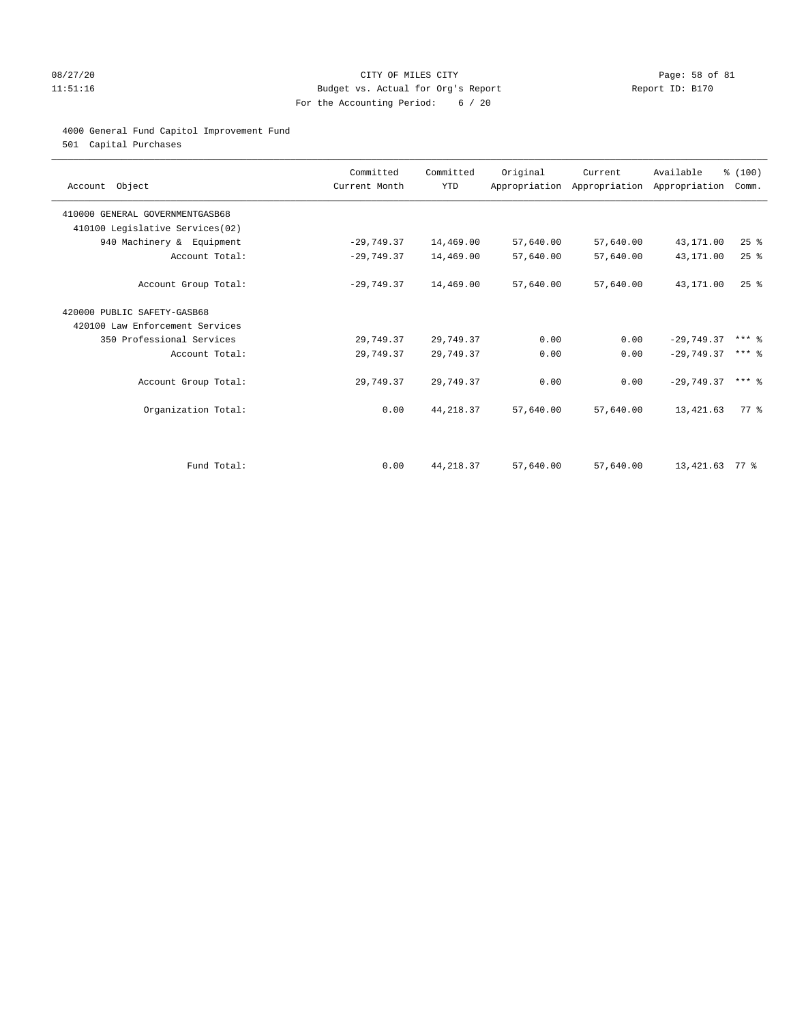# 08/27/20 Page: 58 of 81 11:51:16 Budget vs. Actual for Org's Report Report ID: B170 For the Accounting Period: 6 / 20

### 4000 General Fund Capitol Improvement Fund

501 Capital Purchases

| Account Object                  | Committed<br>Current Month | Committed<br><b>YTD</b> | Original  | Current<br>Appropriation Appropriation Appropriation | Available        | % (100)<br>Comm. |
|---------------------------------|----------------------------|-------------------------|-----------|------------------------------------------------------|------------------|------------------|
| 410000 GENERAL GOVERNMENTGASB68 |                            |                         |           |                                                      |                  |                  |
| 410100 Legislative Services(02) |                            |                         |           |                                                      |                  |                  |
| 940 Machinery & Equipment       | $-29,749.37$               | 14,469.00               | 57,640.00 | 57,640.00                                            | 43,171.00        | 25%              |
| Account Total:                  | $-29,749.37$               | 14,469.00               | 57,640.00 | 57,640.00                                            | 43,171.00        | 25%              |
| Account Group Total:            | $-29,749.37$               | 14,469.00               | 57,640.00 | 57,640.00                                            | 43,171.00        | $25$ $%$         |
| 420000 PUBLIC SAFETY-GASB68     |                            |                         |           |                                                      |                  |                  |
| 420100 Law Enforcement Services |                            |                         |           |                                                      |                  |                  |
| 350 Professional Services       | 29,749.37                  | 29,749.37               | 0.00      | 0.00                                                 | $-29,749.37$     | $***$ $%$        |
| Account Total:                  | 29,749.37                  | 29,749.37               | 0.00      | 0.00                                                 | $-29.749.37$     | $***$ 2          |
| Account Group Total:            | 29,749.37                  | 29,749.37               | 0.00      | 0.00                                                 | $-29.749.37$     | $***$ 2          |
| Organization Total:             | 0.00                       | 44, 218.37              | 57,640.00 | 57,640.00                                            | 13,421.63        | 77 %             |
|                                 |                            |                         |           |                                                      |                  |                  |
| Fund Total:                     | 0.00                       | 44, 218.37              | 57,640.00 | 57,640.00                                            | 13, 421. 63 77 % |                  |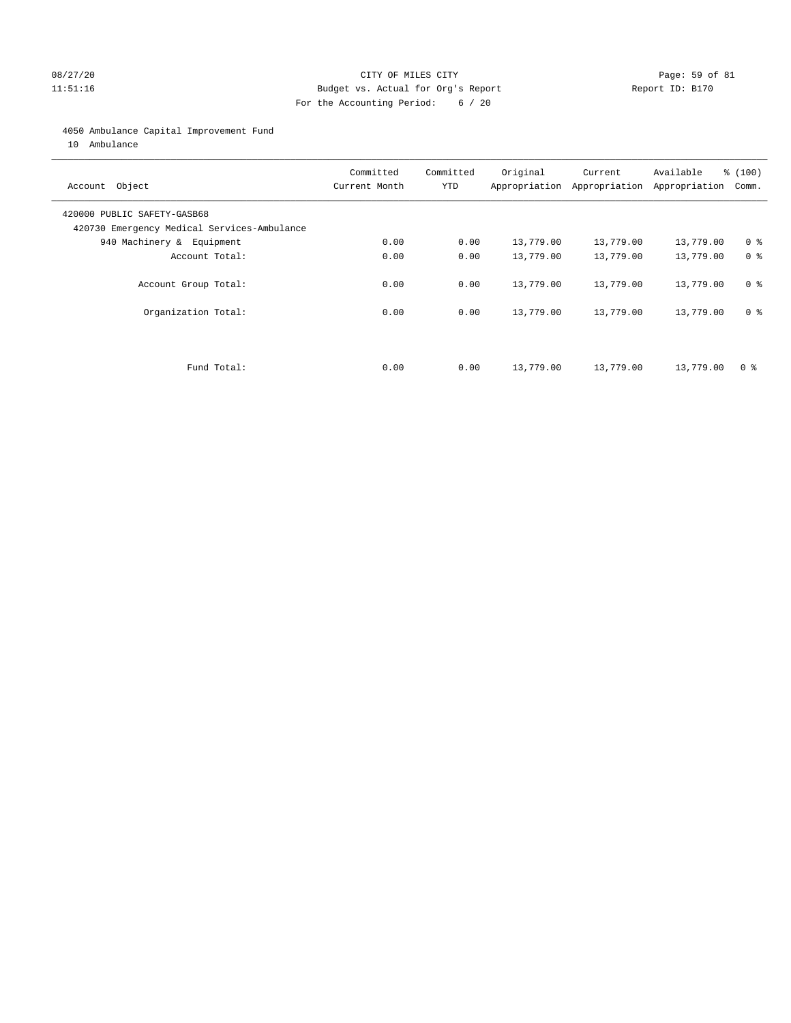# 08/27/20 Page: 59 of 81 11:51:16 Budget vs. Actual for Org's Report Report ID: B170 For the Accounting Period: 6 / 20

### 4050 Ambulance Capital Improvement Fund

10 Ambulance

| Account Object                                                             | Committed<br>Current Month | Committed<br><b>YTD</b> | Original  | Current<br>Appropriation Appropriation | Available<br>Appropriation | % (100)<br>Comm. |
|----------------------------------------------------------------------------|----------------------------|-------------------------|-----------|----------------------------------------|----------------------------|------------------|
| 420000 PUBLIC SAFETY-GASB68<br>420730 Emergency Medical Services-Ambulance |                            |                         |           |                                        |                            |                  |
| 940 Machinery & Equipment                                                  | 0.00                       | 0.00                    | 13,779.00 | 13,779.00                              | 13,779.00                  | 0 <sup>8</sup>   |
| Account Total:                                                             | 0.00                       | 0.00                    | 13,779.00 | 13,779.00                              | 13,779.00                  | 0 <sup>8</sup>   |
| Account Group Total:                                                       | 0.00                       | 0.00                    | 13,779.00 | 13,779.00                              | 13,779.00                  | 0 <sup>8</sup>   |
| Organization Total:                                                        | 0.00                       | 0.00                    | 13,779.00 | 13,779.00                              | 13,779.00                  | 0 <sup>8</sup>   |
|                                                                            |                            |                         |           |                                        |                            |                  |
| Fund Total:                                                                | 0.00                       | 0.00                    | 13,779.00 | 13,779.00                              | 13,779.00                  | 0 %              |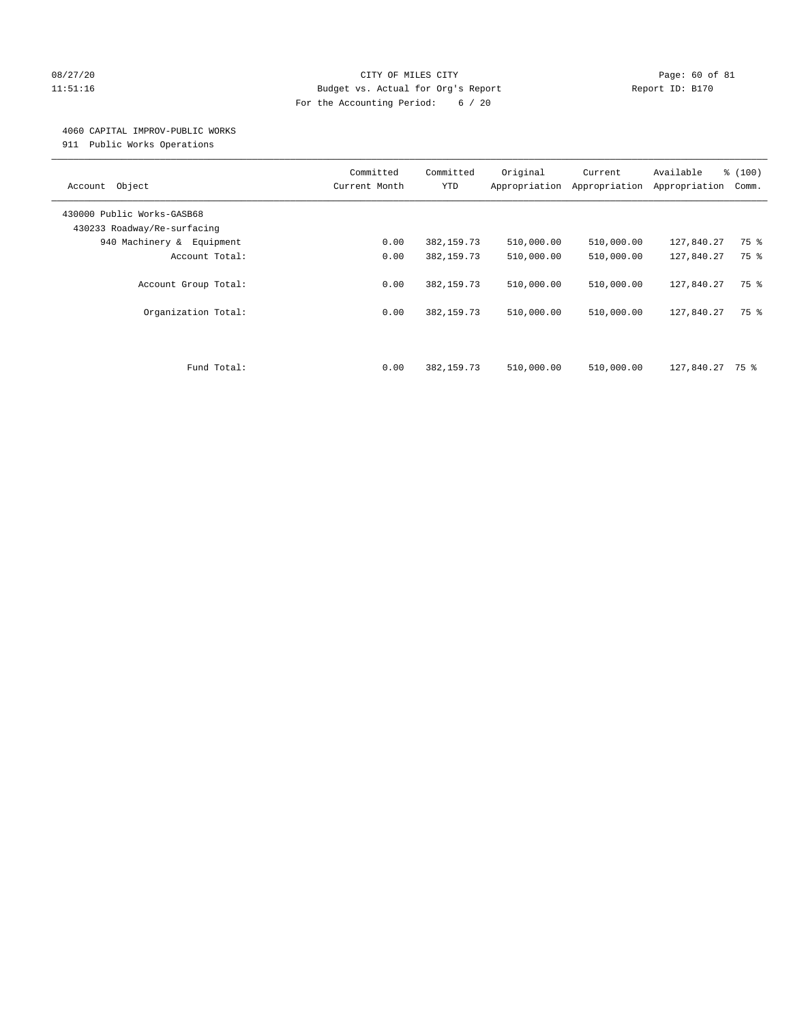# 08/27/20 Page: 60 of 81 11:51:16 Budget vs. Actual for Org's Report Report ID: B170 For the Accounting Period: 6 / 20

#### 4060 CAPITAL IMPROV-PUBLIC WORKS

911 Public Works Operations

| Object<br>Account                                         | Committed<br>Current Month | Committed<br><b>YTD</b>    | Original<br>Appropriation | Current<br>Appropriation | Available<br>Appropriation | % (100)<br>Comm. |
|-----------------------------------------------------------|----------------------------|----------------------------|---------------------------|--------------------------|----------------------------|------------------|
| 430000 Public Works-GASB68<br>430233 Roadway/Re-surfacing |                            |                            |                           |                          |                            |                  |
| 940 Machinery & Equipment                                 | 0.00                       | 382, 159.73                | 510,000.00                | 510,000.00               | 127,840.27                 | 75 %             |
| Account Total:                                            | 0.00                       | 382, 159.73                | 510,000.00                | 510,000.00               | 127,840.27                 | 75 %             |
| Account Group Total:<br>Organization Total:               | 0.00<br>0.00               | 382, 159.73<br>382, 159.73 | 510,000.00<br>510,000.00  | 510,000.00<br>510,000.00 | 127,840.27<br>127,840.27   | 75 %<br>75 %     |
|                                                           |                            |                            |                           |                          |                            |                  |
| Fund Total:                                               | 0.00                       | 382, 159.73                | 510,000.00                | 510,000.00               | 127,840.27                 | 75 %             |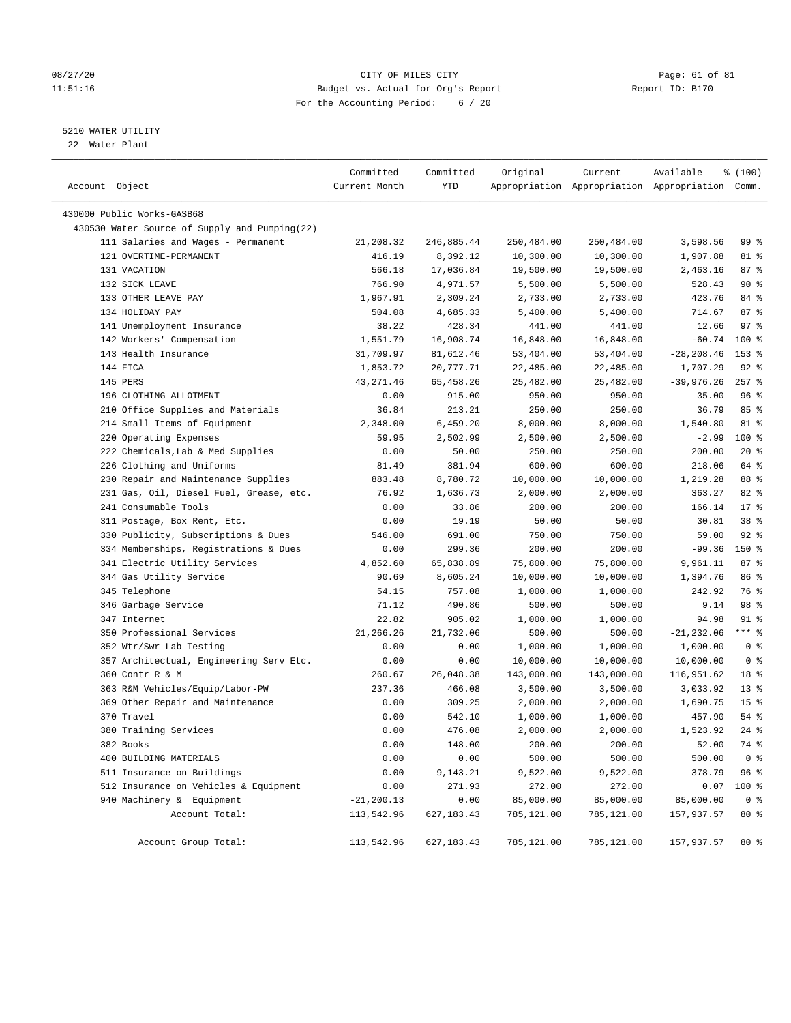### 08/27/20 Page: 61 of 81 11:51:16 Budget vs. Actual for Org's Report Report ID: B170 For the Accounting Period: 6 / 20

————————————————————————————————————————————————————————————————————————————————————————————————————————————————————————————————————

# 5210 WATER UTILITY

22 Water Plant

|                                               | Committed     | Committed    | Original   | Current    | Available                                       | % (100)         |  |
|-----------------------------------------------|---------------|--------------|------------|------------|-------------------------------------------------|-----------------|--|
| Account Object                                | Current Month | YTD          |            |            | Appropriation Appropriation Appropriation Comm. |                 |  |
| 430000 Public Works-GASB68                    |               |              |            |            |                                                 |                 |  |
| 430530 Water Source of Supply and Pumping(22) |               |              |            |            |                                                 |                 |  |
| 111 Salaries and Wages - Permanent            | 21,208.32     | 246,885.44   | 250,484.00 | 250,484.00 | 3,598.56                                        | 99 %            |  |
| 121 OVERTIME-PERMANENT                        | 416.19        | 8,392.12     | 10,300.00  | 10,300.00  | 1,907.88                                        | 81 %            |  |
| 131 VACATION                                  | 566.18        | 17,036.84    | 19,500.00  | 19,500.00  | 2,463.16                                        | 87%             |  |
| 132 SICK LEAVE                                | 766.90        | 4,971.57     | 5,500.00   | 5,500.00   | 528.43                                          | 90%             |  |
| 133 OTHER LEAVE PAY                           | 1,967.91      | 2,309.24     | 2,733.00   | 2,733.00   | 423.76                                          | 84 %            |  |
| 134 HOLIDAY PAY                               | 504.08        | 4,685.33     | 5,400.00   | 5,400.00   | 714.67                                          | 87%             |  |
| 141 Unemployment Insurance                    | 38.22         | 428.34       | 441.00     | 441.00     | 12.66                                           | $97$ %          |  |
| 142 Workers' Compensation                     | 1,551.79      | 16,908.74    | 16,848.00  | 16,848.00  | $-60.74$                                        | 100 %           |  |
| 143 Health Insurance                          | 31,709.97     | 81,612.46    | 53,404.00  | 53,404.00  | $-28, 208.46$                                   | $153*$          |  |
| 144 FICA                                      | 1,853.72      | 20,777.71    | 22,485.00  | 22,485.00  | 1,707.29                                        | $92$ $%$        |  |
| 145 PERS                                      | 43, 271.46    | 65,458.26    | 25,482.00  | 25,482.00  | $-39,976.26$                                    | $257$ %         |  |
| 196 CLOTHING ALLOTMENT                        | 0.00          | 915.00       | 950.00     | 950.00     | 35.00                                           | 96%             |  |
| 210 Office Supplies and Materials             | 36.84         | 213.21       | 250.00     | 250.00     | 36.79                                           | 85%             |  |
| 214 Small Items of Equipment                  | 2,348.00      | 6,459.20     | 8,000.00   | 8,000.00   | 1,540.80                                        | 81 %            |  |
| 220 Operating Expenses                        | 59.95         | 2,502.99     | 2,500.00   | 2,500.00   | $-2.99$                                         | 100 %           |  |
| 222 Chemicals, Lab & Med Supplies             | 0.00          | 50.00        | 250.00     | 250.00     | 200.00                                          | $20*$           |  |
| 226 Clothing and Uniforms                     | 81.49         | 381.94       | 600.00     | 600.00     | 218.06                                          | 64 %            |  |
| 230 Repair and Maintenance Supplies           | 883.48        | 8,780.72     | 10,000.00  | 10,000.00  | 1,219.28                                        | 88 %            |  |
| 231 Gas, Oil, Diesel Fuel, Grease, etc.       | 76.92         | 1,636.73     | 2,000.00   | 2,000.00   | 363.27                                          | 82 %            |  |
| 241 Consumable Tools                          | 0.00          | 33.86        | 200.00     | 200.00     | 166.14                                          | $17*$           |  |
| 311 Postage, Box Rent, Etc.                   | 0.00          | 19.19        | 50.00      | 50.00      | 30.81                                           | 38 <sup>8</sup> |  |
| 330 Publicity, Subscriptions & Dues           | 546.00        | 691.00       | 750.00     | 750.00     | 59.00                                           | $92$ $%$        |  |
| 334 Memberships, Registrations & Dues         | 0.00          | 299.36       | 200.00     | 200.00     | $-99.36$                                        | 150 %           |  |
| 341 Electric Utility Services                 | 4,852.60      | 65,838.89    | 75,800.00  | 75,800.00  | 9,961.11                                        | 87%             |  |
| 344 Gas Utility Service                       | 90.69         | 8,605.24     | 10,000.00  | 10,000.00  | 1,394.76                                        | 86 %            |  |
| 345 Telephone                                 | 54.15         | 757.08       | 1,000.00   | 1,000.00   | 242.92                                          | 76 %            |  |
| 346 Garbage Service                           | 71.12         | 490.86       | 500.00     | 500.00     | 9.14                                            | 98 %            |  |
| 347 Internet                                  | 22.82         | 905.02       | 1,000.00   | 1,000.00   | 94.98                                           | $91$ %          |  |
| 350 Professional Services                     | 21,266.26     | 21,732.06    | 500.00     | 500.00     | $-21, 232.06$                                   | $***$ $-$       |  |
| 352 Wtr/Swr Lab Testing                       | 0.00          | 0.00         | 1,000.00   | 1,000.00   | 1,000.00                                        | 0 <sup>8</sup>  |  |
| 357 Architectual, Engineering Serv Etc.       | 0.00          | 0.00         | 10,000.00  | 10,000.00  | 10,000.00                                       | 0 <sup>8</sup>  |  |
| 360 Contr R & M                               | 260.67        | 26,048.38    | 143,000.00 | 143,000.00 | 116,951.62                                      | 18 %            |  |
| 363 R&M Vehicles/Equip/Labor-PW               | 237.36        | 466.08       | 3,500.00   | 3,500.00   | 3,033.92                                        | $13*$           |  |
| 369 Other Repair and Maintenance              | 0.00          | 309.25       | 2,000.00   | 2,000.00   | 1,690.75                                        | 15 <sup>8</sup> |  |
| 370 Travel                                    | 0.00          | 542.10       | 1,000.00   | 1,000.00   | 457.90                                          | 54 %            |  |
| 380 Training Services                         | 0.00          | 476.08       | 2,000.00   | 2,000.00   | 1,523.92                                        | $24$ %          |  |
| 382 Books                                     | 0.00          | 148.00       | 200.00     | 200.00     | 52.00                                           | 74 %            |  |
| 400 BUILDING MATERIALS                        | 0.00          | 0.00         | 500.00     | 500.00     | 500.00                                          | 0 <sup>8</sup>  |  |
| 511 Insurance on Buildings                    | 0.00          | 9,143.21     | 9,522.00   | 9,522.00   | 378.79                                          | 96%             |  |
| 512 Insurance on Vehicles & Equipment         | 0.00          | 271.93       | 272.00     | 272.00     | 0.07                                            | 100 %           |  |
| 940 Machinery & Equipment                     | $-21, 200.13$ | 0.00         | 85,000.00  | 85,000.00  | 85,000.00                                       | 0 <sup>8</sup>  |  |
| Account Total:                                | 113,542.96    | 627, 183. 43 | 785,121.00 | 785,121.00 | 157,937.57                                      | $80*$           |  |
| Account Group Total:                          | 113,542.96    | 627, 183.43  | 785,121.00 | 785,121.00 | 157,937.57                                      | 80 %            |  |
|                                               |               |              |            |            |                                                 |                 |  |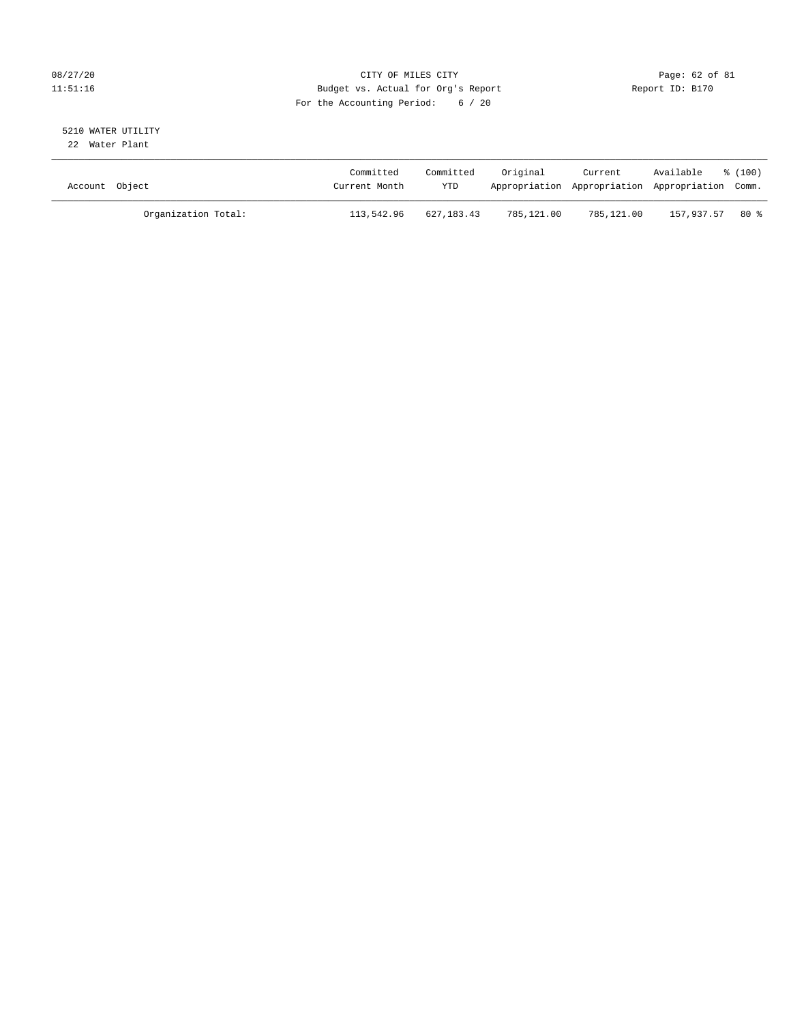# 08/27/20 Page: 62 of 81 11:51:16 Budget vs. Actual for Org's Report Report ID: B170 For the Accounting Period: 6 / 20

#### 5210 WATER UTILITY 22 Water Plant

| Account Object |                     | Committed<br>Current Month | Committed<br>YTD | Original   | Current    | Available<br>Appropriation Appropriation Appropriation Comm. | $\frac{100}{3}$ |
|----------------|---------------------|----------------------------|------------------|------------|------------|--------------------------------------------------------------|-----------------|
|                | Organization Total: | 113,542.96                 | 627,183.43       | 785,121.00 | 785,121.00 | 157,937.57                                                   | $80*$           |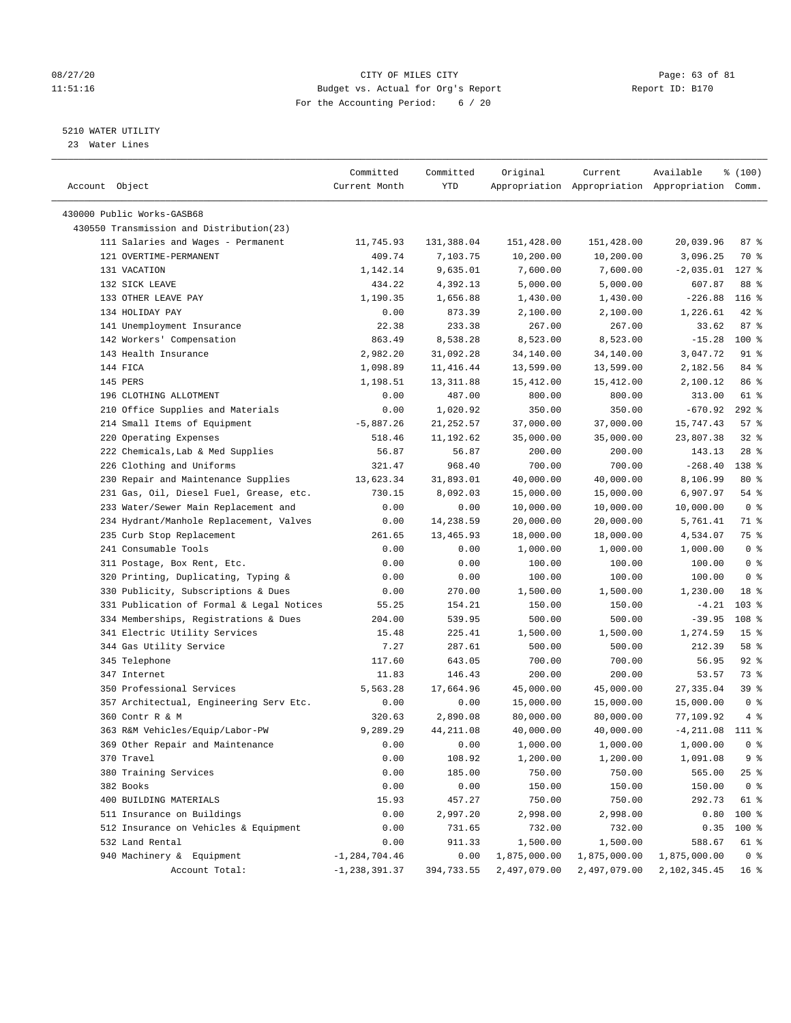### 08/27/20 Page: 63 of 81 11:51:16 Budget vs. Actual for Org's Report Report ID: B170 For the Accounting Period: 6 / 20

————————————————————————————————————————————————————————————————————————————————————————————————————————————————————————————————————

# 5210 WATER UTILITY

23 Water Lines

|                                           | Committed         | Committed  | Original     | Current                                         | Available          | % (100)         |
|-------------------------------------------|-------------------|------------|--------------|-------------------------------------------------|--------------------|-----------------|
| Account Object                            | Current Month     | YTD        |              | Appropriation Appropriation Appropriation Comm. |                    |                 |
|                                           |                   |            |              |                                                 |                    |                 |
| 430000 Public Works-GASB68                |                   |            |              |                                                 |                    |                 |
| 430550 Transmission and Distribution(23)  |                   |            |              |                                                 |                    |                 |
| 111 Salaries and Wages - Permanent        | 11,745.93         | 131,388.04 | 151,428.00   | 151,428.00                                      | 20,039.96          | 87e             |
| 121 OVERTIME-PERMANENT                    | 409.74            | 7,103.75   | 10,200.00    | 10,200.00                                       | 3,096.25           | 70 응            |
| 131 VACATION                              | 1,142.14          | 9,635.01   | 7,600.00     | 7,600.00                                        | $-2,035.01$        | $127$ %         |
| 132 SICK LEAVE                            | 434.22            | 4,392.13   | 5,000.00     | 5,000.00                                        | 607.87             | 88 %            |
| 133 OTHER LEAVE PAY                       | 1,190.35          | 1,656.88   | 1,430.00     | 1,430.00                                        | $-226.88$          | $116$ %         |
| 134 HOLIDAY PAY                           | 0.00              | 873.39     | 2,100.00     | 2,100.00                                        | 1,226.61           | $42$ %          |
| 141 Unemployment Insurance                | 22.38             | 233.38     | 267.00       | 267.00                                          | 33.62              | 87%             |
| 142 Workers' Compensation                 | 863.49            | 8,538.28   | 8,523.00     | 8,523.00                                        | $-15.28$           | 100 %           |
| 143 Health Insurance                      | 2,982.20          | 31,092.28  | 34,140.00    | 34,140.00                                       | 3,047.72           | 91 %            |
| 144 FICA                                  | 1,098.89          | 11,416.44  | 13,599.00    | 13,599.00                                       | 2,182.56           | 84 %            |
| 145 PERS                                  | 1,198.51          | 13, 311.88 | 15,412.00    | 15,412.00                                       | 2,100.12           | 86 %            |
| 196 CLOTHING ALLOTMENT                    | 0.00              | 487.00     | 800.00       | 800.00                                          | 313.00             | 61 %            |
| 210 Office Supplies and Materials         | 0.00              | 1,020.92   | 350.00       | 350.00                                          | -670.92            | $292$ %         |
| 214 Small Items of Equipment              | $-5,887.26$       | 21,252.57  | 37,000.00    | 37,000.00                                       | 15,747.43          | 57%             |
| 220 Operating Expenses                    | 518.46            | 11,192.62  | 35,000.00    | 35,000.00                                       | 23,807.38          | $32$ $%$        |
| 222 Chemicals, Lab & Med Supplies         | 56.87             | 56.87      | 200.00       | 200.00                                          | 143.13             | $28$ %          |
| 226 Clothing and Uniforms                 | 321.47            | 968.40     | 700.00       | 700.00                                          | $-268.40$          | 138 %           |
| 230 Repair and Maintenance Supplies       | 13,623.34         | 31,893.01  | 40,000.00    | 40,000.00                                       | 8,106.99           | 80%             |
| 231 Gas, Oil, Diesel Fuel, Grease, etc.   | 730.15            | 8,092.03   | 15,000.00    | 15,000.00                                       | 6,907.97           | $54$ %          |
| 233 Water/Sewer Main Replacement and      | 0.00              | 0.00       | 10,000.00    | 10,000.00                                       | 10,000.00          | 0 <sup>8</sup>  |
| 234 Hydrant/Manhole Replacement, Valves   | 0.00              | 14,238.59  | 20,000.00    | 20,000.00                                       | 5,761.41           | 71 %            |
| 235 Curb Stop Replacement                 | 261.65            | 13,465.93  | 18,000.00    | 18,000.00                                       | 4,534.07           | 75 %            |
| 241 Consumable Tools                      | 0.00              | 0.00       | 1,000.00     | 1,000.00                                        | 1,000.00           | 0 <sup>8</sup>  |
| 311 Postage, Box Rent, Etc.               | 0.00              | 0.00       | 100.00       | 100.00                                          | 100.00             | 0 <sup>8</sup>  |
| 320 Printing, Duplicating, Typing &       | 0.00              | 0.00       | 100.00       | 100.00                                          | 100.00             | 0 <sup>8</sup>  |
| 330 Publicity, Subscriptions & Dues       | 0.00              | 270.00     | 1,500.00     | 1,500.00                                        | 1,230.00           | 18 %            |
| 331 Publication of Formal & Legal Notices | 55.25             | 154.21     | 150.00       | 150.00                                          | $-4.21$            | $103$ %         |
| 334 Memberships, Registrations & Dues     | 204.00            | 539.95     | 500.00       | 500.00                                          | $-39.95$           | 108 %           |
| 341 Electric Utility Services             | 15.48             | 225.41     | 1,500.00     | 1,500.00                                        | 1,274.59           | 15 <sup>8</sup> |
| 344 Gas Utility Service                   | 7.27              | 287.61     | 500.00       | 500.00                                          | 212.39             | 58 %            |
| 345 Telephone                             | 117.60            | 643.05     | 700.00       | 700.00                                          | 56.95              | $92$ $%$        |
| 347 Internet                              | 11.83             | 146.43     | 200.00       | 200.00                                          | 53.57              | 73 %            |
| 350 Professional Services                 | 5,563.28          | 17,664.96  | 45,000.00    | 45,000.00                                       | 27,335.04          | 39%             |
| 357 Architectual, Engineering Serv Etc.   | 0.00              | 0.00       | 15,000.00    | 15,000.00                                       | 15,000.00          | 0 <sup>8</sup>  |
| 360 Contr R & M                           | 320.63            | 2,890.08   | 80,000.00    | 80,000.00                                       | 77,109.92          | $4\degree$      |
| 363 R&M Vehicles/Equip/Labor-PW           | 9,289.29          | 44, 211.08 | 40,000.00    | 40,000.00                                       | $-4, 211.08$ 111 % |                 |
| 369 Other Repair and Maintenance          | 0.00              | 0.00       | 1,000.00     | 1,000.00                                        | 1,000.00           | 0 <sup>8</sup>  |
| 370 Travel                                | 0.00              | 108.92     | 1,200.00     | 1,200.00                                        | 1,091.08           | 9 <sup>°</sup>  |
| 380 Training Services                     | 0.00              | 185.00     | 750.00       | 750.00                                          | 565.00             | 25%             |
| 382 Books                                 | 0.00              | 0.00       | 150.00       | 150.00                                          | 150.00             | 0 <sup>8</sup>  |
| 400 BUILDING MATERIALS                    | 15.93             | 457.27     | 750.00       | 750.00                                          | 292.73             | 61 %            |
| 511 Insurance on Buildings                | 0.00              | 2,997.20   | 2,998.00     | 2,998.00                                        | 0.80               | 100 %           |
| 512 Insurance on Vehicles & Equipment     | 0.00              | 731.65     | 732.00       | 732.00                                          | 0.35               | 100 %           |
| 532 Land Rental                           | 0.00              | 911.33     | 1,500.00     | 1,500.00                                        | 588.67             | 61 %            |
| 940 Machinery & Equipment                 | $-1, 284, 704.46$ | 0.00       | 1,875,000.00 | 1,875,000.00                                    | 1,875,000.00       | 0 <sup>8</sup>  |
| Account Total:                            | $-1, 238, 391.37$ | 394,733.55 | 2,497,079.00 | 2,497,079.00                                    | 2,102,345.45       | 16 <sup>8</sup> |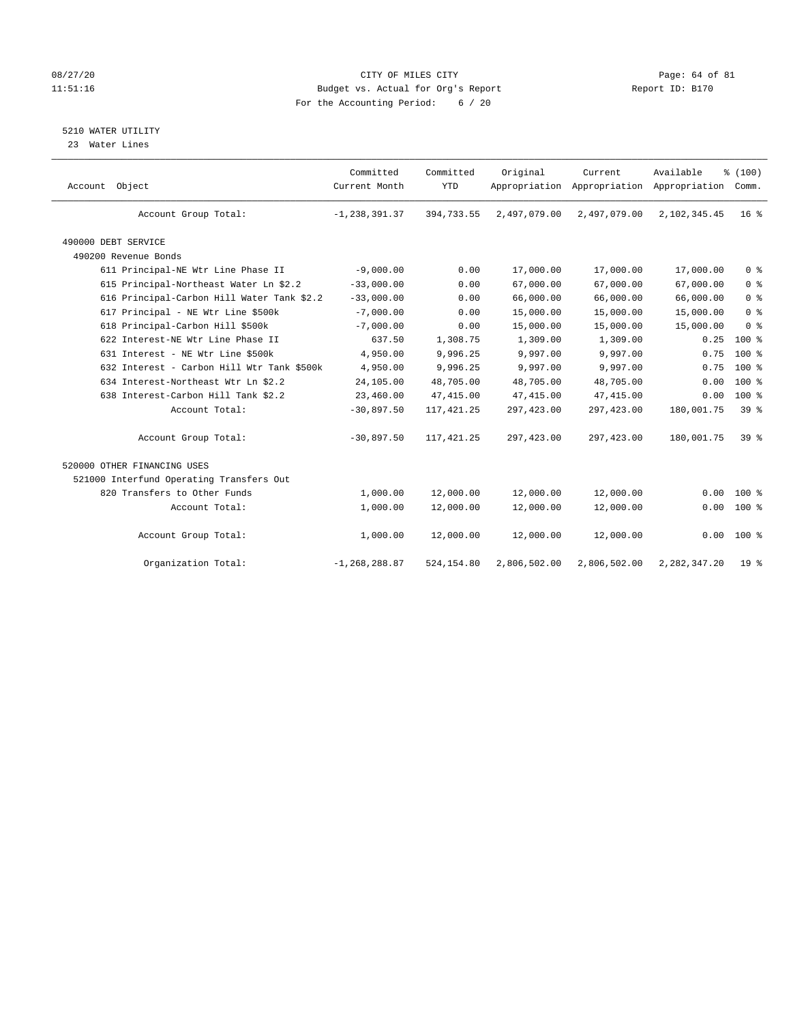# 08/27/20 Page: 64 of 81 11:51:16 Budget vs. Actual for Org's Report Report ID: B170 For the Accounting Period: 6 / 20

# 5210 WATER UTILITY

23 Water Lines

| Account Object                             | Committed<br>Current Month | Committed<br><b>YTD</b> | Original     | Current<br>Appropriation Appropriation Appropriation | Available       | % (100)<br>Comm. |  |
|--------------------------------------------|----------------------------|-------------------------|--------------|------------------------------------------------------|-----------------|------------------|--|
| Account Group Total:                       | $-1, 238, 391.37$          | 394,733.55              | 2,497,079.00 | 2,497,079.00                                         | 2,102,345.45    | $16*$            |  |
| 490000 DEBT SERVICE                        |                            |                         |              |                                                      |                 |                  |  |
| 490200 Revenue Bonds                       |                            |                         |              |                                                      |                 |                  |  |
| 611 Principal-NE Wtr Line Phase II         | $-9,000.00$                | 0.00                    | 17,000.00    | 17,000.00                                            | 17,000.00       | 0 <sup>8</sup>   |  |
| 615 Principal-Northeast Water Ln \$2.2     | $-33,000.00$               | 0.00                    | 67,000.00    | 67,000.00                                            | 67,000.00       | 0 <sup>8</sup>   |  |
| 616 Principal-Carbon Hill Water Tank \$2.2 | $-33,000.00$               | 0.00                    | 66,000.00    | 66,000.00                                            | 66,000.00       | 0 <sup>8</sup>   |  |
| 617 Principal - NE Wtr Line \$500k         | $-7,000.00$                | 0.00                    | 15,000.00    | 15,000.00                                            | 15,000.00       | 0 <sup>8</sup>   |  |
| 618 Principal-Carbon Hill \$500k           | $-7,000.00$                | 0.00                    | 15,000.00    | 15,000.00                                            | 15,000.00       | 0 <sup>8</sup>   |  |
| 622 Interest-NE Wtr Line Phase II          | 637.50                     | 1,308.75                | 1,309.00     | 1,309.00                                             | 0.25            | $100*$           |  |
| 631 Interest - NE Wtr Line \$500k          | 4,950.00                   | 9,996.25                | 9,997.00     | 9,997.00                                             | 0.75            | $100*$           |  |
| 632 Interest - Carbon Hill Wtr Tank \$500k | 4,950.00                   | 9,996.25                | 9,997.00     | 9,997.00                                             | 0.75            | $100*$           |  |
| 634 Interest-Northeast Wtr Ln \$2.2        | 24,105.00                  | 48,705.00               | 48,705.00    | 48,705.00                                            | 0.00            | $100*$           |  |
| 638 Interest-Carbon Hill Tank \$2.2        | 23,460.00                  | 47, 415.00              | 47, 415.00   | 47, 415.00                                           | 0.00            | $100*$           |  |
| Account Total:                             | $-30,897.50$               | 117, 421.25             | 297,423.00   | 297, 423.00                                          | 180,001.75      | 39 %             |  |
| Account Group Total:                       | $-30,897.50$               | 117, 421.25             | 297,423.00   | 297, 423.00                                          | 180,001.75      | 39 <sup>8</sup>  |  |
| 520000 OTHER FINANCING USES                |                            |                         |              |                                                      |                 |                  |  |
| 521000 Interfund Operating Transfers Out   |                            |                         |              |                                                      |                 |                  |  |
| 820 Transfers to Other Funds               | 1,000.00                   | 12,000.00               | 12,000.00    | 12,000.00                                            | 0.00            | $100*$           |  |
| Account Total:                             | 1,000.00                   | 12,000.00               | 12,000.00    | 12,000.00                                            | 0.00            | 100 %            |  |
| Account Group Total:                       | 1,000.00                   | 12,000.00               | 12,000.00    | 12,000.00                                            |                 | $0.00$ 100 %     |  |
| Organization Total:                        | $-1, 268, 288.87$          | 524,154.80              | 2,806,502.00 | 2,806,502.00                                         | 2, 282, 347. 20 | 19 <sup>8</sup>  |  |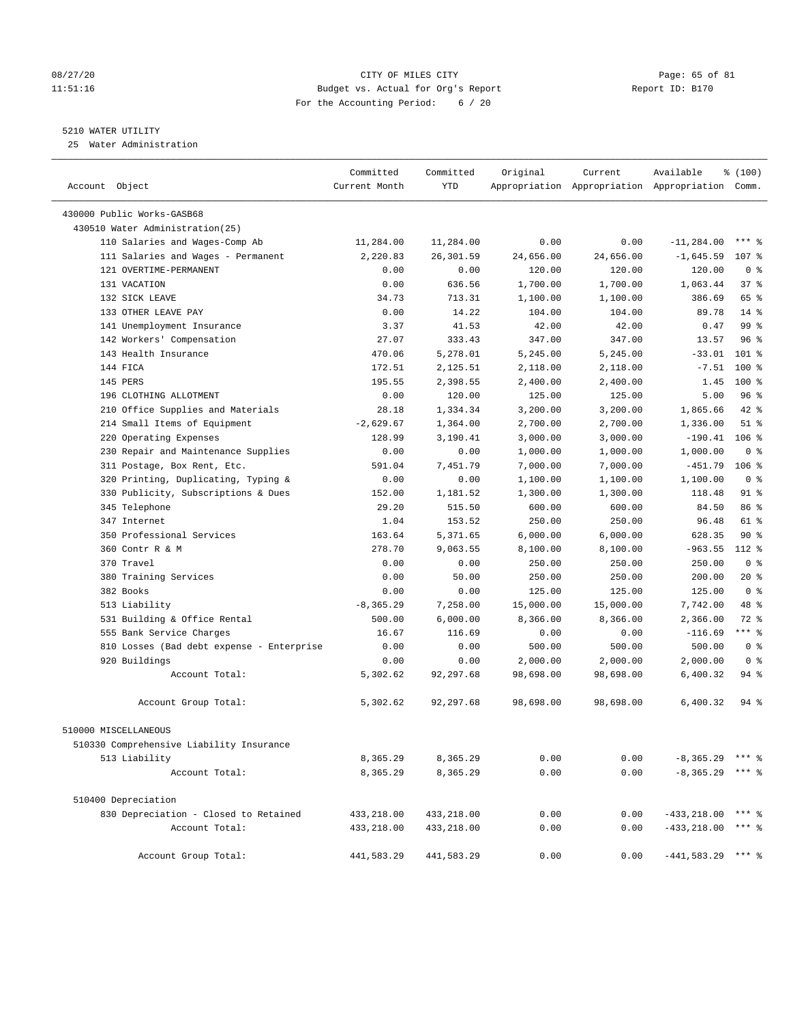# 08/27/20 Page: 65 of 81 11:51:16 Budget vs. Actual for Org's Report Report ID: B170 For the Accounting Period: 6 / 20

————————————————————————————————————————————————————————————————————————————————————————————————————————————————————————————————————

# 5210 WATER UTILITY

25 Water Administration

|                                           | Committed     | Committed  | Original  | Current   | Available                                       | % (100)        |
|-------------------------------------------|---------------|------------|-----------|-----------|-------------------------------------------------|----------------|
| Account Object                            | Current Month | <b>YTD</b> |           |           | Appropriation Appropriation Appropriation Comm. |                |
| 430000 Public Works-GASB68                |               |            |           |           |                                                 |                |
| 430510 Water Administration(25)           |               |            |           |           |                                                 |                |
| 110 Salaries and Wages-Comp Ab            | 11,284.00     | 11,284.00  | 0.00      | 0.00      | $-11, 284.00$                                   | $***$ 8        |
| 111 Salaries and Wages - Permanent        | 2,220.83      | 26,301.59  | 24,656.00 | 24,656.00 | $-1,645.59$                                     | 107 %          |
| 121 OVERTIME-PERMANENT                    | 0.00          | 0.00       | 120.00    | 120.00    | 120.00                                          | 0 <sup>8</sup> |
| 131 VACATION                              | 0.00          | 636.56     | 1,700.00  | 1,700.00  | 1,063.44                                        | 37%            |
| 132 SICK LEAVE                            | 34.73         | 713.31     | 1,100.00  | 1,100.00  | 386.69                                          | 65 %           |
| 133 OTHER LEAVE PAY                       | 0.00          | 14.22      | 104.00    | 104.00    | 89.78                                           | $14*$          |
| 141 Unemployment Insurance                | 3.37          | 41.53      | 42.00     | 42.00     | 0.47                                            | 99%            |
| 142 Workers' Compensation                 | 27.07         | 333.43     | 347.00    | 347.00    | 13.57                                           | 96%            |
| 143 Health Insurance                      | 470.06        | 5,278.01   | 5,245.00  | 5,245.00  | $-33.01$                                        | $101$ %        |
| 144 FICA                                  | 172.51        | 2,125.51   | 2,118.00  | 2,118.00  | $-7.51$                                         | $100*$         |
| 145 PERS                                  | 195.55        | 2,398.55   | 2,400.00  | 2,400.00  | 1.45                                            | 100 %          |
| 196 CLOTHING ALLOTMENT                    | 0.00          | 120.00     | 125.00    | 125.00    | 5.00                                            | 96%            |
| 210 Office Supplies and Materials         | 28.18         | 1,334.34   | 3,200.00  | 3,200.00  | 1,865.66                                        | $42$ %         |
| 214 Small Items of Equipment              | $-2,629.67$   | 1,364.00   | 2,700.00  | 2,700.00  | 1,336.00                                        | $51$ %         |
| 220 Operating Expenses                    | 128.99        | 3,190.41   | 3,000.00  | 3,000.00  | $-190.41$                                       | $106$ %        |
| 230 Repair and Maintenance Supplies       | 0.00          | 0.00       | 1,000.00  | 1,000.00  | 1,000.00                                        | 0 <sup>8</sup> |
| 311 Postage, Box Rent, Etc.               | 591.04        | 7,451.79   | 7,000.00  | 7,000.00  | $-451.79$                                       | $106$ %        |
| 320 Printing, Duplicating, Typing &       | 0.00          | 0.00       | 1,100.00  | 1,100.00  | 1,100.00                                        | 0 <sup>8</sup> |
| 330 Publicity, Subscriptions & Dues       | 152.00        | 1,181.52   | 1,300.00  | 1,300.00  | 118.48                                          | 91 %           |
| 345 Telephone                             | 29.20         | 515.50     | 600.00    | 600.00    | 84.50                                           | 86 %           |
| 347 Internet                              | 1.04          | 153.52     | 250.00    | 250.00    | 96.48                                           | 61 %           |
| 350 Professional Services                 | 163.64        | 5,371.65   | 6,000.00  | 6,000.00  | 628.35                                          | $90*$          |
| 360 Contr R & M                           | 278.70        | 9,063.55   | 8,100.00  | 8,100.00  | $-963.55$                                       | 112 %          |
| 370 Travel                                | 0.00          | 0.00       | 250.00    | 250.00    | 250.00                                          | 0 <sup>8</sup> |
| 380 Training Services                     | 0.00          | 50.00      | 250.00    | 250.00    | 200.00                                          | $20*$          |
| 382 Books                                 | 0.00          | 0.00       | 125.00    | 125.00    | 125.00                                          | 0 <sup>8</sup> |
| 513 Liability                             | $-8, 365.29$  | 7,258.00   | 15,000.00 | 15,000.00 | 7,742.00                                        | 48 %           |
| 531 Building & Office Rental              | 500.00        | 6,000.00   | 8,366.00  | 8,366.00  | 2,366.00                                        | 72 %           |
| 555 Bank Service Charges                  | 16.67         | 116.69     | 0.00      | 0.00      | $-116.69$                                       | *** 응          |
| 810 Losses (Bad debt expense - Enterprise | 0.00          | 0.00       | 500.00    | 500.00    | 500.00                                          | 0 <sup>8</sup> |
| 920 Buildings                             | 0.00          | 0.00       | 2,000.00  | 2,000.00  | 2,000.00                                        | 0 <sup>8</sup> |
| Account Total:                            | 5,302.62      | 92,297.68  | 98,698.00 | 98,698.00 | 6,400.32                                        | 94 %           |
| Account Group Total:                      | 5,302.62      | 92,297.68  | 98,698.00 | 98,698.00 | 6,400.32                                        | 94 %           |
| 510000 MISCELLANEOUS                      |               |            |           |           |                                                 |                |
| 510330 Comprehensive Liability Insurance  |               |            |           |           |                                                 |                |
| 513 Liability                             | 8,365.29      | 8,365.29   | 0.00      | 0.00      | $-8,365.29$ *** $\frac{1}{8}$                   |                |
| Account Total:                            | 8,365.29      | 8,365.29   | 0.00      | 0.00      | $-8,365.29$ *** $\frac{6}{3}$                   |                |
| 510400 Depreciation                       |               |            |           |           |                                                 |                |
| 830 Depreciation - Closed to Retained     | 433,218.00    | 433,218.00 | 0.00      | 0.00      | $-433, 218.00$                                  | $***$ $%$      |
| Account Total:                            | 433,218.00    | 433,218.00 | 0.00      | 0.00      | $-433, 218.00$                                  | $***$ $-$      |
| Account Group Total:                      | 441,583.29    | 441,583.29 | 0.00      | 0.00      | $-441,583.29$ *** %                             |                |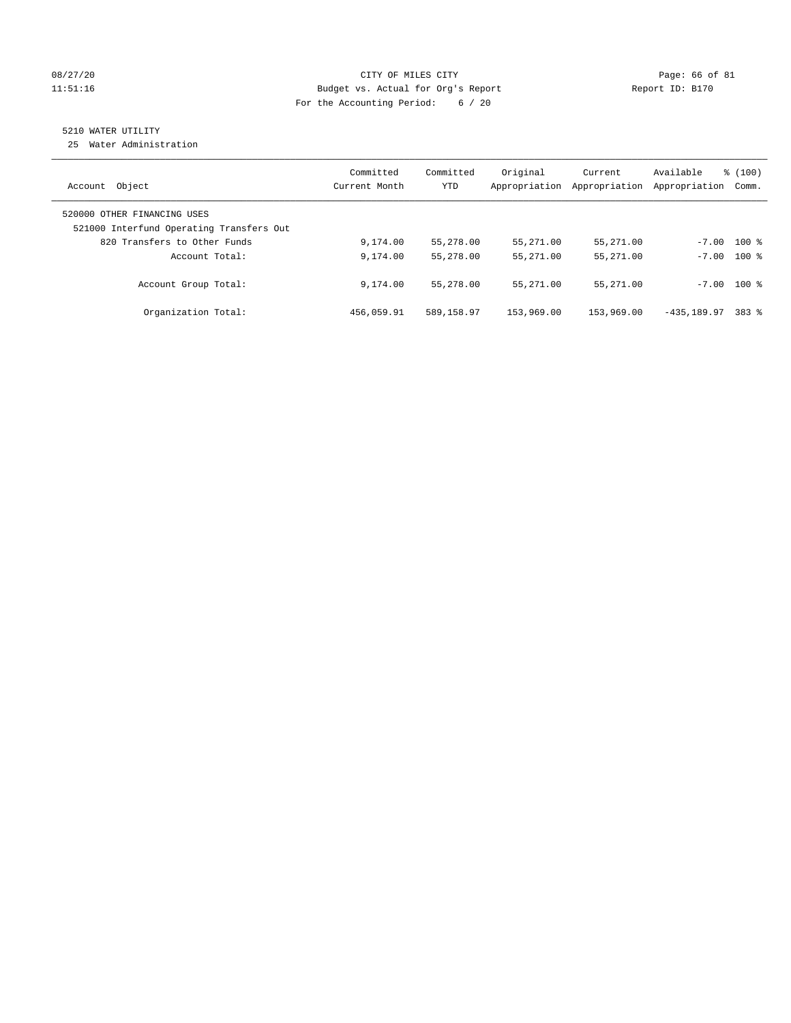# 08/27/20 Page: 66 of 81 11:51:16 Budget vs. Actual for Org's Report Report ID: B170 For the Accounting Period: 6 / 20

# 5210 WATER UTILITY

25 Water Administration

| Object<br>Account                                                       | Committed<br>Current Month | Committed<br><b>YTD</b> | Original<br>Appropriation | Current<br>Appropriation | Available<br>Appropriation | % (100)<br>Comm. |
|-------------------------------------------------------------------------|----------------------------|-------------------------|---------------------------|--------------------------|----------------------------|------------------|
| 520000 OTHER FINANCING USES<br>521000 Interfund Operating Transfers Out |                            |                         |                           |                          |                            |                  |
| 820 Transfers to Other Funds                                            | 9,174.00                   | 55,278.00               | 55,271.00                 | 55,271.00                |                            | $-7.00$ 100 %    |
| Account Total:                                                          | 9,174.00                   | 55,278.00               | 55,271.00                 | 55,271.00                |                            | $-7.00$ 100 %    |
| Account Group Total:                                                    | 9,174.00                   | 55,278.00               | 55,271.00                 | 55,271.00                |                            | $-7.00$ 100 %    |
| Organization Total:                                                     | 456,059.91                 | 589,158.97              | 153,969.00                | 153,969.00               | $-435.189.97$              | 383 %            |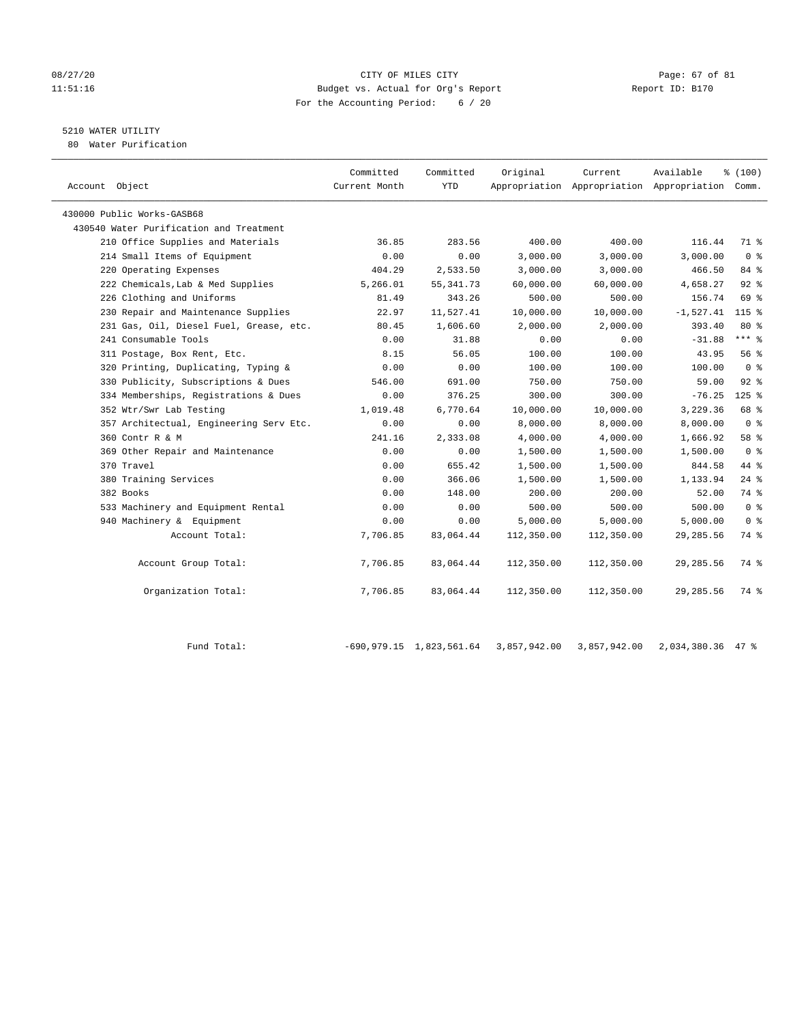### 08/27/20 Page: 67 of 81 11:51:16 Budget vs. Actual for Org's Report Report ID: B170 For the Accounting Period: 6 / 20

# 5210 WATER UTILITY

80 Water Purification

| Account Object                          | Committed<br>Current Month | Committed<br><b>YTD</b> | Original   | Current    | Available<br>Appropriation Appropriation Appropriation | % (100)<br>Comm. |  |
|-----------------------------------------|----------------------------|-------------------------|------------|------------|--------------------------------------------------------|------------------|--|
|                                         |                            |                         |            |            |                                                        |                  |  |
| 430000 Public Works-GASB68              |                            |                         |            |            |                                                        |                  |  |
| 430540 Water Purification and Treatment |                            |                         |            |            |                                                        |                  |  |
| 210 Office Supplies and Materials       | 36.85                      | 283.56                  | 400.00     | 400.00     | 116.44                                                 | 71 %             |  |
| 214 Small Items of Equipment            | 0.00                       | 0.00                    | 3,000.00   | 3,000.00   | 3,000.00                                               | 0 <sup>8</sup>   |  |
| 220 Operating Expenses                  | 404.29                     | 2,533.50                | 3,000.00   | 3,000.00   | 466.50                                                 | 84 %             |  |
| 222 Chemicals, Lab & Med Supplies       | 5,266.01                   | 55, 341.73              | 60,000.00  | 60,000.00  | 4,658.27                                               | 92%              |  |
| 226 Clothing and Uniforms               | 81.49                      | 343.26                  | 500.00     | 500.00     | 156.74                                                 | 69 %             |  |
| 230 Repair and Maintenance Supplies     | 22.97                      | 11,527.41               | 10,000.00  | 10,000.00  | $-1,527.41$                                            | $115$ %          |  |
| 231 Gas, Oil, Diesel Fuel, Grease, etc. | 80.45                      | 1,606.60                | 2,000.00   | 2,000.00   | 393.40                                                 | $80*$            |  |
| 241 Consumable Tools                    | 0.00                       | 31.88                   | 0.00       | 0.00       | $-31.88$                                               | *** 응            |  |
| 311 Postage, Box Rent, Etc.             | 8.15                       | 56.05                   | 100.00     | 100.00     | 43.95                                                  | 56 %             |  |
| 320 Printing, Duplicating, Typing &     | 0.00                       | 0.00                    | 100.00     | 100.00     | 100.00                                                 | 0 <sup>8</sup>   |  |
| 330 Publicity, Subscriptions & Dues     | 546.00                     | 691.00                  | 750.00     | 750.00     | 59.00                                                  | 92%              |  |
| 334 Memberships, Registrations & Dues   | 0.00                       | 376.25                  | 300.00     | 300.00     | $-76.25$                                               | $125$ %          |  |
| 352 Wtr/Swr Lab Testing                 | 1,019.48                   | 6,770.64                | 10,000.00  | 10,000.00  | 3,229.36                                               | 68 %             |  |
| 357 Architectual, Engineering Serv Etc. | 0.00                       | 0.00                    | 8,000.00   | 8,000.00   | 8,000.00                                               | 0 <sup>8</sup>   |  |
| 360 Contr R & M                         | 241.16                     | 2,333.08                | 4,000.00   | 4,000.00   | 1,666.92                                               | 58 %             |  |
| 369 Other Repair and Maintenance        | 0.00                       | 0.00                    | 1,500.00   | 1,500.00   | 1,500.00                                               | 0 <sup>8</sup>   |  |
| 370 Travel                              | 0.00                       | 655.42                  | 1,500.00   | 1,500.00   | 844.58                                                 | 44 %             |  |
| 380 Training Services                   | 0.00                       | 366.06                  | 1,500.00   | 1,500.00   | 1,133.94                                               | $24$ $%$         |  |
| 382 Books                               | 0.00                       | 148.00                  | 200.00     | 200.00     | 52.00                                                  | 74 %             |  |
| 533 Machinery and Equipment Rental      | 0.00                       | 0.00                    | 500.00     | 500.00     | 500.00                                                 | 0 <sup>8</sup>   |  |
| 940 Machinery & Equipment               | 0.00                       | 0.00                    | 5,000.00   | 5,000.00   | 5,000.00                                               | 0 <sup>8</sup>   |  |
| Account Total:                          | 7,706.85                   | 83,064.44               | 112,350.00 | 112,350.00 | 29, 285.56                                             | 74 %             |  |
|                                         |                            |                         |            |            |                                                        |                  |  |
| Account Group Total:                    | 7,706.85                   | 83,064.44               | 112,350.00 | 112,350.00 | 29,285.56                                              | 74 %             |  |
|                                         |                            |                         |            |            |                                                        |                  |  |
| Organization Total:                     | 7,706.85                   | 83,064.44               | 112,350.00 | 112,350.00 | 29, 285.56                                             | 74 %             |  |
|                                         |                            |                         |            |            |                                                        |                  |  |

Fund Total: -690,979.15 1,823,561.64 3,857,942.00 3,857,942.00 2,034,380.36 47 %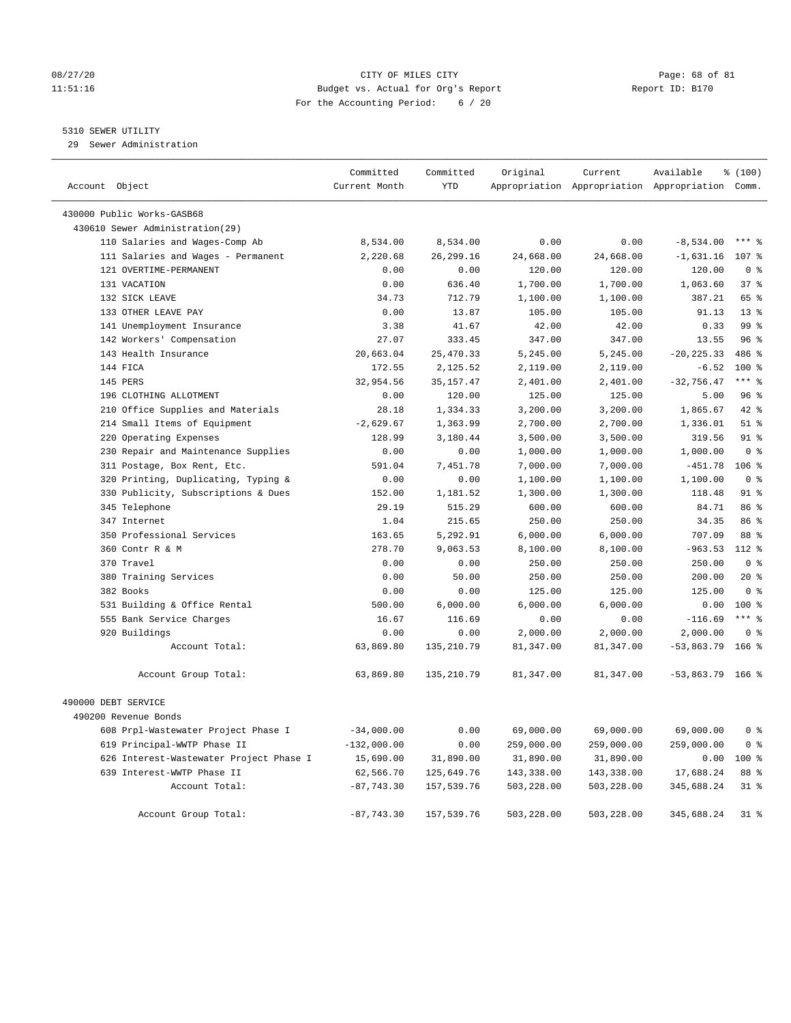# 08/27/20 Page: 68 of 81 11:51:16 Budget vs. Actual for Org's Report Report ID: B170 For the Accounting Period: 6 / 20

# 5310 SEWER UTILITY

29 Sewer Administration

| Account Object                          | Committed<br>Current Month | Committed<br><b>YTD</b> | Original   | Current    | Available<br>Appropriation Appropriation Appropriation Comm. | % (100)         |  |
|-----------------------------------------|----------------------------|-------------------------|------------|------------|--------------------------------------------------------------|-----------------|--|
| 430000 Public Works-GASB68              |                            |                         |            |            |                                                              |                 |  |
| 430610 Sewer Administration(29)         |                            |                         |            |            |                                                              |                 |  |
| 110 Salaries and Wages-Comp Ab          | 8,534.00                   | 8,534.00                | 0.00       | 0.00       | $-8,534.00$                                                  | $***$ $8$       |  |
| 111 Salaries and Wages - Permanent      | 2,220.68                   | 26, 299. 16             | 24,668.00  | 24,668.00  | $-1,631.16$                                                  | 107 %           |  |
| 121 OVERTIME-PERMANENT                  | 0.00                       | 0.00                    | 120.00     | 120.00     | 120.00                                                       | $0 \approx$     |  |
| 131 VACATION                            | 0.00                       | 636.40                  | 1,700.00   | 1,700.00   | 1,063.60                                                     | 37%             |  |
| 132 SICK LEAVE                          | 34.73                      | 712.79                  | 1,100.00   | 1,100.00   | 387.21                                                       | 65 %            |  |
| 133 OTHER LEAVE PAY                     | 0.00                       | 13.87                   | 105.00     | 105.00     | 91.13                                                        | 13 <sup>8</sup> |  |
| 141 Unemployment Insurance              | 3.38                       | 41.67                   | 42.00      | 42.00      | 0.33                                                         | 99 <sup>8</sup> |  |
| 142 Workers' Compensation               | 27.07                      | 333.45                  | 347.00     | 347.00     | 13.55                                                        | 96%             |  |
| 143 Health Insurance                    | 20,663.04                  | 25, 470.33              | 5,245.00   | 5,245.00   | $-20, 225.33$                                                | 486 %           |  |
| 144 FICA                                | 172.55                     | 2,125.52                | 2,119.00   | 2,119.00   | $-6.52$                                                      | $100*$          |  |
| 145 PERS                                | 32,954.56                  | 35, 157.47              | 2,401.00   | 2,401.00   | $-32,756.47$                                                 | $***$ $%$       |  |
| 196 CLOTHING ALLOTMENT                  | 0.00                       | 120.00                  | 125.00     | 125.00     | 5.00                                                         | 96%             |  |
| 210 Office Supplies and Materials       | 28.18                      | 1,334.33                | 3,200.00   | 3,200.00   | 1,865.67                                                     | 42 %            |  |
| 214 Small Items of Equipment            | $-2,629.67$                | 1,363.99                | 2,700.00   | 2,700.00   | 1,336.01                                                     | $51$ %          |  |
| 220 Operating Expenses                  | 128.99                     | 3,180.44                | 3,500.00   | 3,500.00   | 319.56                                                       | 91 %            |  |
| 230 Repair and Maintenance Supplies     | 0.00                       | 0.00                    | 1,000.00   | 1,000.00   | 1,000.00                                                     | 0 <sup>8</sup>  |  |
| 311 Postage, Box Rent, Etc.             | 591.04                     | 7,451.78                | 7,000.00   | 7,000.00   | $-451.78$                                                    | $106$ %         |  |
| 320 Printing, Duplicating, Typing &     | 0.00                       | 0.00                    | 1,100.00   | 1,100.00   | 1,100.00                                                     | 0 <sup>8</sup>  |  |
| 330 Publicity, Subscriptions & Dues     | 152.00                     | 1,181.52                | 1,300.00   | 1,300.00   | 118.48                                                       | $91$ %          |  |
| 345 Telephone                           | 29.19                      | 515.29                  | 600.00     | 600.00     | 84.71                                                        | 86 %            |  |
| 347 Internet                            | 1.04                       | 215.65                  | 250.00     | 250.00     | 34.35                                                        | 86 %            |  |
| 350 Professional Services               | 163.65                     | 5,292.91                | 6,000.00   | 6,000.00   | 707.09                                                       | 88 %            |  |
| 360 Contr R & M                         | 278.70                     | 9,063.53                | 8,100.00   | 8,100.00   | $-963.53$                                                    | $112*$          |  |
| 370 Travel                              | 0.00                       | 0.00                    | 250.00     | 250.00     | 250.00                                                       | 0 <sup>8</sup>  |  |
| 380 Training Services                   | 0.00                       | 50.00                   | 250.00     | 250.00     | 200.00                                                       | $20*$           |  |
| 382 Books                               | 0.00                       | 0.00                    | 125.00     | 125.00     | 125.00                                                       | 0 <sup>8</sup>  |  |
| 531 Building & Office Rental            | 500.00                     | 6,000.00                | 6,000.00   | 6,000.00   | 0.00                                                         | $100*$          |  |
| 555 Bank Service Charges                | 16.67                      | 116.69                  | 0.00       | 0.00       | $-116.69$                                                    | $***$ $%$       |  |
| 920 Buildings                           | 0.00                       | 0.00                    | 2,000.00   | 2,000.00   | 2,000.00                                                     | 0 <sup>8</sup>  |  |
| Account Total:                          | 63,869.80                  | 135, 210.79             | 81,347.00  | 81,347.00  | $-53,863.79$                                                 | 166 %           |  |
| Account Group Total:                    | 63,869.80                  | 135,210.79              | 81,347.00  | 81,347.00  | $-53,863.79$ 166 %                                           |                 |  |
| 490000 DEBT SERVICE                     |                            |                         |            |            |                                                              |                 |  |
| 490200 Revenue Bonds                    |                            |                         |            |            |                                                              |                 |  |
| 608 Prpl-Wastewater Project Phase I     | $-34,000.00$               | 0.00                    | 69,000.00  | 69,000.00  | 69,000.00                                                    | 0 <sup>8</sup>  |  |
| 619 Principal-WWTP Phase II             | $-132,000.00$              | 0.00                    | 259,000.00 | 259,000.00 | 259,000.00                                                   | 0 <sup>8</sup>  |  |
| 626 Interest-Wastewater Project Phase I | 15,690.00                  | 31,890.00               | 31,890.00  | 31,890.00  | 0.00                                                         | 100 %           |  |
| 639 Interest-WWTP Phase II              | 62,566.70                  | 125,649.76              | 143,338.00 | 143,338.00 | 17,688.24                                                    | 88 %            |  |
| Account Total:                          | $-87,743.30$               | 157,539.76              | 503,228.00 | 503,228.00 | 345,688.24                                                   | $31$ %          |  |
| Account Group Total:                    | $-87,743.30$               | 157,539.76              | 503,228.00 | 503,228.00 | 345,688.24                                                   | $31$ %          |  |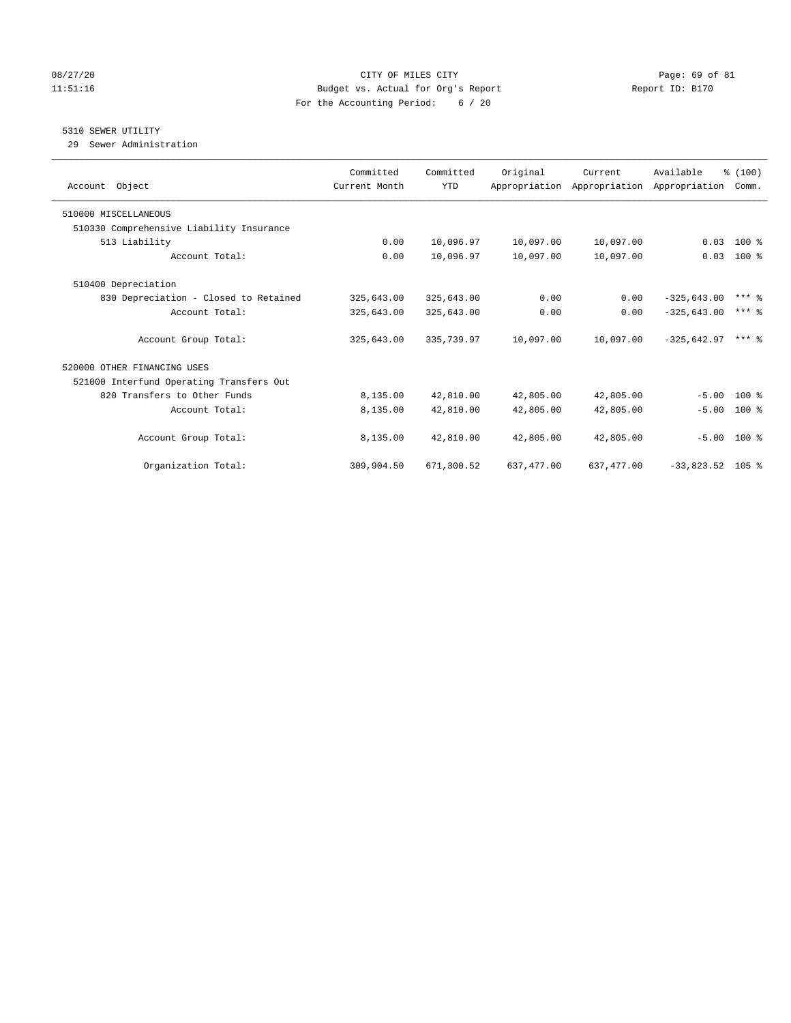# 08/27/20 Page: 69 of 81 11:51:16 Budget vs. Actual for Org's Report Report ID: B170 For the Accounting Period: 6 / 20

# 5310 SEWER UTILITY

29 Sewer Administration

| Account Object                           | Committed<br>Current Month | Committed<br><b>YTD</b> | Original    | Current<br>Appropriation Appropriation Appropriation | Available          | % (100)<br>Comm. |
|------------------------------------------|----------------------------|-------------------------|-------------|------------------------------------------------------|--------------------|------------------|
| 510000 MISCELLANEOUS                     |                            |                         |             |                                                      |                    |                  |
| 510330 Comprehensive Liability Insurance |                            |                         |             |                                                      |                    |                  |
| 513 Liability                            | 0.00                       | 10,096.97               | 10,097.00   | 10,097.00                                            | 0.03               | $100$ %          |
| Account Total:                           | 0.00                       | 10,096.97               | 10,097.00   | 10,097.00                                            | 0.03               | 100 %            |
| 510400 Depreciation                      |                            |                         |             |                                                      |                    |                  |
| 830 Depreciation - Closed to Retained    | 325,643.00                 | 325,643.00              | 0.00        | 0.00                                                 | $-325,643.00$      | $***$ 2          |
| Account Total:                           | 325,643.00                 | 325,643.00              | 0.00        | 0.00                                                 | $-325.643.00$      | $***$ 2          |
| Account Group Total:                     | 325,643.00                 | 335,739.97              | 10,097.00   | 10,097.00                                            | $-325.642.97$      | $***$ 2          |
| 520000 OTHER FINANCING USES              |                            |                         |             |                                                      |                    |                  |
| 521000 Interfund Operating Transfers Out |                            |                         |             |                                                      |                    |                  |
| 820 Transfers to Other Funds             | 8,135.00                   | 42,810.00               | 42,805.00   | 42,805.00                                            | $-5.00$            | $100*$           |
| Account Total:                           | 8,135.00                   | 42,810.00               | 42,805.00   | 42,805.00                                            | $-5.00$            | 100 %            |
| Account Group Total:                     | 8,135.00                   | 42,810.00               | 42,805.00   | 42,805.00                                            |                    | $-5.00$ 100 %    |
| Organization Total:                      | 309,904.50                 | 671,300.52              | 637, 477.00 | 637, 477.00                                          | $-33,823.52$ 105 % |                  |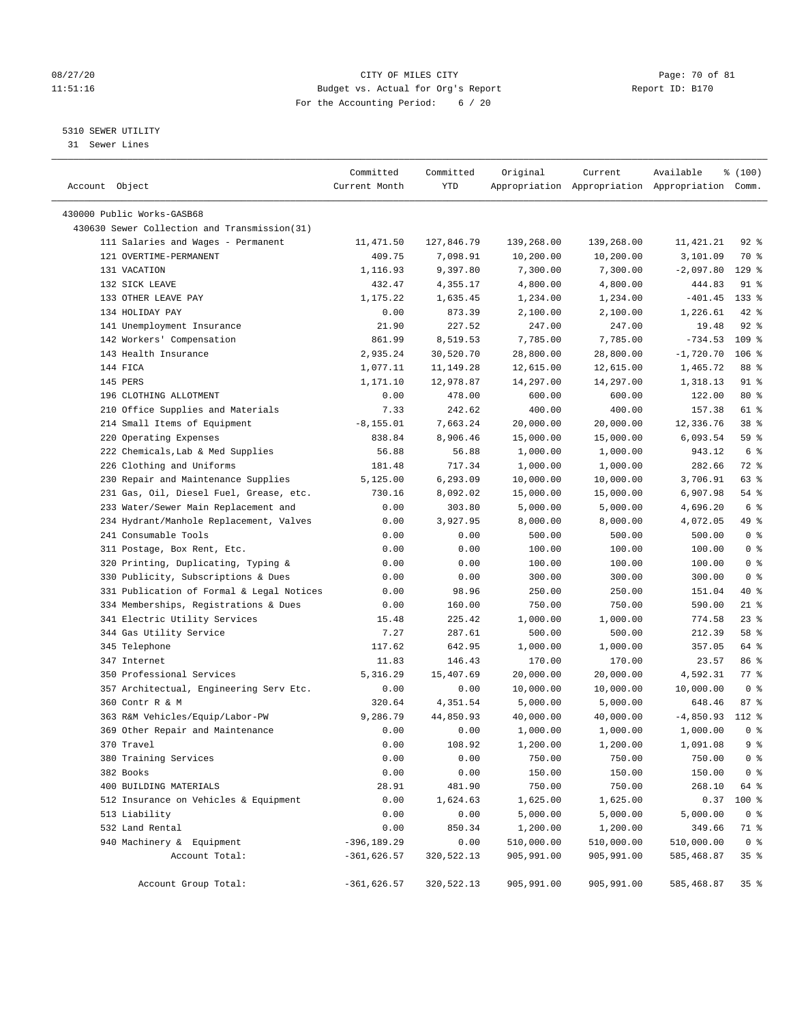# 08/27/20 Page: 70 of 81 11:51:16 Budget vs. Actual for Org's Report Report ID: B170 For the Accounting Period: 6 / 20

————————————————————————————————————————————————————————————————————————————————————————————————————————————————————————————————————

# 5310 SEWER UTILITY

31 Sewer Lines

|                                                                            | Committed          | Committed          | Original   | Current                 | Available                                       | % (100)          |
|----------------------------------------------------------------------------|--------------------|--------------------|------------|-------------------------|-------------------------------------------------|------------------|
| Account Object                                                             | Current Month      | YTD                |            |                         | Appropriation Appropriation Appropriation Comm. |                  |
|                                                                            |                    |                    |            |                         |                                                 |                  |
| 430000 Public Works-GASB68<br>430630 Sewer Collection and Transmission(31) |                    |                    |            |                         |                                                 |                  |
|                                                                            | 11,471.50          |                    |            |                         |                                                 | $92$ $%$         |
| 111 Salaries and Wages - Permanent<br>121 OVERTIME-PERMANENT               | 409.75             | 127,846.79         | 139,268.00 | 139,268.00<br>10,200.00 | 11,421.21<br>3,101.09                           | 70 %             |
| 131 VACATION                                                               |                    | 7,098.91           | 10,200.00  |                         |                                                 |                  |
|                                                                            | 1,116.93           | 9,397.80           | 7,300.00   | 7,300.00                | $-2,097.80$                                     | $129$ %          |
| 132 SICK LEAVE                                                             | 432.47<br>1,175.22 | 4,355.17           | 4,800.00   | 4,800.00                | 444.83                                          | 91 %<br>$133*$   |
| 133 OTHER LEAVE PAY<br>134 HOLIDAY PAY                                     |                    | 1,635.45           | 1,234.00   | 1,234.00                | $-401.45$                                       | $42$ %           |
|                                                                            | 0.00               | 873.39             | 2,100.00   | 2,100.00                | 1,226.61<br>19.48                               | $92$ %           |
| 141 Unemployment Insurance                                                 | 21.90              | 227.52<br>8,519.53 | 247.00     | 247.00                  | $-734.53$                                       | 109 <sub>8</sub> |
| 142 Workers' Compensation<br>143 Health Insurance                          | 861.99             |                    | 7,785.00   | 7,785.00                |                                                 |                  |
|                                                                            | 2,935.24           | 30,520.70          | 28,800.00  | 28,800.00               | $-1,720.70$                                     | $106$ %          |
| 144 FICA                                                                   | 1,077.11           | 11,149.28          | 12,615.00  | 12,615.00               | 1,465.72                                        | 88 %             |
| 145 PERS                                                                   | 1,171.10           | 12,978.87          | 14,297.00  | 14,297.00               | 1,318.13                                        | 91 %             |
| 196 CLOTHING ALLOTMENT                                                     | 0.00               | 478.00             | 600.00     | 600.00                  | 122.00                                          | 80 %             |
| 210 Office Supplies and Materials                                          | 7.33               | 242.62             | 400.00     | 400.00                  | 157.38                                          | 61 %             |
| 214 Small Items of Equipment                                               | $-8, 155.01$       | 7,663.24           | 20,000.00  | 20,000.00               | 12,336.76                                       | 38 <sup>8</sup>  |
| 220 Operating Expenses                                                     | 838.84             | 8,906.46           | 15,000.00  | 15,000.00               | 6,093.54                                        | 59 %             |
| 222 Chemicals, Lab & Med Supplies                                          | 56.88              | 56.88              | 1,000.00   | 1,000.00                | 943.12                                          | 6 %              |
| 226 Clothing and Uniforms                                                  | 181.48             | 717.34             | 1,000.00   | 1,000.00                | 282.66                                          | 72 %             |
| 230 Repair and Maintenance Supplies                                        | 5,125.00           | 6,293.09           | 10,000.00  | 10,000.00               | 3,706.91                                        | 63 %             |
| 231 Gas, Oil, Diesel Fuel, Grease, etc.                                    | 730.16             | 8,092.02           | 15,000.00  | 15,000.00               | 6,907.98                                        | $54$ %           |
| 233 Water/Sewer Main Replacement and                                       | 0.00               | 303.80             | 5,000.00   | 5,000.00                | 4,696.20                                        | 6 <sup>°</sup>   |
| 234 Hydrant/Manhole Replacement, Valves                                    | 0.00               | 3,927.95           | 8,000.00   | 8,000.00                | 4,072.05                                        | 49 %             |
| 241 Consumable Tools                                                       | 0.00               | 0.00               | 500.00     | 500.00                  | 500.00                                          | 0 <sup>8</sup>   |
| 311 Postage, Box Rent, Etc.                                                | 0.00               | 0.00               | 100.00     | 100.00                  | 100.00                                          | 0 <sup>8</sup>   |
| 320 Printing, Duplicating, Typing &                                        | 0.00               | 0.00               | 100.00     | 100.00                  | 100.00                                          | 0 <sup>8</sup>   |
| 330 Publicity, Subscriptions & Dues                                        | 0.00               | 0.00               | 300.00     | 300.00                  | 300.00                                          | 0 <sup>8</sup>   |
| 331 Publication of Formal & Legal Notices                                  | 0.00               | 98.96              | 250.00     | 250.00                  | 151.04                                          | 40 %             |
| 334 Memberships, Registrations & Dues                                      | 0.00               | 160.00             | 750.00     | 750.00                  | 590.00                                          | $21$ %           |
| 341 Electric Utility Services                                              | 15.48              | 225.42             | 1,000.00   | 1,000.00                | 774.58                                          | $23$ %           |
| 344 Gas Utility Service                                                    | 7.27               | 287.61             | 500.00     | 500.00                  | 212.39                                          | 58 %             |
| 345 Telephone                                                              | 117.62             | 642.95             | 1,000.00   | 1,000.00                | 357.05                                          | 64 %             |
| 347 Internet                                                               | 11.83              | 146.43             | 170.00     | 170.00                  | 23.57                                           | 86 %             |
| 350 Professional Services                                                  | 5,316.29           | 15,407.69          | 20,000.00  | 20,000.00               | 4,592.31                                        | 77.8             |
| 357 Architectual, Engineering Serv Etc.                                    | 0.00               | 0.00               | 10,000.00  | 10,000.00               | 10,000.00                                       | 0 <sup>8</sup>   |
| 360 Contr R & M                                                            | 320.64             | 4,351.54           | 5,000.00   | 5,000.00                | 648.46                                          | 87%              |
| 363 R&M Vehicles/Equip/Labor-PW                                            | 9,286.79           | 44,850.93          | 40,000.00  | 40,000.00               | $-4,850.93$                                     | 112 %            |
| 369 Other Repair and Maintenance                                           | 0.00               | 0.00               | 1,000.00   | 1,000.00                | 1,000.00                                        | 0 <sup>8</sup>   |
| 370 Travel                                                                 | 0.00               | 108.92             | 1,200.00   | 1,200.00                | 1,091.08                                        | 9 %              |
| 380 Training Services                                                      | 0.00               | 0.00               | 750.00     | 750.00                  | 750.00                                          | 0 <sup>8</sup>   |
| 382 Books                                                                  | 0.00               | 0.00               | 150.00     | 150.00                  | 150.00                                          | 0 <sup>8</sup>   |
| 400 BUILDING MATERIALS                                                     | 28.91              | 481.90             | 750.00     | 750.00                  | 268.10                                          | 64 %             |
| 512 Insurance on Vehicles & Equipment                                      | 0.00               | 1,624.63           | 1,625.00   | 1,625.00                | 0.37                                            | 100 %            |
| 513 Liability                                                              | 0.00               | 0.00               | 5,000.00   | 5,000.00                | 5,000.00                                        | 0 <sup>8</sup>   |
| 532 Land Rental                                                            | 0.00               | 850.34             | 1,200.00   | 1,200.00                | 349.66                                          | 71 %             |
| 940 Machinery & Equipment                                                  | $-396, 189.29$     | 0.00               | 510,000.00 | 510,000.00              | 510,000.00                                      | 0 <sup>8</sup>   |
| Account Total:                                                             | $-361,626.57$      | 320,522.13         | 905,991.00 | 905,991.00              | 585,468.87                                      | 35%              |
| Account Group Total:                                                       | $-361,626.57$      | 320,522.13         | 905,991.00 | 905,991.00              | 585,468.87                                      | 35%              |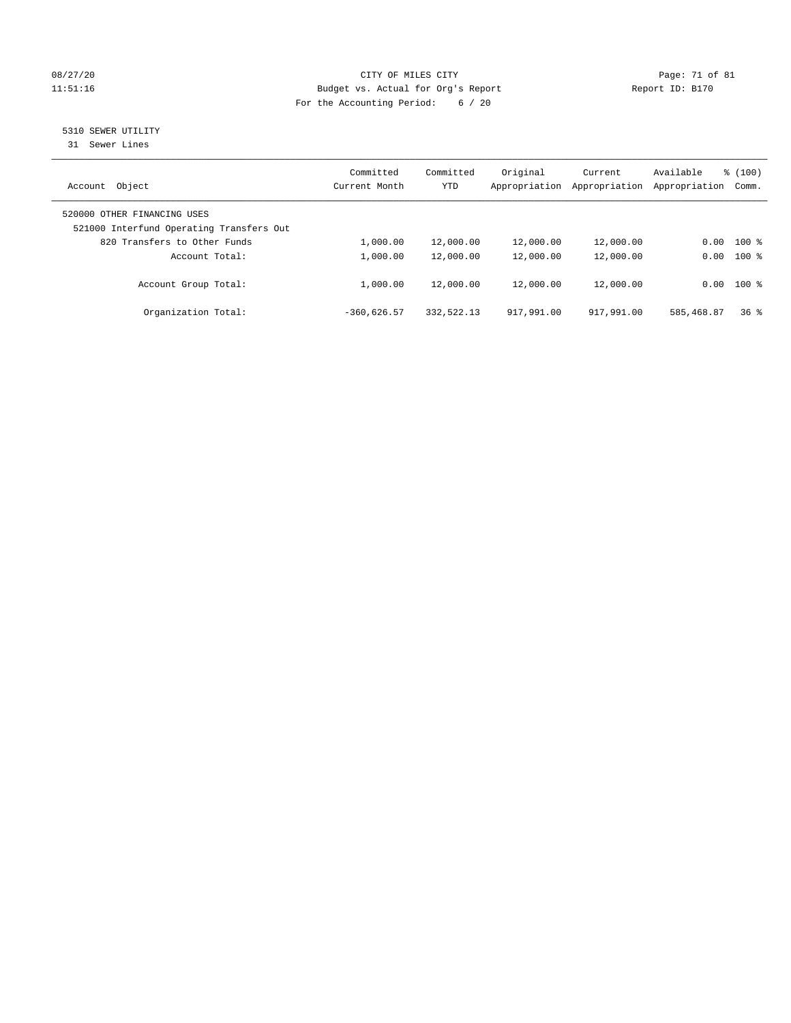# 08/27/20 Page: 71 of 81 11:51:16 Budget vs. Actual for Org's Report Report ID: B170 For the Accounting Period: 6 / 20

# 5310 SEWER UTILITY

31 Sewer Lines

| Object<br>Account                                                       | Committed<br>Current Month | Committed<br><b>YTD</b> | Original<br>Appropriation | Current<br>Appropriation | Available<br>Appropriation | % (100)<br>Comm. |
|-------------------------------------------------------------------------|----------------------------|-------------------------|---------------------------|--------------------------|----------------------------|------------------|
| 520000 OTHER FINANCING USES<br>521000 Interfund Operating Transfers Out |                            |                         |                           |                          |                            |                  |
| 820 Transfers to Other Funds                                            | 1,000.00                   | 12,000.00               | 12,000.00                 | 12,000.00                | 0.00                       | $100$ %          |
| Account Total:                                                          | 1,000.00                   | 12,000.00               | 12,000.00                 | 12,000.00                | 0.00                       | $100$ %          |
| Account Group Total:                                                    | 1,000.00                   | 12,000.00               | 12,000.00                 | 12,000.00                |                            | $0.00$ 100 %     |
| Organization Total:                                                     | $-360.626.57$              | 332,522.13              | 917,991.00                | 917,991.00               | 585,468.87                 | 36 <sup>8</sup>  |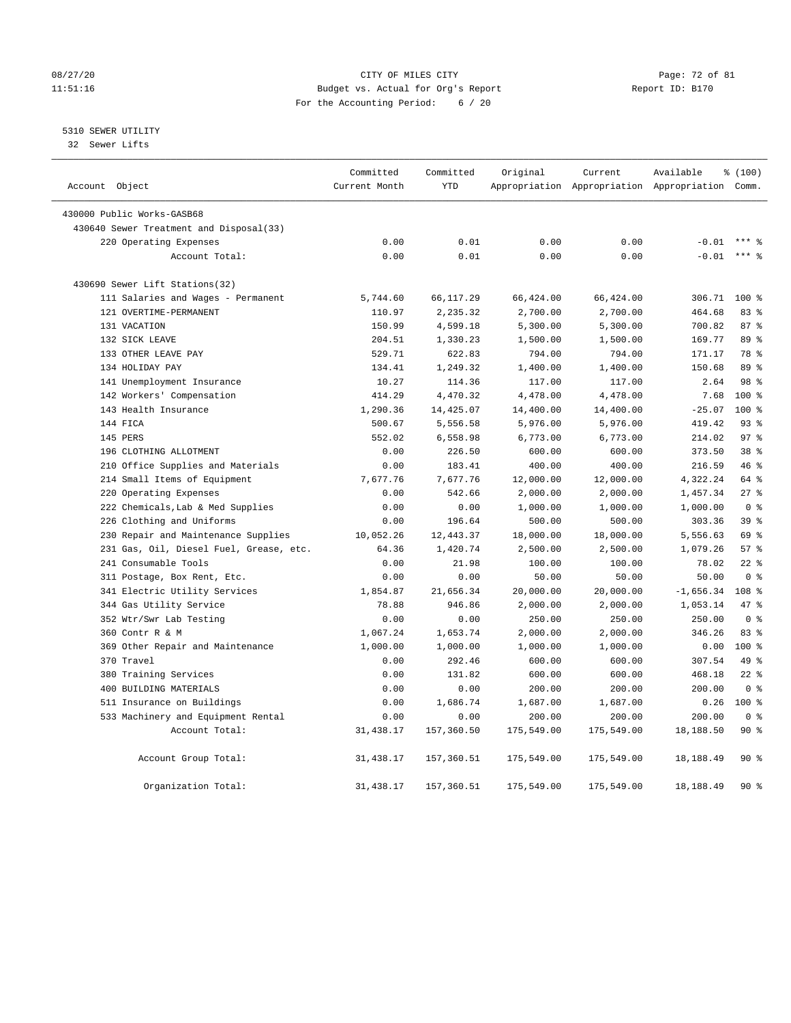### 08/27/20 Page: 72 of 81 11:51:16 Budget vs. Actual for Org's Report Report ID: B170 For the Accounting Period: 6 / 20

5310 SEWER UTILITY

32 Sewer Lifts

| Account Object                          | Committed<br>Current Month | Committed<br><b>YTD</b> | Original   | Current    | Available<br>Appropriation Appropriation Appropriation Comm. | % (100)          |
|-----------------------------------------|----------------------------|-------------------------|------------|------------|--------------------------------------------------------------|------------------|
|                                         |                            |                         |            |            |                                                              |                  |
| 430000 Public Works-GASB68              |                            |                         |            |            |                                                              |                  |
| 430640 Sewer Treatment and Disposal(33) |                            |                         |            |            |                                                              |                  |
| 220 Operating Expenses                  | 0.00                       | 0.01                    | 0.00       | 0.00       | $-0.01$                                                      |                  |
| Account Total:                          | 0.00                       | 0.01                    | 0.00       | 0.00       | $-0.01$                                                      | $***$ 8          |
| 430690 Sewer Lift Stations(32)          |                            |                         |            |            |                                                              |                  |
| 111 Salaries and Wages - Permanent      | 5,744.60                   | 66,117.29               | 66,424.00  | 66,424.00  | 306.71                                                       | $100*$           |
| 121 OVERTIME-PERMANENT                  | 110.97                     | 2,235.32                | 2,700.00   | 2,700.00   | 464.68                                                       | 83%              |
| 131 VACATION                            | 150.99                     | 4,599.18                | 5,300.00   | 5,300.00   | 700.82                                                       | 87%              |
| 132 SICK LEAVE                          | 204.51                     | 1,330.23                | 1,500.00   | 1,500.00   | 169.77                                                       | 89 %             |
| 133 OTHER LEAVE PAY                     | 529.71                     | 622.83                  | 794.00     | 794.00     | 171.17                                                       | 78 %             |
| 134 HOLIDAY PAY                         | 134.41                     | 1,249.32                | 1,400.00   | 1,400.00   | 150.68                                                       | 89 %             |
| 141 Unemployment Insurance              | 10.27                      | 114.36                  | 117.00     | 117.00     | 2.64                                                         | 98 %             |
| 142 Workers' Compensation               | 414.29                     | 4,470.32                | 4,478.00   | 4,478.00   | 7.68                                                         | $100*$           |
| 143 Health Insurance                    | 1,290.36                   | 14,425.07               | 14,400.00  | 14,400.00  | $-25.07$                                                     | 100 %            |
| 144 FICA                                | 500.67                     | 5,556.58                | 5,976.00   | 5,976.00   | 419.42                                                       | 93%              |
| 145 PERS                                | 552.02                     | 6,558.98                | 6,773.00   | 6,773.00   | 214.02                                                       | 97 <sub>8</sub>  |
| 196 CLOTHING ALLOTMENT                  | 0.00                       | 226.50                  | 600.00     | 600.00     | 373.50                                                       | 38 <sup>8</sup>  |
| 210 Office Supplies and Materials       | 0.00                       | 183.41                  | 400.00     | 400.00     | 216.59                                                       | 46 %             |
| 214 Small Items of Equipment            | 7,677.76                   | 7,677.76                | 12,000.00  | 12,000.00  | 4,322.24                                                     | 64 %             |
| 220 Operating Expenses                  | 0.00                       | 542.66                  | 2,000.00   | 2,000.00   | 1,457.34                                                     | $27$ %           |
| 222 Chemicals, Lab & Med Supplies       | 0.00                       | 0.00                    | 1,000.00   | 1,000.00   | 1,000.00                                                     | 0 <sup>8</sup>   |
| 226 Clothing and Uniforms               | 0.00                       | 196.64                  | 500.00     | 500.00     | 303.36                                                       | 39 <sup>°</sup>  |
| 230 Repair and Maintenance Supplies     | 10,052.26                  | 12,443.37               | 18,000.00  | 18,000.00  | 5,556.63                                                     | 69 %             |
| 231 Gas, Oil, Diesel Fuel, Grease, etc. | 64.36                      | 1,420.74                | 2,500.00   | 2,500.00   | 1,079.26                                                     | 57%              |
| 241 Consumable Tools                    | 0.00                       | 21.98                   | 100.00     | 100.00     | 78.02                                                        | $22$ %           |
| 311 Postage, Box Rent, Etc.             | 0.00                       | 0.00                    | 50.00      | 50.00      | 50.00                                                        | 0 <sup>8</sup>   |
| 341 Electric Utility Services           | 1,854.87                   | 21,656.34               | 20,000.00  | 20,000.00  | $-1,656.34$                                                  | 108 <sup>8</sup> |
| 344 Gas Utility Service                 | 78.88                      | 946.86                  | 2,000.00   | 2,000.00   | 1,053.14                                                     | 47 %             |
| 352 Wtr/Swr Lab Testing                 | 0.00                       | 0.00                    | 250.00     | 250.00     | 250.00                                                       | 0 <sup>8</sup>   |
| 360 Contr R & M                         | 1,067.24                   | 1,653.74                | 2,000.00   | 2,000.00   | 346.26                                                       | 83%              |
| 369 Other Repair and Maintenance        | 1,000.00                   | 1,000.00                | 1,000.00   | 1,000.00   | 0.00                                                         | $100*$           |
| 370 Travel                              | 0.00                       | 292.46                  | 600.00     | 600.00     | 307.54                                                       | 49 %             |
| 380 Training Services                   | 0.00                       | 131.82                  | 600.00     | 600.00     | 468.18                                                       | $22$ %           |
| 400 BUILDING MATERIALS                  | 0.00                       | 0.00                    | 200.00     | 200.00     | 200.00                                                       | 0 <sup>8</sup>   |
| 511 Insurance on Buildings              | 0.00                       | 1,686.74                | 1,687.00   | 1,687.00   | 0.26                                                         | $100*$           |
| 533 Machinery and Equipment Rental      | 0.00                       | 0.00                    | 200.00     | 200.00     | 200.00                                                       | 0 <sup>8</sup>   |
| Account Total:                          | 31, 438.17                 | 157,360.50              | 175,549.00 | 175,549.00 | 18,188.50                                                    | 90%              |
| Account Group Total:                    | 31, 438.17                 | 157,360.51              | 175,549.00 | 175,549.00 | 18,188.49                                                    | 90%              |
| Organization Total:                     | 31, 438.17                 | 157,360.51              | 175,549.00 | 175,549.00 | 18,188.49                                                    | 90%              |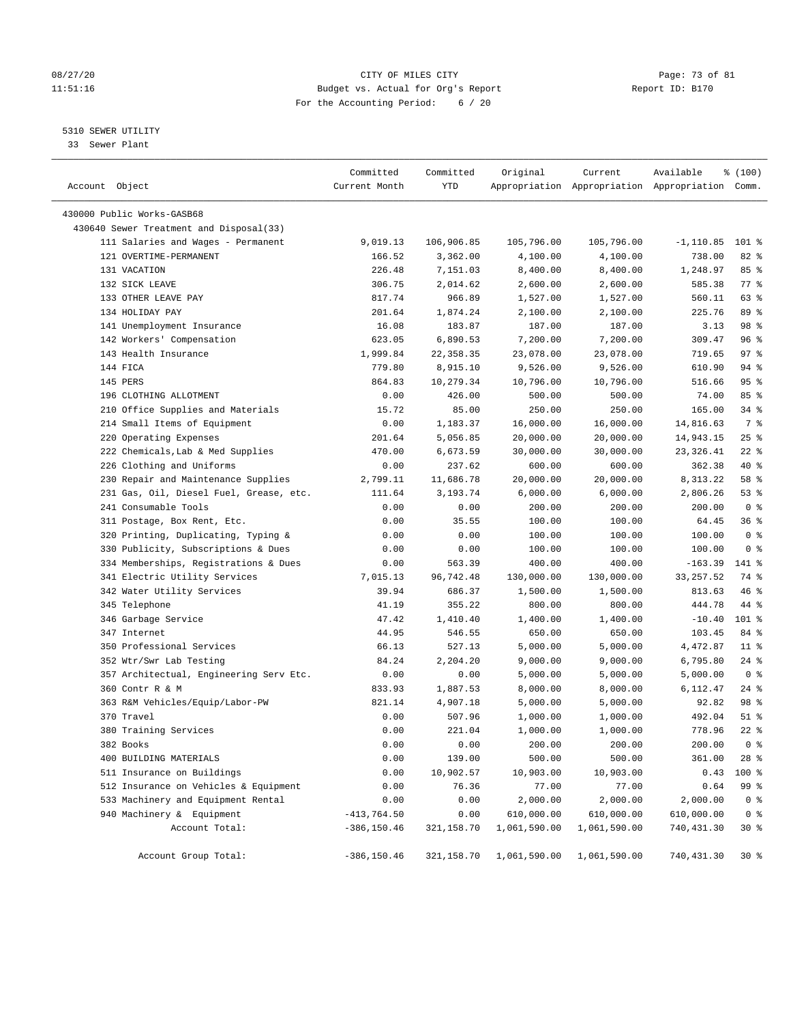# 08/27/20 Page: 73 of 81 11:51:16 Budget vs. Actual for Org's Report Report ID: B170 For the Accounting Period: 6 / 20

————————————————————————————————————————————————————————————————————————————————————————————————————————————————————————————————————

# 5310 SEWER UTILITY

33 Sewer Plant

|                                         | Committed      | Committed  | Original     | Current                                         | Available   | % (100)        |  |
|-----------------------------------------|----------------|------------|--------------|-------------------------------------------------|-------------|----------------|--|
| Account Object                          | Current Month  | YTD        |              | Appropriation Appropriation Appropriation Comm. |             |                |  |
| 430000 Public Works-GASB68              |                |            |              |                                                 |             |                |  |
| 430640 Sewer Treatment and Disposal(33) |                |            |              |                                                 |             |                |  |
| 111 Salaries and Wages - Permanent      | 9,019.13       | 106,906.85 | 105,796.00   | 105,796.00                                      | $-1,110.85$ | $101$ %        |  |
| 121 OVERTIME-PERMANENT                  | 166.52         | 3,362.00   | 4,100.00     | 4,100.00                                        | 738.00      | 82 %           |  |
| 131 VACATION                            | 226.48         | 7,151.03   | 8,400.00     | 8,400.00                                        | 1,248.97    | 85%            |  |
| 132 SICK LEAVE                          | 306.75         | 2,014.62   | 2,600.00     | 2,600.00                                        | 585.38      | 77 %           |  |
| 133 OTHER LEAVE PAY                     | 817.74         | 966.89     | 1,527.00     | 1,527.00                                        | 560.11      | 63 %           |  |
| 134 HOLIDAY PAY                         | 201.64         | 1,874.24   | 2,100.00     | 2,100.00                                        | 225.76      | 89 %           |  |
| 141 Unemployment Insurance              | 16.08          | 183.87     | 187.00       | 187.00                                          | 3.13        | 98 %           |  |
| 142 Workers' Compensation               | 623.05         | 6,890.53   | 7,200.00     | 7,200.00                                        | 309.47      | 96%            |  |
| 143 Health Insurance                    | 1,999.84       | 22, 358.35 | 23,078.00    | 23,078.00                                       | 719.65      | 97%            |  |
| 144 FICA                                | 779.80         | 8,915.10   | 9,526.00     | 9,526.00                                        | 610.90      | 94 %           |  |
| 145 PERS                                | 864.83         | 10,279.34  | 10,796.00    | 10,796.00                                       | 516.66      | 95%            |  |
| 196 CLOTHING ALLOTMENT                  | 0.00           | 426.00     | 500.00       | 500.00                                          | 74.00       | 85%            |  |
| 210 Office Supplies and Materials       | 15.72          | 85.00      | 250.00       | 250.00                                          | 165.00      | 34 %           |  |
| 214 Small Items of Equipment            | 0.00           | 1,183.37   | 16,000.00    | 16,000.00                                       | 14,816.63   | 7 %            |  |
| 220 Operating Expenses                  | 201.64         | 5,056.85   | 20,000.00    | 20,000.00                                       | 14,943.15   | $25$ %         |  |
| 222 Chemicals, Lab & Med Supplies       | 470.00         | 6,673.59   | 30,000.00    | 30,000.00                                       | 23,326.41   | $22$ %         |  |
| 226 Clothing and Uniforms               | 0.00           | 237.62     | 600.00       | 600.00                                          | 362.38      | 40 %           |  |
| 230 Repair and Maintenance Supplies     | 2,799.11       | 11,686.78  | 20,000.00    | 20,000.00                                       | 8,313.22    | 58 %           |  |
| 231 Gas, Oil, Diesel Fuel, Grease, etc. | 111.64         | 3,193.74   | 6,000.00     | 6,000.00                                        | 2,806.26    | 53%            |  |
| 241 Consumable Tools                    | 0.00           | 0.00       | 200.00       | 200.00                                          | 200.00      | 0 <sup>8</sup> |  |
| 311 Postage, Box Rent, Etc.             | 0.00           | 35.55      | 100.00       | 100.00                                          | 64.45       | 36%            |  |
| 320 Printing, Duplicating, Typing &     | 0.00           | 0.00       | 100.00       | 100.00                                          | 100.00      | 0 <sup>8</sup> |  |
| 330 Publicity, Subscriptions & Dues     | 0.00           | 0.00       | 100.00       | 100.00                                          | 100.00      | 0 <sup>8</sup> |  |
| 334 Memberships, Registrations & Dues   | 0.00           | 563.39     | 400.00       | 400.00                                          | -163.39     | 141 %          |  |
| 341 Electric Utility Services           | 7,015.13       | 96,742.48  | 130,000.00   | 130,000.00                                      | 33, 257.52  | 74 %           |  |
| 342 Water Utility Services              | 39.94          | 686.37     | 1,500.00     | 1,500.00                                        | 813.63      | 46 %           |  |
| 345 Telephone                           | 41.19          | 355.22     | 800.00       | 800.00                                          | 444.78      | 44 %           |  |
| 346 Garbage Service                     | 47.42          | 1,410.40   | 1,400.00     | 1,400.00                                        | $-10.40$    | 101 %          |  |
| 347 Internet                            | 44.95          | 546.55     | 650.00       | 650.00                                          | 103.45      | 84 %           |  |
| 350 Professional Services               | 66.13          | 527.13     | 5,000.00     | 5,000.00                                        | 4,472.87    | $11$ %         |  |
| 352 Wtr/Swr Lab Testing                 | 84.24          | 2,204.20   | 9,000.00     | 9,000.00                                        | 6,795.80    | $24$ %         |  |
| 357 Architectual, Engineering Serv Etc. | 0.00           | 0.00       | 5,000.00     | 5,000.00                                        | 5,000.00    | 0 <sup>8</sup> |  |
| 360 Contr R & M                         | 833.93         | 1,887.53   | 8,000.00     | 8,000.00                                        | 6,112.47    | $24$ %         |  |
| 363 R&M Vehicles/Equip/Labor-PW         | 821.14         | 4,907.18   | 5,000.00     | 5,000.00                                        | 92.82       | 98 %           |  |
| 370 Travel                              | 0.00           | 507.96     | 1,000.00     | 1,000.00                                        | 492.04      | $51$ %         |  |
| 380 Training Services                   | 0.00           | 221.04     | 1,000.00     | 1,000.00                                        | 778.96      | $22$ %         |  |
| 382 Books                               | 0.00           | 0.00       | 200.00       | 200.00                                          | 200.00      | 0 <sup>8</sup> |  |
| 400 BUILDING MATERIALS                  | 0.00           | 139.00     | 500.00       | 500.00                                          | 361.00      | 28 %           |  |
| 511 Insurance on Buildings              | 0.00           | 10,902.57  | 10,903.00    | 10,903.00                                       | 0.43        | 100 %          |  |
| 512 Insurance on Vehicles & Equipment   | 0.00           | 76.36      | 77.00        | 77.00                                           | 0.64        | 99 %           |  |
| 533 Machinery and Equipment Rental      | 0.00           | 0.00       | 2,000.00     | 2,000.00                                        | 2,000.00    | 0 <sup>8</sup> |  |
| 940 Machinery & Equipment               | $-413,764.50$  | 0.00       | 610,000.00   | 610,000.00                                      | 610,000.00  | 0 <sup>8</sup> |  |
| Account Total:                          | $-386, 150.46$ | 321,158.70 | 1,061,590.00 | 1,061,590.00                                    | 740,431.30  | $30*$          |  |
|                                         |                |            |              |                                                 |             |                |  |
| Account Group Total:                    | $-386, 150.46$ | 321,158.70 | 1,061,590.00 | 1,061,590.00                                    | 740,431.30  | $30*$          |  |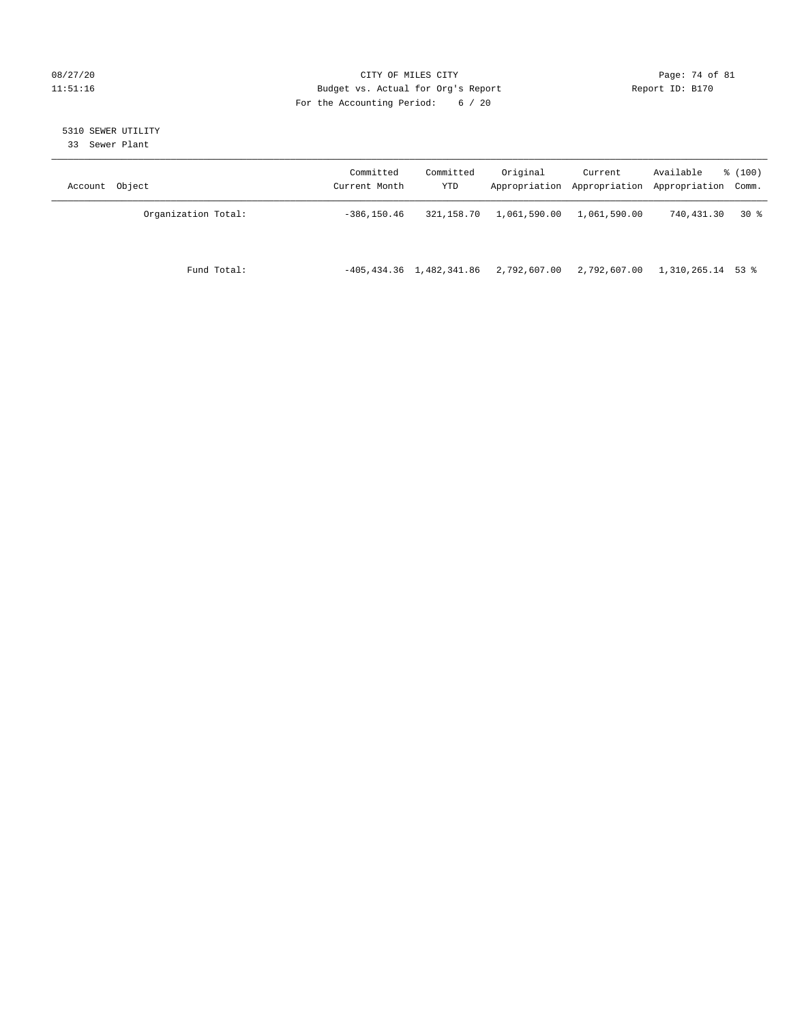# 08/27/20 Page: 74 of 81 11:51:16 Budget vs. Actual for Org's Report Report ID: B170 For the Accounting Period: 6 / 20

# 5310 SEWER UTILITY

33 Sewer Plant

| Account Object      | Committed<br>Current Month | Committed<br>YTD              | Original     | Current      | Available<br>Appropriation Appropriation Appropriation Comm. | % (100) |
|---------------------|----------------------------|-------------------------------|--------------|--------------|--------------------------------------------------------------|---------|
| Organization Total: | $-386, 150.46$             | 321,158.70                    | 1,061,590.00 | 1,061,590.00 | 740,431.30                                                   | 30 %    |
| Fund Total:         |                            | $-405, 434.36$ 1, 482, 341.86 | 2,792,607.00 | 2,792,607.00 | 1,310,265.14 53 %                                            |         |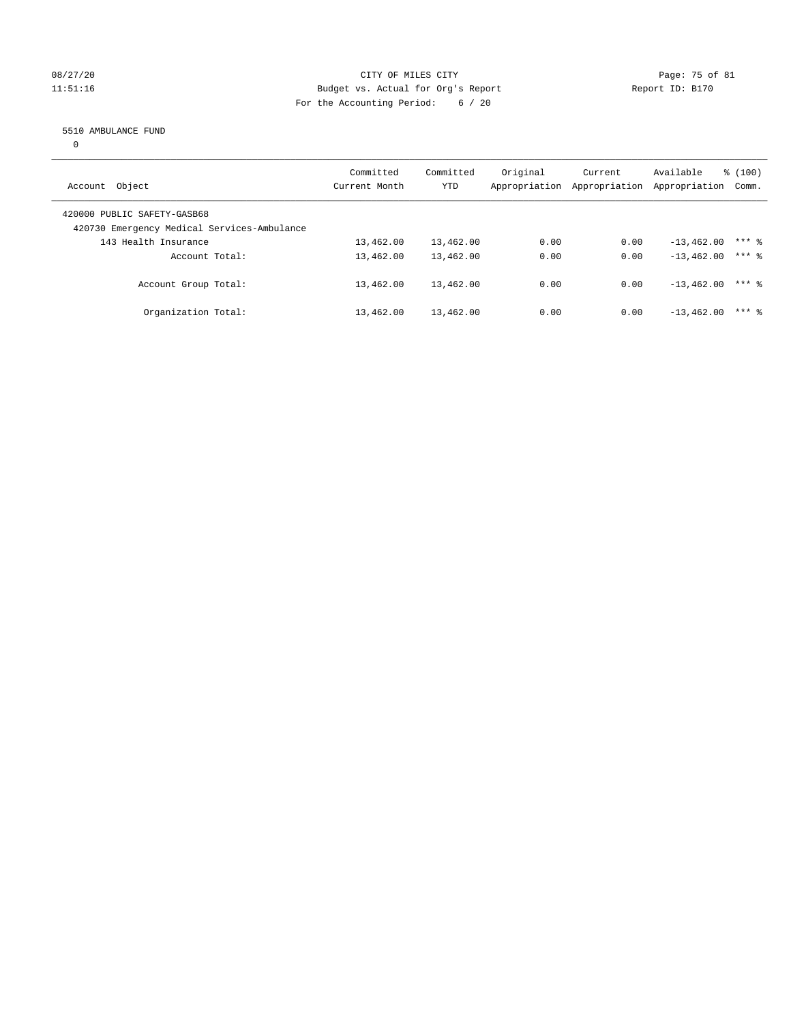# 08/27/20 Page: 75 of 81 11:51:16 Budget vs. Actual for Org's Report Changer Report ID: B170 For the Accounting Period: 6 / 20

### 5510 AMBULANCE FUND

 $\overline{0}$ 

| Account Object                                                             | Committed<br>Current Month | Committed<br><b>YTD</b> | Original<br>Appropriation | Current<br>Appropriation | Available<br>Appropriation | % (100)<br>Comm. |
|----------------------------------------------------------------------------|----------------------------|-------------------------|---------------------------|--------------------------|----------------------------|------------------|
| 420000 PUBLIC SAFETY-GASB68<br>420730 Emergency Medical Services-Ambulance |                            |                         |                           |                          |                            |                  |
| 143 Health Insurance                                                       | 13,462.00                  | 13,462.00               | 0.00                      | 0.00                     | $-13,462,00$               | $***$ 2          |
| Account Total:                                                             | 13,462.00                  | 13,462.00               | 0.00                      | 0.00                     | $-13, 462, 00$             | $***$ 2          |
| Account Group Total:                                                       | 13,462.00                  | 13,462.00               | 0.00                      | 0.00                     | $-13, 462, 00$             | $***$ 2          |
| Organization Total:                                                        | 13,462.00                  | 13,462.00               | 0.00                      | 0.00                     | $-13, 462, 00$             | $***$ 2          |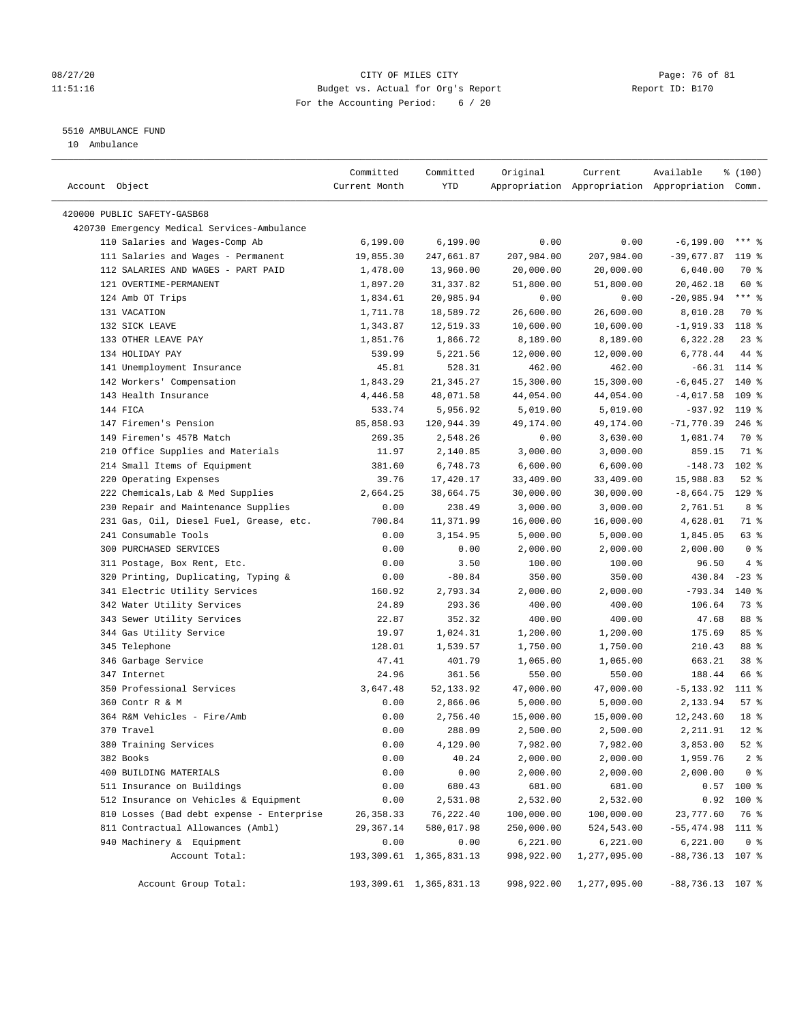# 08/27/20 Page: 76 of 81 11:51:16 Budget vs. Actual for Org's Report Changer Report ID: B170 For the Accounting Period: 6 / 20

————————————————————————————————————————————————————————————————————————————————————————————————————————————————————————————————————

# 5510 AMBULANCE FUND

10 Ambulance

|                                             | Committed     | Committed                  | Original   | Current      | Available                                       | % (100)         |  |
|---------------------------------------------|---------------|----------------------------|------------|--------------|-------------------------------------------------|-----------------|--|
| Account Object                              | Current Month | YTD                        |            |              | Appropriation Appropriation Appropriation Comm. |                 |  |
| 420000 PUBLIC SAFETY-GASB68                 |               |                            |            |              |                                                 |                 |  |
| 420730 Emergency Medical Services-Ambulance |               |                            |            |              |                                                 |                 |  |
| 110 Salaries and Wages-Comp Ab              | 6,199.00      | 6, 199.00                  | 0.00       | 0.00         | $-6, 199.00$                                    | *** 응           |  |
| 111 Salaries and Wages - Permanent          | 19,855.30     | 247,661.87                 | 207,984.00 | 207,984.00   | $-39,677.87$                                    | $119$ %         |  |
| 112 SALARIES AND WAGES - PART PAID          | 1,478.00      | 13,960.00                  | 20,000.00  | 20,000.00    | 6,040.00                                        | 70 %            |  |
| 121 OVERTIME-PERMANENT                      | 1,897.20      | 31,337.82                  | 51,800.00  | 51,800.00    | 20,462.18                                       | 60 %            |  |
| 124 Amb OT Trips                            | 1,834.61      | 20,985.94                  | 0.00       | 0.00         | $-20,985.94$                                    | $***$ $%$       |  |
| 131 VACATION                                | 1,711.78      | 18,589.72                  | 26,600.00  | 26,600.00    | 8,010.28                                        | 70 %            |  |
| 132 SICK LEAVE                              | 1,343.87      | 12,519.33                  | 10,600.00  | 10,600.00    | $-1,919.33$                                     | 118 %           |  |
| 133 OTHER LEAVE PAY                         | 1,851.76      | 1,866.72                   | 8,189.00   | 8,189.00     | 6,322.28                                        | $23$ $%$        |  |
| 134 HOLIDAY PAY                             | 539.99        | 5,221.56                   | 12,000.00  | 12,000.00    | 6,778.44                                        | 44 %            |  |
| 141 Unemployment Insurance                  | 45.81         | 528.31                     | 462.00     | 462.00       | $-66.31$ 114 %                                  |                 |  |
| 142 Workers' Compensation                   | 1,843.29      | 21,345.27                  | 15,300.00  | 15,300.00    | $-6,045.27$                                     | $140*$          |  |
| 143 Health Insurance                        | 4,446.58      | 48,071.58                  | 44,054.00  | 44,054.00    | $-4,017.58$                                     | $109$ %         |  |
| 144 FICA                                    | 533.74        | 5,956.92                   | 5,019.00   | 5,019.00     | $-937.92$ 119 %                                 |                 |  |
| 147 Firemen's Pension                       | 85,858.93     | 120,944.39                 | 49,174.00  | 49,174.00    | $-71,770.39$                                    | $246$ %         |  |
| 149 Firemen's 457B Match                    | 269.35        | 2,548.26                   | 0.00       | 3,630.00     | 1,081.74                                        | 70 %            |  |
| 210 Office Supplies and Materials           | 11.97         | 2,140.85                   | 3,000.00   | 3,000.00     | 859.15                                          | 71 %            |  |
| 214 Small Items of Equipment                | 381.60        | 6,748.73                   | 6,600.00   | 6,600.00     | $-148.73$                                       | $102$ %         |  |
| 220 Operating Expenses                      | 39.76         | 17,420.17                  | 33,409.00  | 33,409.00    | 15,988.83                                       | $52$ $%$        |  |
| 222 Chemicals, Lab & Med Supplies           | 2,664.25      | 38,664.75                  | 30,000.00  | 30,000.00    | $-8,664.75$                                     | $129$ %         |  |
| 230 Repair and Maintenance Supplies         | 0.00          | 238.49                     | 3,000.00   | 3,000.00     | 2,761.51                                        | 8 %             |  |
| 231 Gas, Oil, Diesel Fuel, Grease, etc.     | 700.84        | 11,371.99                  | 16,000.00  | 16,000.00    | 4,628.01                                        | 71 %            |  |
| 241 Consumable Tools                        | 0.00          | 3,154.95                   | 5,000.00   | 5,000.00     | 1,845.05                                        | 63 %            |  |
| 300 PURCHASED SERVICES                      | 0.00          | 0.00                       | 2,000.00   | 2,000.00     | 2,000.00                                        | 0 <sup>8</sup>  |  |
| 311 Postage, Box Rent, Etc.                 | 0.00          | 3.50                       | 100.00     | 100.00       | 96.50                                           | 4%              |  |
| 320 Printing, Duplicating, Typing &         | 0.00          | $-80.84$                   | 350.00     | 350.00       | 430.84                                          | $-23$ %         |  |
| 341 Electric Utility Services               | 160.92        | 2,793.34                   | 2,000.00   | 2,000.00     | $-793.34$                                       | $140*$          |  |
| 342 Water Utility Services                  | 24.89         | 293.36                     | 400.00     | 400.00       | 106.64                                          | 73 %            |  |
| 343 Sewer Utility Services                  | 22.87         | 352.32                     | 400.00     | 400.00       | 47.68                                           | 88 %            |  |
| 344 Gas Utility Service                     | 19.97         | 1,024.31                   | 1,200.00   | 1,200.00     | 175.69                                          | 85%             |  |
| 345 Telephone                               | 128.01        | 1,539.57                   | 1,750.00   | 1,750.00     | 210.43                                          | 88 %            |  |
| 346 Garbage Service                         | 47.41         | 401.79                     | 1,065.00   | 1,065.00     | 663.21                                          | 38 <sup>8</sup> |  |
| 347 Internet                                | 24.96         | 361.56                     | 550.00     | 550.00       | 188.44                                          | 66 %            |  |
| 350 Professional Services                   | 3,647.48      | 52,133.92                  | 47,000.00  | 47,000.00    | -5,133.92                                       | 111 %           |  |
| 360 Contr R & M                             | 0.00          | 2,866.06                   | 5,000.00   | 5,000.00     | 2,133.94                                        | 57%             |  |
| 364 R&M Vehicles - Fire/Amb                 | 0.00          | 2,756.40                   | 15,000.00  | 15,000.00    | 12,243.60                                       | 18 %            |  |
| 370 Travel                                  | 0.00          | 288.09                     | 2,500.00   | 2,500.00     | 2,211.91                                        | $12*$           |  |
| 380 Training Services                       | 0.00          | 4,129.00                   | 7,982.00   | 7,982.00     | 3,853.00                                        | $52$ $%$        |  |
| 382 Books                                   | 0.00          | 40.24                      | 2,000.00   | 2,000.00     | 1,959.76                                        | 2 <sup>8</sup>  |  |
| 400 BUILDING MATERIALS                      | 0.00          | 0.00                       | 2,000.00   | 2,000.00     | 2,000.00                                        | 0 <sup>8</sup>  |  |
| 511 Insurance on Buildings                  | 0.00          | 680.43                     | 681.00     | 681.00       |                                                 | $0.57$ 100 %    |  |
| 512 Insurance on Vehicles & Equipment       | 0.00          | 2,531.08                   | 2,532.00   | 2,532.00     |                                                 | $0.92$ 100 %    |  |
| 810 Losses (Bad debt expense - Enterprise   | 26, 358.33    | 76,222.40                  | 100,000.00 | 100,000.00   | 23,777.60                                       | 76 %            |  |
| 811 Contractual Allowances (Ambl)           | 29,367.14     | 580,017.98                 | 250,000.00 | 524,543.00   | $-55,474.98$ 111 %                              |                 |  |
| 940 Machinery & Equipment                   | 0.00          | 0.00                       | 6,221.00   | 6, 221.00    | 6,221.00                                        | 0 <sup>8</sup>  |  |
| Account Total:                              |               | 193, 309.61 1, 365, 831.13 | 998,922.00 | 1,277,095.00 | $-88,736.13$ 107 %                              |                 |  |
| Account Group Total:                        |               | 193, 309.61 1, 365, 831.13 | 998,922.00 | 1,277,095.00 | $-88,736.13$ 107 %                              |                 |  |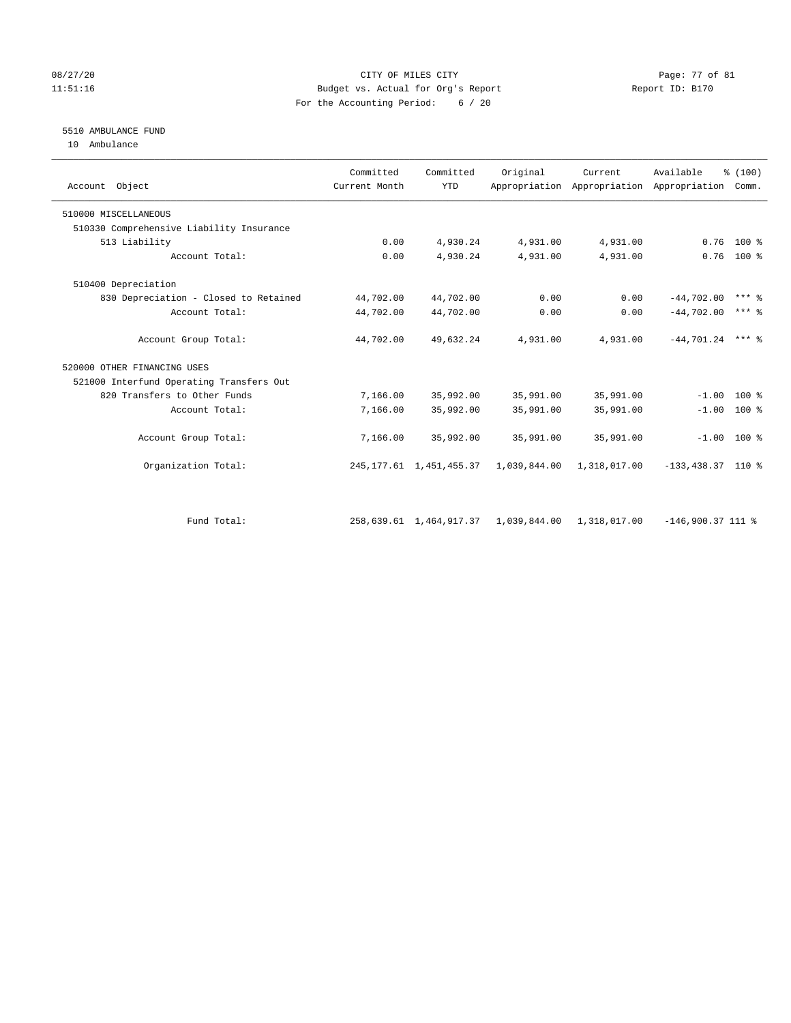#### 08/27/20 Page: 77 of 81 11:51:16 Budget vs. Actual for Org's Report Report ID: B170 For the Accounting Period: 6 / 20

# 5510 AMBULANCE FUND

10 Ambulance

| Account Object                           | Committed<br>Current Month | Committed<br><b>YTD</b>    | Original     | Current<br>Appropriation Appropriation | Available<br>Appropriation | % (100)<br>Comm.    |
|------------------------------------------|----------------------------|----------------------------|--------------|----------------------------------------|----------------------------|---------------------|
| 510000 MISCELLANEOUS                     |                            |                            |              |                                        |                            |                     |
| 510330 Comprehensive Liability Insurance |                            |                            |              |                                        |                            |                     |
| 513 Liability                            | 0.00                       | 4,930.24                   | 4,931.00     | 4,931.00                               |                            | $0.76$ 100 %        |
| Account Total:                           | 0.00                       | 4,930.24                   | 4,931.00     | 4,931.00                               |                            | $0.76$ 100 %        |
| 510400 Depreciation                      |                            |                            |              |                                        |                            |                     |
| 830 Depreciation - Closed to Retained    | 44,702.00                  | 44,702.00                  | 0.00         | 0.00                                   | $-44,702.00$               | $***$ 2             |
| Account Total:                           | 44,702.00                  | 44,702.00                  | 0.00         | 0.00                                   | $-44.702.00$               | $***$ $\frac{6}{5}$ |
| Account Group Total:                     | 44,702.00                  | 49,632.24                  | 4,931.00     | 4,931.00                               | $-44,701.24$ *** &         |                     |
| 520000 OTHER FINANCING USES              |                            |                            |              |                                        |                            |                     |
| 521000 Interfund Operating Transfers Out |                            |                            |              |                                        |                            |                     |
| 820 Transfers to Other Funds             | 7,166.00                   | 35,992.00                  | 35,991.00    | 35,991.00                              |                            | $-1.00$ 100 %       |
| Account Total:                           | 7,166.00                   | 35,992.00                  | 35,991.00    | 35,991.00                              |                            | $-1.00$ 100 %       |
| Account Group Total:                     | 7,166.00                   | 35,992.00                  | 35,991.00    | 35,991.00                              |                            | $-1.00$ 100 %       |
| Organization Total:                      |                            | 245, 177.61 1, 451, 455.37 | 1,039,844.00 | 1,318,017.00                           | $-133,438.37$ 110 %        |                     |
|                                          |                            |                            |              |                                        |                            |                     |
| Fund Total:                              |                            | 258,639.61 1,464,917.37    | 1,039,844.00 | 1,318,017.00                           | $-146,900.37$ 111 %        |                     |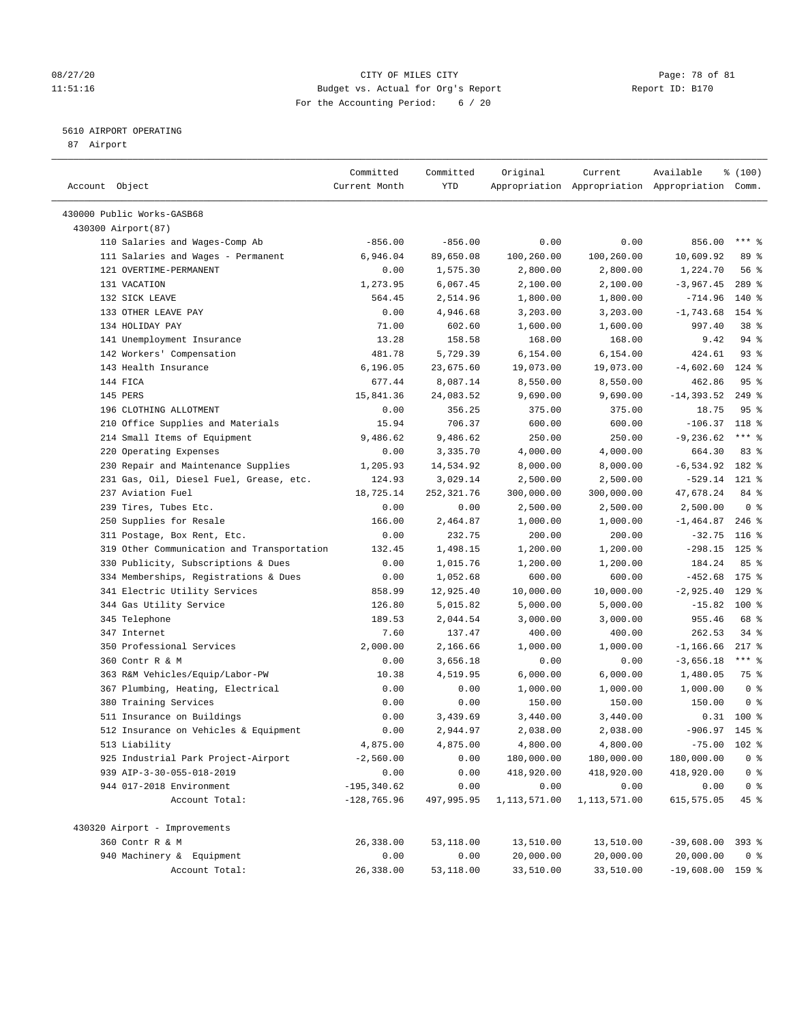#### 08/27/20 Page: 78 of 81 11:51:16 Budget vs. Actual for Org's Report Report ID: B170 For the Accounting Period: 6 / 20

————————————————————————————————————————————————————————————————————————————————————————————————————————————————————————————————————

# 5610 AIRPORT OPERATING

87 Airport

|                                            | Committed      | Committed              | Original     | Current      | Available                                       | % (100)         |
|--------------------------------------------|----------------|------------------------|--------------|--------------|-------------------------------------------------|-----------------|
| Account Object                             | Current Month  | YTD                    |              |              | Appropriation Appropriation Appropriation Comm. |                 |
| 430000 Public Works-GASB68                 |                |                        |              |              |                                                 |                 |
| 430300 Airport (87)                        |                |                        |              |              |                                                 |                 |
| 110 Salaries and Wages-Comp Ab             | $-856.00$      |                        | 0.00         | 0.00         |                                                 | $***$ $_{8}$    |
| 111 Salaries and Wages - Permanent         | 6,946.04       | $-856.00$<br>89,650.08 | 100,260.00   | 100,260.00   | 856.00<br>10,609.92                             | 89 %            |
| 121 OVERTIME-PERMANENT                     | 0.00           | 1,575.30               |              | 2,800.00     | 1,224.70                                        | 56 %            |
| 131 VACATION                               |                |                        | 2,800.00     |              | $-3,967.45$                                     | 289 %           |
|                                            | 1,273.95       | 6,067.45               | 2,100.00     | 2,100.00     | $-714.96$                                       |                 |
| 132 SICK LEAVE<br>133 OTHER LEAVE PAY      | 564.45         | 2,514.96               | 1,800.00     | 1,800.00     |                                                 | 140 %<br>154 %  |
| 134 HOLIDAY PAY                            | 0.00           | 4,946.68<br>602.60     | 3,203.00     | 3,203.00     | $-1,743.68$<br>997.40                           | 38 <sup>8</sup> |
|                                            | 71.00          |                        | 1,600.00     | 1,600.00     |                                                 | 94 %            |
| 141 Unemployment Insurance                 | 13.28          | 158.58                 | 168.00       | 168.00       | 9.42                                            |                 |
| 142 Workers' Compensation                  | 481.78         | 5,729.39               | 6,154.00     | 6,154.00     | 424.61                                          | $93$ $%$        |
| 143 Health Insurance                       | 6,196.05       | 23,675.60              | 19,073.00    | 19,073.00    | $-4,602.60$                                     | $124$ %         |
| 144 FICA                                   | 677.44         | 8,087.14               | 8,550.00     | 8,550.00     | 462.86                                          | 95%             |
| 145 PERS                                   | 15,841.36      | 24,083.52              | 9,690.00     | 9,690.00     | $-14, 393.52$                                   | $249$ %         |
| 196 CLOTHING ALLOTMENT                     | 0.00           | 356.25                 | 375.00       | 375.00       | 18.75                                           | 95%             |
| 210 Office Supplies and Materials          | 15.94          | 706.37                 | 600.00       | 600.00       | $-106.37$ 118 %                                 |                 |
| 214 Small Items of Equipment               | 9,486.62       | 9,486.62               | 250.00       | 250.00       | $-9, 236.62$                                    | $***$ $8$       |
| 220 Operating Expenses                     | 0.00           | 3,335.70               | 4,000.00     | 4,000.00     | 664.30                                          | 83%             |
| 230 Repair and Maintenance Supplies        | 1,205.93       | 14,534.92              | 8,000.00     | 8,000.00     | $-6, 534.92$                                    | 182 %           |
| 231 Gas, Oil, Diesel Fuel, Grease, etc.    | 124.93         | 3,029.14               | 2,500.00     | 2,500.00     | $-529.14$                                       | $121$ %         |
| 237 Aviation Fuel                          | 18,725.14      | 252,321.76             | 300,000.00   | 300,000.00   | 47,678.24                                       | 84 %            |
| 239 Tires, Tubes Etc.                      | 0.00           | 0.00                   | 2,500.00     | 2,500.00     | 2,500.00                                        | 0 <sup>8</sup>  |
| 250 Supplies for Resale                    | 166.00         | 2,464.87               | 1,000.00     | 1,000.00     | $-1, 464.87$                                    | $246$ %         |
| 311 Postage, Box Rent, Etc.                | 0.00           | 232.75                 | 200.00       | 200.00       | $-32.75$                                        | $116$ %         |
| 319 Other Communication and Transportation | 132.45         | 1,498.15               | 1,200.00     | 1,200.00     | $-298.15$                                       | $125$ %         |
| 330 Publicity, Subscriptions & Dues        | 0.00           | 1,015.76               | 1,200.00     | 1,200.00     | 184.24                                          | 85%             |
| 334 Memberships, Registrations & Dues      | 0.00           | 1,052.68               | 600.00       | 600.00       | $-452.68$                                       | 175 %           |
| 341 Electric Utility Services              | 858.99         | 12,925.40              | 10,000.00    | 10,000.00    | $-2,925.40$                                     | $129$ %         |
| 344 Gas Utility Service                    | 126.80         | 5,015.82               | 5,000.00     | 5,000.00     | $-15.82$                                        | $100$ %         |
| 345 Telephone                              | 189.53         | 2,044.54               | 3,000.00     | 3,000.00     | 955.46                                          | 68 %            |
| 347 Internet                               | 7.60           | 137.47                 | 400.00       | 400.00       | 262.53                                          | $34$ $%$        |
| 350 Professional Services                  | 2,000.00       | 2,166.66               | 1,000.00     | 1,000.00     | $-1, 166.66$                                    | $217$ %         |
| 360 Contr R & M                            | 0.00           | 3,656.18               | 0.00         | 0.00         | $-3,656.18$                                     | $***$ $%$       |
| 363 R&M Vehicles/Equip/Labor-PW            | 10.38          | 4,519.95               | 6,000.00     | 6,000.00     | 1,480.05                                        | 75 %            |
| 367 Plumbing, Heating, Electrical          | 0.00           | 0.00                   | 1,000.00     | 1,000.00     | 1,000.00                                        | 0 <sup>8</sup>  |
| 380 Training Services                      | 0.00           | 0.00                   | 150.00       | 150.00       | 150.00                                          | 0 <sup>8</sup>  |
| 511 Insurance on Buildings                 | 0.00           | 3,439.69               | 3,440.00     | 3,440.00     |                                                 | $0.31$ 100 %    |
| 512 Insurance on Vehicles & Equipment      | 0.00           | 2,944.97               | 2,038.00     | 2,038.00     | $-906.97$ 145 %                                 |                 |
| 513 Liability                              | 4,875.00       | 4,875.00               | 4,800.00     | 4,800.00     | $-75.00$ 102 %                                  |                 |
| 925 Industrial Park Project-Airport        | $-2,560.00$    | 0.00                   | 180,000.00   | 180,000.00   | 180,000.00                                      | 0 <sup>8</sup>  |
| 939 AIP-3-30-055-018-2019                  | 0.00           | 0.00                   | 418,920.00   | 418,920.00   | 418,920.00                                      | 0 <sup>8</sup>  |
| 944 017-2018 Environment                   | $-195, 340.62$ | 0.00                   | 0.00         | 0.00         | 0.00                                            | 0 <sup>8</sup>  |
| Account Total:                             | $-128,765.96$  | 497,995.95             | 1,113,571.00 | 1,113,571.00 | 615,575.05                                      | $45$ %          |
| 430320 Airport - Improvements              |                |                        |              |              |                                                 |                 |
| 360 Contr R & M                            | 26,338.00      | 53,118.00              | 13,510.00    | 13,510.00    | $-39,608.00$ 393 %                              |                 |
| 940 Machinery & Equipment                  | 0.00           | 0.00                   | 20,000.00    | 20,000.00    | 20,000.00                                       | 0 %             |
| Account Total:                             | 26,338.00      | 53,118.00              | 33,510.00    | 33,510.00    | $-19,608.00$ 159 %                              |                 |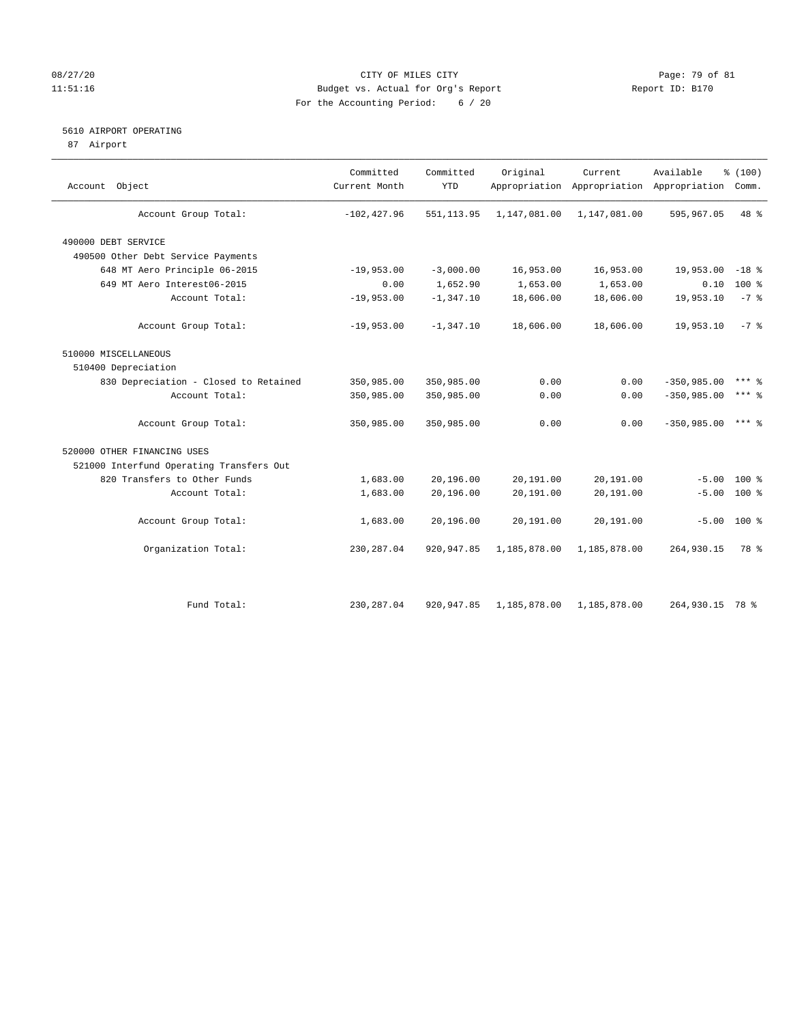# 08/27/20 Page: 79 of 81 11:51:16 Budget vs. Actual for Org's Report Report ID: B170 For the Accounting Period: 6 / 20

# 5610 AIRPORT OPERATING

87 Airport

| Account Object                           | Committed<br>Current Month | Committed<br><b>YTD</b> | Original     | Current      | Available<br>Appropriation Appropriation Appropriation | % (100)<br>Comm. |  |
|------------------------------------------|----------------------------|-------------------------|--------------|--------------|--------------------------------------------------------|------------------|--|
| Account Group Total:                     | $-102, 427.96$             | 551, 113.95             | 1,147,081.00 | 1,147,081.00 | 595,967.05                                             | 48 %             |  |
| 490000 DEBT SERVICE                      |                            |                         |              |              |                                                        |                  |  |
| 490500 Other Debt Service Payments       |                            |                         |              |              |                                                        |                  |  |
| 648 MT Aero Principle 06-2015            | $-19,953.00$               | $-3,000.00$             | 16,953.00    | 16,953.00    | 19,953.00                                              | $-18$ %          |  |
| 649 MT Aero Interest06-2015              | 0.00                       | 1,652.90                | 1,653.00     | 1,653.00     | 0.10                                                   | 100 %            |  |
| Account Total:                           | $-19,953.00$               | $-1, 347.10$            | 18,606.00    | 18,606.00    | 19,953.10                                              | $-7$ %           |  |
| Account Group Total:                     | $-19,953.00$               | $-1, 347.10$            | 18,606.00    | 18,606.00    | 19,953.10                                              | $-7$ $\approx$   |  |
| 510000 MISCELLANEOUS                     |                            |                         |              |              |                                                        |                  |  |
| 510400 Depreciation                      |                            |                         |              |              |                                                        |                  |  |
| 830 Depreciation - Closed to Retained    | 350,985.00                 | 350,985.00              | 0.00         | 0.00         | $-350,985.00$                                          | $***$ 2          |  |
| Account Total:                           | 350,985.00                 | 350,985.00              | 0.00         | 0.00         | $-350,985.00$                                          | $***$ $%$        |  |
| Account Group Total:                     | 350,985.00                 | 350,985.00              | 0.00         | 0.00         | $-350,985.00$                                          | $***$ %          |  |
| 520000 OTHER FINANCING USES              |                            |                         |              |              |                                                        |                  |  |
| 521000 Interfund Operating Transfers Out |                            |                         |              |              |                                                        |                  |  |
| 820 Transfers to Other Funds             | 1,683.00                   | 20,196.00               | 20,191.00    | 20,191.00    |                                                        | $-5.00$ 100 %    |  |
| Account Total:                           | 1,683.00                   | 20,196.00               | 20,191.00    | 20,191.00    | $-5.00$                                                | 100 %            |  |
| Account Group Total:                     | 1,683.00                   | 20,196.00               | 20,191.00    | 20,191.00    |                                                        | $-5.00$ 100 %    |  |
| Organization Total:                      | 230, 287.04                | 920, 947.85             | 1,185,878.00 | 1,185,878.00 | 264,930.15                                             | 78 %             |  |
|                                          |                            |                         |              |              |                                                        |                  |  |
| Fund Total:                              | 230, 287.04                | 920, 947.85             | 1,185,878.00 | 1,185,878.00 | 264,930.15 78 %                                        |                  |  |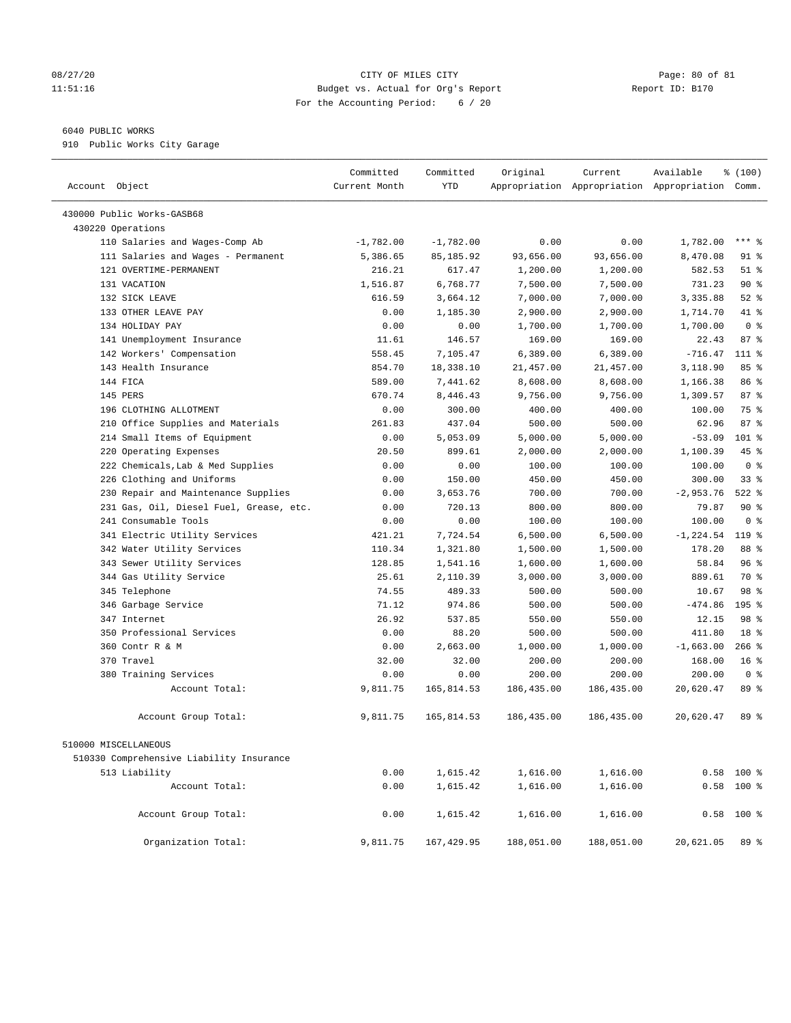#### 08/27/20 Page: 80 of 81 11:51:16 Budget vs. Actual for Org's Report Report ID: B170 For the Accounting Period: 6 / 20

# 6040 PUBLIC WORKS

910 Public Works City Garage

| Account Object                           | Committed<br>Current Month | Committed<br><b>YTD</b> | Original   | Current    | Available<br>Appropriation Appropriation Appropriation Comm. | % (100)         |
|------------------------------------------|----------------------------|-------------------------|------------|------------|--------------------------------------------------------------|-----------------|
| 430000 Public Works-GASB68               |                            |                         |            |            |                                                              |                 |
| 430220 Operations                        |                            |                         |            |            |                                                              |                 |
| 110 Salaries and Wages-Comp Ab           | $-1,782.00$                | $-1,782.00$             | 0.00       | 0.00       | 1,782.00                                                     | $***$ $%$       |
| 111 Salaries and Wages - Permanent       | 5,386.65                   | 85, 185.92              | 93,656.00  | 93,656.00  | 8,470.08                                                     | $91$ %          |
| 121 OVERTIME-PERMANENT                   | 216.21                     | 617.47                  | 1,200.00   | 1,200.00   | 582.53                                                       | $51$ %          |
| 131 VACATION                             | 1,516.87                   | 6,768.77                | 7,500.00   | 7,500.00   | 731.23                                                       | 90%             |
| 132 SICK LEAVE                           | 616.59                     | 3,664.12                | 7,000.00   | 7,000.00   | 3,335.88                                                     | $52$ $%$        |
| 133 OTHER LEAVE PAY                      | 0.00                       | 1,185.30                | 2,900.00   | 2,900.00   | 1,714.70                                                     | 41 %            |
| 134 HOLIDAY PAY                          | 0.00                       | 0.00                    | 1,700.00   | 1,700.00   | 1,700.00                                                     | 0 <sup>8</sup>  |
| 141 Unemployment Insurance               | 11.61                      | 146.57                  | 169.00     | 169.00     | 22.43                                                        | 87%             |
| 142 Workers' Compensation                | 558.45                     | 7,105.47                | 6,389.00   | 6,389.00   | $-716.47$                                                    | $111*$          |
| 143 Health Insurance                     | 854.70                     | 18,338.10               | 21,457.00  | 21,457.00  | 3,118.90                                                     | 85%             |
| 144 FICA                                 | 589.00                     | 7,441.62                | 8,608.00   | 8,608.00   | 1,166.38                                                     | 86 %            |
| 145 PERS                                 | 670.74                     | 8,446.43                | 9,756.00   | 9,756.00   | 1,309.57                                                     | 87%             |
| 196 CLOTHING ALLOTMENT                   | 0.00                       | 300.00                  | 400.00     | 400.00     | 100.00                                                       | 75 %            |
| 210 Office Supplies and Materials        | 261.83                     | 437.04                  | 500.00     | 500.00     | 62.96                                                        | 87%             |
| 214 Small Items of Equipment             | 0.00                       | 5,053.09                | 5,000.00   | 5,000.00   | $-53.09$                                                     | 101 %           |
| 220 Operating Expenses                   | 20.50                      | 899.61                  | 2,000.00   | 2,000.00   | 1,100.39                                                     | 45 %            |
| 222 Chemicals, Lab & Med Supplies        | 0.00                       | 0.00                    | 100.00     | 100.00     | 100.00                                                       | 0 <sup>8</sup>  |
| 226 Clothing and Uniforms                | 0.00                       | 150.00                  | 450.00     | 450.00     | 300.00                                                       | 33%             |
| 230 Repair and Maintenance Supplies      | 0.00                       | 3,653.76                | 700.00     | 700.00     | $-2,953.76$                                                  | $522$ $%$       |
| 231 Gas, Oil, Diesel Fuel, Grease, etc.  | 0.00                       | 720.13                  | 800.00     | 800.00     | 79.87                                                        | 90%             |
| 241 Consumable Tools                     | 0.00                       | 0.00                    | 100.00     | 100.00     | 100.00                                                       | 0 <sup>8</sup>  |
| 341 Electric Utility Services            | 421.21                     | 7,724.54                | 6,500.00   | 6,500.00   | $-1, 224.54$                                                 | 119.8           |
| 342 Water Utility Services               | 110.34                     | 1,321.80                | 1,500.00   | 1,500.00   | 178.20                                                       | 88 %            |
| 343 Sewer Utility Services               | 128.85                     | 1,541.16                | 1,600.00   | 1,600.00   | 58.84                                                        | 96%             |
| 344 Gas Utility Service                  | 25.61                      | 2,110.39                | 3,000.00   | 3,000.00   | 889.61                                                       | 70 %            |
| 345 Telephone                            | 74.55                      | 489.33                  | 500.00     | 500.00     | 10.67                                                        | 98 %            |
| 346 Garbage Service                      | 71.12                      | 974.86                  | 500.00     | 500.00     | $-474.86$                                                    | 195 %           |
| 347 Internet                             | 26.92                      | 537.85                  | 550.00     | 550.00     | 12.15                                                        | 98 %            |
| 350 Professional Services                | 0.00                       | 88.20                   | 500.00     | 500.00     | 411.80                                                       | 18 <sup>8</sup> |
| 360 Contr R & M                          | 0.00                       | 2,663.00                | 1,000.00   | 1,000.00   | $-1,663.00$                                                  | $266$ %         |
| 370 Travel                               | 32.00                      | 32.00                   | 200.00     | 200.00     | 168.00                                                       | 16 <sup>8</sup> |
| 380 Training Services                    | 0.00                       | 0.00                    | 200.00     | 200.00     | 200.00                                                       | 0 <sup>8</sup>  |
| Account Total:                           | 9,811.75                   | 165,814.53              | 186,435.00 | 186,435.00 | 20,620.47                                                    | 89 %            |
| Account Group Total:                     | 9,811.75                   | 165,814.53              | 186,435.00 | 186,435.00 | 20,620.47                                                    | 89 %            |
| 510000 MISCELLANEOUS                     |                            |                         |            |            |                                                              |                 |
| 510330 Comprehensive Liability Insurance |                            |                         |            |            |                                                              |                 |
| 513 Liability                            | 0.00                       | 1,615.42                | 1,616.00   | 1,616.00   |                                                              | $0.58$ 100 %    |
| Account Total:                           | 0.00                       | 1,615.42                | 1,616.00   | 1,616.00   |                                                              | $0.58$ 100 %    |
| Account Group Total:                     | 0.00                       | 1,615.42                | 1,616.00   | 1,616.00   | 0.58                                                         | $100$ %         |
| Organization Total:                      | 9,811.75                   | 167,429.95              | 188,051.00 | 188,051.00 | 20,621.05                                                    | 89 %            |